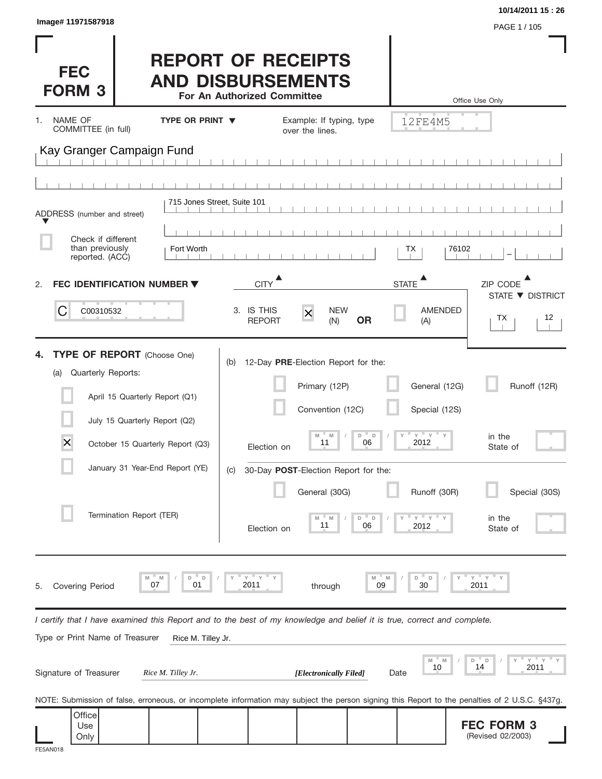| Image# 11971587918                                                                                                                                                                                   |                                                                                      |                                                                                                                                                                        |                                                                                                         | 10/14/2011 15:26<br>PAGE 1 / 105                                          |
|------------------------------------------------------------------------------------------------------------------------------------------------------------------------------------------------------|--------------------------------------------------------------------------------------|------------------------------------------------------------------------------------------------------------------------------------------------------------------------|---------------------------------------------------------------------------------------------------------|---------------------------------------------------------------------------|
| <b>FEC</b><br><b>FORM 3</b>                                                                                                                                                                          | <b>REPORT OF RECEIPTS</b><br><b>AND DISBURSEMENTS</b><br>For An Authorized Committee |                                                                                                                                                                        |                                                                                                         | Office Use Only                                                           |
| NAME OF<br>1.<br>COMMITTEE (in full)                                                                                                                                                                 | <b>TYPE OR PRINT V</b>                                                               | Example: If typing, type<br>over the lines.                                                                                                                            | 12FE4M5                                                                                                 |                                                                           |
| Kay Granger Campaign Fund                                                                                                                                                                            |                                                                                      |                                                                                                                                                                        |                                                                                                         |                                                                           |
|                                                                                                                                                                                                      |                                                                                      |                                                                                                                                                                        |                                                                                                         |                                                                           |
| ADDRESS (number and street)                                                                                                                                                                          | 715 Jones Street, Suite 101                                                          |                                                                                                                                                                        |                                                                                                         |                                                                           |
| Check if different<br>than previously                                                                                                                                                                | Fort Worth                                                                           |                                                                                                                                                                        |                                                                                                         | 76102                                                                     |
| reported. (ACC)                                                                                                                                                                                      |                                                                                      |                                                                                                                                                                        | ТX                                                                                                      |                                                                           |
| FEC IDENTIFICATION NUMBER ▼<br>2.                                                                                                                                                                    | <b>CITY</b>                                                                          |                                                                                                                                                                        | <b>STATE</b>                                                                                            | ZIP CODE<br>STATE ▼ DISTRICT                                              |
| C<br>C00310532                                                                                                                                                                                       | 3. IS THIS<br><b>REPORT</b>                                                          | <b>NEW</b><br>$\times$<br><b>OR</b><br>(N)                                                                                                                             | <b>AMENDED</b><br>(A)                                                                                   | 12<br>ТX                                                                  |
| Quarterly Reports:<br>(a)<br>April 15 Quarterly Report (Q1)<br>July 15 Quarterly Report (Q2)<br>X<br>October 15 Quarterly Report (Q3)<br>January 31 Year-End Report (YE)<br>Termination Report (TER) | (c)                                                                                  | Primary (12P)<br>Convention (12C)<br>D<br>M<br>M<br>11<br>06<br>Election on<br>30-Day POST-Election Report for the:<br>General (30G)<br>D =<br>11<br>06<br>Election on | General (12G)<br>Special (12S)<br>$Y = Y = Y$<br>$\Box$<br>2012<br>Runoff (30R)<br>$Y$ $Y$<br>D<br>2012 | Runoff (12R)<br>in the<br>State of<br>Special (30S)<br>in the<br>State of |
| M<br>M<br>07<br><b>Covering Period</b><br>5.                                                                                                                                                         | $Y$ $Y$<br>D<br>D<br>01<br>2011                                                      | through                                                                                                                                                                | " D<br>M<br>D<br>M<br>09<br>30                                                                          | $Y$ $Y$<br>2011                                                           |
| I certify that I have examined this Report and to the best of my knowledge and belief it is true, correct and complete.<br>Type or Print Name of Treasurer                                           |                                                                                      |                                                                                                                                                                        |                                                                                                         |                                                                           |
| Signature of Treasurer                                                                                                                                                                               | Rice M. Tilley Jr.<br>Rice M. Tilley Jr.                                             | [Electronically Filed]                                                                                                                                                 | M<br>- M<br>10<br>Date                                                                                  | $Y$ $Y$<br>D<br>D<br>14<br>2011                                           |
| NOTE: Submission of false, erroneous, or incomplete information may subject the person signing this Report to the penalties of 2 U.S.C. §437g.                                                       |                                                                                      |                                                                                                                                                                        |                                                                                                         |                                                                           |
| Office<br>Use<br>Only                                                                                                                                                                                |                                                                                      |                                                                                                                                                                        |                                                                                                         | <b>FEC FORM 3</b><br>(Revised 02/2003)                                    |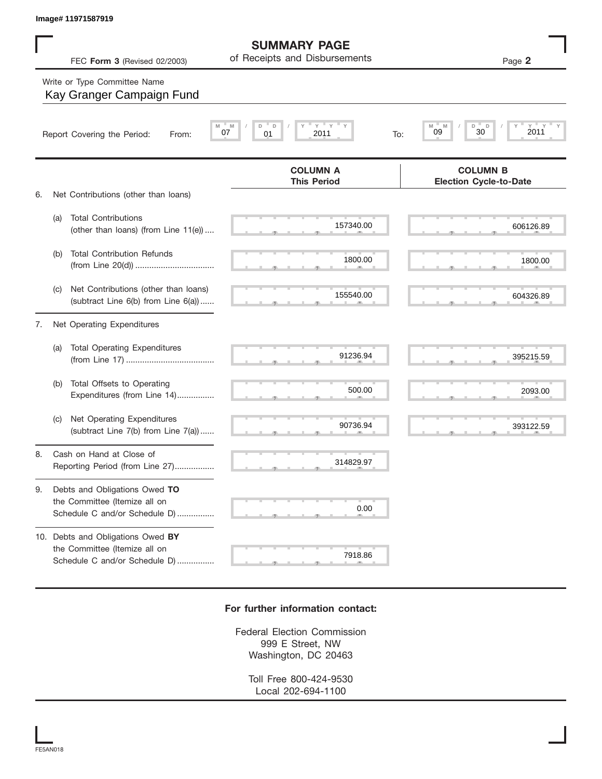|    |     | Image# 11971587919                                                                                  |                                                      |                                                                     |
|----|-----|-----------------------------------------------------------------------------------------------------|------------------------------------------------------|---------------------------------------------------------------------|
|    |     | FEC Form 3 (Revised 02/2003)                                                                        | <b>SUMMARY PAGE</b><br>of Receipts and Disbursements | Page 2                                                              |
|    |     | Write or Type Committee Name<br>Kay Granger Campaign Fund                                           |                                                      |                                                                     |
|    |     | M<br>Report Covering the Period:<br>From:                                                           | $Y$ $Y$<br>M<br>D<br>D<br>07<br>01<br>2011<br>To:    | $_{2011}^{\scriptscriptstyle\rm Y}$<br>M<br>M<br>D<br>D<br>30<br>09 |
| 6. |     | Net Contributions (other than loans)                                                                | <b>COLUMN A</b><br><b>This Period</b>                | <b>COLUMN B</b><br><b>Election Cycle-to-Date</b>                    |
|    | (a) | <b>Total Contributions</b><br>(other than loans) (from Line 11(e))                                  | 157340.00                                            | 606126.89                                                           |
|    | (b) | <b>Total Contribution Refunds</b>                                                                   | 1800.00                                              | 1800.00                                                             |
|    | (C) | Net Contributions (other than loans)<br>(subtract Line 6(b) from Line 6(a))                         | 155540.00                                            | 604326.89                                                           |
| 7. |     | Net Operating Expenditures                                                                          |                                                      |                                                                     |
|    | (a) | <b>Total Operating Expenditures</b>                                                                 | 91236.94                                             | 395215.59                                                           |
|    | (b) | Total Offsets to Operating<br>Expenditures (from Line 14)                                           | 500.00                                               | 2093.00                                                             |
|    | (C) | Net Operating Expenditures<br>(subtract Line 7(b) from Line 7(a))                                   | 90736.94                                             | 393122.59                                                           |
| 8. |     | Cash on Hand at Close of<br>Reporting Period (from Line 27)                                         | 314829.97                                            |                                                                     |
| 9. |     | Debts and Obligations Owed TO<br>the Committee (Itemize all on<br>Schedule C and/or Schedule D)     | 0.00                                                 |                                                                     |
|    |     | 10. Debts and Obligations Owed BY<br>the Committee (Itemize all on<br>Schedule C and/or Schedule D) | 7918.86                                              |                                                                     |

## **For further information contact:**

Federal Election Commission 999 E Street, NW Washington, DC 20463

> Toll Free 800-424-9530 Local 202-694-1100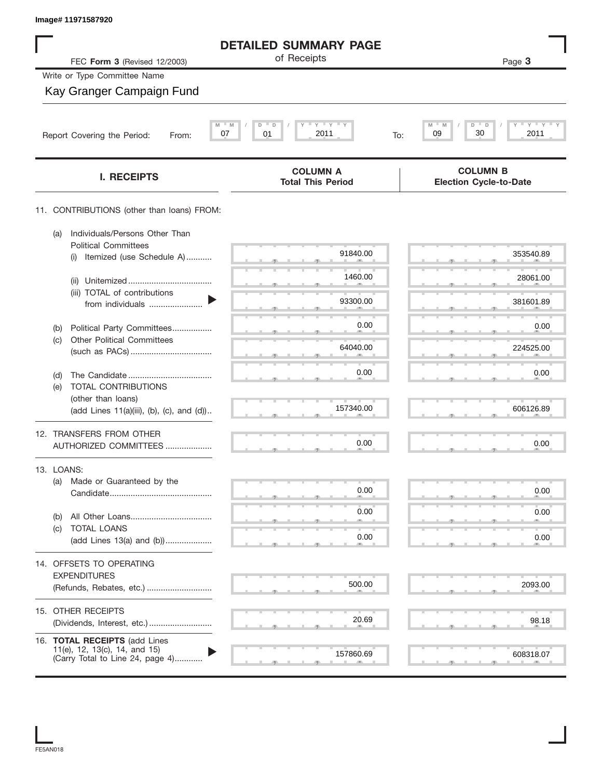| Image# 11971587920                                                                                 |                                                             |                                                  |
|----------------------------------------------------------------------------------------------------|-------------------------------------------------------------|--------------------------------------------------|
|                                                                                                    | <b>DETAILED SUMMARY PAGE</b>                                |                                                  |
| FEC Form 3 (Revised 12/2003)                                                                       | of Receipts                                                 | Page 3                                           |
| Write or Type Committee Name                                                                       |                                                             |                                                  |
| Kay Granger Campaign Fund                                                                          |                                                             |                                                  |
| Report Covering the Period:<br>From:                                                               | $Y$ $Y$ $Y$<br>$M = M$<br>D<br>D<br>2011<br>07<br>01<br>To: | $Y = Y = Y$<br>M<br>D<br>30<br>09<br>2011        |
| <b>I. RECEIPTS</b>                                                                                 | <b>COLUMN A</b><br><b>Total This Period</b>                 | <b>COLUMN B</b><br><b>Election Cycle-to-Date</b> |
| 11. CONTRIBUTIONS (other than loans) FROM:                                                         |                                                             |                                                  |
| Individuals/Persons Other Than<br>(a)<br><b>Political Committees</b>                               |                                                             |                                                  |
| Itemized (use Schedule A)<br>(i)                                                                   | 91840.00                                                    | 353540.89                                        |
| (ii)                                                                                               | 1460.00                                                     | 28061.00                                         |
| (iii) TOTAL of contributions<br>from individuals                                                   | 93300.00                                                    | 381601.89                                        |
| Political Party Committees<br>(b)                                                                  | 0.00                                                        | 0.00                                             |
| <b>Other Political Committees</b><br>(c)                                                           | 64040.00                                                    | 224525.00                                        |
|                                                                                                    | 0.00                                                        | 0.00                                             |
| (d)<br>TOTAL CONTRIBUTIONS<br>(e)                                                                  |                                                             |                                                  |
| (other than loans)<br>(add Lines 11(a)(iii), (b), (c), and (d))                                    | 157340.00                                                   | 606126.89                                        |
| 12. TRANSFERS FROM OTHER                                                                           |                                                             |                                                  |
| AUTHORIZED COMMITTEES                                                                              | 0.00                                                        | 0.00                                             |
| 13. LOANS:                                                                                         |                                                             |                                                  |
| (a)<br>Made or Guaranteed by the                                                                   | 0.00                                                        | 0.00                                             |
| (b)                                                                                                | 0.00                                                        | 0.00                                             |
| TOTAL LOANS<br>(c)                                                                                 | 0.00                                                        | 0.00                                             |
| (add Lines 13(a) and (b))                                                                          |                                                             |                                                  |
| 14. OFFSETS TO OPERATING<br><b>EXPENDITURES</b>                                                    |                                                             |                                                  |
| (Refunds, Rebates, etc.)                                                                           | 500.00                                                      | 2093.00                                          |
| 15. OTHER RECEIPTS                                                                                 |                                                             |                                                  |
|                                                                                                    | 20.69                                                       | 98.18                                            |
| 16. TOTAL RECEIPTS (add Lines<br>11(e), 12, 13(c), 14, and 15)<br>(Carry Total to Line 24, page 4) | 157860.69                                                   | 608318.07                                        |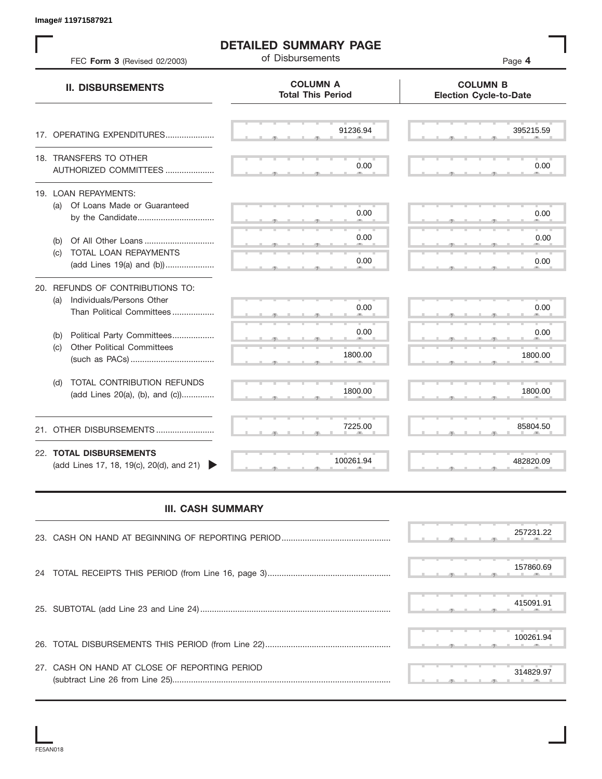S S S , , . S S S , , . S S S , , . S S S , , . S S S , , . S S S , , .  $\overline{S}$  s  $\overline{S}$  ,  $\overline{S}$  ,  $\overline{S}$  ,  $\overline{S}$  ,  $\overline{S}$  ,  $\overline{S}$  ,  $\overline{S}$  ,  $\overline{S}$  ,  $\overline{S}$  ,  $\overline{S}$  ,  $\overline{S}$  ,  $\overline{S}$  ,  $\overline{S}$  ,  $\overline{S}$  ,  $\overline{S}$  ,  $\overline{S}$  ,  $\overline{S}$  ,  $\overline{S}$  ,  $\overline{S}$  , S S S , , . S S S , , . S S S , , . S S S , , . S S S , , . S S S , , . S S S , , . S S S , , . S S S , , . S S S , , . S S S , , . S S S , , . S S S S S S **COLUMN B Election Cycle-to-Date COLUMN A Total This Period** 17. OPERATING EXPENDITURES.................... 18. TRANSFERS TO OTHER AUTHORIZED COMMITTEES ..................... 19. LOAN REPAYMENTS: (a) Of Loans Made or Guaranteed by the Candidate ................................. (b) Of All Other Loans .............................. (c) TOTAL LOAN REPAYMENTS (add Lines 19(a) and (b)) ..................... 20. REFUNDS OF CONTRIBUTIONS TO: (a) Individuals/Persons Other Than Political Committees ................. (b) Political Party Committees.................. (c) Other Political Committees (such as PACs) .................................... (d) TOTAL CONTRIBUTION REFUNDS (add Lines 20(a), (b), and (c)).............. 21. OTHER DISBURSEMENTS ......................... 22. **TOTAL DISBURSEMENTS**   $(add$  Lines 17, 18, 19 $(c)$ , 20 $(d)$ , and 21) **II. DISBURSEMENTS DETAILED SUMMARY PAGE** of Disbursements FEC **Form 3** (Revised 02/2003) Page **4** , , . , , . **324929.92 1022829.92 1022820.00 1002820.000 1002820.000 1002820.000 1002820.000 1002820.000 1002820.000 1002820.000 1002820.000 1002820.000 1002820.000 1002820.000 1002820.000 1002820.000 1002820.000 1002820.000 1002820.** 

## **III. CASH SUMMARY**

|                                               | 257231.22 |
|-----------------------------------------------|-----------|
|                                               | 157860.69 |
|                                               | 415091.91 |
|                                               | 100261.94 |
| 27. CASH ON HAND AT CLOSE OF REPORTING PERIOD | 314829.97 |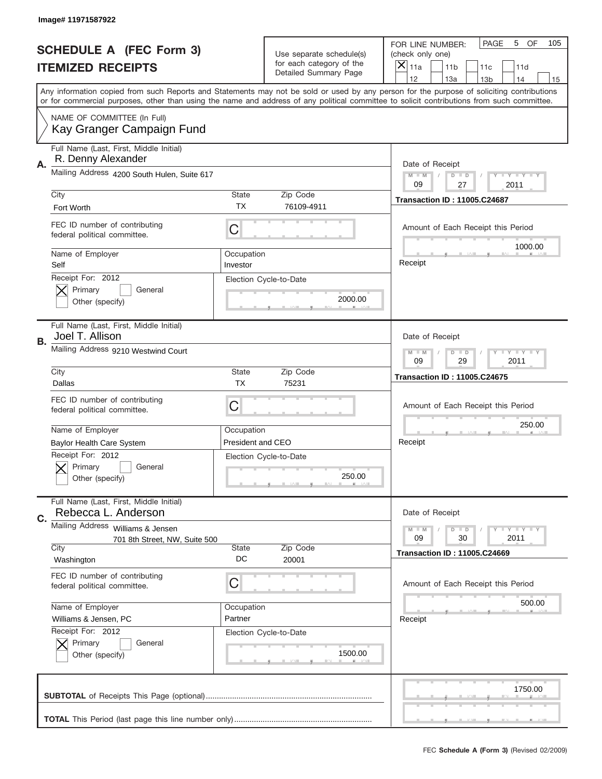|    | Image# 11971587922                                                                                                                         |                          |                                                   |                                                                                                                                           |
|----|--------------------------------------------------------------------------------------------------------------------------------------------|--------------------------|---------------------------------------------------|-------------------------------------------------------------------------------------------------------------------------------------------|
|    | <b>SCHEDULE A (FEC Form 3)</b>                                                                                                             |                          | Use separate schedule(s)                          | PAGE<br>5<br>OF<br>105<br>FOR LINE NUMBER:<br>(check only one)                                                                            |
|    | <b>ITEMIZED RECEIPTS</b>                                                                                                                   |                          | for each category of the<br>Detailed Summary Page | ×<br>11a<br>11 <sub>b</sub><br>11c<br>11d                                                                                                 |
|    |                                                                                                                                            |                          |                                                   | 12<br>13a<br>14<br>13 <sub>b</sub><br>15                                                                                                  |
|    | or for commercial purposes, other than using the name and address of any political committee to solicit contributions from such committee. |                          |                                                   | Any information copied from such Reports and Statements may not be sold or used by any person for the purpose of soliciting contributions |
|    | NAME OF COMMITTEE (In Full)<br>Kay Granger Campaign Fund                                                                                   |                          |                                                   |                                                                                                                                           |
|    | Full Name (Last, First, Middle Initial)<br>R. Denny Alexander                                                                              |                          |                                                   |                                                                                                                                           |
| Α. | Mailing Address 4200 South Hulen, Suite 617                                                                                                |                          |                                                   | Date of Receipt<br>$M - M$<br>Y I Y I Y I Y<br>$D$ $D$<br>09<br>27<br>2011                                                                |
|    | City                                                                                                                                       | <b>State</b>             | Zip Code                                          | <b>Transaction ID: 11005.C24687</b>                                                                                                       |
|    | Fort Worth                                                                                                                                 | TX                       | 76109-4911                                        |                                                                                                                                           |
|    | FEC ID number of contributing<br>federal political committee.                                                                              | C                        |                                                   | Amount of Each Receipt this Period<br>1000.00                                                                                             |
|    | Name of Employer<br>Self                                                                                                                   | Occupation<br>Investor   |                                                   | Receipt                                                                                                                                   |
|    | Receipt For: 2012<br>Primary<br>General<br>Other (specify)                                                                                 |                          | Election Cycle-to-Date<br>2000.00                 |                                                                                                                                           |
| В. | Full Name (Last, First, Middle Initial)<br>Joel T. Allison                                                                                 |                          |                                                   | Date of Receipt                                                                                                                           |
|    | Mailing Address 9210 Westwind Court                                                                                                        |                          |                                                   | <b>LY LY LY</b><br>$M - M$<br>$D$ $D$<br>09<br>29<br>2011                                                                                 |
|    | City                                                                                                                                       | <b>State</b>             | Zip Code                                          | <b>Transaction ID: 11005.C24675</b>                                                                                                       |
|    | Dallas                                                                                                                                     | <b>TX</b>                | 75231                                             |                                                                                                                                           |
|    | FEC ID number of contributing<br>federal political committee.                                                                              | C                        |                                                   | Amount of Each Receipt this Period                                                                                                        |
|    | Name of Employer                                                                                                                           | Occupation               |                                                   | 250.00                                                                                                                                    |
|    | <b>Baylor Health Care System</b>                                                                                                           | <b>President and CEO</b> |                                                   | Receipt                                                                                                                                   |
|    | Receipt For: 2012<br>General<br>Primary<br>Other (specify)                                                                                 |                          | Election Cycle-to-Date<br>250.00                  |                                                                                                                                           |
| C. | Full Name (Last, First, Middle Initial)<br>Rebecca L. Anderson                                                                             |                          |                                                   | Date of Receipt                                                                                                                           |
|    | Mailing Address Williams & Jensen<br>701 8th Street, NW, Suite 500                                                                         |                          |                                                   | <b>LYLYLY</b><br>$M - M$<br>$D$ $D$<br>09<br>30<br>2011                                                                                   |
|    | City                                                                                                                                       | State                    | Zip Code                                          | <b>Transaction ID: 11005.C24669</b>                                                                                                       |
|    | Washington                                                                                                                                 | DC                       | 20001                                             |                                                                                                                                           |
|    | FEC ID number of contributing<br>federal political committee.                                                                              | C                        |                                                   | Amount of Each Receipt this Period                                                                                                        |
|    | Name of Employer                                                                                                                           | Occupation               |                                                   | 500.00                                                                                                                                    |
|    | Williams & Jensen, PC                                                                                                                      | Partner                  |                                                   | Receipt                                                                                                                                   |
|    | Receipt For: 2012<br>Primary<br>General<br>Other (specify)                                                                                 |                          | Election Cycle-to-Date<br>1500.00                 |                                                                                                                                           |
|    |                                                                                                                                            |                          |                                                   | 1750.00                                                                                                                                   |
|    |                                                                                                                                            |                          |                                                   |                                                                                                                                           |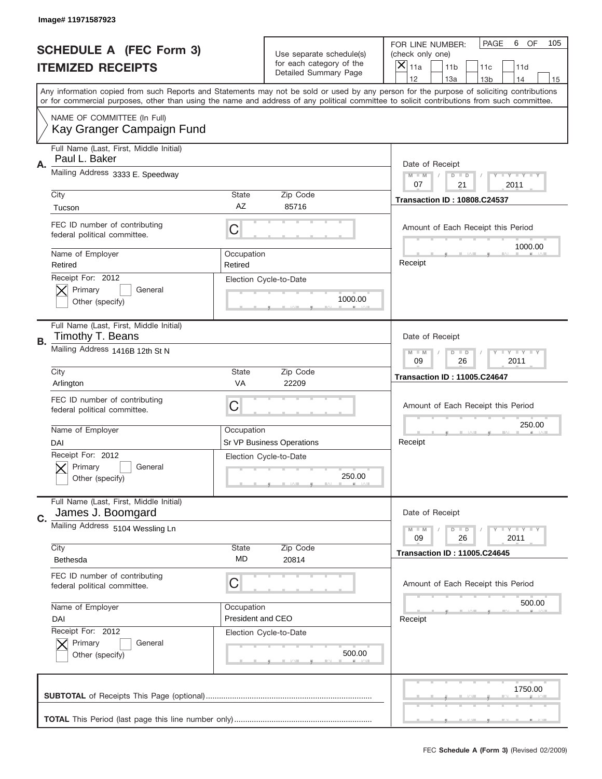|    | Image# 11971587923                                            |                                 |                                                   |                                                                                                                                                                                                                                                                                                                                     |  |
|----|---------------------------------------------------------------|---------------------------------|---------------------------------------------------|-------------------------------------------------------------------------------------------------------------------------------------------------------------------------------------------------------------------------------------------------------------------------------------------------------------------------------------|--|
|    | <b>SCHEDULE A (FEC Form 3)</b>                                |                                 | Use separate schedule(s)                          | PAGE<br>6<br>OF<br>105<br>FOR LINE NUMBER:<br>(check only one)                                                                                                                                                                                                                                                                      |  |
|    | <b>ITEMIZED RECEIPTS</b>                                      |                                 | for each category of the<br>Detailed Summary Page | ×<br>11a<br>11 <sub>b</sub><br>11c<br>11d                                                                                                                                                                                                                                                                                           |  |
|    |                                                               |                                 |                                                   | 12<br>13a<br>14<br>13 <sub>b</sub><br>15<br>Any information copied from such Reports and Statements may not be sold or used by any person for the purpose of soliciting contributions<br>or for commercial purposes, other than using the name and address of any political committee to solicit contributions from such committee. |  |
|    | NAME OF COMMITTEE (In Full)<br>Kay Granger Campaign Fund      |                                 |                                                   |                                                                                                                                                                                                                                                                                                                                     |  |
| Α. | Full Name (Last, First, Middle Initial)<br>Paul L. Baker      |                                 |                                                   | Date of Receipt                                                                                                                                                                                                                                                                                                                     |  |
|    | Mailing Address 3333 E. Speedway                              |                                 |                                                   | $M - M$<br>Y FY FY FY<br>$D$ $D$<br>07<br>21<br>2011                                                                                                                                                                                                                                                                                |  |
|    | City<br>Tucson                                                | State<br>AZ                     | Zip Code<br>85716                                 | <b>Transaction ID: 10808.C24537</b>                                                                                                                                                                                                                                                                                                 |  |
|    | FEC ID number of contributing<br>federal political committee. | C                               |                                                   | Amount of Each Receipt this Period<br>1000.00                                                                                                                                                                                                                                                                                       |  |
|    | Name of Employer<br>Retired                                   | Occupation<br>Retired           |                                                   | Receipt                                                                                                                                                                                                                                                                                                                             |  |
|    | Receipt For: 2012<br>Primary<br>General<br>Other (specify)    |                                 | Election Cycle-to-Date<br>1000.00                 |                                                                                                                                                                                                                                                                                                                                     |  |
| В. | Full Name (Last, First, Middle Initial)<br>Timothy T. Beans   |                                 |                                                   | Date of Receipt                                                                                                                                                                                                                                                                                                                     |  |
|    | Mailing Address 1416B 12th St N                               |                                 |                                                   | <b>LY LY LY</b><br>$M - M$<br>$D$ $D$<br>09<br>26<br>2011                                                                                                                                                                                                                                                                           |  |
|    | City<br>Arlington                                             | State<br>VA                     | Zip Code<br>22209                                 | <b>Transaction ID: 11005.C24647</b>                                                                                                                                                                                                                                                                                                 |  |
|    | FEC ID number of contributing<br>federal political committee. | C                               |                                                   | Amount of Each Receipt this Period                                                                                                                                                                                                                                                                                                  |  |
|    | Name of Employer<br>DAI                                       | Occupation                      | Sr VP Business Operations                         | 250.00<br>Receipt                                                                                                                                                                                                                                                                                                                   |  |
|    | Receipt For: 2012<br>General<br>Primary<br>Other (specify)    |                                 | Election Cycle-to-Date<br>250.00                  |                                                                                                                                                                                                                                                                                                                                     |  |
| C. | Full Name (Last, First, Middle Initial)<br>James J. Boomgard  |                                 |                                                   | Date of Receipt                                                                                                                                                                                                                                                                                                                     |  |
|    | Mailing Address 5104 Wessling Ln<br>City                      | State                           | Zip Code                                          | <b>TEY TEY TEY</b><br>$M - M$<br>$D$ $D$<br>26<br>2011<br>09                                                                                                                                                                                                                                                                        |  |
|    | Bethesda                                                      | MD                              | 20814                                             | <b>Transaction ID: 11005.C24645</b>                                                                                                                                                                                                                                                                                                 |  |
|    | FEC ID number of contributing<br>federal political committee. | C                               |                                                   | Amount of Each Receipt this Period                                                                                                                                                                                                                                                                                                  |  |
|    | Name of Employer<br>DAI                                       | Occupation<br>President and CEO |                                                   | 500.00<br>Receipt                                                                                                                                                                                                                                                                                                                   |  |
|    | Receipt For: 2012<br>Primary<br>General<br>Other (specify)    |                                 | Election Cycle-to-Date<br>500.00                  |                                                                                                                                                                                                                                                                                                                                     |  |
|    |                                                               |                                 |                                                   | 1750.00                                                                                                                                                                                                                                                                                                                             |  |
|    |                                                               |                                 |                                                   |                                                                                                                                                                                                                                                                                                                                     |  |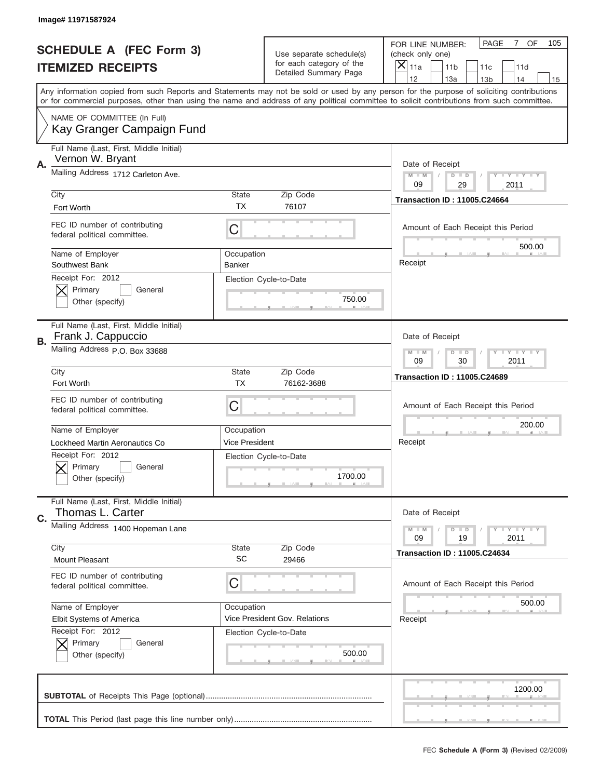|    | Image# 11971587924                                                                           |                      |                                                                   |                                                                                                                                                                                                                                                                                                                                     |
|----|----------------------------------------------------------------------------------------------|----------------------|-------------------------------------------------------------------|-------------------------------------------------------------------------------------------------------------------------------------------------------------------------------------------------------------------------------------------------------------------------------------------------------------------------------------|
|    | <b>SCHEDULE A (FEC Form 3)</b>                                                               |                      | Use separate schedule(s)                                          | OF<br><b>PAGE</b><br>$\overline{7}$<br>105<br>FOR LINE NUMBER:<br>(check only one)                                                                                                                                                                                                                                                  |
|    | <b>ITEMIZED RECEIPTS</b>                                                                     |                      | for each category of the<br>Detailed Summary Page                 | ×<br>11a<br>11 <sub>b</sub><br>11c<br>11d                                                                                                                                                                                                                                                                                           |
|    |                                                                                              |                      |                                                                   | 12<br>13a<br>14<br>13 <sub>b</sub><br>15<br>Any information copied from such Reports and Statements may not be sold or used by any person for the purpose of soliciting contributions<br>or for commercial purposes, other than using the name and address of any political committee to solicit contributions from such committee. |
|    | NAME OF COMMITTEE (In Full)<br>Kay Granger Campaign Fund                                     |                      |                                                                   |                                                                                                                                                                                                                                                                                                                                     |
| Α. | Full Name (Last, First, Middle Initial)<br>Vernon W. Bryant                                  |                      |                                                                   | Date of Receipt                                                                                                                                                                                                                                                                                                                     |
|    | Mailing Address 1712 Carleton Ave.                                                           |                      |                                                                   | $M - M$<br><b>LEY LEY LEY</b><br>$D$ $D$<br>09<br>29<br>2011                                                                                                                                                                                                                                                                        |
|    | City<br>Fort Worth                                                                           | State<br><b>TX</b>   | Zip Code<br>76107                                                 | <b>Transaction ID: 11005.C24664</b>                                                                                                                                                                                                                                                                                                 |
|    | FEC ID number of contributing<br>federal political committee.                                | C                    |                                                                   | Amount of Each Receipt this Period<br>500.00                                                                                                                                                                                                                                                                                        |
|    | Name of Employer<br>Southwest Bank                                                           | Occupation<br>Banker |                                                                   | Receipt                                                                                                                                                                                                                                                                                                                             |
|    | Receipt For: 2012<br>Primary<br>General<br>Other (specify)                                   |                      | Election Cycle-to-Date<br>750.00                                  |                                                                                                                                                                                                                                                                                                                                     |
| В. | Full Name (Last, First, Middle Initial)<br>Frank J. Cappuccio                                |                      |                                                                   | Date of Receipt                                                                                                                                                                                                                                                                                                                     |
|    | Mailing Address P.O. Box 33688                                                               |                      |                                                                   | <b>LYLYLY</b><br>$M - M$<br>$D$ $D$<br>09<br>30<br>2011                                                                                                                                                                                                                                                                             |
|    | City<br>Fort Worth                                                                           | State<br><b>TX</b>   | Zip Code<br>76162-3688                                            | <b>Transaction ID: 11005.C24689</b>                                                                                                                                                                                                                                                                                                 |
|    |                                                                                              |                      |                                                                   |                                                                                                                                                                                                                                                                                                                                     |
|    | FEC ID number of contributing<br>federal political committee.                                | C                    |                                                                   | Amount of Each Receipt this Period                                                                                                                                                                                                                                                                                                  |
|    | Name of Employer                                                                             | Occupation           |                                                                   | 200.00                                                                                                                                                                                                                                                                                                                              |
|    | Lockheed Martin Aeronautics Co<br>Receipt For: 2012<br>General<br>Primary<br>Other (specify) | Vice President       | Election Cycle-to-Date<br>1700.00                                 | Receipt                                                                                                                                                                                                                                                                                                                             |
| C. | Full Name (Last, First, Middle Initial)<br>Thomas L. Carter                                  |                      |                                                                   | Date of Receipt                                                                                                                                                                                                                                                                                                                     |
|    | Mailing Address 1400 Hopeman Lane                                                            |                      |                                                                   | <b>LYLYLY</b><br>$M - M$<br>$D$ $D$<br>09<br>2011<br>19                                                                                                                                                                                                                                                                             |
|    | City<br><b>Mount Pleasant</b>                                                                | State<br><b>SC</b>   | Zip Code<br>29466                                                 | <b>Transaction ID: 11005.C24634</b>                                                                                                                                                                                                                                                                                                 |
|    | FEC ID number of contributing<br>federal political committee.                                | C                    |                                                                   | Amount of Each Receipt this Period                                                                                                                                                                                                                                                                                                  |
|    | Name of Employer                                                                             | Occupation           |                                                                   | 500.00                                                                                                                                                                                                                                                                                                                              |
|    | Elbit Systems of America<br>Receipt For: 2012<br>Primary<br>General<br>Other (specify)       |                      | Vice President Gov. Relations<br>Election Cycle-to-Date<br>500.00 | Receipt                                                                                                                                                                                                                                                                                                                             |
|    |                                                                                              |                      |                                                                   | 1200.00                                                                                                                                                                                                                                                                                                                             |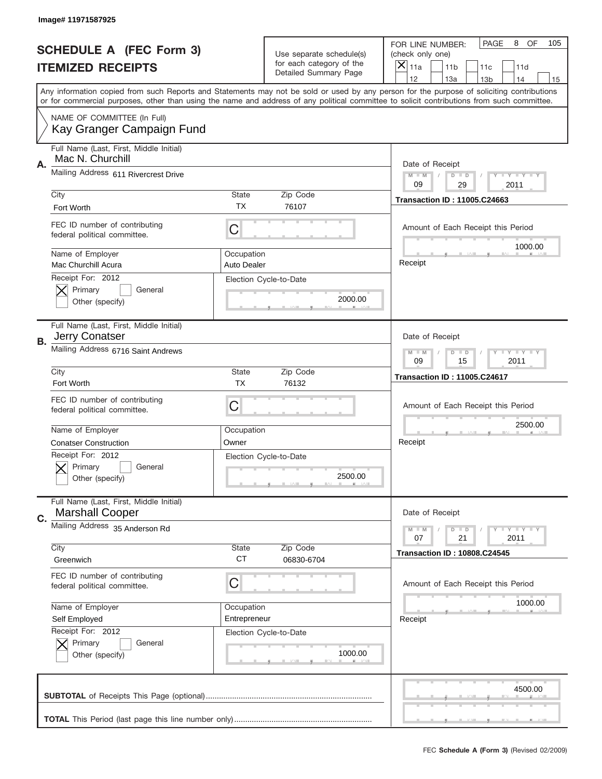|    | Image# 11971587925                                                |                                  |                                                   |                                                                                                                                                                                       |
|----|-------------------------------------------------------------------|----------------------------------|---------------------------------------------------|---------------------------------------------------------------------------------------------------------------------------------------------------------------------------------------|
|    | <b>SCHEDULE A (FEC Form 3)</b>                                    |                                  | Use separate schedule(s)                          | PAGE<br>8<br>OF<br>105<br>FOR LINE NUMBER:<br>(check only one)                                                                                                                        |
|    | <b>ITEMIZED RECEIPTS</b>                                          |                                  | for each category of the<br>Detailed Summary Page | ×<br>11a<br>11 <sub>b</sub><br>11c<br>11d                                                                                                                                             |
|    |                                                                   |                                  |                                                   | 12<br>13a<br>14<br>13 <sub>b</sub><br>15<br>Any information copied from such Reports and Statements may not be sold or used by any person for the purpose of soliciting contributions |
|    |                                                                   |                                  |                                                   | or for commercial purposes, other than using the name and address of any political committee to solicit contributions from such committee.                                            |
|    | NAME OF COMMITTEE (In Full)<br>Kay Granger Campaign Fund          |                                  |                                                   |                                                                                                                                                                                       |
| Α. | Full Name (Last, First, Middle Initial)<br>Mac N. Churchill       |                                  |                                                   | Date of Receipt                                                                                                                                                                       |
|    | Mailing Address 611 Rivercrest Drive                              |                                  |                                                   | $M - M$<br>Y I Y I Y I Y<br>$D$ $D$<br>09<br>29<br>2011                                                                                                                               |
|    | City<br>Fort Worth                                                | <b>State</b><br>TX               | Zip Code<br>76107                                 | <b>Transaction ID: 11005.C24663</b>                                                                                                                                                   |
|    | FEC ID number of contributing<br>federal political committee.     | C                                |                                                   | Amount of Each Receipt this Period<br>1000.00                                                                                                                                         |
|    | Name of Employer<br>Mac Churchill Acura                           | Occupation<br><b>Auto Dealer</b> |                                                   | Receipt                                                                                                                                                                               |
|    | Receipt For: 2012<br>Primary<br>General<br>Other (specify)        |                                  | Election Cycle-to-Date<br>2000.00                 |                                                                                                                                                                                       |
| В. | Full Name (Last, First, Middle Initial)<br>Jerry Conatser         |                                  |                                                   | Date of Receipt                                                                                                                                                                       |
|    | Mailing Address 6716 Saint Andrews                                |                                  |                                                   | <b>LY LY LY</b><br>$M - M$<br>$D$ $D$<br>09<br>15<br>2011                                                                                                                             |
|    | City<br>Fort Worth                                                | <b>State</b><br><b>TX</b>        | Zip Code<br>76132                                 | <b>Transaction ID: 11005.C24617</b>                                                                                                                                                   |
|    | FEC ID number of contributing<br>federal political committee.     | C                                |                                                   | Amount of Each Receipt this Period                                                                                                                                                    |
|    | Name of Employer                                                  | Occupation                       |                                                   | 2500.00                                                                                                                                                                               |
|    |                                                                   |                                  |                                                   | Receipt                                                                                                                                                                               |
|    | <b>Conatser Construction</b>                                      | Owner                            |                                                   |                                                                                                                                                                                       |
|    | Receipt For: 2012<br>General<br>Primary<br>Other (specify)        |                                  | Election Cycle-to-Date<br>2500.00                 |                                                                                                                                                                                       |
| C. | Full Name (Last, First, Middle Initial)<br><b>Marshall Cooper</b> |                                  |                                                   | Date of Receipt                                                                                                                                                                       |
|    | Mailing Address 35 Anderson Rd                                    |                                  |                                                   | $T + Y = Y + Y$<br>$M - M$<br>$D$ $D$<br>21<br>2011<br>07                                                                                                                             |
|    | City<br>Greenwich                                                 | State<br><b>CT</b>               | Zip Code<br>06830-6704                            | <b>Transaction ID: 10808.C24545</b>                                                                                                                                                   |
|    | FEC ID number of contributing<br>federal political committee.     | C                                |                                                   | Amount of Each Receipt this Period                                                                                                                                                    |
|    | Name of Employer                                                  | Occupation                       |                                                   | 1000.00                                                                                                                                                                               |
|    | Self Employed                                                     | Entrepreneur                     |                                                   | Receipt                                                                                                                                                                               |
|    | Receipt For: 2012<br>Primary<br>General<br>Other (specify)        |                                  | Election Cycle-to-Date<br>1000.00                 |                                                                                                                                                                                       |
|    |                                                                   |                                  |                                                   | 4500.00                                                                                                                                                                               |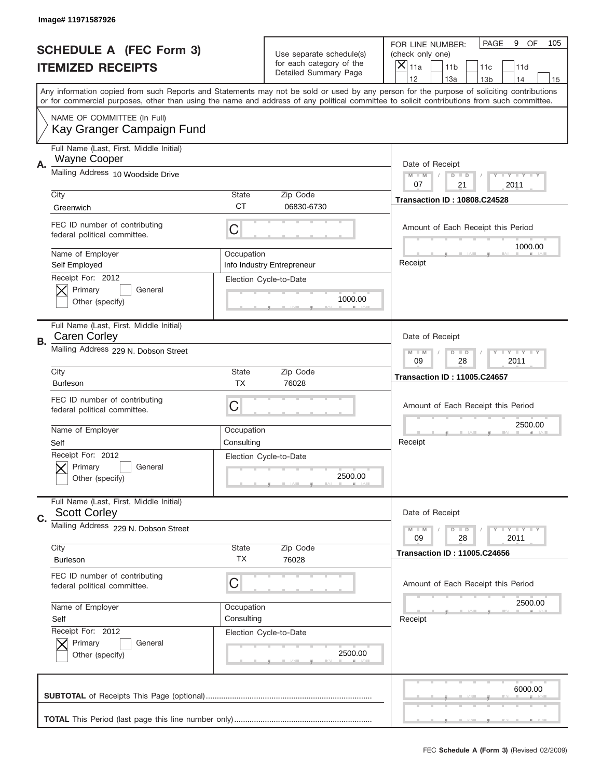|    | Image# 11971587926                                             |                           |                                                   |                                                                                                                                                                                                                                                                                                                                     |
|----|----------------------------------------------------------------|---------------------------|---------------------------------------------------|-------------------------------------------------------------------------------------------------------------------------------------------------------------------------------------------------------------------------------------------------------------------------------------------------------------------------------------|
|    | <b>SCHEDULE A (FEC Form 3)</b>                                 |                           | Use separate schedule(s)                          | PAGE<br>9<br>OF<br>105<br>FOR LINE NUMBER:<br>(check only one)                                                                                                                                                                                                                                                                      |
|    | <b>ITEMIZED RECEIPTS</b>                                       |                           | for each category of the<br>Detailed Summary Page | ×<br>11a<br>11 <sub>b</sub><br>11c<br>11d                                                                                                                                                                                                                                                                                           |
|    |                                                                |                           |                                                   | 12<br>13a<br>14<br>13 <sub>b</sub><br>15<br>Any information copied from such Reports and Statements may not be sold or used by any person for the purpose of soliciting contributions<br>or for commercial purposes, other than using the name and address of any political committee to solicit contributions from such committee. |
|    | NAME OF COMMITTEE (In Full)<br>Kay Granger Campaign Fund       |                           |                                                   |                                                                                                                                                                                                                                                                                                                                     |
| Α. | Full Name (Last, First, Middle Initial)<br><b>Wayne Cooper</b> |                           |                                                   | Date of Receipt                                                                                                                                                                                                                                                                                                                     |
|    | Mailing Address 10 Woodside Drive                              |                           |                                                   | <b>THEY THEY</b><br>$M - M$<br>$D$ $D$<br>21<br>07<br>2011                                                                                                                                                                                                                                                                          |
|    | City<br>Greenwich                                              | <b>State</b><br><b>CT</b> | Zip Code<br>06830-6730                            | <b>Transaction ID: 10808.C24528</b>                                                                                                                                                                                                                                                                                                 |
|    | FEC ID number of contributing<br>federal political committee.  | C                         |                                                   | Amount of Each Receipt this Period<br>1000.00                                                                                                                                                                                                                                                                                       |
|    | Name of Employer<br>Self Employed                              | Occupation                | Info Industry Entrepreneur                        | Receipt                                                                                                                                                                                                                                                                                                                             |
|    | Receipt For: 2012<br>Primary<br>General<br>Other (specify)     |                           | Election Cycle-to-Date<br>1000.00                 |                                                                                                                                                                                                                                                                                                                                     |
| В. | Full Name (Last, First, Middle Initial)<br><b>Caren Corley</b> |                           |                                                   | Date of Receipt                                                                                                                                                                                                                                                                                                                     |
|    | Mailing Address 229 N. Dobson Street                           |                           |                                                   | <b>LY LY LY</b><br>$M - M$<br>$D$ $D$<br>09<br>28<br>2011                                                                                                                                                                                                                                                                           |
|    | City<br><b>Burleson</b>                                        | <b>State</b><br><b>TX</b> | Zip Code<br>76028                                 | <b>Transaction ID: 11005.C24657</b>                                                                                                                                                                                                                                                                                                 |
|    | FEC ID number of contributing<br>federal political committee.  | C                         |                                                   | Amount of Each Receipt this Period                                                                                                                                                                                                                                                                                                  |
|    | Name of Employer<br>Self                                       | Occupation<br>Consulting  |                                                   | 2500.00<br>Receipt                                                                                                                                                                                                                                                                                                                  |
|    | Receipt For: 2012<br>Primary<br>General<br>Other (specify)     |                           | Election Cycle-to-Date<br>2500.00                 |                                                                                                                                                                                                                                                                                                                                     |
| C. | Full Name (Last, First, Middle Initial)<br><b>Scott Corley</b> |                           |                                                   | Date of Receipt                                                                                                                                                                                                                                                                                                                     |
|    | Mailing Address 229 N. Dobson Street<br>City                   | State                     | Zip Code                                          | <b>TEY TEY TEY</b><br>$M - M$<br>$D$ $D$<br>09<br>28<br>2011                                                                                                                                                                                                                                                                        |
|    | <b>Burleson</b>                                                | ТX                        | 76028                                             | <b>Transaction ID: 11005.C24656</b>                                                                                                                                                                                                                                                                                                 |
|    | FEC ID number of contributing<br>federal political committee.  | C                         |                                                   | Amount of Each Receipt this Period                                                                                                                                                                                                                                                                                                  |
|    | Name of Employer<br>Self                                       | Occupation<br>Consulting  |                                                   | 2500.00<br>Receipt                                                                                                                                                                                                                                                                                                                  |
|    | Receipt For: 2012<br>Primary<br>General<br>Other (specify)     |                           | Election Cycle-to-Date<br>2500.00                 |                                                                                                                                                                                                                                                                                                                                     |
|    |                                                                |                           |                                                   | 6000.00                                                                                                                                                                                                                                                                                                                             |
|    |                                                                |                           |                                                   |                                                                                                                                                                                                                                                                                                                                     |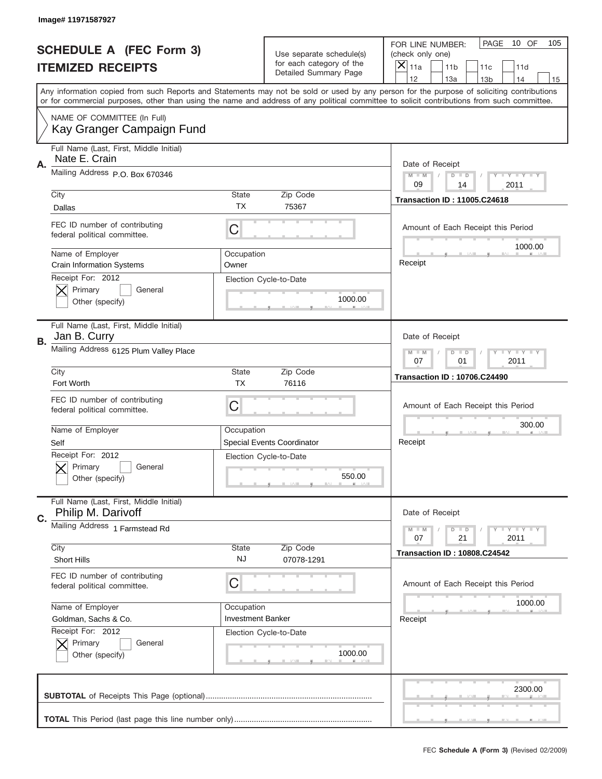|    | Image# 11971587927                                            |                          |                                                   |                                                                                                                                                                                       |
|----|---------------------------------------------------------------|--------------------------|---------------------------------------------------|---------------------------------------------------------------------------------------------------------------------------------------------------------------------------------------|
|    | <b>SCHEDULE A (FEC Form 3)</b>                                |                          | Use separate schedule(s)                          | PAGE<br>10 OF<br>105<br>FOR LINE NUMBER:<br>(check only one)                                                                                                                          |
|    | <b>ITEMIZED RECEIPTS</b>                                      |                          | for each category of the<br>Detailed Summary Page | ×<br>11a<br>11 <sub>b</sub><br>11c<br>11d                                                                                                                                             |
|    |                                                               |                          |                                                   | 12<br>13a<br>14<br>13 <sub>b</sub><br>15<br>Any information copied from such Reports and Statements may not be sold or used by any person for the purpose of soliciting contributions |
|    |                                                               |                          |                                                   | or for commercial purposes, other than using the name and address of any political committee to solicit contributions from such committee.                                            |
|    | NAME OF COMMITTEE (In Full)<br>Kay Granger Campaign Fund      |                          |                                                   |                                                                                                                                                                                       |
| Α. | Full Name (Last, First, Middle Initial)<br>Nate E. Crain      |                          |                                                   | Date of Receipt                                                                                                                                                                       |
|    | Mailing Address P.O. Box 670346                               |                          |                                                   | $M - M$<br>Y FY FY FY<br>$D$ $D$<br>09<br>14<br>2011                                                                                                                                  |
|    | City                                                          | State                    | Zip Code                                          | <b>Transaction ID: 11005.C24618</b>                                                                                                                                                   |
|    | Dallas                                                        | <b>TX</b>                | 75367                                             |                                                                                                                                                                                       |
|    | FEC ID number of contributing<br>federal political committee. | C                        |                                                   | Amount of Each Receipt this Period<br>1000.00                                                                                                                                         |
|    | Name of Employer<br>Crain Information Systems                 | Occupation<br>Owner      |                                                   | Receipt                                                                                                                                                                               |
|    | Receipt For: 2012<br>Primary<br>General<br>Other (specify)    |                          | Election Cycle-to-Date<br>1000.00                 |                                                                                                                                                                                       |
| В. | Full Name (Last, First, Middle Initial)<br>Jan B. Curry       |                          |                                                   | Date of Receipt                                                                                                                                                                       |
|    | Mailing Address 6125 Plum Valley Place                        |                          |                                                   | $T$ $Y$ $T$ $Y$ $T$ $Y$<br>$M - M$<br>$D$ $D$<br>07<br>01<br>2011                                                                                                                     |
|    | City                                                          | State                    | Zip Code                                          | <b>Transaction ID: 10706.C24490</b>                                                                                                                                                   |
|    | Fort Worth                                                    | <b>TX</b>                | 76116                                             |                                                                                                                                                                                       |
|    | FEC ID number of contributing<br>federal political committee. | C                        |                                                   | Amount of Each Receipt this Period                                                                                                                                                    |
|    | Name of Employer                                              | Occupation               |                                                   | 300.00                                                                                                                                                                                |
|    | Self                                                          |                          | Special Events Coordinator                        | Receipt                                                                                                                                                                               |
|    | Receipt For: 2012<br>General<br>Primary<br>Other (specify)    |                          | Election Cycle-to-Date<br>550.00                  |                                                                                                                                                                                       |
| C. | Full Name (Last, First, Middle Initial)<br>Philip M. Darivoff |                          |                                                   | Date of Receipt                                                                                                                                                                       |
|    | Mailing Address 1 Farmstead Rd                                |                          |                                                   | <b>LYLYLY</b><br>$M - M$<br>$D$ $D$<br>21<br>2011<br>07                                                                                                                               |
|    | City<br><b>Short Hills</b>                                    | State<br>NJ              | Zip Code<br>07078-1291                            | <b>Transaction ID: 10808.C24542</b>                                                                                                                                                   |
|    | FEC ID number of contributing<br>federal political committee. | C                        |                                                   | Amount of Each Receipt this Period                                                                                                                                                    |
|    | Name of Employer                                              | Occupation               |                                                   | 1000.00                                                                                                                                                                               |
|    | Goldman, Sachs & Co.                                          | <b>Investment Banker</b> |                                                   | Receipt                                                                                                                                                                               |
|    | Receipt For: 2012<br>Primary<br>General<br>Other (specify)    |                          | Election Cycle-to-Date<br>1000.00                 |                                                                                                                                                                                       |
|    |                                                               |                          |                                                   | 2300.00                                                                                                                                                                               |
|    |                                                               |                          |                                                   |                                                                                                                                                                                       |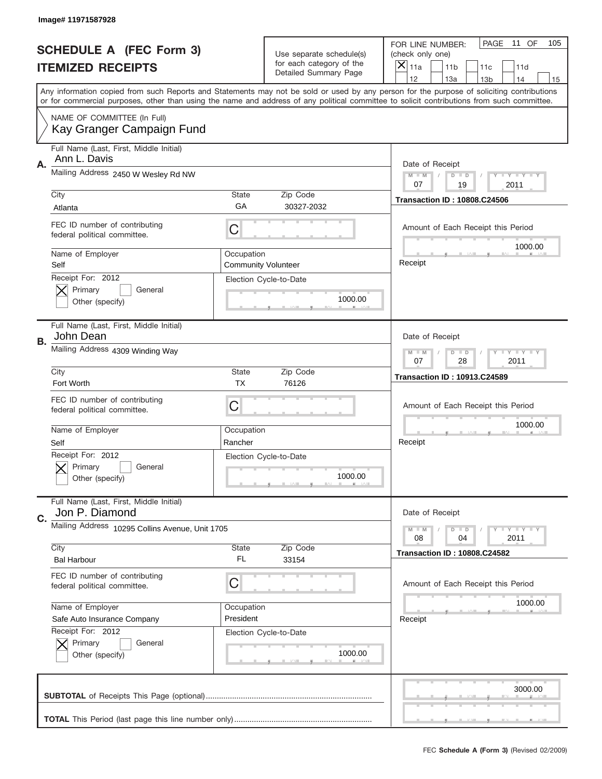|    | Image# 11971587928                                            |                           |                                                   |                                                                                                                                                                                       |
|----|---------------------------------------------------------------|---------------------------|---------------------------------------------------|---------------------------------------------------------------------------------------------------------------------------------------------------------------------------------------|
|    | <b>SCHEDULE A (FEC Form 3)</b>                                |                           | Use separate schedule(s)                          | PAGE<br>11 OF<br>105<br>FOR LINE NUMBER:<br>(check only one)                                                                                                                          |
|    | <b>ITEMIZED RECEIPTS</b>                                      |                           | for each category of the<br>Detailed Summary Page | X<br>11a<br>11 <sub>b</sub><br>11c<br>11d                                                                                                                                             |
|    |                                                               |                           |                                                   | 12<br>13a<br>14<br>13 <sub>b</sub><br>15<br>Any information copied from such Reports and Statements may not be sold or used by any person for the purpose of soliciting contributions |
|    |                                                               |                           |                                                   | or for commercial purposes, other than using the name and address of any political committee to solicit contributions from such committee.                                            |
|    | NAME OF COMMITTEE (In Full)<br>Kay Granger Campaign Fund      |                           |                                                   |                                                                                                                                                                                       |
| Α. | Full Name (Last, First, Middle Initial)<br>Ann L. Davis       |                           |                                                   | Date of Receipt                                                                                                                                                                       |
|    | Mailing Address 2450 W Wesley Rd NW                           |                           |                                                   | $M - M$<br>$T - Y = -Y$<br>$D$ $D$<br>07<br>19<br>2011                                                                                                                                |
|    | City                                                          | <b>State</b>              | Zip Code                                          | <b>Transaction ID: 10808.C24506</b>                                                                                                                                                   |
|    | Atlanta                                                       | GA                        | 30327-2032                                        |                                                                                                                                                                                       |
|    | FEC ID number of contributing<br>federal political committee. | C                         |                                                   | Amount of Each Receipt this Period<br>1000.00                                                                                                                                         |
|    | Name of Employer<br>Self                                      | Occupation                | <b>Community Volunteer</b>                        | Receipt                                                                                                                                                                               |
|    | Receipt For: 2012<br>Primary<br>General                       |                           | Election Cycle-to-Date<br>1000.00                 |                                                                                                                                                                                       |
|    | Other (specify)                                               |                           |                                                   |                                                                                                                                                                                       |
| В. | Full Name (Last, First, Middle Initial)<br>John Dean          |                           |                                                   | Date of Receipt                                                                                                                                                                       |
|    | Mailing Address 4309 Winding Way                              |                           |                                                   | <b>LY LY LY</b><br>$M - M$<br>$D$ $D$<br>07<br>28<br>2011                                                                                                                             |
|    | City<br>Fort Worth                                            | <b>State</b><br><b>TX</b> | Zip Code<br>76126                                 | <b>Transaction ID: 10913.C24589</b>                                                                                                                                                   |
|    |                                                               |                           |                                                   |                                                                                                                                                                                       |
|    | FEC ID number of contributing<br>federal political committee. | C                         |                                                   | Amount of Each Receipt this Period                                                                                                                                                    |
|    | Name of Employer                                              | Occupation                |                                                   | 1000.00                                                                                                                                                                               |
|    | Self                                                          | Rancher                   |                                                   | Receipt                                                                                                                                                                               |
|    | Receipt For: 2012<br>Primary<br>General<br>Other (specify)    |                           | Election Cycle-to-Date<br>1000.00                 |                                                                                                                                                                                       |
| C. | Full Name (Last, First, Middle Initial)<br>Jon P. Diamond     |                           |                                                   | Date of Receipt                                                                                                                                                                       |
|    | Mailing Address 10295 Collins Avenue, Unit 1705               |                           |                                                   | $T + Y = Y + Y$<br>$M - M$<br>$D$ $D$<br>2011<br>08<br>04                                                                                                                             |
|    | City                                                          | <b>State</b>              | Zip Code                                          | <b>Transaction ID: 10808.C24582</b>                                                                                                                                                   |
|    | <b>Bal Harbour</b>                                            | FL.                       | 33154                                             |                                                                                                                                                                                       |
|    | FEC ID number of contributing<br>federal political committee. | C                         |                                                   | Amount of Each Receipt this Period                                                                                                                                                    |
|    | Name of Employer                                              | Occupation                |                                                   | 1000.00                                                                                                                                                                               |
|    | Safe Auto Insurance Company                                   | President                 |                                                   | Receipt                                                                                                                                                                               |
|    | Receipt For: 2012<br>Primary<br>General                       |                           | Election Cycle-to-Date                            |                                                                                                                                                                                       |
|    |                                                               |                           | 1000.00                                           |                                                                                                                                                                                       |
|    | Other (specify)                                               |                           |                                                   |                                                                                                                                                                                       |
|    |                                                               |                           |                                                   | 3000.00                                                                                                                                                                               |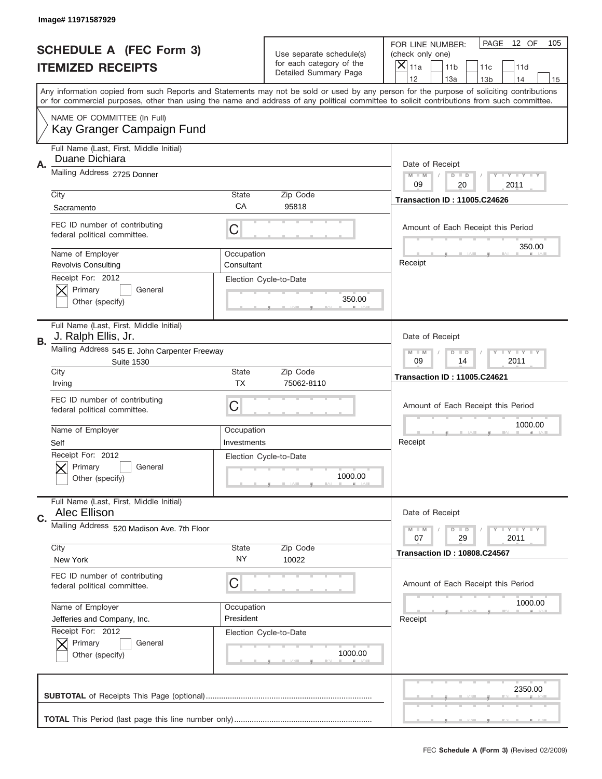|    | Image# 11971587929                                                 |                          |                                                   |                                                                                                                                                                                                                                                                                         |
|----|--------------------------------------------------------------------|--------------------------|---------------------------------------------------|-----------------------------------------------------------------------------------------------------------------------------------------------------------------------------------------------------------------------------------------------------------------------------------------|
|    | <b>SCHEDULE A (FEC Form 3)</b>                                     |                          | Use separate schedule(s)                          | PAGE<br>12 OF<br>105<br>FOR LINE NUMBER:<br>(check only one)                                                                                                                                                                                                                            |
|    | <b>ITEMIZED RECEIPTS</b>                                           |                          | for each category of the<br>Detailed Summary Page | ×<br>11a<br>11 <sub>b</sub><br>11c<br>11d                                                                                                                                                                                                                                               |
|    |                                                                    |                          |                                                   | 12<br>13a<br>14<br>13 <sub>b</sub><br>15                                                                                                                                                                                                                                                |
|    |                                                                    |                          |                                                   | Any information copied from such Reports and Statements may not be sold or used by any person for the purpose of soliciting contributions<br>or for commercial purposes, other than using the name and address of any political committee to solicit contributions from such committee. |
|    | NAME OF COMMITTEE (In Full)<br>Kay Granger Campaign Fund           |                          |                                                   |                                                                                                                                                                                                                                                                                         |
| Α. | Full Name (Last, First, Middle Initial)<br>Duane Dichiara          |                          |                                                   |                                                                                                                                                                                                                                                                                         |
|    | Mailing Address 2725 Donner                                        |                          |                                                   | Date of Receipt<br>$M - M$<br>Y I Y I Y I Y<br>$D$ $D$<br>09<br>20<br>2011                                                                                                                                                                                                              |
|    | City                                                               | <b>State</b>             | Zip Code                                          |                                                                                                                                                                                                                                                                                         |
|    | Sacramento                                                         | CA                       | 95818                                             | <b>Transaction ID: 11005.C24626</b>                                                                                                                                                                                                                                                     |
|    | FEC ID number of contributing<br>federal political committee.      | C                        |                                                   | Amount of Each Receipt this Period<br>350.00                                                                                                                                                                                                                                            |
|    | Name of Employer<br><b>Revolvis Consulting</b>                     | Occupation<br>Consultant |                                                   | Receipt                                                                                                                                                                                                                                                                                 |
|    | Receipt For: 2012                                                  |                          | Election Cycle-to-Date                            |                                                                                                                                                                                                                                                                                         |
|    | Primary<br>General                                                 |                          |                                                   |                                                                                                                                                                                                                                                                                         |
|    | Other (specify)                                                    |                          | 350.00                                            |                                                                                                                                                                                                                                                                                         |
|    |                                                                    |                          |                                                   |                                                                                                                                                                                                                                                                                         |
| В. | Full Name (Last, First, Middle Initial)<br>J. Ralph Ellis, Jr.     |                          |                                                   | Date of Receipt                                                                                                                                                                                                                                                                         |
|    | Mailing Address 545 E. John Carpenter Freeway<br><b>Suite 1530</b> |                          |                                                   | <b>LY LY LY</b><br>$M - M$<br>$D$ $D$<br>09<br>14<br>2011                                                                                                                                                                                                                               |
|    | City                                                               | <b>State</b>             | Zip Code                                          | <b>Transaction ID: 11005.C24621</b>                                                                                                                                                                                                                                                     |
|    | Irving                                                             | <b>TX</b>                | 75062-8110                                        |                                                                                                                                                                                                                                                                                         |
|    | FEC ID number of contributing                                      |                          |                                                   |                                                                                                                                                                                                                                                                                         |
|    | federal political committee.                                       | C                        |                                                   | Amount of Each Receipt this Period                                                                                                                                                                                                                                                      |
|    |                                                                    |                          |                                                   | 1000.00                                                                                                                                                                                                                                                                                 |
|    | Name of Employer                                                   | Occupation               |                                                   |                                                                                                                                                                                                                                                                                         |
|    | Self                                                               | Investments              |                                                   | Receipt                                                                                                                                                                                                                                                                                 |
|    | Receipt For: 2012<br>General<br>Primary                            |                          | Election Cycle-to-Date                            |                                                                                                                                                                                                                                                                                         |
|    | Other (specify)                                                    |                          | 1000.00                                           |                                                                                                                                                                                                                                                                                         |
|    | Full Name (Last, First, Middle Initial)<br>Alec Ellison            |                          |                                                   | Date of Receipt                                                                                                                                                                                                                                                                         |
| C. | Mailing Address 520 Madison Ave. 7th Floor                         |                          |                                                   | <b>TEY TEY TEY</b><br>$M - M$<br>$D$ $D$                                                                                                                                                                                                                                                |
|    | City                                                               | State                    | Zip Code                                          | 29<br>2011<br>07                                                                                                                                                                                                                                                                        |
|    | New York                                                           | NY.                      | 10022                                             | <b>Transaction ID: 10808.C24567</b>                                                                                                                                                                                                                                                     |
|    | FEC ID number of contributing<br>federal political committee.      | C                        |                                                   | Amount of Each Receipt this Period                                                                                                                                                                                                                                                      |
|    | Name of Employer                                                   | Occupation               |                                                   | 1000.00                                                                                                                                                                                                                                                                                 |
|    | Jefferies and Company, Inc.                                        | President                |                                                   | Receipt                                                                                                                                                                                                                                                                                 |
|    | Receipt For: 2012                                                  |                          | Election Cycle-to-Date                            |                                                                                                                                                                                                                                                                                         |
|    | Primary<br>General                                                 |                          |                                                   |                                                                                                                                                                                                                                                                                         |
|    | Other (specify)                                                    |                          | 1000.00                                           |                                                                                                                                                                                                                                                                                         |
|    |                                                                    |                          |                                                   | 2350.00                                                                                                                                                                                                                                                                                 |
|    |                                                                    |                          |                                                   |                                                                                                                                                                                                                                                                                         |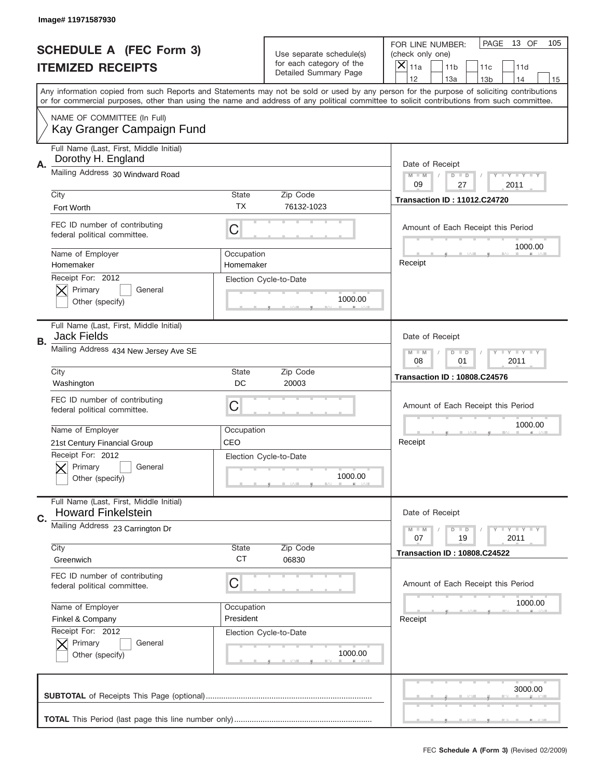|    | Image# 11971587930                                                   |                         |                                                   |                                                                                                                                                                                                                                                                                         |
|----|----------------------------------------------------------------------|-------------------------|---------------------------------------------------|-----------------------------------------------------------------------------------------------------------------------------------------------------------------------------------------------------------------------------------------------------------------------------------------|
|    | <b>SCHEDULE A (FEC Form 3)</b>                                       |                         | Use separate schedule(s)                          | PAGE<br>13 OF<br>105<br>FOR LINE NUMBER:<br>(check only one)                                                                                                                                                                                                                            |
|    | <b>ITEMIZED RECEIPTS</b>                                             |                         | for each category of the<br>Detailed Summary Page | ×<br>11a<br>11 <sub>b</sub><br>11c<br>11d                                                                                                                                                                                                                                               |
|    |                                                                      |                         |                                                   | 12<br>13a<br>14<br>13 <sub>b</sub><br>15                                                                                                                                                                                                                                                |
|    |                                                                      |                         |                                                   | Any information copied from such Reports and Statements may not be sold or used by any person for the purpose of soliciting contributions<br>or for commercial purposes, other than using the name and address of any political committee to solicit contributions from such committee. |
|    | NAME OF COMMITTEE (In Full)<br>Kay Granger Campaign Fund             |                         |                                                   |                                                                                                                                                                                                                                                                                         |
|    | Full Name (Last, First, Middle Initial)<br>Dorothy H. England        |                         |                                                   |                                                                                                                                                                                                                                                                                         |
| Α. | Mailing Address 30 Windward Road                                     |                         |                                                   | Date of Receipt<br>$M - M$<br>$T - Y = -Y$<br>$D$ $D$<br>09<br>27<br>2011                                                                                                                                                                                                               |
|    | City                                                                 | <b>State</b>            | Zip Code                                          | <b>Transaction ID: 11012.C24720</b>                                                                                                                                                                                                                                                     |
|    | Fort Worth                                                           | TX                      | 76132-1023                                        |                                                                                                                                                                                                                                                                                         |
|    | FEC ID number of contributing<br>federal political committee.        | C                       |                                                   | Amount of Each Receipt this Period<br>1000.00                                                                                                                                                                                                                                           |
|    | Name of Employer<br>Homemaker                                        | Occupation<br>Homemaker |                                                   | Receipt                                                                                                                                                                                                                                                                                 |
|    | Receipt For: 2012<br>Primary<br>General<br>Other (specify)           |                         | Election Cycle-to-Date<br>1000.00                 |                                                                                                                                                                                                                                                                                         |
| В. | Full Name (Last, First, Middle Initial)<br><b>Jack Fields</b>        |                         |                                                   | Date of Receipt                                                                                                                                                                                                                                                                         |
|    | Mailing Address 434 New Jersey Ave SE                                |                         |                                                   | <b>LY LY LY</b><br>$M - M$<br>$D$ $D$<br>08<br>01<br>2011                                                                                                                                                                                                                               |
|    | City                                                                 | <b>State</b>            | Zip Code                                          | <b>Transaction ID: 10808.C24576</b>                                                                                                                                                                                                                                                     |
|    | Washington                                                           | DC                      | 20003                                             |                                                                                                                                                                                                                                                                                         |
|    |                                                                      |                         |                                                   |                                                                                                                                                                                                                                                                                         |
|    | FEC ID number of contributing<br>federal political committee.        | C                       |                                                   | Amount of Each Receipt this Period                                                                                                                                                                                                                                                      |
|    | Name of Employer                                                     | Occupation              |                                                   | 1000.00                                                                                                                                                                                                                                                                                 |
|    | 21st Century Financial Group                                         | CEO                     |                                                   | Receipt                                                                                                                                                                                                                                                                                 |
|    | Receipt For: 2012<br>General<br>Primary<br>Other (specify)           |                         | Election Cycle-to-Date<br>1000.00                 |                                                                                                                                                                                                                                                                                         |
| C. | Full Name (Last, First, Middle Initial)<br><b>Howard Finkelstein</b> |                         |                                                   | Date of Receipt                                                                                                                                                                                                                                                                         |
|    | Mailing Address 23 Carrington Dr                                     |                         |                                                   | $T + Y = Y + Y$<br>$M - M$<br>$D$ $D$<br>19<br>2011<br>07                                                                                                                                                                                                                               |
|    | City<br>Greenwich                                                    | State<br><b>CT</b>      | Zip Code<br>06830                                 | <b>Transaction ID: 10808.C24522</b>                                                                                                                                                                                                                                                     |
|    | FEC ID number of contributing<br>federal political committee.        | C                       |                                                   | Amount of Each Receipt this Period                                                                                                                                                                                                                                                      |
|    |                                                                      | Occupation              |                                                   | 1000.00                                                                                                                                                                                                                                                                                 |
|    | Name of Employer<br>Finkel & Company                                 | President               |                                                   | Receipt                                                                                                                                                                                                                                                                                 |
|    | Receipt For: 2012<br>Primary<br>General<br>Other (specify)           |                         | Election Cycle-to-Date<br>1000.00                 |                                                                                                                                                                                                                                                                                         |
|    |                                                                      |                         |                                                   | 3000.00                                                                                                                                                                                                                                                                                 |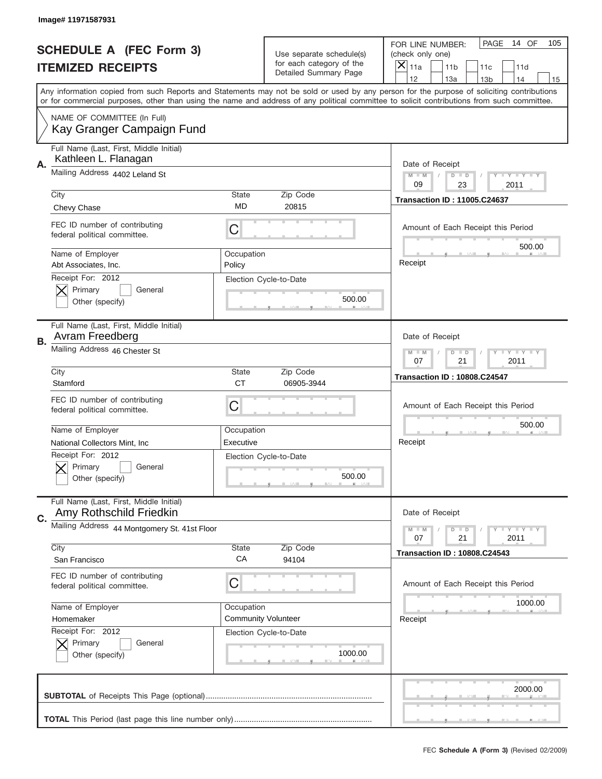|    | Image# 11971587931                                                                           |                           |                                                   |                                                                                                                                                                                                                                                                                                                                     |
|----|----------------------------------------------------------------------------------------------|---------------------------|---------------------------------------------------|-------------------------------------------------------------------------------------------------------------------------------------------------------------------------------------------------------------------------------------------------------------------------------------------------------------------------------------|
|    | <b>SCHEDULE A (FEC Form 3)</b>                                                               |                           | Use separate schedule(s)                          | PAGE<br>14 OF<br>105<br>FOR LINE NUMBER:<br>(check only one)                                                                                                                                                                                                                                                                        |
|    | <b>ITEMIZED RECEIPTS</b>                                                                     |                           | for each category of the<br>Detailed Summary Page | $\overline{X} _{11a}$<br>11 <sub>b</sub><br>11c<br>11d                                                                                                                                                                                                                                                                              |
|    |                                                                                              |                           |                                                   | 12<br>13a<br>14<br>13 <sub>b</sub><br>15<br>Any information copied from such Reports and Statements may not be sold or used by any person for the purpose of soliciting contributions<br>or for commercial purposes, other than using the name and address of any political committee to solicit contributions from such committee. |
|    | NAME OF COMMITTEE (In Full)<br>Kay Granger Campaign Fund                                     |                           |                                                   |                                                                                                                                                                                                                                                                                                                                     |
| Α. | Full Name (Last, First, Middle Initial)<br>Kathleen L. Flanagan                              |                           |                                                   | Date of Receipt                                                                                                                                                                                                                                                                                                                     |
|    | Mailing Address 4402 Leland St                                                               |                           |                                                   | <b>LEY LEY LEY</b><br>$M - M$<br>$D$ $D$<br>09<br>23<br>2011                                                                                                                                                                                                                                                                        |
|    | City<br>Chevy Chase                                                                          | <b>State</b><br><b>MD</b> | Zip Code<br>20815                                 | <b>Transaction ID: 11005.C24637</b>                                                                                                                                                                                                                                                                                                 |
|    | FEC ID number of contributing<br>federal political committee.                                | C                         |                                                   | Amount of Each Receipt this Period<br>500.00                                                                                                                                                                                                                                                                                        |
|    | Name of Employer<br>Abt Associates, Inc.                                                     | Occupation<br>Policy      |                                                   | Receipt                                                                                                                                                                                                                                                                                                                             |
|    | Receipt For: 2012<br>Primary<br>General<br>Other (specify)                                   |                           | Election Cycle-to-Date<br>500.00                  |                                                                                                                                                                                                                                                                                                                                     |
| В. | Full Name (Last, First, Middle Initial)<br>Avram Freedberg                                   |                           |                                                   | Date of Receipt                                                                                                                                                                                                                                                                                                                     |
|    | Mailing Address 46 Chester St                                                                |                           |                                                   | $D$ $D$<br><b>LYLYLY</b><br>$M - M$<br>07<br>21<br>2011                                                                                                                                                                                                                                                                             |
|    | City<br>Stamford                                                                             | <b>State</b><br><b>CT</b> | Zip Code<br>06905-3944                            | <b>Transaction ID: 10808.C24547</b>                                                                                                                                                                                                                                                                                                 |
|    | FEC ID number of contributing<br>federal political committee.                                | C                         |                                                   | Amount of Each Receipt this Period                                                                                                                                                                                                                                                                                                  |
|    | Name of Employer                                                                             | Occupation                |                                                   | 500.00                                                                                                                                                                                                                                                                                                                              |
|    | National Collectors Mint, Inc.<br>Receipt For: 2012<br>General<br>Primary<br>Other (specify) | Executive                 | Election Cycle-to-Date<br>500.00                  | Receipt                                                                                                                                                                                                                                                                                                                             |
| C. | Full Name (Last, First, Middle Initial)<br>Amy Rothschild Friedkin                           |                           |                                                   | Date of Receipt                                                                                                                                                                                                                                                                                                                     |
|    | Mailing Address 44 Montgomery St. 41st Floor                                                 |                           |                                                   | <b>LEY LEY LEY</b><br>$M - M$<br>$D$ $D$<br>21<br>2011<br>07                                                                                                                                                                                                                                                                        |
|    | City<br>San Francisco                                                                        | State<br>CA               | Zip Code<br>94104                                 | <b>Transaction ID: 10808.C24543</b>                                                                                                                                                                                                                                                                                                 |
|    | FEC ID number of contributing<br>federal political committee.                                | С                         |                                                   | Amount of Each Receipt this Period                                                                                                                                                                                                                                                                                                  |
|    | Name of Employer                                                                             | Occupation                |                                                   | 1000.00                                                                                                                                                                                                                                                                                                                             |
|    | Homemaker                                                                                    |                           | <b>Community Volunteer</b>                        | Receipt                                                                                                                                                                                                                                                                                                                             |
|    |                                                                                              |                           |                                                   |                                                                                                                                                                                                                                                                                                                                     |
|    | Receipt For: 2012<br>Primary<br>General<br>Other (specify)                                   | Election Cycle-to-Date    | 1000.00                                           |                                                                                                                                                                                                                                                                                                                                     |
|    |                                                                                              |                           |                                                   | 2000.00                                                                                                                                                                                                                                                                                                                             |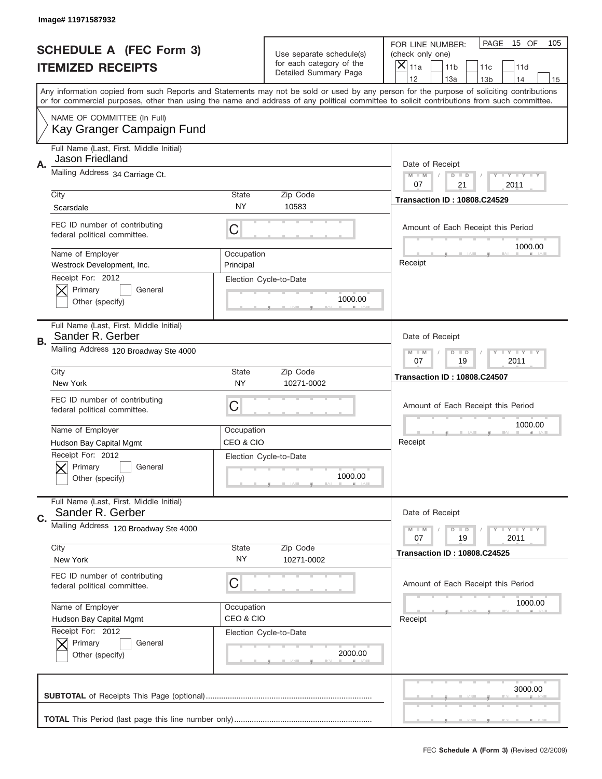|    | Image# 11971587932                                                |                           |                                                   |                                                                                                                                                                                       |
|----|-------------------------------------------------------------------|---------------------------|---------------------------------------------------|---------------------------------------------------------------------------------------------------------------------------------------------------------------------------------------|
|    | <b>SCHEDULE A (FEC Form 3)</b>                                    |                           | Use separate schedule(s)                          | PAGE<br>15 OF<br>105<br>FOR LINE NUMBER:<br>(check only one)                                                                                                                          |
|    | <b>ITEMIZED RECEIPTS</b>                                          |                           | for each category of the<br>Detailed Summary Page | ×<br>11a<br>11 <sub>b</sub><br>11c<br>11d                                                                                                                                             |
|    |                                                                   |                           |                                                   | 12<br>13a<br>14<br>13 <sub>b</sub><br>15<br>Any information copied from such Reports and Statements may not be sold or used by any person for the purpose of soliciting contributions |
|    |                                                                   |                           |                                                   | or for commercial purposes, other than using the name and address of any political committee to solicit contributions from such committee.                                            |
|    | NAME OF COMMITTEE (In Full)<br>Kay Granger Campaign Fund          |                           |                                                   |                                                                                                                                                                                       |
| Α. | Full Name (Last, First, Middle Initial)<br><b>Jason Friedland</b> |                           |                                                   | Date of Receipt                                                                                                                                                                       |
|    | Mailing Address 34 Carriage Ct.                                   |                           |                                                   | <b>LYLYLY</b><br>$M - M$<br>$D$ $D$<br>21<br>07<br>2011                                                                                                                               |
|    | City                                                              | <b>State</b>              | Zip Code                                          | <b>Transaction ID: 10808.C24529</b>                                                                                                                                                   |
|    | Scarsdale                                                         | <b>NY</b>                 | 10583                                             |                                                                                                                                                                                       |
|    | FEC ID number of contributing<br>federal political committee.     | C                         |                                                   | Amount of Each Receipt this Period<br>1000.00                                                                                                                                         |
|    | Name of Employer<br>Westrock Development, Inc.                    | Occupation<br>Principal   |                                                   | Receipt                                                                                                                                                                               |
|    | Receipt For: 2012<br>Primary<br>General<br>Other (specify)        |                           | Election Cycle-to-Date<br>1000.00                 |                                                                                                                                                                                       |
| В. | Full Name (Last, First, Middle Initial)<br>Sander R. Gerber       |                           |                                                   | Date of Receipt                                                                                                                                                                       |
|    | Mailing Address 120 Broadway Ste 4000                             |                           |                                                   | <b>LY LY LY</b><br>$M - M$<br>$D$ $D$<br>07<br>19<br>2011                                                                                                                             |
|    | City<br>New York                                                  | <b>State</b><br><b>NY</b> | Zip Code<br>10271-0002                            | <b>Transaction ID: 10808.C24507</b>                                                                                                                                                   |
|    | FEC ID number of contributing<br>federal political committee.     | C                         |                                                   | Amount of Each Receipt this Period                                                                                                                                                    |
|    |                                                                   |                           |                                                   | 1000.00                                                                                                                                                                               |
|    | Name of Employer                                                  | Occupation                |                                                   |                                                                                                                                                                                       |
|    | Hudson Bay Capital Mgmt                                           | CEO & CIO                 |                                                   | Receipt                                                                                                                                                                               |
|    | Receipt For: 2012<br>General<br>Primary<br>Other (specify)        |                           | Election Cycle-to-Date<br>1000.00                 |                                                                                                                                                                                       |
| C. | Full Name (Last, First, Middle Initial)<br>Sander R. Gerber       |                           |                                                   | Date of Receipt                                                                                                                                                                       |
|    | Mailing Address 120 Broadway Ste 4000                             |                           |                                                   | $T + Y = Y + Y$<br>$M - M$<br>$D$ $D$<br>19<br>2011<br>07                                                                                                                             |
|    | City<br>New York                                                  | State<br>NY.              | Zip Code<br>10271-0002                            | <b>Transaction ID: 10808.C24525</b>                                                                                                                                                   |
|    | FEC ID number of contributing<br>federal political committee.     | C                         |                                                   | Amount of Each Receipt this Period                                                                                                                                                    |
|    | Name of Employer                                                  | Occupation                |                                                   | 1000.00                                                                                                                                                                               |
|    | Hudson Bay Capital Mgmt                                           | CEO & CIO                 |                                                   | Receipt                                                                                                                                                                               |
|    | Receipt For: 2012<br>Primary<br>General<br>Other (specify)        |                           | Election Cycle-to-Date<br>2000.00                 |                                                                                                                                                                                       |
|    |                                                                   |                           |                                                   | 3000.00                                                                                                                                                                               |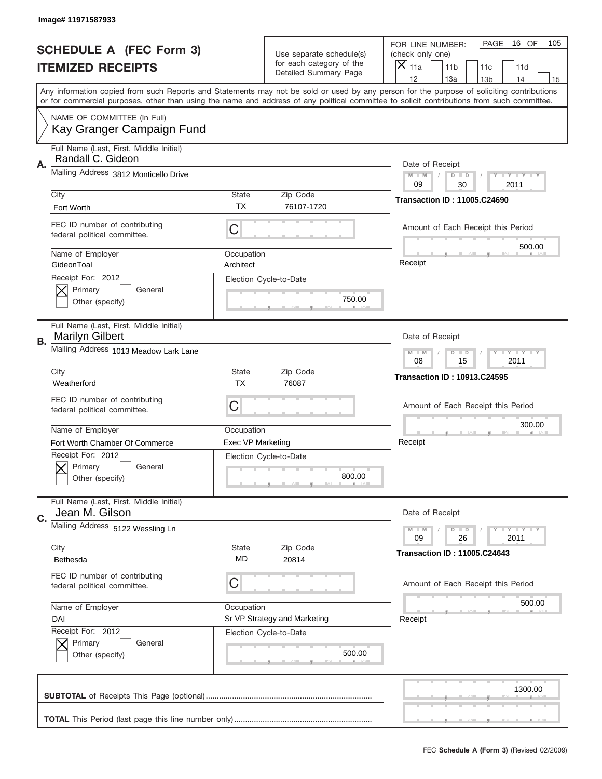|    | Image# 11971587933                                                           |                          |                                                   |                                                                                                                                                                                       |
|----|------------------------------------------------------------------------------|--------------------------|---------------------------------------------------|---------------------------------------------------------------------------------------------------------------------------------------------------------------------------------------|
|    | <b>SCHEDULE A (FEC Form 3)</b>                                               |                          | Use separate schedule(s)                          | PAGE<br>16 OF<br>105<br>FOR LINE NUMBER:<br>(check only one)                                                                                                                          |
|    | <b>ITEMIZED RECEIPTS</b>                                                     |                          | for each category of the<br>Detailed Summary Page | ×<br>11a<br>11 <sub>b</sub><br>11c<br>11d                                                                                                                                             |
|    |                                                                              |                          |                                                   | 12<br>13a<br>14<br>13 <sub>b</sub><br>15<br>Any information copied from such Reports and Statements may not be sold or used by any person for the purpose of soliciting contributions |
|    |                                                                              |                          |                                                   | or for commercial purposes, other than using the name and address of any political committee to solicit contributions from such committee.                                            |
|    | NAME OF COMMITTEE (In Full)<br>Kay Granger Campaign Fund                     |                          |                                                   |                                                                                                                                                                                       |
| Α. | Full Name (Last, First, Middle Initial)<br>Randall C. Gideon                 |                          |                                                   | Date of Receipt                                                                                                                                                                       |
|    | Mailing Address 3812 Monticello Drive                                        |                          |                                                   | $M - M$<br>$T - Y = -Y$<br>$D$ $D$<br>09<br>30<br>2011                                                                                                                                |
|    | City<br>Fort Worth                                                           | <b>State</b><br>TX       | Zip Code<br>76107-1720                            | <b>Transaction ID: 11005.C24690</b>                                                                                                                                                   |
|    | FEC ID number of contributing<br>federal political committee.                | C                        |                                                   | Amount of Each Receipt this Period                                                                                                                                                    |
|    | Name of Employer<br>GideonToal                                               | Occupation<br>Architect  |                                                   | 500.00<br>Receipt                                                                                                                                                                     |
|    | Receipt For: 2012<br>Primary<br>General<br>Other (specify)                   |                          | Election Cycle-to-Date<br>750.00                  |                                                                                                                                                                                       |
| В. | Full Name (Last, First, Middle Initial)<br><b>Marilyn Gilbert</b>            |                          |                                                   | Date of Receipt                                                                                                                                                                       |
|    | Mailing Address 1013 Meadow Lark Lane                                        |                          |                                                   | <b>LY LY LY</b><br>$M - M$<br>$D$ $D$<br>08<br>15<br>2011                                                                                                                             |
|    | City                                                                         | <b>State</b>             | Zip Code                                          | <b>Transaction ID: 10913.C24595</b>                                                                                                                                                   |
|    | Weatherford<br>FEC ID number of contributing<br>federal political committee. | <b>TX</b><br>C           | 76087                                             | Amount of Each Receipt this Period                                                                                                                                                    |
|    | Name of Employer                                                             | Occupation               |                                                   | 300.00                                                                                                                                                                                |
|    | Fort Worth Chamber Of Commerce                                               | <b>Exec VP Marketing</b> |                                                   | Receipt                                                                                                                                                                               |
|    | Receipt For: 2012<br>General<br>Primary<br>Other (specify)                   |                          | Election Cycle-to-Date<br>800.00                  |                                                                                                                                                                                       |
|    |                                                                              |                          |                                                   |                                                                                                                                                                                       |
|    | Full Name (Last, First, Middle Initial)<br>Jean M. Gilson                    |                          |                                                   | Date of Receipt                                                                                                                                                                       |
| C. | Mailing Address 5122 Wessling Ln                                             |                          |                                                   | $T + Y = Y + Y$<br>$M - M$<br>$D$ $D$<br>09<br>26<br>2011                                                                                                                             |
|    | City<br>Bethesda                                                             | State<br>MD              | Zip Code<br>20814                                 | <b>Transaction ID: 11005.C24643</b>                                                                                                                                                   |
|    | FEC ID number of contributing<br>federal political committee.                | C                        |                                                   | Amount of Each Receipt this Period                                                                                                                                                    |
|    | Name of Employer                                                             | Occupation               |                                                   | 500.00                                                                                                                                                                                |
|    | DAI                                                                          |                          | Sr VP Strategy and Marketing                      | Receipt                                                                                                                                                                               |
|    | Receipt For: 2012<br>Primary<br>General<br>Other (specify)                   |                          | Election Cycle-to-Date<br>500.00                  |                                                                                                                                                                                       |
|    |                                                                              |                          |                                                   | 1300.00                                                                                                                                                                               |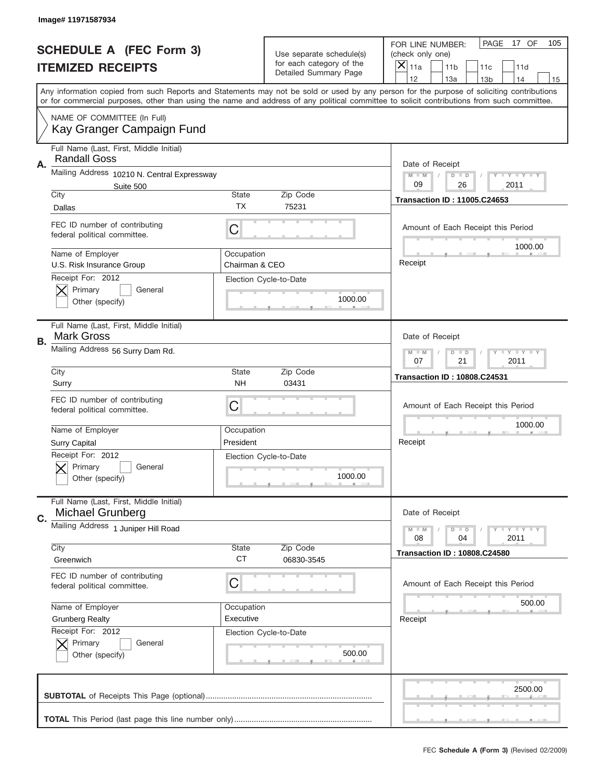|    | Image# 11971587934                                                 |                              |                                                   |                                                                                                                                                                                                                                                                                                                                     |
|----|--------------------------------------------------------------------|------------------------------|---------------------------------------------------|-------------------------------------------------------------------------------------------------------------------------------------------------------------------------------------------------------------------------------------------------------------------------------------------------------------------------------------|
|    | <b>SCHEDULE A (FEC Form 3)</b>                                     |                              | Use separate schedule(s)                          | PAGE<br>17 OF<br>105<br>FOR LINE NUMBER:<br>(check only one)                                                                                                                                                                                                                                                                        |
|    | <b>ITEMIZED RECEIPTS</b>                                           |                              | for each category of the<br>Detailed Summary Page | X<br>11a<br>11 <sub>b</sub><br>11c<br>11d                                                                                                                                                                                                                                                                                           |
|    |                                                                    |                              |                                                   | 12<br>13a<br>14<br>13 <sub>b</sub><br>15<br>Any information copied from such Reports and Statements may not be sold or used by any person for the purpose of soliciting contributions<br>or for commercial purposes, other than using the name and address of any political committee to solicit contributions from such committee. |
|    | NAME OF COMMITTEE (In Full)<br>Kay Granger Campaign Fund           |                              |                                                   |                                                                                                                                                                                                                                                                                                                                     |
| Α. | Full Name (Last, First, Middle Initial)<br><b>Randall Goss</b>     |                              |                                                   | Date of Receipt                                                                                                                                                                                                                                                                                                                     |
|    | Mailing Address 10210 N. Central Expressway<br>Suite 500           |                              |                                                   | $M - M$<br>Y I Y I Y I Y<br>$D$ $D$<br>09<br>26<br>2011                                                                                                                                                                                                                                                                             |
|    | City<br>Dallas                                                     | <b>State</b><br>TX           | Zip Code<br>75231                                 | <b>Transaction ID: 11005.C24653</b>                                                                                                                                                                                                                                                                                                 |
|    | FEC ID number of contributing<br>federal political committee.      | C                            |                                                   | Amount of Each Receipt this Period<br>1000.00                                                                                                                                                                                                                                                                                       |
|    | Name of Employer<br>U.S. Risk Insurance Group                      | Occupation<br>Chairman & CEO |                                                   | Receipt                                                                                                                                                                                                                                                                                                                             |
|    | Receipt For: 2012<br>Primary<br>General<br>Other (specify)         |                              | Election Cycle-to-Date<br>1000.00                 |                                                                                                                                                                                                                                                                                                                                     |
| В. | Full Name (Last, First, Middle Initial)<br><b>Mark Gross</b>       |                              |                                                   | Date of Receipt                                                                                                                                                                                                                                                                                                                     |
|    | Mailing Address 56 Surry Dam Rd.                                   |                              |                                                   | <b>LY LY LY</b><br>$M - M$<br>$D$ $D$<br>07<br>21<br>2011                                                                                                                                                                                                                                                                           |
|    | City<br>Surry                                                      | <b>State</b><br><b>NH</b>    | Zip Code<br>03431                                 | <b>Transaction ID: 10808.C24531</b>                                                                                                                                                                                                                                                                                                 |
|    | FEC ID number of contributing<br>federal political committee.      | C                            |                                                   | Amount of Each Receipt this Period                                                                                                                                                                                                                                                                                                  |
|    | Name of Employer<br>Surry Capital                                  | Occupation<br>President      |                                                   | 1000.00<br>Receipt                                                                                                                                                                                                                                                                                                                  |
|    | Receipt For: 2012<br>General<br>Primary<br>Other (specify)         |                              | Election Cycle-to-Date<br>1000.00                 |                                                                                                                                                                                                                                                                                                                                     |
| C. | Full Name (Last, First, Middle Initial)<br><b>Michael Grunberg</b> |                              |                                                   | Date of Receipt                                                                                                                                                                                                                                                                                                                     |
|    | Mailing Address 1 Juniper Hill Road                                |                              | Zip Code                                          | <b>LYLYLY</b><br>$M - M$<br>$D$ $D$<br>2011<br>08<br>04                                                                                                                                                                                                                                                                             |
|    | City<br>Greenwich                                                  | State<br><b>CT</b>           | 06830-3545                                        | <b>Transaction ID: 10808.C24580</b>                                                                                                                                                                                                                                                                                                 |
|    | FEC ID number of contributing<br>federal political committee.      | C                            |                                                   | Amount of Each Receipt this Period                                                                                                                                                                                                                                                                                                  |
|    | Name of Employer<br><b>Grunberg Realty</b>                         | Occupation<br>Executive      |                                                   | 500.00                                                                                                                                                                                                                                                                                                                              |
|    | Receipt For: 2012<br>Primary<br>General<br>Other (specify)         |                              | Election Cycle-to-Date<br>500.00                  | Receipt                                                                                                                                                                                                                                                                                                                             |
|    |                                                                    |                              |                                                   |                                                                                                                                                                                                                                                                                                                                     |
|    |                                                                    |                              |                                                   | 2500.00                                                                                                                                                                                                                                                                                                                             |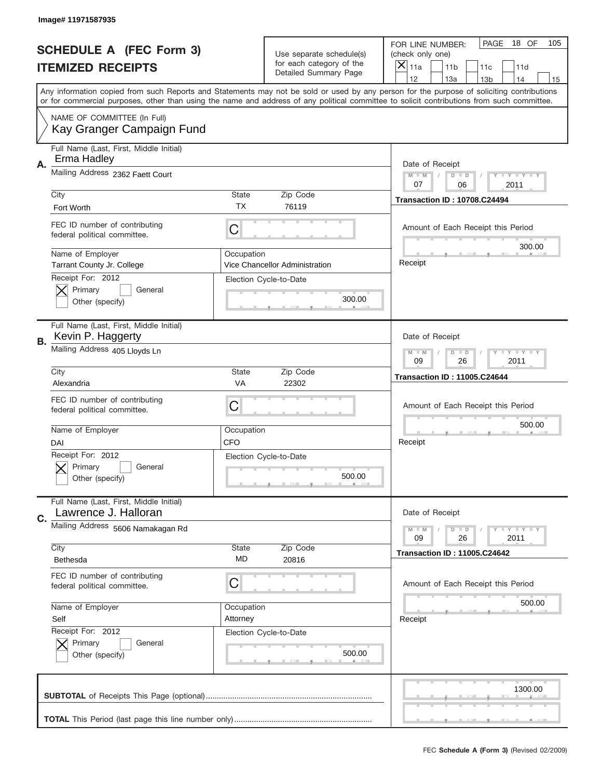|    | Image# 11971587935                                              |              |                                                   |                                                                                                                                                                                       |
|----|-----------------------------------------------------------------|--------------|---------------------------------------------------|---------------------------------------------------------------------------------------------------------------------------------------------------------------------------------------|
|    | <b>SCHEDULE A (FEC Form 3)</b>                                  |              | Use separate schedule(s)                          | PAGE<br>18 OF<br>105<br>FOR LINE NUMBER:<br>(check only one)                                                                                                                          |
|    | <b>ITEMIZED RECEIPTS</b>                                        |              | for each category of the<br>Detailed Summary Page | X<br>11a<br>11 <sub>b</sub><br>11c<br>11d                                                                                                                                             |
|    |                                                                 |              |                                                   | 12<br>13a<br>14<br>13 <sub>b</sub><br>15<br>Any information copied from such Reports and Statements may not be sold or used by any person for the purpose of soliciting contributions |
|    |                                                                 |              |                                                   | or for commercial purposes, other than using the name and address of any political committee to solicit contributions from such committee.                                            |
|    | NAME OF COMMITTEE (In Full)<br>Kay Granger Campaign Fund        |              |                                                   |                                                                                                                                                                                       |
| Α. | Full Name (Last, First, Middle Initial)<br>Erma Hadley          |              |                                                   | Date of Receipt                                                                                                                                                                       |
|    | Mailing Address 2362 Faett Court                                |              |                                                   | $M - M$<br>Y I Y I Y I Y<br>$D$ $D$<br>07<br>06<br>2011                                                                                                                               |
|    | City                                                            | <b>State</b> | Zip Code                                          | <b>Transaction ID: 10708.C24494</b>                                                                                                                                                   |
|    | Fort Worth                                                      | TX           | 76119                                             |                                                                                                                                                                                       |
|    | FEC ID number of contributing<br>federal political committee.   | C            |                                                   | Amount of Each Receipt this Period<br>300.00                                                                                                                                          |
|    | Name of Employer<br><b>Tarrant County Jr. College</b>           | Occupation   | Vice Chancellor Administration                    | Receipt                                                                                                                                                                               |
|    | Receipt For: 2012<br>Primary<br>General<br>Other (specify)      |              | Election Cycle-to-Date<br>300.00                  |                                                                                                                                                                                       |
| В. | Full Name (Last, First, Middle Initial)<br>Kevin P. Haggerty    |              |                                                   | Date of Receipt                                                                                                                                                                       |
|    | Mailing Address 405 Lloyds Ln                                   |              |                                                   | <b>LY LY LY</b><br>$M - M$<br>$D$ $D$<br>09<br>26<br>2011                                                                                                                             |
|    | City                                                            | <b>State</b> | Zip Code                                          | <b>Transaction ID: 11005.C24644</b>                                                                                                                                                   |
|    | Alexandria                                                      | VA           | 22302                                             |                                                                                                                                                                                       |
|    | FEC ID number of contributing<br>federal political committee.   | C            |                                                   | Amount of Each Receipt this Period                                                                                                                                                    |
|    | Name of Employer                                                | Occupation   |                                                   | 500.00                                                                                                                                                                                |
|    | DAI                                                             | <b>CFO</b>   |                                                   | Receipt                                                                                                                                                                               |
|    | Receipt For: 2012<br>Primary<br>General<br>Other (specify)      |              | Election Cycle-to-Date<br>500.00                  |                                                                                                                                                                                       |
| C. | Full Name (Last, First, Middle Initial)<br>Lawrence J. Halloran |              |                                                   | Date of Receipt                                                                                                                                                                       |
|    | Mailing Address 5606 Namakagan Rd                               |              |                                                   | $T + Y = Y + Y$<br>$M - M$<br>$D$ $D$<br>09<br>26<br>2011                                                                                                                             |
|    | City<br>Bethesda                                                | State<br>MD  | Zip Code<br>20816                                 | <b>Transaction ID: 11005.C24642</b>                                                                                                                                                   |
|    | FEC ID number of contributing<br>federal political committee.   | C            |                                                   | Amount of Each Receipt this Period                                                                                                                                                    |
|    | Name of Employer                                                | Occupation   |                                                   | 500.00                                                                                                                                                                                |
|    | Self                                                            | Attorney     |                                                   | Receipt                                                                                                                                                                               |
|    | Receipt For: 2012<br>Primary<br>General<br>Other (specify)      |              | Election Cycle-to-Date<br>500.00                  |                                                                                                                                                                                       |
|    |                                                                 |              |                                                   | 1300.00                                                                                                                                                                               |
|    |                                                                 |              |                                                   |                                                                                                                                                                                       |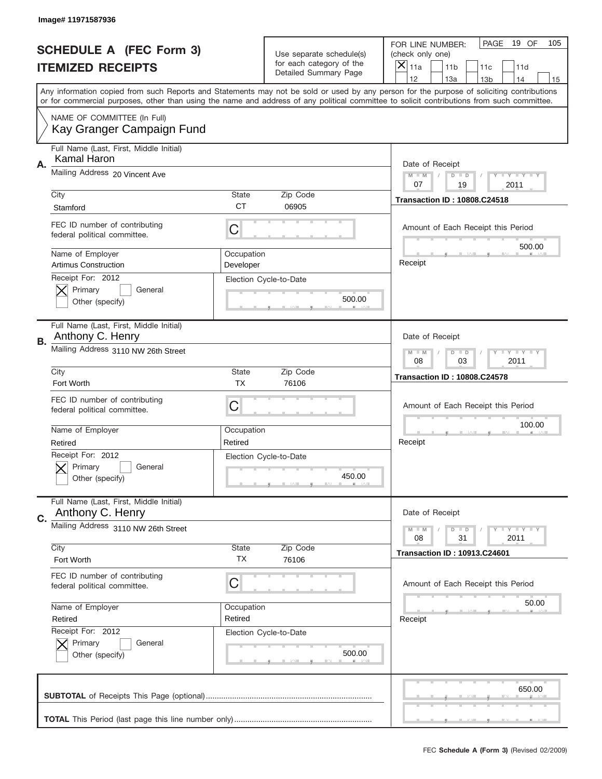|    | Image# 11971587936                                            |                         |                                                   |                                                                                                                                                                                                                                                                                         |    |
|----|---------------------------------------------------------------|-------------------------|---------------------------------------------------|-----------------------------------------------------------------------------------------------------------------------------------------------------------------------------------------------------------------------------------------------------------------------------------------|----|
|    | <b>SCHEDULE A (FEC Form 3)</b>                                |                         | Use separate schedule(s)                          | PAGE<br>19 OF<br>105<br>FOR LINE NUMBER:<br>(check only one)                                                                                                                                                                                                                            |    |
|    | <b>ITEMIZED RECEIPTS</b>                                      |                         | for each category of the<br>Detailed Summary Page | X<br>11a<br>11 <sub>b</sub><br>11c<br>11d                                                                                                                                                                                                                                               |    |
|    |                                                               |                         |                                                   | 12<br>13a<br>14<br>13 <sub>b</sub>                                                                                                                                                                                                                                                      | 15 |
|    |                                                               |                         |                                                   | Any information copied from such Reports and Statements may not be sold or used by any person for the purpose of soliciting contributions<br>or for commercial purposes, other than using the name and address of any political committee to solicit contributions from such committee. |    |
|    | NAME OF COMMITTEE (In Full)<br>Kay Granger Campaign Fund      |                         |                                                   |                                                                                                                                                                                                                                                                                         |    |
| Α. | Full Name (Last, First, Middle Initial)<br>Kamal Haron        |                         |                                                   | Date of Receipt                                                                                                                                                                                                                                                                         |    |
|    | Mailing Address 20 Vincent Ave                                |                         |                                                   | $M - M$<br>Y I Y I Y I Y<br>$D$ $D$<br>07<br>19<br>2011                                                                                                                                                                                                                                 |    |
|    | City                                                          | <b>State</b>            | Zip Code                                          | <b>Transaction ID: 10808.C24518</b>                                                                                                                                                                                                                                                     |    |
|    | Stamford                                                      | <b>CT</b>               | 06905                                             |                                                                                                                                                                                                                                                                                         |    |
|    | FEC ID number of contributing<br>federal political committee. | C                       |                                                   | Amount of Each Receipt this Period<br>500.00                                                                                                                                                                                                                                            |    |
|    | Name of Employer<br><b>Artimus Construction</b>               | Occupation<br>Developer |                                                   | Receipt                                                                                                                                                                                                                                                                                 |    |
|    | Receipt For: 2012<br>Primary<br>General<br>Other (specify)    |                         | Election Cycle-to-Date<br>500.00                  |                                                                                                                                                                                                                                                                                         |    |
| В. | Full Name (Last, First, Middle Initial)<br>Anthony C. Henry   |                         |                                                   | Date of Receipt                                                                                                                                                                                                                                                                         |    |
|    | Mailing Address 3110 NW 26th Street                           |                         |                                                   | <b>LY LY LY</b><br>$M - M$<br>$D$ $D$<br>08<br>03<br>2011                                                                                                                                                                                                                               |    |
|    | City                                                          | <b>State</b>            | Zip Code                                          | <b>Transaction ID: 10808.C24578</b>                                                                                                                                                                                                                                                     |    |
|    |                                                               | <b>TX</b>               |                                                   |                                                                                                                                                                                                                                                                                         |    |
|    | Fort Worth                                                    |                         | 76106                                             |                                                                                                                                                                                                                                                                                         |    |
|    | FEC ID number of contributing<br>federal political committee. | C                       |                                                   | Amount of Each Receipt this Period                                                                                                                                                                                                                                                      |    |
|    | Name of Employer                                              | Occupation              |                                                   | 100.00                                                                                                                                                                                                                                                                                  |    |
|    | Retired                                                       | Retired                 |                                                   | Receipt                                                                                                                                                                                                                                                                                 |    |
|    | Receipt For: 2012<br>General<br>Primary<br>Other (specify)    |                         | Election Cycle-to-Date<br>450.00                  |                                                                                                                                                                                                                                                                                         |    |
|    | Full Name (Last, First, Middle Initial)<br>Anthony C. Henry   |                         |                                                   | Date of Receipt                                                                                                                                                                                                                                                                         |    |
| C. | Mailing Address 3110 NW 26th Street                           |                         |                                                   | Y FY FY FY<br>$M - M$<br>$D$ $D$<br>31<br>2011<br>08                                                                                                                                                                                                                                    |    |
|    | City<br>Fort Worth                                            | State<br>ТX             | Zip Code<br>76106                                 | <b>Transaction ID: 10913.C24601</b>                                                                                                                                                                                                                                                     |    |
|    | FEC ID number of contributing<br>federal political committee. | C                       |                                                   | Amount of Each Receipt this Period                                                                                                                                                                                                                                                      |    |
|    |                                                               | Occupation              |                                                   | 50.00                                                                                                                                                                                                                                                                                   |    |
|    | Name of Employer<br>Retired                                   | Retired                 |                                                   | Receipt                                                                                                                                                                                                                                                                                 |    |
|    | Receipt For: 2012<br>Primary<br>General<br>Other (specify)    |                         | Election Cycle-to-Date<br>500.00                  |                                                                                                                                                                                                                                                                                         |    |
|    |                                                               |                         |                                                   | 650.00                                                                                                                                                                                                                                                                                  |    |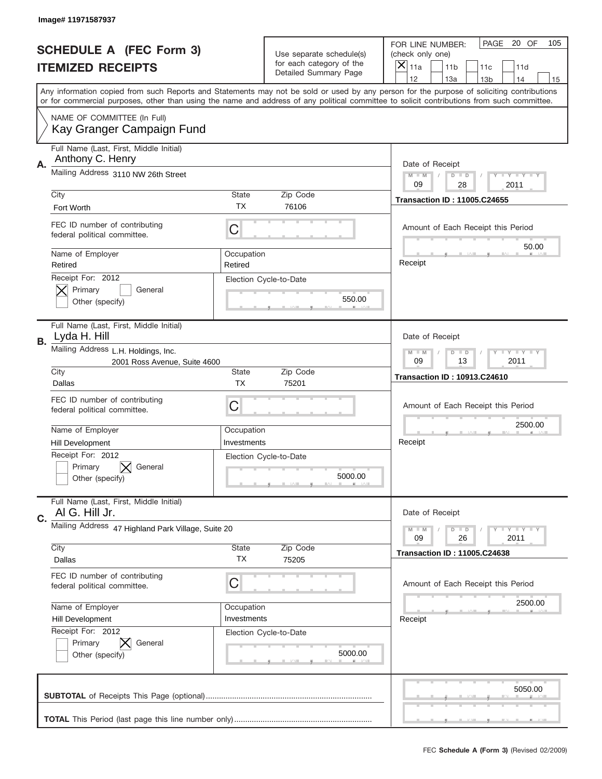|    | Image# 11971587937                                                  |                       |                                                   |                                                                                                                                                                                                                                                                                         |
|----|---------------------------------------------------------------------|-----------------------|---------------------------------------------------|-----------------------------------------------------------------------------------------------------------------------------------------------------------------------------------------------------------------------------------------------------------------------------------------|
|    | <b>SCHEDULE A (FEC Form 3)</b>                                      |                       | Use separate schedule(s)                          | PAGE<br>20 OF<br>105<br>FOR LINE NUMBER:<br>(check only one)                                                                                                                                                                                                                            |
|    | <b>ITEMIZED RECEIPTS</b>                                            |                       | for each category of the<br>Detailed Summary Page | ×<br>11a<br>11 <sub>b</sub><br>11c<br>11d                                                                                                                                                                                                                                               |
|    |                                                                     |                       |                                                   | 12<br>13a<br>14<br>13 <sub>b</sub><br>15                                                                                                                                                                                                                                                |
|    |                                                                     |                       |                                                   | Any information copied from such Reports and Statements may not be sold or used by any person for the purpose of soliciting contributions<br>or for commercial purposes, other than using the name and address of any political committee to solicit contributions from such committee. |
|    | NAME OF COMMITTEE (In Full)<br>Kay Granger Campaign Fund            |                       |                                                   |                                                                                                                                                                                                                                                                                         |
| Α. | Full Name (Last, First, Middle Initial)<br>Anthony C. Henry         |                       |                                                   | Date of Receipt                                                                                                                                                                                                                                                                         |
|    | Mailing Address 3110 NW 26th Street                                 |                       |                                                   | $M - M$<br>$T - Y = -Y$<br>$D$ $D$<br>09<br>28<br>2011                                                                                                                                                                                                                                  |
|    | City                                                                | <b>State</b>          | Zip Code                                          | <b>Transaction ID: 11005.C24655</b>                                                                                                                                                                                                                                                     |
|    | Fort Worth                                                          | TX                    | 76106                                             |                                                                                                                                                                                                                                                                                         |
|    | FEC ID number of contributing<br>federal political committee.       | C                     |                                                   | Amount of Each Receipt this Period<br>50.00                                                                                                                                                                                                                                             |
|    | Name of Employer<br>Retired                                         | Occupation<br>Retired |                                                   | Receipt                                                                                                                                                                                                                                                                                 |
|    | Receipt For: 2012<br>Primary<br>General<br>Other (specify)          |                       | Election Cycle-to-Date<br>550.00                  |                                                                                                                                                                                                                                                                                         |
| В. | Full Name (Last, First, Middle Initial)<br>Lyda H. Hill             |                       |                                                   | Date of Receipt                                                                                                                                                                                                                                                                         |
|    | Mailing Address L.H. Holdings, Inc.<br>2001 Ross Avenue, Suite 4600 |                       |                                                   | <b>LY LY LY</b><br>$M - M$<br>$D$ $D$<br>09<br>13<br>2011                                                                                                                                                                                                                               |
|    | City<br>Dallas                                                      | State<br><b>TX</b>    | Zip Code<br>75201                                 | <b>Transaction ID: 10913.C24610</b>                                                                                                                                                                                                                                                     |
|    |                                                                     |                       |                                                   |                                                                                                                                                                                                                                                                                         |
|    | FEC ID number of contributing<br>federal political committee.       | C                     |                                                   | Amount of Each Receipt this Period                                                                                                                                                                                                                                                      |
|    |                                                                     | Occupation            |                                                   | 2500.00                                                                                                                                                                                                                                                                                 |
|    | Name of Employer<br>Hill Development                                | Investments           |                                                   | Receipt                                                                                                                                                                                                                                                                                 |
|    | Receipt For: 2012<br>General<br>Primary<br>Other (specify)          |                       | Election Cycle-to-Date<br>5000.00                 |                                                                                                                                                                                                                                                                                         |
|    | Full Name (Last, First, Middle Initial)<br>AI G. Hill Jr.           |                       |                                                   | Date of Receipt                                                                                                                                                                                                                                                                         |
| C. | Mailing Address 47 Highland Park Village, Suite 20                  |                       |                                                   | Y FY FY FY<br>$M - M$<br>$D$ $D$<br>09<br>26<br>2011                                                                                                                                                                                                                                    |
|    | City<br>Dallas                                                      | <b>State</b><br>ТX    | Zip Code<br>75205                                 | <b>Transaction ID: 11005.C24638</b>                                                                                                                                                                                                                                                     |
|    | FEC ID number of contributing<br>federal political committee.       | C                     |                                                   | Amount of Each Receipt this Period                                                                                                                                                                                                                                                      |
|    | Name of Employer                                                    | Occupation            |                                                   | 2500.00                                                                                                                                                                                                                                                                                 |
|    | <b>Hill Development</b>                                             | Investments           |                                                   | Receipt                                                                                                                                                                                                                                                                                 |
|    | Receipt For: 2012<br>Primary<br>General<br>Other (specify)          |                       | Election Cycle-to-Date<br>5000.00                 |                                                                                                                                                                                                                                                                                         |
|    |                                                                     |                       |                                                   | 5050.00                                                                                                                                                                                                                                                                                 |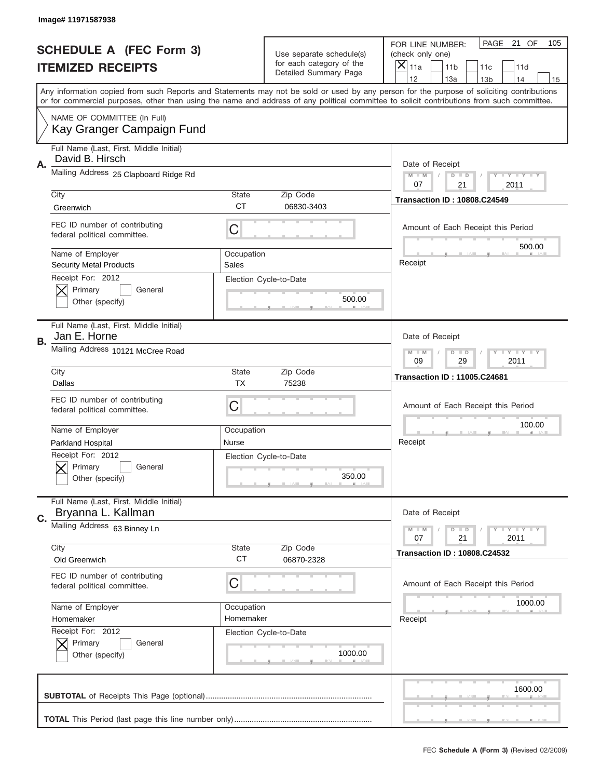|    | Image# 11971587938                                            |                     |                                                   |                                                                                                                                                                                       |
|----|---------------------------------------------------------------|---------------------|---------------------------------------------------|---------------------------------------------------------------------------------------------------------------------------------------------------------------------------------------|
|    | <b>SCHEDULE A (FEC Form 3)</b>                                |                     | Use separate schedule(s)                          | PAGE<br>21 OF<br>105<br>FOR LINE NUMBER:<br>(check only one)                                                                                                                          |
|    | <b>ITEMIZED RECEIPTS</b>                                      |                     | for each category of the<br>Detailed Summary Page | ×<br>11a<br>11 <sub>b</sub><br>11c<br>11d                                                                                                                                             |
|    |                                                               |                     |                                                   | 12<br>13a<br>14<br>13 <sub>b</sub><br>15<br>Any information copied from such Reports and Statements may not be sold or used by any person for the purpose of soliciting contributions |
|    |                                                               |                     |                                                   | or for commercial purposes, other than using the name and address of any political committee to solicit contributions from such committee.                                            |
|    | NAME OF COMMITTEE (In Full)<br>Kay Granger Campaign Fund      |                     |                                                   |                                                                                                                                                                                       |
| Α. | Full Name (Last, First, Middle Initial)<br>David B. Hirsch    |                     |                                                   | Date of Receipt                                                                                                                                                                       |
|    | Mailing Address 25 Clapboard Ridge Rd                         |                     |                                                   | $M - M$<br>$T - Y = -Y$<br>$D$ $D$<br>21<br>07<br>2011                                                                                                                                |
|    | City                                                          | <b>State</b>        | Zip Code                                          | <b>Transaction ID: 10808.C24549</b>                                                                                                                                                   |
|    | Greenwich                                                     | <b>CT</b>           | 06830-3403                                        |                                                                                                                                                                                       |
|    | FEC ID number of contributing<br>federal political committee. | C                   |                                                   | Amount of Each Receipt this Period<br>500.00                                                                                                                                          |
|    | Name of Employer<br><b>Security Metal Products</b>            | Occupation<br>Sales |                                                   | Receipt                                                                                                                                                                               |
|    | Receipt For: 2012<br>Primary<br>General<br>Other (specify)    |                     | Election Cycle-to-Date<br>500.00                  |                                                                                                                                                                                       |
|    | Full Name (Last, First, Middle Initial)<br>Jan E. Horne       |                     |                                                   | Date of Receipt                                                                                                                                                                       |
| В. | Mailing Address 10121 McCree Road                             |                     |                                                   | <b>LY LY LY</b><br>$M - M$<br>$D$ $D$<br>09<br>29<br>2011                                                                                                                             |
|    | City                                                          | <b>State</b>        | Zip Code                                          | <b>Transaction ID: 11005.C24681</b>                                                                                                                                                   |
|    | Dallas                                                        | <b>TX</b>           | 75238                                             |                                                                                                                                                                                       |
|    | FEC ID number of contributing<br>federal political committee. | C                   |                                                   | Amount of Each Receipt this Period                                                                                                                                                    |
|    | Name of Employer                                              | Occupation          |                                                   | 100.00                                                                                                                                                                                |
|    | Parkland Hospital                                             | Nurse               |                                                   | Receipt                                                                                                                                                                               |
|    | Receipt For: 2012<br>General<br>Primary<br>Other (specify)    |                     | Election Cycle-to-Date<br>350.00                  |                                                                                                                                                                                       |
| C. | Full Name (Last, First, Middle Initial)<br>Bryanna L. Kallman |                     |                                                   | Date of Receipt                                                                                                                                                                       |
|    | Mailing Address 63 Binney Ln                                  |                     |                                                   | $T + Y = Y + Y$<br>$M - M$<br>$D$ $D$<br>21<br>2011<br>07                                                                                                                             |
|    | City<br>Old Greenwich                                         | State<br><b>CT</b>  | Zip Code<br>06870-2328                            | <b>Transaction ID: 10808.C24532</b>                                                                                                                                                   |
|    | FEC ID number of contributing<br>federal political committee. | C                   |                                                   | Amount of Each Receipt this Period                                                                                                                                                    |
|    | Name of Employer                                              | Occupation          |                                                   | 1000.00                                                                                                                                                                               |
|    | Homemaker                                                     | Homemaker           |                                                   | Receipt                                                                                                                                                                               |
|    | Receipt For: 2012<br>Primary<br>General<br>Other (specify)    |                     | Election Cycle-to-Date<br>1000.00                 |                                                                                                                                                                                       |
|    |                                                               |                     |                                                   |                                                                                                                                                                                       |
|    |                                                               |                     |                                                   | 1600.00                                                                                                                                                                               |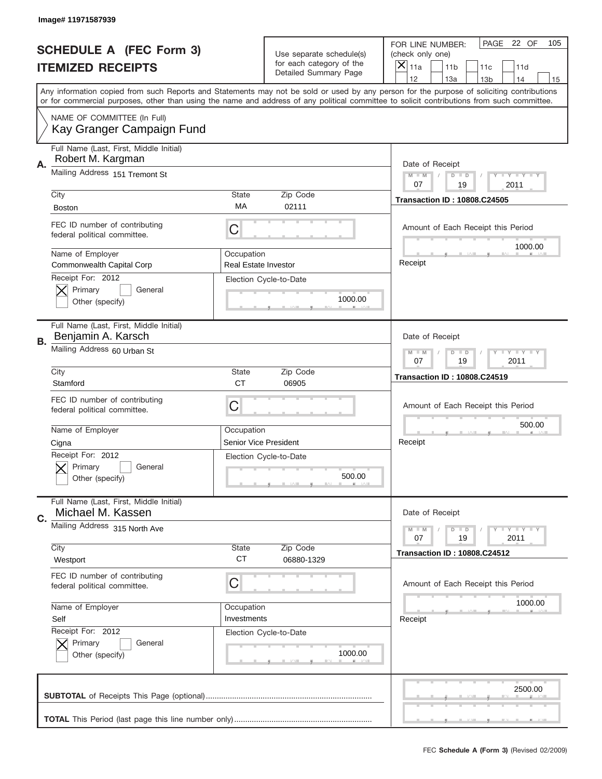|    | Image# 11971587939                                            |                                           |                                                   |                                                                                                                                                                                       |
|----|---------------------------------------------------------------|-------------------------------------------|---------------------------------------------------|---------------------------------------------------------------------------------------------------------------------------------------------------------------------------------------|
|    | <b>SCHEDULE A (FEC Form 3)</b>                                |                                           | Use separate schedule(s)                          | PAGE<br>22 OF<br>105<br>FOR LINE NUMBER:<br>(check only one)                                                                                                                          |
|    | <b>ITEMIZED RECEIPTS</b>                                      |                                           | for each category of the<br>Detailed Summary Page | X<br>11a<br>11 <sub>b</sub><br>11c<br>11d                                                                                                                                             |
|    |                                                               |                                           |                                                   | 12<br>13a<br>14<br>13 <sub>b</sub><br>15<br>Any information copied from such Reports and Statements may not be sold or used by any person for the purpose of soliciting contributions |
|    |                                                               |                                           |                                                   | or for commercial purposes, other than using the name and address of any political committee to solicit contributions from such committee.                                            |
|    | NAME OF COMMITTEE (In Full)<br>Kay Granger Campaign Fund      |                                           |                                                   |                                                                                                                                                                                       |
| Α. | Full Name (Last, First, Middle Initial)<br>Robert M. Kargman  |                                           |                                                   | Date of Receipt                                                                                                                                                                       |
|    | Mailing Address 151 Tremont St                                |                                           |                                                   | $M - M$<br>Y I Y I Y I Y<br>$D$ $D$<br>07<br>19<br>2011                                                                                                                               |
|    | City                                                          | <b>State</b>                              | Zip Code                                          | <b>Transaction ID: 10808.C24505</b>                                                                                                                                                   |
|    | <b>Boston</b>                                                 | МA                                        | 02111                                             |                                                                                                                                                                                       |
|    | FEC ID number of contributing<br>federal political committee. | C                                         |                                                   | Amount of Each Receipt this Period<br>1000.00                                                                                                                                         |
|    | Name of Employer<br>Commonwealth Capital Corp                 | Occupation<br><b>Real Estate Investor</b> |                                                   | Receipt                                                                                                                                                                               |
|    | Receipt For: 2012<br>Primary<br>General<br>Other (specify)    |                                           | Election Cycle-to-Date<br>1000.00                 |                                                                                                                                                                                       |
| В. | Full Name (Last, First, Middle Initial)<br>Benjamin A. Karsch |                                           |                                                   | Date of Receipt                                                                                                                                                                       |
|    | Mailing Address 60 Urban St                                   |                                           |                                                   | <b>LY LY LY</b><br>$M - M$<br>$D$ $D$<br>07<br>19<br>2011                                                                                                                             |
|    | City                                                          | <b>State</b>                              | Zip Code                                          | <b>Transaction ID: 10808.C24519</b>                                                                                                                                                   |
|    | Stamford                                                      | <b>CT</b>                                 | 06905                                             |                                                                                                                                                                                       |
|    |                                                               |                                           |                                                   |                                                                                                                                                                                       |
|    | FEC ID number of contributing<br>federal political committee. | C                                         |                                                   | Amount of Each Receipt this Period                                                                                                                                                    |
|    | Name of Employer                                              | Occupation                                |                                                   | 500.00                                                                                                                                                                                |
|    | Cigna                                                         | Senior Vice President                     |                                                   | Receipt                                                                                                                                                                               |
|    | Receipt For: 2012<br>General<br>Primary<br>Other (specify)    |                                           | Election Cycle-to-Date<br>500.00                  |                                                                                                                                                                                       |
|    | Full Name (Last, First, Middle Initial)<br>Michael M. Kassen  |                                           |                                                   | Date of Receipt                                                                                                                                                                       |
| C. | Mailing Address 315 North Ave                                 |                                           |                                                   | Y LY LY LY<br>$M - M$<br>$D$ $D$<br>19<br>2011<br>07                                                                                                                                  |
|    | City                                                          | State                                     | Zip Code                                          | <b>Transaction ID: 10808.C24512</b>                                                                                                                                                   |
|    | Westport                                                      | <b>CT</b>                                 | 06880-1329                                        |                                                                                                                                                                                       |
|    | FEC ID number of contributing<br>federal political committee. | C                                         |                                                   | Amount of Each Receipt this Period                                                                                                                                                    |
|    | Name of Employer                                              | Occupation                                |                                                   | 1000.00                                                                                                                                                                               |
|    | Self                                                          | Investments                               |                                                   | Receipt                                                                                                                                                                               |
|    | Receipt For: 2012<br>Primary<br>General<br>Other (specify)    |                                           | Election Cycle-to-Date<br>1000.00                 |                                                                                                                                                                                       |
|    |                                                               |                                           |                                                   | 2500.00                                                                                                                                                                               |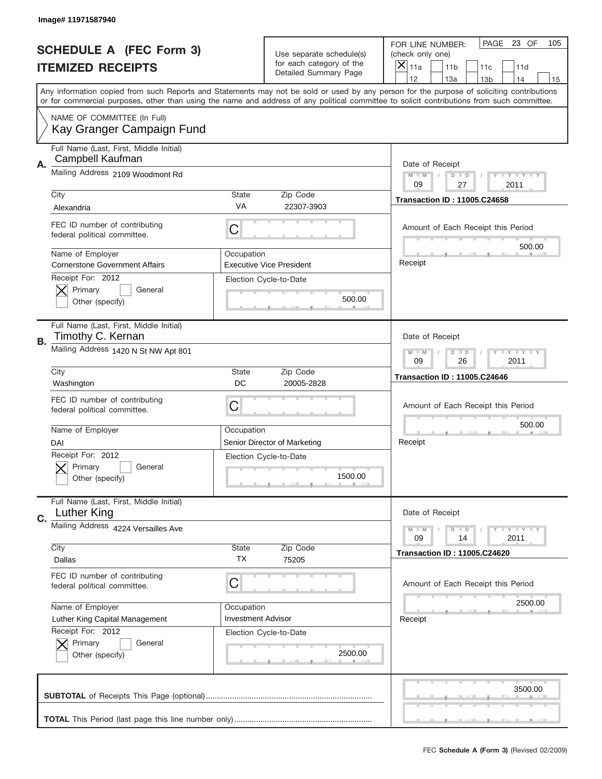|    | Image# 11971587940                                            |                           |                                                   |                                                                                                                                                                                                                                                                                                                                     |
|----|---------------------------------------------------------------|---------------------------|---------------------------------------------------|-------------------------------------------------------------------------------------------------------------------------------------------------------------------------------------------------------------------------------------------------------------------------------------------------------------------------------------|
|    | <b>SCHEDULE A (FEC Form 3)</b>                                |                           | Use separate schedule(s)                          | PAGE<br>23 OF<br>105<br>FOR LINE NUMBER:<br>(check only one)                                                                                                                                                                                                                                                                        |
|    | <b>ITEMIZED RECEIPTS</b>                                      |                           | for each category of the<br>Detailed Summary Page | ×<br>11a<br>11 <sub>b</sub><br>11d<br>11c                                                                                                                                                                                                                                                                                           |
|    |                                                               |                           |                                                   | 12<br>13a<br>14<br>13 <sub>b</sub><br>15<br>Any information copied from such Reports and Statements may not be sold or used by any person for the purpose of soliciting contributions<br>or for commercial purposes, other than using the name and address of any political committee to solicit contributions from such committee. |
|    | NAME OF COMMITTEE (In Full)<br>Kay Granger Campaign Fund      |                           |                                                   |                                                                                                                                                                                                                                                                                                                                     |
| Α. | Full Name (Last, First, Middle Initial)<br>Campbell Kaufman   |                           |                                                   | Date of Receipt                                                                                                                                                                                                                                                                                                                     |
|    | Mailing Address 2109 Woodmont Rd                              |                           |                                                   | $M - M$<br>Y I Y I Y I Y<br>$D$ $D$<br>09<br>27<br>2011                                                                                                                                                                                                                                                                             |
|    | City<br>Alexandria                                            | State<br>VA               | Zip Code<br>22307-3903                            | <b>Transaction ID: 11005.C24658</b>                                                                                                                                                                                                                                                                                                 |
|    | FEC ID number of contributing<br>federal political committee. | C                         |                                                   | Amount of Each Receipt this Period<br>500.00                                                                                                                                                                                                                                                                                        |
|    | Name of Employer<br><b>Cornerstone Government Affairs</b>     | Occupation                | <b>Executive Vice President</b>                   | Receipt                                                                                                                                                                                                                                                                                                                             |
|    | Receipt For: 2012<br>Primary<br>General<br>Other (specify)    |                           | Election Cycle-to-Date<br>500.00                  |                                                                                                                                                                                                                                                                                                                                     |
| В. | Full Name (Last, First, Middle Initial)<br>Timothy C. Kernan  |                           |                                                   | Date of Receipt                                                                                                                                                                                                                                                                                                                     |
|    | Mailing Address 1420 N St NW Apt 801                          |                           |                                                   | <b>LYLYLY</b><br>$M - M$<br>$D$ $D$<br>09<br>26<br>2011                                                                                                                                                                                                                                                                             |
|    | City<br>Washington                                            | State<br>DC               | Zip Code<br>20005-2828                            | <b>Transaction ID: 11005.C24646</b>                                                                                                                                                                                                                                                                                                 |
|    | FEC ID number of contributing<br>federal political committee. | C                         |                                                   | Amount of Each Receipt this Period                                                                                                                                                                                                                                                                                                  |
|    | Name of Employer<br>DAI                                       | Occupation                | Senior Director of Marketing                      | 500.00<br>Receipt                                                                                                                                                                                                                                                                                                                   |
|    | Receipt For: 2012<br>General<br>Primary<br>Other (specify)    |                           | Election Cycle-to-Date<br>1500.00                 |                                                                                                                                                                                                                                                                                                                                     |
| C. | Full Name (Last, First, Middle Initial)<br>Luther King        |                           |                                                   | Date of Receipt                                                                                                                                                                                                                                                                                                                     |
|    | Mailing Address 4224 Versailles Ave                           |                           | Zip Code                                          | <b>TEY TEY TEY</b><br>$M - M$<br>$D$ $D$<br>2011<br>09<br>14                                                                                                                                                                                                                                                                        |
|    | City<br>Dallas                                                | State<br>ТX               | 75205                                             | <b>Transaction ID: 11005.C24620</b>                                                                                                                                                                                                                                                                                                 |
|    | FEC ID number of contributing<br>federal political committee. | C                         |                                                   | Amount of Each Receipt this Period                                                                                                                                                                                                                                                                                                  |
|    | Name of Employer                                              | Occupation                |                                                   | 2500.00                                                                                                                                                                                                                                                                                                                             |
|    | Luther King Capital Management<br>Receipt For: 2012           | <b>Investment Advisor</b> |                                                   | Receipt                                                                                                                                                                                                                                                                                                                             |
|    | Primary<br>General<br>Other (specify)                         |                           | Election Cycle-to-Date<br>2500.00                 |                                                                                                                                                                                                                                                                                                                                     |
|    |                                                               |                           |                                                   | 3500.00                                                                                                                                                                                                                                                                                                                             |
|    |                                                               |                           |                                                   |                                                                                                                                                                                                                                                                                                                                     |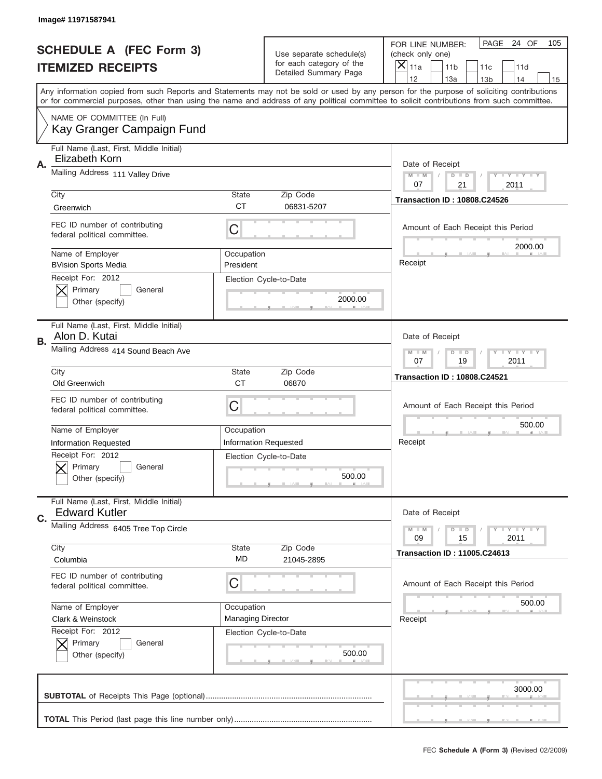|    | Image# 11971587941                                              |                          |                                                   |                                                                                                                                                                                       |
|----|-----------------------------------------------------------------|--------------------------|---------------------------------------------------|---------------------------------------------------------------------------------------------------------------------------------------------------------------------------------------|
|    | <b>SCHEDULE A (FEC Form 3)</b>                                  |                          | Use separate schedule(s)                          | PAGE<br>24 OF<br>105<br>FOR LINE NUMBER:<br>(check only one)                                                                                                                          |
|    | <b>ITEMIZED RECEIPTS</b>                                        |                          | for each category of the<br>Detailed Summary Page | ×<br>11a<br>11 <sub>b</sub><br>11c<br>11d                                                                                                                                             |
|    |                                                                 |                          |                                                   | 12<br>13a<br>14<br>13 <sub>b</sub><br>15<br>Any information copied from such Reports and Statements may not be sold or used by any person for the purpose of soliciting contributions |
|    |                                                                 |                          |                                                   | or for commercial purposes, other than using the name and address of any political committee to solicit contributions from such committee.                                            |
|    | NAME OF COMMITTEE (In Full)<br>Kay Granger Campaign Fund        |                          |                                                   |                                                                                                                                                                                       |
| Α. | Full Name (Last, First, Middle Initial)<br>Elizabeth Korn       |                          |                                                   | Date of Receipt                                                                                                                                                                       |
|    | Mailing Address 111 Valley Drive                                |                          |                                                   | $M - M$<br>$T - Y = -Y$<br>$D$ $D$<br>21<br>07<br>2011                                                                                                                                |
|    | City                                                            | <b>State</b>             | Zip Code                                          | <b>Transaction ID: 10808.C24526</b>                                                                                                                                                   |
|    | Greenwich                                                       | <b>CT</b>                | 06831-5207                                        |                                                                                                                                                                                       |
|    | FEC ID number of contributing<br>federal political committee.   | C                        |                                                   | Amount of Each Receipt this Period<br>2000.00                                                                                                                                         |
|    | Name of Employer<br><b>BVision Sports Media</b>                 | Occupation<br>President  |                                                   | Receipt                                                                                                                                                                               |
|    | Receipt For: 2012<br>Primary<br>General<br>Other (specify)      |                          | Election Cycle-to-Date<br>2000.00                 |                                                                                                                                                                                       |
| В. | Full Name (Last, First, Middle Initial)<br>Alon D. Kutai        |                          |                                                   | Date of Receipt                                                                                                                                                                       |
|    | Mailing Address 414 Sound Beach Ave                             |                          |                                                   | <b>LY LY LY</b><br>$M - M$<br>$D$ $D$<br>07<br>19<br>2011                                                                                                                             |
|    | City                                                            | <b>State</b>             | Zip Code                                          | <b>Transaction ID: 10808.C24521</b>                                                                                                                                                   |
|    |                                                                 |                          |                                                   |                                                                                                                                                                                       |
|    | Old Greenwich                                                   | <b>CT</b>                | 06870                                             |                                                                                                                                                                                       |
|    | FEC ID number of contributing<br>federal political committee.   | C                        |                                                   | Amount of Each Receipt this Period                                                                                                                                                    |
|    | Name of Employer                                                | Occupation               |                                                   | 500.00                                                                                                                                                                                |
|    | <b>Information Requested</b>                                    |                          | <b>Information Requested</b>                      | Receipt                                                                                                                                                                               |
|    | Receipt For: 2012<br>General<br>Primary<br>Other (specify)      |                          | Election Cycle-to-Date<br>500.00                  |                                                                                                                                                                                       |
|    | Full Name (Last, First, Middle Initial)<br><b>Edward Kutler</b> |                          |                                                   | Date of Receipt                                                                                                                                                                       |
| C. | Mailing Address 6405 Tree Top Circle                            |                          |                                                   | $T + Y = Y + Y$<br>$M - M$<br>$D$ $D$<br>09<br>2011<br>15                                                                                                                             |
|    | City<br>Columbia                                                | State<br>MD              | Zip Code<br>21045-2895                            | <b>Transaction ID: 11005.C24613</b>                                                                                                                                                   |
|    | FEC ID number of contributing<br>federal political committee.   | C                        |                                                   | Amount of Each Receipt this Period                                                                                                                                                    |
|    | Name of Employer                                                | Occupation               |                                                   | 500.00                                                                                                                                                                                |
|    | Clark & Weinstock                                               | <b>Managing Director</b> |                                                   | Receipt                                                                                                                                                                               |
|    | Receipt For: 2012<br>Primary<br>General<br>Other (specify)      |                          | Election Cycle-to-Date<br>500.00                  |                                                                                                                                                                                       |
|    |                                                                 |                          |                                                   | 3000.00                                                                                                                                                                               |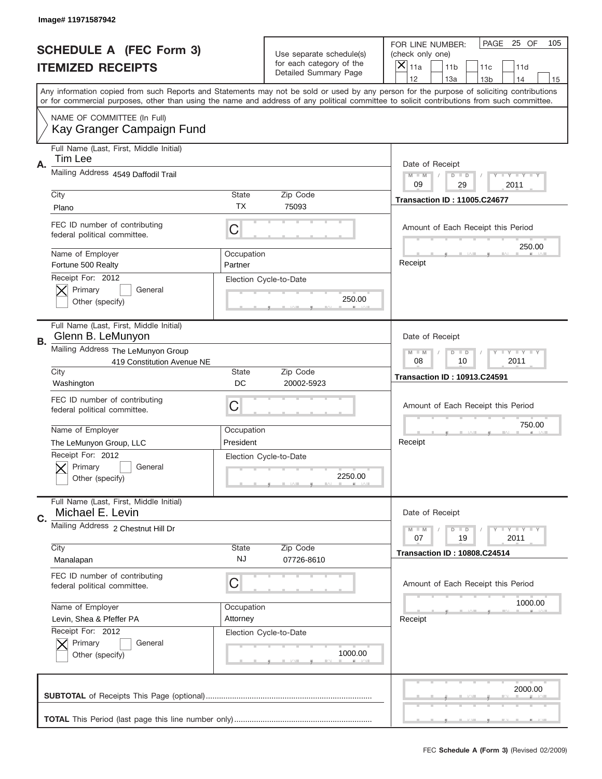|    | Image# 11971587942                                               |                                                           |                                                   |                                                                                                                                                                                                                                                                                                                                     |
|----|------------------------------------------------------------------|-----------------------------------------------------------|---------------------------------------------------|-------------------------------------------------------------------------------------------------------------------------------------------------------------------------------------------------------------------------------------------------------------------------------------------------------------------------------------|
|    | <b>SCHEDULE A (FEC Form 3)</b>                                   |                                                           | Use separate schedule(s)                          | PAGE<br>25 OF<br>105<br>FOR LINE NUMBER:<br>(check only one)                                                                                                                                                                                                                                                                        |
|    | <b>ITEMIZED RECEIPTS</b>                                         |                                                           | for each category of the<br>Detailed Summary Page | ×<br>11a<br>11 <sub>b</sub><br>11c<br>11d                                                                                                                                                                                                                                                                                           |
|    |                                                                  |                                                           |                                                   | 12<br>13a<br>14<br>13 <sub>b</sub><br>15<br>Any information copied from such Reports and Statements may not be sold or used by any person for the purpose of soliciting contributions<br>or for commercial purposes, other than using the name and address of any political committee to solicit contributions from such committee. |
|    | NAME OF COMMITTEE (In Full)<br>Kay Granger Campaign Fund         |                                                           |                                                   |                                                                                                                                                                                                                                                                                                                                     |
| Α. | Full Name (Last, First, Middle Initial)<br>Tim Lee               |                                                           |                                                   | Date of Receipt                                                                                                                                                                                                                                                                                                                     |
|    | Mailing Address 4549 Daffodil Trail                              |                                                           |                                                   | $M - M$<br>Y I Y I Y I Y<br>$D$ $D$<br>09<br>29<br>2011                                                                                                                                                                                                                                                                             |
|    | City<br>Plano                                                    | State<br><b>TX</b>                                        | Zip Code<br>75093                                 | <b>Transaction ID: 11005.C24677</b>                                                                                                                                                                                                                                                                                                 |
|    | FEC ID number of contributing<br>federal political committee.    | C                                                         |                                                   | Amount of Each Receipt this Period<br>250.00                                                                                                                                                                                                                                                                                        |
|    | Name of Employer<br>Fortune 500 Realty                           | Occupation<br>Partner                                     |                                                   | Receipt                                                                                                                                                                                                                                                                                                                             |
|    | Receipt For: 2012<br>Primary<br>General<br>Other (specify)       |                                                           | Election Cycle-to-Date<br>250.00                  |                                                                                                                                                                                                                                                                                                                                     |
| В. | Full Name (Last, First, Middle Initial)<br>Glenn B. LeMunyon     |                                                           |                                                   | Date of Receipt                                                                                                                                                                                                                                                                                                                     |
|    | Mailing Address The LeMunyon Group<br>419 Constitution Avenue NE | <b>LY LY LY</b><br>$M - M$<br>$D$ $D$<br>08<br>2011<br>10 |                                                   |                                                                                                                                                                                                                                                                                                                                     |
|    | City<br>Washington                                               | State<br>DC                                               | Zip Code<br>20002-5923                            | <b>Transaction ID: 10913.C24591</b>                                                                                                                                                                                                                                                                                                 |
|    | FEC ID number of contributing<br>federal political committee.    | C                                                         |                                                   | Amount of Each Receipt this Period                                                                                                                                                                                                                                                                                                  |
|    | Name of Employer                                                 | Occupation                                                |                                                   | 750.00                                                                                                                                                                                                                                                                                                                              |
|    | The LeMunyon Group, LLC                                          | President                                                 |                                                   | Receipt                                                                                                                                                                                                                                                                                                                             |
|    | Receipt For: 2012<br>General<br>Primary<br>Other (specify)       |                                                           | Election Cycle-to-Date<br>2250.00                 |                                                                                                                                                                                                                                                                                                                                     |
| C. | Full Name (Last, First, Middle Initial)<br>Michael E. Levin      |                                                           |                                                   | Date of Receipt                                                                                                                                                                                                                                                                                                                     |
|    | Mailing Address 2 Chestnut Hill Dr<br>City                       | State                                                     | Zip Code                                          | <b>TEY TEY TEY</b><br>$M - M$<br>$D$ $D$<br>19<br>2011<br>07                                                                                                                                                                                                                                                                        |
|    | Manalapan                                                        | NJ                                                        | 07726-8610                                        | <b>Transaction ID: 10808.C24514</b>                                                                                                                                                                                                                                                                                                 |
|    | FEC ID number of contributing<br>federal political committee.    | C                                                         |                                                   | Amount of Each Receipt this Period                                                                                                                                                                                                                                                                                                  |
|    | Name of Employer                                                 | Occupation                                                |                                                   | 1000.00                                                                                                                                                                                                                                                                                                                             |
|    | Levin, Shea & Pfeffer PA<br>Receipt For: 2012                    | Attorney                                                  |                                                   | Receipt                                                                                                                                                                                                                                                                                                                             |
|    | Primary<br>General<br>Other (specify)                            |                                                           | Election Cycle-to-Date<br>1000.00                 |                                                                                                                                                                                                                                                                                                                                     |
|    |                                                                  |                                                           |                                                   | 2000.00                                                                                                                                                                                                                                                                                                                             |
|    |                                                                  |                                                           |                                                   |                                                                                                                                                                                                                                                                                                                                     |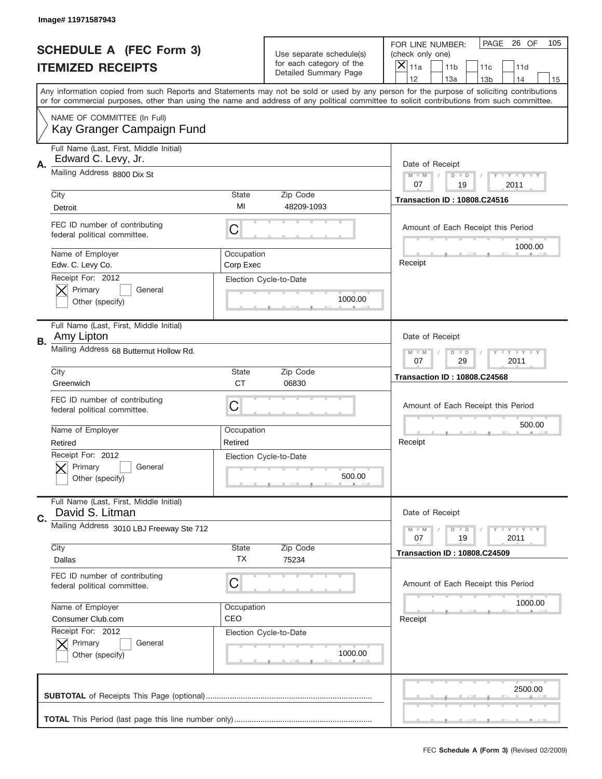|    | Image# 11971587943                                             |                         |                                                      |                                                                                                                                                                                                                                                                                                                                     |
|----|----------------------------------------------------------------|-------------------------|------------------------------------------------------|-------------------------------------------------------------------------------------------------------------------------------------------------------------------------------------------------------------------------------------------------------------------------------------------------------------------------------------|
|    | <b>SCHEDULE A (FEC Form 3)</b>                                 |                         | Use separate schedule(s)<br>for each category of the | PAGE<br>26 OF<br>105<br>FOR LINE NUMBER:<br>(check only one)                                                                                                                                                                                                                                                                        |
|    | <b>ITEMIZED RECEIPTS</b>                                       |                         | Detailed Summary Page                                | ×<br>11a<br>11 <sub>b</sub><br>11c<br>11d                                                                                                                                                                                                                                                                                           |
|    |                                                                |                         |                                                      | 12<br>13a<br>14<br>13 <sub>b</sub><br>15<br>Any information copied from such Reports and Statements may not be sold or used by any person for the purpose of soliciting contributions<br>or for commercial purposes, other than using the name and address of any political committee to solicit contributions from such committee. |
|    | NAME OF COMMITTEE (In Full)<br>Kay Granger Campaign Fund       |                         |                                                      |                                                                                                                                                                                                                                                                                                                                     |
| Α. | Full Name (Last, First, Middle Initial)<br>Edward C. Levy, Jr. |                         |                                                      | Date of Receipt                                                                                                                                                                                                                                                                                                                     |
|    | Mailing Address 8800 Dix St                                    |                         |                                                      | $M - M$<br>Y FY FY FY<br>$D$ $D$<br>07<br>19<br>2011                                                                                                                                                                                                                                                                                |
|    | City<br>Detroit                                                | State<br>MI             | Zip Code<br>48209-1093                               | <b>Transaction ID: 10808.C24516</b>                                                                                                                                                                                                                                                                                                 |
|    | FEC ID number of contributing<br>federal political committee.  | C                       |                                                      | Amount of Each Receipt this Period<br>1000.00                                                                                                                                                                                                                                                                                       |
|    | Name of Employer<br>Edw. C. Levy Co.                           | Occupation<br>Corp Exec |                                                      | Receipt                                                                                                                                                                                                                                                                                                                             |
|    | Receipt For: 2012<br>Primary<br>General<br>Other (specify)     |                         | Election Cycle-to-Date<br>1000.00                    |                                                                                                                                                                                                                                                                                                                                     |
| В. | Full Name (Last, First, Middle Initial)<br>Amy Lipton          |                         |                                                      | Date of Receipt                                                                                                                                                                                                                                                                                                                     |
|    | Mailing Address 68 Butternut Hollow Rd.                        |                         |                                                      | $T$ $Y$ $T$ $Y$ $T$ $Y$<br>$M - M$<br>$D$ $D$<br>07<br>29<br>2011                                                                                                                                                                                                                                                                   |
|    | City<br>Greenwich                                              | State<br><b>CT</b>      | Zip Code<br>06830                                    | <b>Transaction ID: 10808.C24568</b>                                                                                                                                                                                                                                                                                                 |
|    | FEC ID number of contributing<br>federal political committee.  | C                       |                                                      | Amount of Each Receipt this Period                                                                                                                                                                                                                                                                                                  |
|    | Name of Employer<br>Retired                                    | Occupation<br>Retired   |                                                      | 500.00<br>Receipt                                                                                                                                                                                                                                                                                                                   |
|    | Receipt For: 2012<br>General<br>Primary<br>Other (specify)     |                         | Election Cycle-to-Date<br>500.00                     |                                                                                                                                                                                                                                                                                                                                     |
| C. | Full Name (Last, First, Middle Initial)<br>David S. Litman     |                         |                                                      | Date of Receipt                                                                                                                                                                                                                                                                                                                     |
|    | Mailing Address 3010 LBJ Freeway Ste 712                       |                         | Zip Code                                             | <b>TEY TEY TEY</b><br>$M - M$<br>$D$ $D$<br>19<br>2011<br>07                                                                                                                                                                                                                                                                        |
|    | City<br>Dallas                                                 | State<br>ТX             | 75234                                                | <b>Transaction ID: 10808.C24509</b>                                                                                                                                                                                                                                                                                                 |
|    | FEC ID number of contributing<br>federal political committee.  | C                       |                                                      | Amount of Each Receipt this Period                                                                                                                                                                                                                                                                                                  |
|    | Name of Employer<br>Consumer Club.com                          | Occupation<br>CEO       |                                                      | 1000.00<br>Receipt                                                                                                                                                                                                                                                                                                                  |
|    | Receipt For: 2012<br>Primary<br>General<br>Other (specify)     |                         | Election Cycle-to-Date<br>1000.00                    |                                                                                                                                                                                                                                                                                                                                     |
|    |                                                                |                         |                                                      | 2500.00                                                                                                                                                                                                                                                                                                                             |
|    |                                                                |                         |                                                      |                                                                                                                                                                                                                                                                                                                                     |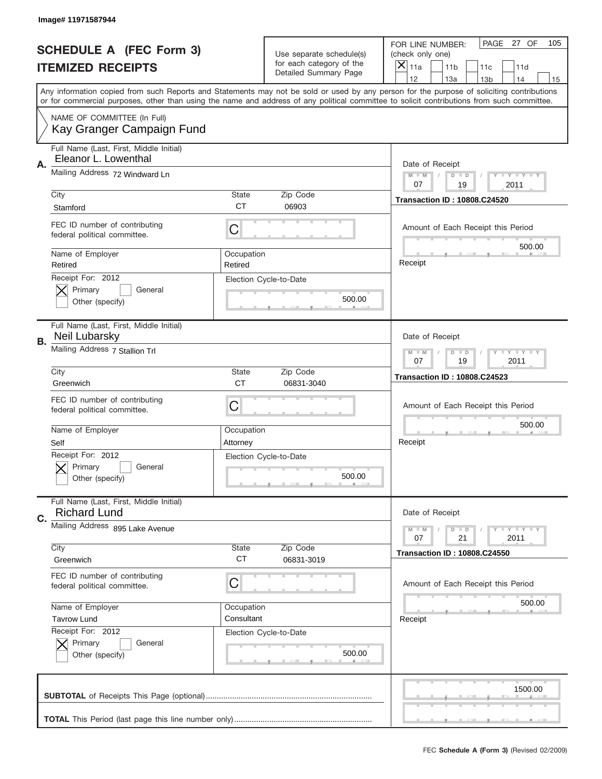|    | Image# 11971587944                                              |                                                            |                                                   |                                                                                                                                                                                                                                                                                                                                     |
|----|-----------------------------------------------------------------|------------------------------------------------------------|---------------------------------------------------|-------------------------------------------------------------------------------------------------------------------------------------------------------------------------------------------------------------------------------------------------------------------------------------------------------------------------------------|
|    | <b>SCHEDULE A (FEC Form 3)</b>                                  |                                                            | Use separate schedule(s)                          | PAGE<br>27 OF<br>105<br>FOR LINE NUMBER:<br>(check only one)                                                                                                                                                                                                                                                                        |
|    | <b>ITEMIZED RECEIPTS</b>                                        |                                                            | for each category of the<br>Detailed Summary Page | ×<br>11a<br>11 <sub>b</sub><br>11c<br>11d                                                                                                                                                                                                                                                                                           |
|    |                                                                 |                                                            |                                                   | 12<br>13a<br>14<br>13 <sub>b</sub><br>15<br>Any information copied from such Reports and Statements may not be sold or used by any person for the purpose of soliciting contributions<br>or for commercial purposes, other than using the name and address of any political committee to solicit contributions from such committee. |
|    | NAME OF COMMITTEE (In Full)<br>Kay Granger Campaign Fund        |                                                            |                                                   |                                                                                                                                                                                                                                                                                                                                     |
| Α. | Full Name (Last, First, Middle Initial)<br>Eleanor L. Lowenthal |                                                            |                                                   | Date of Receipt                                                                                                                                                                                                                                                                                                                     |
|    | Mailing Address 72 Windward Ln                                  |                                                            |                                                   | $M - M$<br>Y FY FY FY<br>$D$ $D$<br>07<br>19<br>2011                                                                                                                                                                                                                                                                                |
|    | City<br>Stamford                                                | State<br><b>CT</b>                                         | Zip Code<br>06903                                 | <b>Transaction ID: 10808.C24520</b>                                                                                                                                                                                                                                                                                                 |
|    | FEC ID number of contributing<br>federal political committee.   | C                                                          |                                                   | Amount of Each Receipt this Period<br>500.00                                                                                                                                                                                                                                                                                        |
|    | Name of Employer<br>Retired                                     | Occupation<br>Retired                                      |                                                   | Receipt                                                                                                                                                                                                                                                                                                                             |
|    | Receipt For: 2012<br>Primary<br>General<br>Other (specify)      |                                                            | Election Cycle-to-Date<br>500.00                  |                                                                                                                                                                                                                                                                                                                                     |
| В. | Full Name (Last, First, Middle Initial)<br>Neil Lubarsky        |                                                            |                                                   | Date of Receipt                                                                                                                                                                                                                                                                                                                     |
|    | Mailing Address 7 Stallion Trl                                  |                                                            |                                                   | $T$ $Y$ $T$ $Y$ $T$ $Y$<br>$M - M$<br>$D$ $D$<br>07<br>19<br>2011                                                                                                                                                                                                                                                                   |
|    | City<br>Greenwich                                               | State<br><b>CT</b>                                         | Zip Code<br>06831-3040                            | <b>Transaction ID: 10808.C24523</b>                                                                                                                                                                                                                                                                                                 |
|    | FEC ID number of contributing<br>federal political committee.   | C                                                          |                                                   | Amount of Each Receipt this Period                                                                                                                                                                                                                                                                                                  |
|    | Name of Employer<br>Self                                        | Occupation<br>Attorney                                     |                                                   | 500.00<br>Receipt                                                                                                                                                                                                                                                                                                                   |
|    | Receipt For: 2012<br>General<br>Primary<br>Other (specify)      |                                                            | Election Cycle-to-Date<br>500.00                  |                                                                                                                                                                                                                                                                                                                                     |
| C. | Full Name (Last, First, Middle Initial)<br><b>Richard Lund</b>  |                                                            |                                                   | Date of Receipt                                                                                                                                                                                                                                                                                                                     |
|    | Mailing Address 895 Lake Avenue<br>City                         | <b>TEY LY LY</b><br>$M - M$<br>$D$ $D$<br>21<br>2011<br>07 |                                                   |                                                                                                                                                                                                                                                                                                                                     |
|    | Greenwich                                                       | State<br><b>CT</b>                                         | Zip Code<br>06831-3019                            | <b>Transaction ID: 10808.C24550</b>                                                                                                                                                                                                                                                                                                 |
|    | FEC ID number of contributing<br>federal political committee.   | C                                                          |                                                   | Amount of Each Receipt this Period<br>500.00                                                                                                                                                                                                                                                                                        |
|    | Name of Employer<br><b>Tavrow Lund</b>                          | Occupation<br>Consultant                                   |                                                   | Receipt                                                                                                                                                                                                                                                                                                                             |
|    | Receipt For: 2012<br>Primary<br>General<br>Other (specify)      |                                                            | Election Cycle-to-Date<br>500.00                  |                                                                                                                                                                                                                                                                                                                                     |
|    |                                                                 |                                                            |                                                   | 1500.00                                                                                                                                                                                                                                                                                                                             |
|    |                                                                 |                                                            |                                                   |                                                                                                                                                                                                                                                                                                                                     |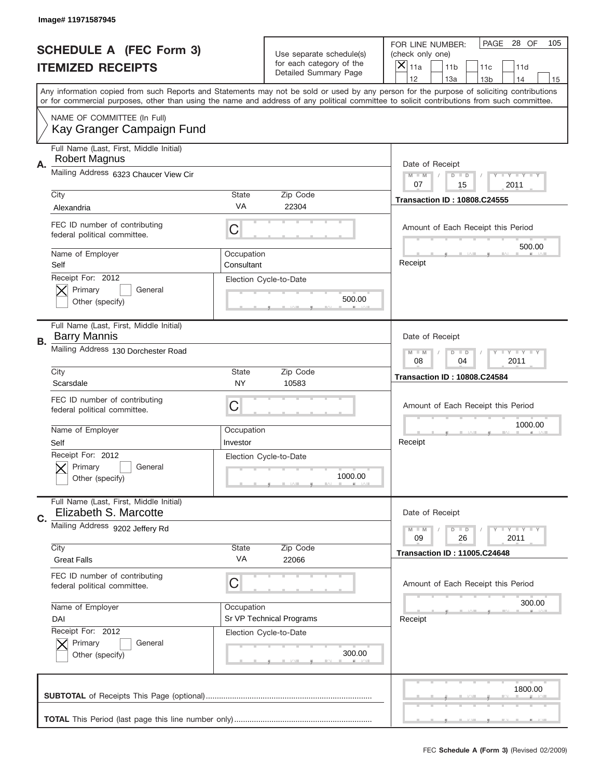|    | Image# 11971587945                                               |                          |                                                   |                                                                                                                                                                                                                                                                                                                                     |
|----|------------------------------------------------------------------|--------------------------|---------------------------------------------------|-------------------------------------------------------------------------------------------------------------------------------------------------------------------------------------------------------------------------------------------------------------------------------------------------------------------------------------|
|    | <b>SCHEDULE A (FEC Form 3)</b>                                   |                          | Use separate schedule(s)                          | PAGE<br>28 OF<br>105<br>FOR LINE NUMBER:<br>(check only one)                                                                                                                                                                                                                                                                        |
|    | <b>ITEMIZED RECEIPTS</b>                                         |                          | for each category of the<br>Detailed Summary Page | X<br>11a<br>11 <sub>b</sub><br>11c<br>11d                                                                                                                                                                                                                                                                                           |
|    |                                                                  |                          |                                                   | 12<br>13a<br>14<br>13 <sub>b</sub><br>15<br>Any information copied from such Reports and Statements may not be sold or used by any person for the purpose of soliciting contributions<br>or for commercial purposes, other than using the name and address of any political committee to solicit contributions from such committee. |
|    | NAME OF COMMITTEE (In Full)<br>Kay Granger Campaign Fund         |                          |                                                   |                                                                                                                                                                                                                                                                                                                                     |
| Α. | Full Name (Last, First, Middle Initial)<br><b>Robert Magnus</b>  |                          |                                                   | Date of Receipt                                                                                                                                                                                                                                                                                                                     |
|    | Mailing Address 6323 Chaucer View Cir                            |                          |                                                   | $M - M$<br>Y I Y I Y I Y<br>$D$ $D$<br>07<br>15<br>2011                                                                                                                                                                                                                                                                             |
|    | City<br>Alexandria                                               | <b>State</b><br>VA       | Zip Code<br>22304                                 | <b>Transaction ID: 10808.C24555</b>                                                                                                                                                                                                                                                                                                 |
|    | FEC ID number of contributing<br>federal political committee.    | C                        |                                                   | Amount of Each Receipt this Period<br>500.00                                                                                                                                                                                                                                                                                        |
|    | Name of Employer<br>Self                                         | Occupation<br>Consultant |                                                   | Receipt                                                                                                                                                                                                                                                                                                                             |
|    | Receipt For: 2012<br>Primary<br>General<br>Other (specify)       |                          | Election Cycle-to-Date<br>500.00                  |                                                                                                                                                                                                                                                                                                                                     |
| В. | Full Name (Last, First, Middle Initial)<br><b>Barry Mannis</b>   |                          |                                                   | Date of Receipt                                                                                                                                                                                                                                                                                                                     |
|    | Mailing Address 130 Dorchester Road                              |                          |                                                   | $T$ $Y$ $T$ $Y$ $T$ $Y$<br>$M - M$<br>$D$ $D$<br>08<br>04<br>2011                                                                                                                                                                                                                                                                   |
|    | City<br>Scarsdale                                                | State<br>NY              | Zip Code<br>10583                                 | <b>Transaction ID: 10808.C24584</b>                                                                                                                                                                                                                                                                                                 |
|    |                                                                  |                          |                                                   |                                                                                                                                                                                                                                                                                                                                     |
|    | FEC ID number of contributing<br>federal political committee.    | C                        |                                                   | Amount of Each Receipt this Period                                                                                                                                                                                                                                                                                                  |
|    | Name of Employer<br>Self                                         | Occupation<br>Investor   |                                                   | 1000.00<br>Receipt                                                                                                                                                                                                                                                                                                                  |
|    | Receipt For: 2012<br>General<br>Primary<br>Other (specify)       |                          | Election Cycle-to-Date<br>1000.00                 |                                                                                                                                                                                                                                                                                                                                     |
| C. | Full Name (Last, First, Middle Initial)<br>Elizabeth S. Marcotte |                          |                                                   | Date of Receipt                                                                                                                                                                                                                                                                                                                     |
|    | Mailing Address 9202 Jeffery Rd                                  |                          |                                                   | <b>LYLYLY</b><br>$M - M$<br>$D$ $D$<br>09<br>26<br>2011                                                                                                                                                                                                                                                                             |
|    | City<br><b>Great Falls</b>                                       | State<br>VA              | Zip Code<br>22066                                 | <b>Transaction ID: 11005.C24648</b>                                                                                                                                                                                                                                                                                                 |
|    | FEC ID number of contributing<br>federal political committee.    | C                        |                                                   | Amount of Each Receipt this Period                                                                                                                                                                                                                                                                                                  |
|    | Name of Employer<br>DAI                                          | Occupation               | Sr VP Technical Programs                          | 300.00<br>Receipt                                                                                                                                                                                                                                                                                                                   |
|    | Receipt For: 2012<br>Primary<br>General<br>Other (specify)       |                          | Election Cycle-to-Date<br>300.00                  |                                                                                                                                                                                                                                                                                                                                     |
|    |                                                                  |                          |                                                   | 1800.00                                                                                                                                                                                                                                                                                                                             |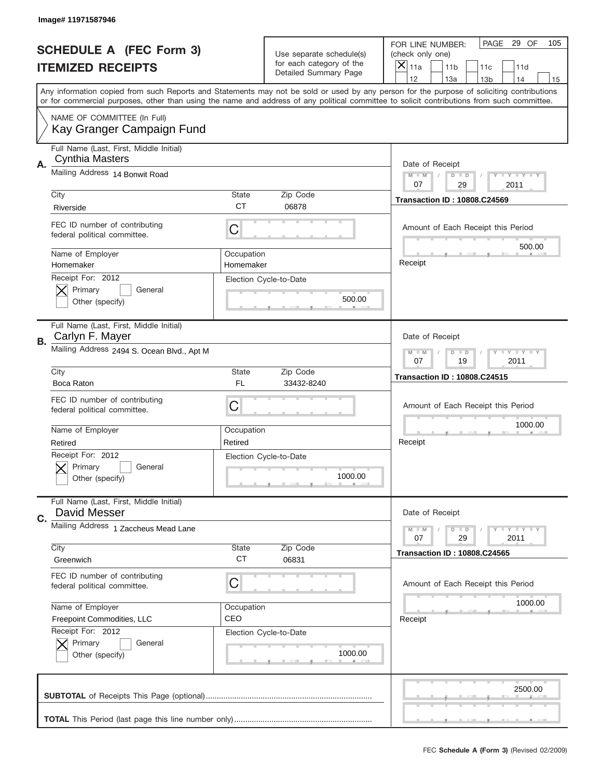|    | Image# 11971587946                                                |                         |                                                   |                                                                                                                                                                                                                                                                                                                                     |
|----|-------------------------------------------------------------------|-------------------------|---------------------------------------------------|-------------------------------------------------------------------------------------------------------------------------------------------------------------------------------------------------------------------------------------------------------------------------------------------------------------------------------------|
|    | <b>SCHEDULE A (FEC Form 3)</b>                                    |                         | Use separate schedule(s)                          | PAGE<br>29 OF<br>105<br>FOR LINE NUMBER:<br>(check only one)                                                                                                                                                                                                                                                                        |
|    | <b>ITEMIZED RECEIPTS</b>                                          |                         | for each category of the<br>Detailed Summary Page | ×<br>11a<br>11 <sub>b</sub><br>11c<br>11d                                                                                                                                                                                                                                                                                           |
|    |                                                                   |                         |                                                   | 12<br>13a<br>14<br>13 <sub>b</sub><br>15<br>Any information copied from such Reports and Statements may not be sold or used by any person for the purpose of soliciting contributions<br>or for commercial purposes, other than using the name and address of any political committee to solicit contributions from such committee. |
|    | NAME OF COMMITTEE (In Full)<br>Kay Granger Campaign Fund          |                         |                                                   |                                                                                                                                                                                                                                                                                                                                     |
| Α. | Full Name (Last, First, Middle Initial)<br><b>Cynthia Masters</b> |                         |                                                   | Date of Receipt                                                                                                                                                                                                                                                                                                                     |
|    | Mailing Address 14 Bonwit Road                                    |                         |                                                   | $M - M$<br>Y FY FY FY<br>$D$ $D$<br>07<br>29<br>2011                                                                                                                                                                                                                                                                                |
|    | City<br>Riverside                                                 | State<br><b>CT</b>      | Zip Code<br>06878                                 | <b>Transaction ID: 10808.C24569</b>                                                                                                                                                                                                                                                                                                 |
|    | FEC ID number of contributing<br>federal political committee.     | C                       |                                                   | Amount of Each Receipt this Period<br>500.00                                                                                                                                                                                                                                                                                        |
|    | Name of Employer<br>Homemaker                                     | Occupation<br>Homemaker |                                                   | Receipt                                                                                                                                                                                                                                                                                                                             |
|    | Receipt For: 2012<br>Primary<br>General<br>Other (specify)        |                         | Election Cycle-to-Date<br>500.00                  |                                                                                                                                                                                                                                                                                                                                     |
| В. | Full Name (Last, First, Middle Initial)<br>Carlyn F. Mayer        |                         |                                                   | Date of Receipt                                                                                                                                                                                                                                                                                                                     |
|    | Mailing Address 2494 S. Ocean Blvd., Apt M                        |                         |                                                   | $T$ $Y$ $T$ $Y$ $T$ $Y$<br>$M - M$<br>$D$ $D$<br>19<br>2011<br>07                                                                                                                                                                                                                                                                   |
|    | City<br>Boca Raton                                                | State<br>FL.            | Zip Code<br>33432-8240                            | <b>Transaction ID: 10808.C24515</b>                                                                                                                                                                                                                                                                                                 |
|    | FEC ID number of contributing<br>federal political committee.     | C                       |                                                   | Amount of Each Receipt this Period                                                                                                                                                                                                                                                                                                  |
|    | Name of Employer<br>Retired                                       | Occupation<br>Retired   |                                                   | 1000.00<br>Receipt                                                                                                                                                                                                                                                                                                                  |
|    | Receipt For: 2012<br>General<br>Primary<br>Other (specify)        |                         | Election Cycle-to-Date<br>1000.00                 |                                                                                                                                                                                                                                                                                                                                     |
| C. | Full Name (Last, First, Middle Initial)<br><b>David Messer</b>    |                         |                                                   | Date of Receipt                                                                                                                                                                                                                                                                                                                     |
|    | Mailing Address 1 Zaccheus Mead Lane                              |                         |                                                   | <b>TEY TEY TEY</b><br>$M - M$<br>$D$ $D$<br>29<br>2011<br>07                                                                                                                                                                                                                                                                        |
|    | City<br>Greenwich                                                 | State<br><b>CT</b>      | Zip Code<br>06831                                 | <b>Transaction ID: 10808.C24565</b>                                                                                                                                                                                                                                                                                                 |
|    | FEC ID number of contributing<br>federal political committee.     | C                       |                                                   | Amount of Each Receipt this Period                                                                                                                                                                                                                                                                                                  |
|    | Name of Employer<br>Freepoint Commodities, LLC                    | Occupation<br>CEO       |                                                   | 1000.00<br>Receipt                                                                                                                                                                                                                                                                                                                  |
|    | Receipt For: 2012<br>Primary<br>General<br>Other (specify)        |                         | Election Cycle-to-Date<br>1000.00                 |                                                                                                                                                                                                                                                                                                                                     |
|    |                                                                   |                         |                                                   | 2500.00                                                                                                                                                                                                                                                                                                                             |
|    |                                                                   |                         |                                                   |                                                                                                                                                                                                                                                                                                                                     |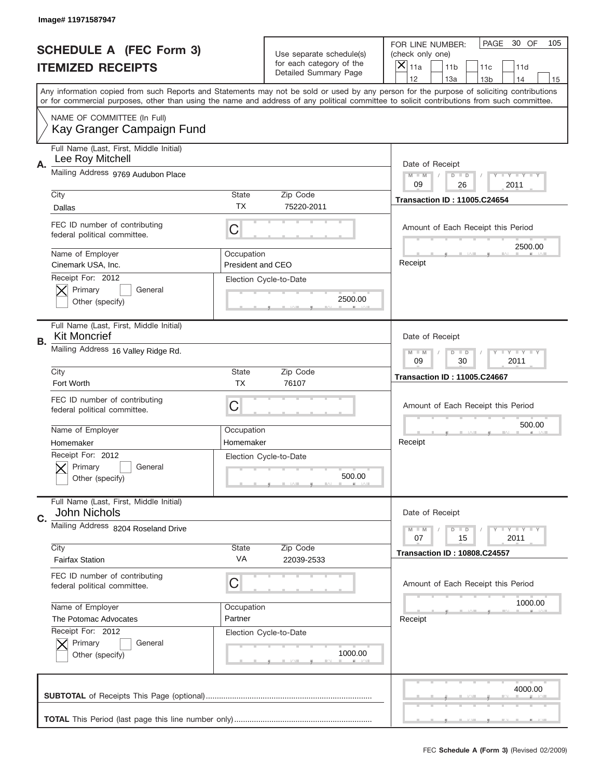|    | Image# 11971587947                                             |                    |                                                   |                                                                                                                                                                                 |     |
|----|----------------------------------------------------------------|--------------------|---------------------------------------------------|---------------------------------------------------------------------------------------------------------------------------------------------------------------------------------|-----|
|    | <b>SCHEDULE A (FEC Form 3)</b>                                 |                    | Use separate schedule(s)                          | PAGE<br>30 OF<br>FOR LINE NUMBER:<br>(check only one)                                                                                                                           | 105 |
|    | <b>ITEMIZED RECEIPTS</b>                                       |                    | for each category of the<br>Detailed Summary Page | ×<br>11a<br>11 <sub>b</sub><br>11c<br>11d                                                                                                                                       |     |
|    |                                                                |                    |                                                   | 12<br>13a<br>14<br>13 <sub>b</sub><br>Any information copied from such Reports and Statements may not be sold or used by any person for the purpose of soliciting contributions | 15  |
|    |                                                                |                    |                                                   | or for commercial purposes, other than using the name and address of any political committee to solicit contributions from such committee.                                      |     |
|    | NAME OF COMMITTEE (In Full)<br>Kay Granger Campaign Fund       |                    |                                                   |                                                                                                                                                                                 |     |
| Α. | Full Name (Last, First, Middle Initial)<br>Lee Roy Mitchell    |                    |                                                   | Date of Receipt                                                                                                                                                                 |     |
|    | Mailing Address 9769 Audubon Place                             |                    |                                                   | $M - M$<br>$T - Y = -Y$<br>$D$ $D$<br>09<br>26<br>2011                                                                                                                          |     |
|    | City                                                           | <b>State</b>       | Zip Code                                          | <b>Transaction ID: 11005.C24654</b>                                                                                                                                             |     |
|    | Dallas                                                         | TX                 | 75220-2011                                        |                                                                                                                                                                                 |     |
|    | FEC ID number of contributing<br>federal political committee.  | C                  |                                                   | Amount of Each Receipt this Period<br>2500.00                                                                                                                                   |     |
|    | Name of Employer                                               | Occupation         |                                                   |                                                                                                                                                                                 |     |
|    | Cinemark USA, Inc.                                             | President and CEO  |                                                   | Receipt                                                                                                                                                                         |     |
|    | Receipt For: 2012<br>General                                   |                    | Election Cycle-to-Date                            |                                                                                                                                                                                 |     |
|    | Primary<br>Other (specify)                                     |                    | 2500.00                                           |                                                                                                                                                                                 |     |
|    |                                                                |                    |                                                   |                                                                                                                                                                                 |     |
| В. | Full Name (Last, First, Middle Initial)<br><b>Kit Moncrief</b> |                    |                                                   | Date of Receipt                                                                                                                                                                 |     |
|    | Mailing Address 16 Valley Ridge Rd.                            |                    |                                                   | <b>LY LY LY</b><br>$M - M$<br>$D$ $D$                                                                                                                                           |     |
|    |                                                                |                    |                                                   | 09<br>30<br>2011                                                                                                                                                                |     |
|    | City                                                           | <b>State</b>       | Zip Code                                          | <b>Transaction ID: 11005.C24667</b>                                                                                                                                             |     |
|    |                                                                |                    |                                                   |                                                                                                                                                                                 |     |
|    | Fort Worth                                                     | <b>TX</b>          | 76107                                             |                                                                                                                                                                                 |     |
|    | FEC ID number of contributing                                  | C                  |                                                   | Amount of Each Receipt this Period                                                                                                                                              |     |
|    | federal political committee.                                   |                    |                                                   |                                                                                                                                                                                 |     |
|    | Name of Employer                                               | Occupation         |                                                   | 500.00                                                                                                                                                                          |     |
|    | Homemaker                                                      | Homemaker          |                                                   | Receipt                                                                                                                                                                         |     |
|    | Receipt For: 2012                                              |                    | Election Cycle-to-Date                            |                                                                                                                                                                                 |     |
|    | Primary<br>General                                             |                    | 500.00                                            |                                                                                                                                                                                 |     |
|    | Other (specify)                                                |                    |                                                   |                                                                                                                                                                                 |     |
|    | Full Name (Last, First, Middle Initial)<br>John Nichols        |                    |                                                   | Date of Receipt                                                                                                                                                                 |     |
| C. | Mailing Address 8204 Roseland Drive                            |                    |                                                   | Y FY FY FY<br>$M - M$<br>$D$ $D$                                                                                                                                                |     |
|    |                                                                |                    |                                                   | 2011<br>07<br>15                                                                                                                                                                |     |
|    | City<br><b>Fairfax Station</b>                                 | <b>State</b><br>VA | Zip Code<br>22039-2533                            | <b>Transaction ID: 10808.C24557</b>                                                                                                                                             |     |
|    |                                                                |                    |                                                   |                                                                                                                                                                                 |     |
|    | FEC ID number of contributing<br>federal political committee.  | C                  |                                                   | Amount of Each Receipt this Period                                                                                                                                              |     |
|    |                                                                |                    |                                                   |                                                                                                                                                                                 |     |
|    | Name of Employer                                               | Occupation         |                                                   | 1000.00                                                                                                                                                                         |     |
|    | The Potomac Advocates                                          | Partner            |                                                   | Receipt                                                                                                                                                                         |     |
|    | Receipt For: 2012<br>Primary<br>General                        |                    | Election Cycle-to-Date                            |                                                                                                                                                                                 |     |
|    | Other (specify)                                                |                    | 1000.00                                           |                                                                                                                                                                                 |     |
|    |                                                                |                    |                                                   |                                                                                                                                                                                 |     |
|    |                                                                |                    |                                                   | 4000.00                                                                                                                                                                         |     |
|    |                                                                |                    |                                                   |                                                                                                                                                                                 |     |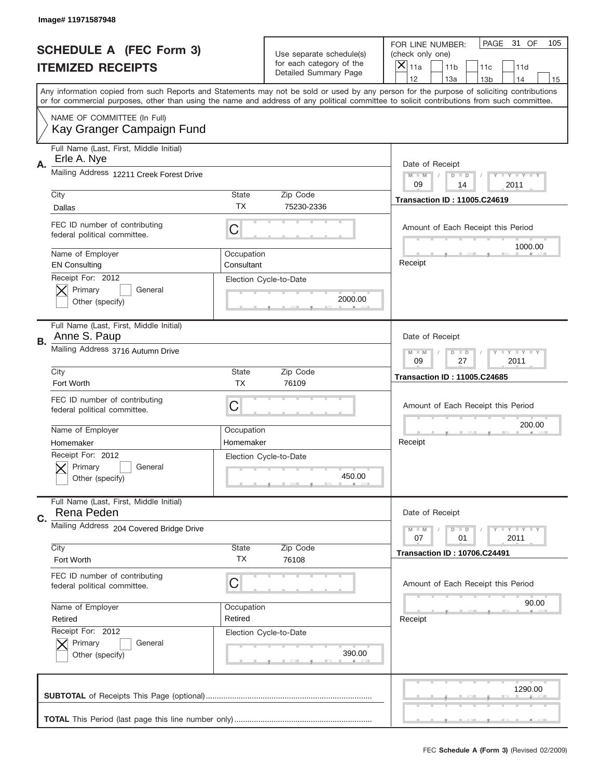|    | Image# 11971587948                                            |                          |                                                   |                                                                                                                                                                                       |
|----|---------------------------------------------------------------|--------------------------|---------------------------------------------------|---------------------------------------------------------------------------------------------------------------------------------------------------------------------------------------|
|    | <b>SCHEDULE A (FEC Form 3)</b>                                |                          | Use separate schedule(s)                          | PAGE<br>31 OF<br>105<br>FOR LINE NUMBER:<br>(check only one)                                                                                                                          |
|    | <b>ITEMIZED RECEIPTS</b>                                      |                          | for each category of the<br>Detailed Summary Page | ×<br>11a<br>11 <sub>b</sub><br>11c<br>11d                                                                                                                                             |
|    |                                                               |                          |                                                   | 12<br>13a<br>14<br>13 <sub>b</sub><br>15<br>Any information copied from such Reports and Statements may not be sold or used by any person for the purpose of soliciting contributions |
|    |                                                               |                          |                                                   | or for commercial purposes, other than using the name and address of any political committee to solicit contributions from such committee.                                            |
|    | NAME OF COMMITTEE (In Full)<br>Kay Granger Campaign Fund      |                          |                                                   |                                                                                                                                                                                       |
| Α. | Full Name (Last, First, Middle Initial)<br>Erle A. Nye        |                          |                                                   | Date of Receipt                                                                                                                                                                       |
|    | Mailing Address 12211 Creek Forest Drive                      |                          |                                                   | $M - M$<br>$T - Y = -Y$<br>$D$ $D$<br>09<br>2011<br>14                                                                                                                                |
|    | City                                                          | <b>State</b>             | Zip Code                                          | <b>Transaction ID: 11005.C24619</b>                                                                                                                                                   |
|    | Dallas                                                        | TX                       | 75230-2336                                        |                                                                                                                                                                                       |
|    | FEC ID number of contributing<br>federal political committee. | C                        |                                                   | Amount of Each Receipt this Period<br>1000.00                                                                                                                                         |
|    | Name of Employer<br><b>EN Consulting</b>                      | Occupation<br>Consultant |                                                   | Receipt                                                                                                                                                                               |
|    | Receipt For: 2012<br>Primary<br>General<br>Other (specify)    |                          | Election Cycle-to-Date<br>2000.00                 |                                                                                                                                                                                       |
| В. | Full Name (Last, First, Middle Initial)<br>Anne S. Paup       |                          |                                                   | Date of Receipt                                                                                                                                                                       |
|    | Mailing Address 3716 Autumn Drive                             |                          |                                                   | <b>LY LY LY</b><br>$M - M$<br>$D$ $D$<br>09<br>27<br>2011                                                                                                                             |
|    | City                                                          | <b>State</b>             | Zip Code                                          | <b>Transaction ID: 11005.C24685</b>                                                                                                                                                   |
|    | Fort Worth                                                    | TX                       | 76109                                             |                                                                                                                                                                                       |
|    | FEC ID number of contributing<br>federal political committee. | C                        |                                                   | Amount of Each Receipt this Period                                                                                                                                                    |
|    | Name of Employer                                              | Occupation               |                                                   | 200.00                                                                                                                                                                                |
|    | Homemaker                                                     | Homemaker                |                                                   | Receipt                                                                                                                                                                               |
|    | Receipt For: 2012<br>General<br>Primary<br>Other (specify)    |                          | Election Cycle-to-Date<br>450.00                  |                                                                                                                                                                                       |
| C. | Full Name (Last, First, Middle Initial)<br>Rena Peden         |                          |                                                   | Date of Receipt                                                                                                                                                                       |
|    | Mailing Address 204 Covered Bridge Drive                      |                          |                                                   | Y FY FY FY<br>$M - M$<br>$D$ $D$<br>2011<br>07<br>01                                                                                                                                  |
|    | City<br>Fort Worth                                            | <b>State</b><br>ТX       | Zip Code<br>76108                                 | <b>Transaction ID: 10706.C24491</b>                                                                                                                                                   |
|    | FEC ID number of contributing<br>federal political committee. | C                        |                                                   | Amount of Each Receipt this Period                                                                                                                                                    |
|    | Name of Employer                                              | Occupation               |                                                   | 90.00                                                                                                                                                                                 |
|    | Retired                                                       | Retired                  |                                                   | Receipt                                                                                                                                                                               |
|    | Receipt For: 2012<br>Primary<br>General<br>Other (specify)    |                          | Election Cycle-to-Date<br>390.00                  |                                                                                                                                                                                       |
|    |                                                               |                          |                                                   | 1290.00                                                                                                                                                                               |
|    |                                                               |                          |                                                   |                                                                                                                                                                                       |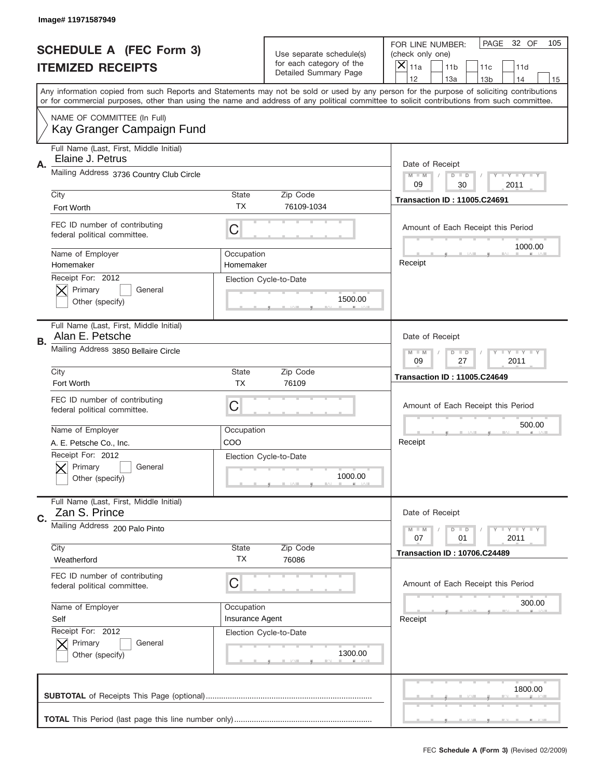|    | Image# 11971587949                                                          |                                                           |                                                   |                                                                                                                                                                                                                                                                                         |
|----|-----------------------------------------------------------------------------|-----------------------------------------------------------|---------------------------------------------------|-----------------------------------------------------------------------------------------------------------------------------------------------------------------------------------------------------------------------------------------------------------------------------------------|
|    | <b>SCHEDULE A (FEC Form 3)</b>                                              |                                                           | Use separate schedule(s)                          | PAGE<br>32 OF<br>105<br>FOR LINE NUMBER:<br>(check only one)                                                                                                                                                                                                                            |
|    | <b>ITEMIZED RECEIPTS</b>                                                    |                                                           | for each category of the<br>Detailed Summary Page | X<br>11a<br>11 <sub>b</sub><br>11c<br>11d                                                                                                                                                                                                                                               |
|    |                                                                             |                                                           |                                                   | 12<br>13a<br>14<br>13 <sub>b</sub><br>15                                                                                                                                                                                                                                                |
|    |                                                                             |                                                           |                                                   | Any information copied from such Reports and Statements may not be sold or used by any person for the purpose of soliciting contributions<br>or for commercial purposes, other than using the name and address of any political committee to solicit contributions from such committee. |
|    | NAME OF COMMITTEE (In Full)<br>Kay Granger Campaign Fund                    |                                                           |                                                   |                                                                                                                                                                                                                                                                                         |
| Α. | Full Name (Last, First, Middle Initial)<br>Elaine J. Petrus                 |                                                           |                                                   | Date of Receipt                                                                                                                                                                                                                                                                         |
|    | Mailing Address 3736 Country Club Circle                                    |                                                           |                                                   | $M - M$<br>Y I Y I Y I Y<br>$D$ $D$<br>09<br>30<br>2011                                                                                                                                                                                                                                 |
|    | City<br>Fort Worth                                                          | <b>State</b><br>TX                                        | Zip Code<br>76109-1034                            | <b>Transaction ID: 11005.C24691</b>                                                                                                                                                                                                                                                     |
|    | FEC ID number of contributing<br>federal political committee.               | C                                                         |                                                   | Amount of Each Receipt this Period<br>1000.00                                                                                                                                                                                                                                           |
|    | Name of Employer<br>Homemaker                                               | Occupation<br>Homemaker                                   |                                                   | Receipt                                                                                                                                                                                                                                                                                 |
|    | Receipt For: 2012<br>Primary<br>General<br>Other (specify)                  |                                                           | Election Cycle-to-Date<br>1500.00                 |                                                                                                                                                                                                                                                                                         |
| В. | Full Name (Last, First, Middle Initial)<br>Alan E. Petsche                  |                                                           |                                                   | Date of Receipt                                                                                                                                                                                                                                                                         |
|    | Mailing Address 3850 Bellaire Circle                                        |                                                           |                                                   | <b>LY LY LY</b><br>$M - M$<br>$D$ $D$<br>09<br>27<br>2011                                                                                                                                                                                                                               |
|    | City                                                                        | <b>State</b><br>TX                                        | Zip Code<br>76109                                 | <b>Transaction ID: 11005.C24649</b>                                                                                                                                                                                                                                                     |
|    | Fort Worth<br>FEC ID number of contributing<br>federal political committee. | C                                                         |                                                   | Amount of Each Receipt this Period                                                                                                                                                                                                                                                      |
|    | Name of Employer                                                            | Occupation                                                |                                                   | 500.00                                                                                                                                                                                                                                                                                  |
|    | A. E. Petsche Co., Inc.                                                     | COO                                                       |                                                   | Receipt                                                                                                                                                                                                                                                                                 |
|    | Receipt For: 2012<br>Primary<br>General<br>Other (specify)                  |                                                           | Election Cycle-to-Date<br>1000.00                 |                                                                                                                                                                                                                                                                                         |
| C. | Full Name (Last, First, Middle Initial)<br>Zan S. Prince                    |                                                           |                                                   | Date of Receipt                                                                                                                                                                                                                                                                         |
|    | Mailing Address 200 Palo Pinto                                              | $T + Y = Y + Y$<br>$M - M$<br>$D$ $D$<br>2011<br>07<br>01 |                                                   |                                                                                                                                                                                                                                                                                         |
|    | City<br>Weatherford                                                         | State<br>ТX                                               | Zip Code<br>76086                                 | <b>Transaction ID: 10706.C24489</b>                                                                                                                                                                                                                                                     |
|    | FEC ID number of contributing<br>federal political committee.               | C                                                         |                                                   | Amount of Each Receipt this Period                                                                                                                                                                                                                                                      |
|    | Name of Employer                                                            | Occupation                                                |                                                   | 300.00                                                                                                                                                                                                                                                                                  |
|    | Self                                                                        | Insurance Agent                                           |                                                   | Receipt                                                                                                                                                                                                                                                                                 |
|    | Receipt For: 2012<br>Primary<br>General<br>Other (specify)                  |                                                           | Election Cycle-to-Date<br>1300.00                 |                                                                                                                                                                                                                                                                                         |
|    |                                                                             |                                                           |                                                   | 1800.00                                                                                                                                                                                                                                                                                 |
|    |                                                                             |                                                           |                                                   |                                                                                                                                                                                                                                                                                         |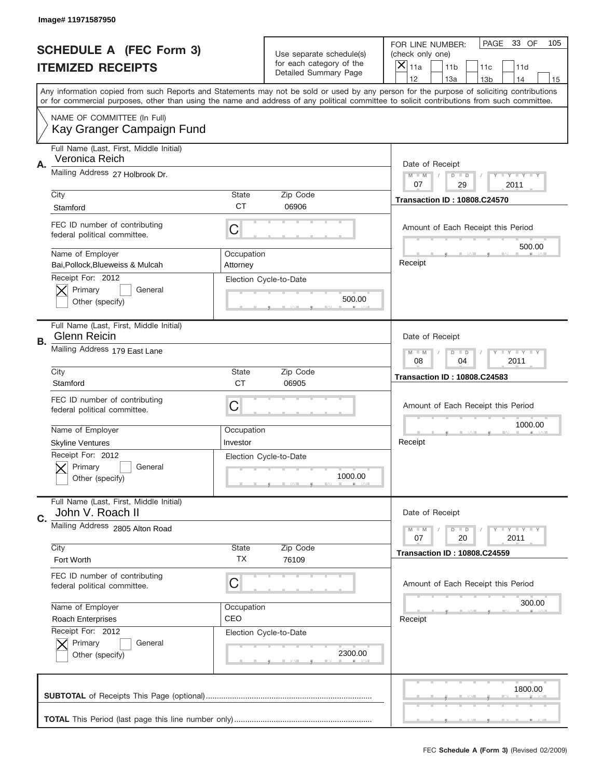|    | Image# 11971587950                                             |                        |                                                   |                                                                                                                                                                                                                                                                                         |
|----|----------------------------------------------------------------|------------------------|---------------------------------------------------|-----------------------------------------------------------------------------------------------------------------------------------------------------------------------------------------------------------------------------------------------------------------------------------------|
|    | <b>SCHEDULE A (FEC Form 3)</b>                                 |                        | Use separate schedule(s)                          | PAGE<br>33 OF<br>105<br>FOR LINE NUMBER:<br>(check only one)                                                                                                                                                                                                                            |
|    | <b>ITEMIZED RECEIPTS</b>                                       |                        | for each category of the<br>Detailed Summary Page | ×<br>11a<br>11 <sub>b</sub><br>11c<br>11d                                                                                                                                                                                                                                               |
|    |                                                                |                        |                                                   | 12<br>13a<br>14<br>13 <sub>b</sub><br>15                                                                                                                                                                                                                                                |
|    |                                                                |                        |                                                   | Any information copied from such Reports and Statements may not be sold or used by any person for the purpose of soliciting contributions<br>or for commercial purposes, other than using the name and address of any political committee to solicit contributions from such committee. |
|    | NAME OF COMMITTEE (In Full)<br>Kay Granger Campaign Fund       |                        |                                                   |                                                                                                                                                                                                                                                                                         |
|    | Full Name (Last, First, Middle Initial)<br>Veronica Reich      |                        |                                                   |                                                                                                                                                                                                                                                                                         |
| Α. | Mailing Address 27 Holbrook Dr.                                |                        |                                                   | Date of Receipt<br>$M - M$<br>Y I Y I Y I Y<br>$D$ $D$<br>07<br>29<br>2011                                                                                                                                                                                                              |
|    | City                                                           | <b>State</b>           | Zip Code                                          | <b>Transaction ID: 10808.C24570</b>                                                                                                                                                                                                                                                     |
|    | Stamford                                                       | <b>CT</b>              | 06906                                             |                                                                                                                                                                                                                                                                                         |
|    | FEC ID number of contributing<br>federal political committee.  | C                      |                                                   | Amount of Each Receipt this Period<br>500.00                                                                                                                                                                                                                                            |
|    | Name of Employer<br>Bai, Pollock, Blueweiss & Mulcah           | Occupation<br>Attorney |                                                   | Receipt                                                                                                                                                                                                                                                                                 |
|    | Receipt For: 2012<br>Primary<br>General<br>Other (specify)     |                        | Election Cycle-to-Date<br>500.00                  |                                                                                                                                                                                                                                                                                         |
| В. | Full Name (Last, First, Middle Initial)<br><b>Glenn Reicin</b> |                        |                                                   | Date of Receipt                                                                                                                                                                                                                                                                         |
|    | Mailing Address 179 East Lane                                  |                        |                                                   | <b>LY LY LY</b><br>$M - M$<br>$D$ $D$<br>08<br>04<br>2011                                                                                                                                                                                                                               |
|    | City                                                           | <b>State</b>           | Zip Code                                          | <b>Transaction ID: 10808.C24583</b>                                                                                                                                                                                                                                                     |
|    | Stamford                                                       | <b>CT</b>              | 06905                                             |                                                                                                                                                                                                                                                                                         |
|    |                                                                |                        |                                                   |                                                                                                                                                                                                                                                                                         |
|    | FEC ID number of contributing<br>federal political committee.  | C                      |                                                   | Amount of Each Receipt this Period                                                                                                                                                                                                                                                      |
|    | Name of Employer                                               | Occupation             |                                                   | 1000.00                                                                                                                                                                                                                                                                                 |
|    | <b>Skyline Ventures</b>                                        | Investor               |                                                   | Receipt                                                                                                                                                                                                                                                                                 |
|    | Receipt For: 2012<br>General<br>Primary<br>Other (specify)     |                        | Election Cycle-to-Date<br>1000.00                 |                                                                                                                                                                                                                                                                                         |
|    | Full Name (Last, First, Middle Initial)<br>John V. Roach II    |                        |                                                   | Date of Receipt                                                                                                                                                                                                                                                                         |
| C. | Mailing Address 2805 Alton Road                                |                        |                                                   | <b>TEY TEY TEY</b><br>$M - M$<br>$D$ $D$<br>20<br>2011<br>07                                                                                                                                                                                                                            |
|    | City<br>Fort Worth                                             | State<br>ТX            | Zip Code<br>76109                                 | <b>Transaction ID: 10808.C24559</b>                                                                                                                                                                                                                                                     |
|    | FEC ID number of contributing<br>federal political committee.  | C                      |                                                   | Amount of Each Receipt this Period                                                                                                                                                                                                                                                      |
|    | Name of Employer                                               | Occupation             |                                                   | 300.00                                                                                                                                                                                                                                                                                  |
|    | <b>Roach Enterprises</b>                                       | CEO                    |                                                   | Receipt                                                                                                                                                                                                                                                                                 |
|    | Receipt For: 2012<br>Primary<br>General<br>Other (specify)     |                        | Election Cycle-to-Date<br>2300.00                 |                                                                                                                                                                                                                                                                                         |
|    |                                                                |                        |                                                   | 1800.00                                                                                                                                                                                                                                                                                 |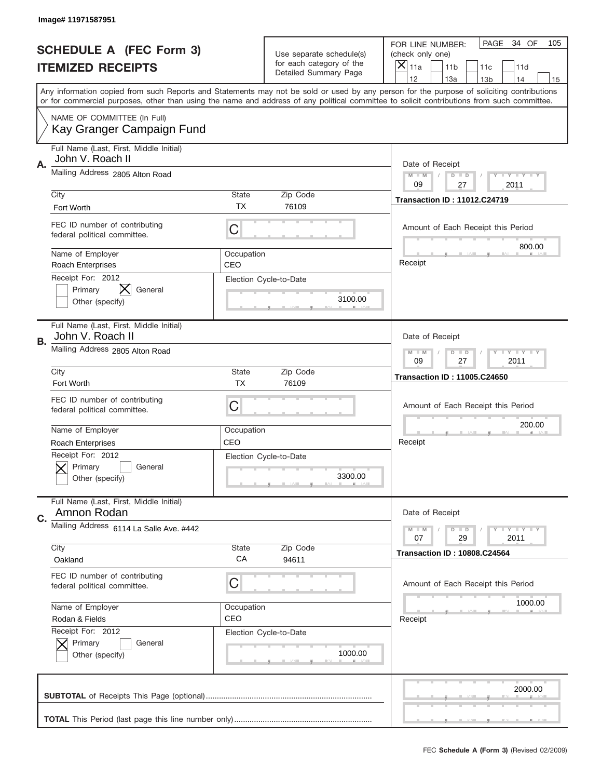|    | Image# 11971587951                                            |                   |                                                   |                                                                                                                                                                                       |
|----|---------------------------------------------------------------|-------------------|---------------------------------------------------|---------------------------------------------------------------------------------------------------------------------------------------------------------------------------------------|
|    | <b>SCHEDULE A (FEC Form 3)</b>                                |                   | Use separate schedule(s)                          | PAGE<br>34 OF<br>105<br>FOR LINE NUMBER:<br>(check only one)                                                                                                                          |
|    | <b>ITEMIZED RECEIPTS</b>                                      |                   | for each category of the<br>Detailed Summary Page | ×<br>11a<br>11 <sub>b</sub><br>11c<br>11d                                                                                                                                             |
|    |                                                               |                   |                                                   | 12<br>13a<br>13 <sub>b</sub><br>14<br>15<br>Any information copied from such Reports and Statements may not be sold or used by any person for the purpose of soliciting contributions |
|    |                                                               |                   |                                                   | or for commercial purposes, other than using the name and address of any political committee to solicit contributions from such committee.                                            |
|    | NAME OF COMMITTEE (In Full)<br>Kay Granger Campaign Fund      |                   |                                                   |                                                                                                                                                                                       |
| A. | Full Name (Last, First, Middle Initial)<br>John V. Roach II   |                   |                                                   | Date of Receipt                                                                                                                                                                       |
|    | Mailing Address 2805 Alton Road                               |                   |                                                   | $M$ M<br><b>LEY LEY LEY</b><br>$D$ $D$<br>09<br>27<br>2011                                                                                                                            |
|    | City                                                          | State             | Zip Code                                          | <b>Transaction ID: 11012.C24719</b>                                                                                                                                                   |
|    | Fort Worth                                                    | TX                | 76109                                             |                                                                                                                                                                                       |
|    | FEC ID number of contributing<br>federal political committee. | C                 |                                                   | Amount of Each Receipt this Period<br>800.00                                                                                                                                          |
|    | Name of Employer<br><b>Roach Enterprises</b>                  | Occupation<br>CEO |                                                   | Receipt                                                                                                                                                                               |
|    | Receipt For: 2012<br>Primary<br>General                       |                   | Election Cycle-to-Date                            |                                                                                                                                                                                       |
|    | Other (specify)                                               |                   | 3100.00                                           |                                                                                                                                                                                       |
| В. | Full Name (Last, First, Middle Initial)<br>John V. Roach II   |                   |                                                   | Date of Receipt                                                                                                                                                                       |
|    | Mailing Address 2805 Alton Road                               |                   |                                                   | <b>LEYTEY LEY</b><br>$M$ M<br>$D$ $D$<br>09<br>27<br>2011                                                                                                                             |
|    | City                                                          | State             | Zip Code                                          | <b>Transaction ID: 11005.C24650</b>                                                                                                                                                   |
|    | Fort Worth                                                    | <b>TX</b>         | 76109                                             |                                                                                                                                                                                       |
|    |                                                               |                   |                                                   |                                                                                                                                                                                       |
|    | FEC ID number of contributing<br>federal political committee. | C                 |                                                   | Amount of Each Receipt this Period                                                                                                                                                    |
|    | Name of Employer                                              | Occupation        |                                                   | 200.00                                                                                                                                                                                |
|    | Roach Enterprises                                             | CEO               |                                                   | Receipt                                                                                                                                                                               |
|    | Receipt For: 2012<br>General<br>Primary<br>Other (specify)    |                   | Election Cycle-to-Date<br>3300.00                 |                                                                                                                                                                                       |
| C. | Full Name (Last, First, Middle Initial)<br>Amnon Rodan        |                   |                                                   | Date of Receipt                                                                                                                                                                       |
|    | Mailing Address 6114 La Salle Ave. #442                       |                   |                                                   | <b>LYLYLY</b><br>$M - M$<br>$D$ $D$<br>07<br>29<br>2011                                                                                                                               |
|    | City                                                          | <b>State</b>      | Zip Code                                          | <b>Transaction ID: 10808.C24564</b>                                                                                                                                                   |
|    | Oakland                                                       | СA                | 94611                                             |                                                                                                                                                                                       |
|    | FEC ID number of contributing<br>federal political committee. | C                 |                                                   | Amount of Each Receipt this Period                                                                                                                                                    |
|    | Name of Employer                                              | Occupation        |                                                   | 1000.00                                                                                                                                                                               |
|    | Rodan & Fields                                                | CEO               |                                                   | Receipt                                                                                                                                                                               |
|    | Receipt For: 2012<br>Primary<br>General<br>Other (specify)    |                   | Election Cycle-to-Date<br>1000.00                 |                                                                                                                                                                                       |
|    |                                                               |                   |                                                   |                                                                                                                                                                                       |
|    |                                                               |                   |                                                   | 2000.00                                                                                                                                                                               |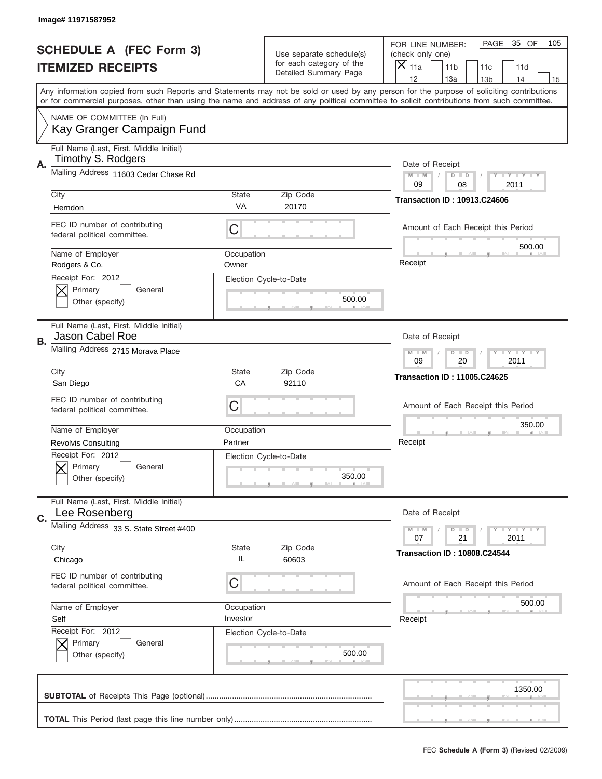|    | Image# 11971587952                                            |                     |                                                   |                                                                                                                                                                                                                                                                                         |
|----|---------------------------------------------------------------|---------------------|---------------------------------------------------|-----------------------------------------------------------------------------------------------------------------------------------------------------------------------------------------------------------------------------------------------------------------------------------------|
|    | <b>SCHEDULE A (FEC Form 3)</b>                                |                     | Use separate schedule(s)                          | PAGE<br>35 OF<br>105<br>FOR LINE NUMBER:<br>(check only one)                                                                                                                                                                                                                            |
|    | <b>ITEMIZED RECEIPTS</b>                                      |                     | for each category of the<br>Detailed Summary Page | X<br>11a<br>11 <sub>b</sub><br>11c<br>11d                                                                                                                                                                                                                                               |
|    |                                                               |                     |                                                   | 12<br>13a<br>14<br>13 <sub>b</sub><br>15                                                                                                                                                                                                                                                |
|    |                                                               |                     |                                                   | Any information copied from such Reports and Statements may not be sold or used by any person for the purpose of soliciting contributions<br>or for commercial purposes, other than using the name and address of any political committee to solicit contributions from such committee. |
|    | NAME OF COMMITTEE (In Full)<br>Kay Granger Campaign Fund      |                     |                                                   |                                                                                                                                                                                                                                                                                         |
| Α. | Full Name (Last, First, Middle Initial)<br>Timothy S. Rodgers |                     |                                                   | Date of Receipt                                                                                                                                                                                                                                                                         |
|    | Mailing Address 11603 Cedar Chase Rd                          |                     |                                                   | $T - Y = -Y$<br>$M - M$<br>$D$ $D$<br>09<br>08<br>2011                                                                                                                                                                                                                                  |
|    | City                                                          | <b>State</b>        | Zip Code                                          | <b>Transaction ID: 10913.C24606</b>                                                                                                                                                                                                                                                     |
|    | Herndon                                                       | VA                  | 20170                                             |                                                                                                                                                                                                                                                                                         |
|    | FEC ID number of contributing<br>federal political committee. | C                   |                                                   | Amount of Each Receipt this Period<br>500.00                                                                                                                                                                                                                                            |
|    | Name of Employer<br>Rodgers & Co.                             | Occupation<br>Owner |                                                   | Receipt                                                                                                                                                                                                                                                                                 |
|    | Receipt For: 2012<br>Primary<br>General<br>Other (specify)    |                     | Election Cycle-to-Date<br>500.00                  |                                                                                                                                                                                                                                                                                         |
| В. | Full Name (Last, First, Middle Initial)<br>Jason Cabel Roe    |                     |                                                   | Date of Receipt                                                                                                                                                                                                                                                                         |
|    | Mailing Address 2715 Morava Place                             |                     |                                                   | <b>LY LY LY</b><br>$M - M$<br>$D$ $D$<br>09<br>20<br>2011                                                                                                                                                                                                                               |
|    | City                                                          | <b>State</b>        | Zip Code                                          | <b>Transaction ID: 11005.C24625</b>                                                                                                                                                                                                                                                     |
|    | San Diego                                                     | CA                  | 92110                                             |                                                                                                                                                                                                                                                                                         |
|    |                                                               |                     |                                                   |                                                                                                                                                                                                                                                                                         |
|    | FEC ID number of contributing<br>federal political committee. | C                   |                                                   | Amount of Each Receipt this Period                                                                                                                                                                                                                                                      |
|    | Name of Employer                                              | Occupation          |                                                   | 350.00                                                                                                                                                                                                                                                                                  |
|    | <b>Revolvis Consulting</b>                                    | Partner             |                                                   | Receipt                                                                                                                                                                                                                                                                                 |
|    | Receipt For: 2012<br>General<br>Primary<br>Other (specify)    |                     | Election Cycle-to-Date<br>350.00                  |                                                                                                                                                                                                                                                                                         |
|    | Full Name (Last, First, Middle Initial)<br>Lee Rosenberg      |                     |                                                   | Date of Receipt                                                                                                                                                                                                                                                                         |
| C. | Mailing Address 33 S. State Street #400                       |                     |                                                   | <b>TEY TEY TEY</b><br>$M - M$<br>$D$ $D$<br>21<br>2011<br>07                                                                                                                                                                                                                            |
|    | City<br>Chicago                                               | <b>State</b><br>IL  | Zip Code<br>60603                                 | <b>Transaction ID: 10808.C24544</b>                                                                                                                                                                                                                                                     |
|    | FEC ID number of contributing<br>federal political committee. | C                   |                                                   | Amount of Each Receipt this Period                                                                                                                                                                                                                                                      |
|    | Name of Employer                                              | Occupation          |                                                   | 500.00                                                                                                                                                                                                                                                                                  |
|    | Self                                                          | Investor            |                                                   | Receipt                                                                                                                                                                                                                                                                                 |
|    | Receipt For: 2012<br>Primary<br>General<br>Other (specify)    |                     | Election Cycle-to-Date<br>500.00                  |                                                                                                                                                                                                                                                                                         |
|    |                                                               |                     |                                                   | 1350.00                                                                                                                                                                                                                                                                                 |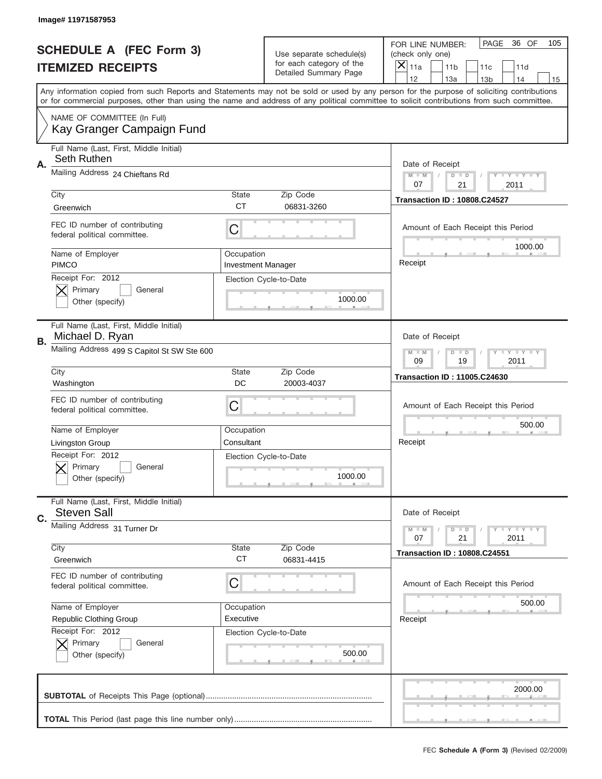|    | Image# 11971587953                                            |                                         |                                                   |                                                                                                                                                                                       |
|----|---------------------------------------------------------------|-----------------------------------------|---------------------------------------------------|---------------------------------------------------------------------------------------------------------------------------------------------------------------------------------------|
|    | <b>SCHEDULE A (FEC Form 3)</b>                                |                                         | Use separate schedule(s)                          | PAGE<br>36 OF<br>105<br>FOR LINE NUMBER:<br>(check only one)                                                                                                                          |
|    | <b>ITEMIZED RECEIPTS</b>                                      |                                         | for each category of the<br>Detailed Summary Page | X<br>11a<br>11 <sub>b</sub><br>11c<br>11d                                                                                                                                             |
|    |                                                               |                                         |                                                   | 12<br>13a<br>14<br>13 <sub>b</sub><br>15<br>Any information copied from such Reports and Statements may not be sold or used by any person for the purpose of soliciting contributions |
|    |                                                               |                                         |                                                   | or for commercial purposes, other than using the name and address of any political committee to solicit contributions from such committee.                                            |
|    | NAME OF COMMITTEE (In Full)<br>Kay Granger Campaign Fund      |                                         |                                                   |                                                                                                                                                                                       |
| Α. | Full Name (Last, First, Middle Initial)<br>Seth Ruthen        |                                         |                                                   | Date of Receipt                                                                                                                                                                       |
|    | Mailing Address 24 Chieftans Rd                               |                                         |                                                   | $M - M$<br><b>LYLYLY</b><br>$D$ $D$<br>21<br>07<br>2011                                                                                                                               |
|    | City<br>Greenwich                                             | <b>State</b><br><b>CT</b>               | Zip Code<br>06831-3260                            | <b>Transaction ID: 10808.C24527</b>                                                                                                                                                   |
|    | FEC ID number of contributing<br>federal political committee. | C                                       |                                                   | Amount of Each Receipt this Period<br>1000.00                                                                                                                                         |
|    | Name of Employer<br><b>PIMCO</b>                              | Occupation<br><b>Investment Manager</b> |                                                   | Receipt                                                                                                                                                                               |
|    | Receipt For: 2012<br>Primary<br>General<br>Other (specify)    |                                         | Election Cycle-to-Date<br>1000.00                 |                                                                                                                                                                                       |
| В. | Full Name (Last, First, Middle Initial)<br>Michael D. Ryan    |                                         |                                                   | Date of Receipt                                                                                                                                                                       |
|    | Mailing Address 499 S Capitol St SW Ste 600                   |                                         |                                                   | <b>LY LY LY</b><br>$M - M$<br>$D$ $D$<br>09<br>19<br>2011                                                                                                                             |
|    | City<br>Washington                                            | <b>State</b><br>DC                      | Zip Code<br>20003-4037                            | <b>Transaction ID: 11005.C24630</b>                                                                                                                                                   |
|    | FEC ID number of contributing<br>federal political committee. | C                                       |                                                   | Amount of Each Receipt this Period                                                                                                                                                    |
|    | Name of Employer                                              | Occupation                              |                                                   | 500.00                                                                                                                                                                                |
|    | Livingston Group                                              | Consultant                              |                                                   | Receipt                                                                                                                                                                               |
|    | Receipt For: 2012<br>General<br>Primary<br>Other (specify)    |                                         | Election Cycle-to-Date<br>1000.00                 |                                                                                                                                                                                       |
| C. | Full Name (Last, First, Middle Initial)<br><b>Steven Sall</b> |                                         |                                                   | Date of Receipt                                                                                                                                                                       |
|    | Mailing Address 31 Turner Dr                                  |                                         |                                                   | $T + Y = Y + Y$<br>$M - M$<br>$D$ $D$<br>21<br>2011<br>07                                                                                                                             |
|    | City<br>Greenwich                                             | State<br><b>CT</b>                      | Zip Code<br>06831-4415                            | <b>Transaction ID: 10808.C24551</b>                                                                                                                                                   |
|    | FEC ID number of contributing<br>federal political committee. | C                                       |                                                   | Amount of Each Receipt this Period                                                                                                                                                    |
|    | Name of Employer                                              | Occupation                              |                                                   | 500.00                                                                                                                                                                                |
|    | Republic Clothing Group                                       | Executive                               |                                                   | Receipt                                                                                                                                                                               |
|    | Receipt For: 2012<br>Primary<br>General<br>Other (specify)    |                                         | Election Cycle-to-Date<br>500.00                  |                                                                                                                                                                                       |
|    |                                                               |                                         |                                                   | 2000.00                                                                                                                                                                               |
|    |                                                               |                                         |                                                   |                                                                                                                                                                                       |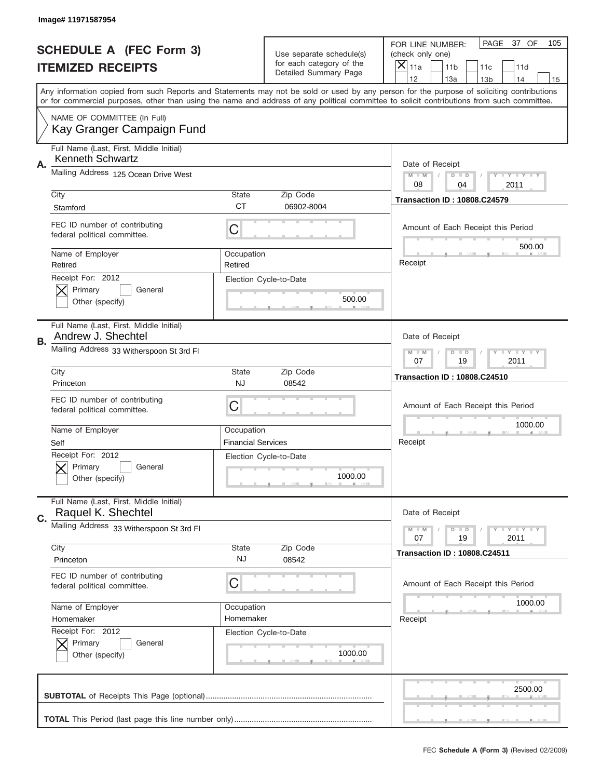|    | Image# 11971587954                                                 |                                         |                                                                   |                                                                                                                                                                                                                                                                                                                                     |
|----|--------------------------------------------------------------------|-----------------------------------------|-------------------------------------------------------------------|-------------------------------------------------------------------------------------------------------------------------------------------------------------------------------------------------------------------------------------------------------------------------------------------------------------------------------------|
|    | <b>SCHEDULE A (FEC Form 3)</b>                                     |                                         | Use separate schedule(s)                                          | PAGE<br>37 OF<br>105<br>FOR LINE NUMBER:<br>(check only one)                                                                                                                                                                                                                                                                        |
|    | <b>ITEMIZED RECEIPTS</b>                                           |                                         | for each category of the<br>Detailed Summary Page                 | ×<br>11a<br>11 <sub>b</sub><br>11c<br>11d                                                                                                                                                                                                                                                                                           |
|    |                                                                    |                                         |                                                                   | 12<br>13a<br>14<br>13 <sub>b</sub><br>15<br>Any information copied from such Reports and Statements may not be sold or used by any person for the purpose of soliciting contributions<br>or for commercial purposes, other than using the name and address of any political committee to solicit contributions from such committee. |
|    | NAME OF COMMITTEE (In Full)<br>Kay Granger Campaign Fund           |                                         |                                                                   |                                                                                                                                                                                                                                                                                                                                     |
| Α. | Full Name (Last, First, Middle Initial)<br><b>Kenneth Schwartz</b> |                                         |                                                                   | Date of Receipt                                                                                                                                                                                                                                                                                                                     |
|    | Mailing Address 125 Ocean Drive West                               |                                         |                                                                   | $M - M$<br>Y I Y I Y I Y<br>$D$ $D$<br>08<br>04<br>2011                                                                                                                                                                                                                                                                             |
|    | City<br>Stamford                                                   | State<br><b>CT</b>                      | Zip Code<br>06902-8004                                            | <b>Transaction ID: 10808.C24579</b>                                                                                                                                                                                                                                                                                                 |
|    | FEC ID number of contributing<br>federal political committee.      | C                                       |                                                                   | Amount of Each Receipt this Period                                                                                                                                                                                                                                                                                                  |
|    | Name of Employer<br>Retired                                        | Occupation<br>Retired                   |                                                                   | 500.00<br>Receipt                                                                                                                                                                                                                                                                                                                   |
|    | Receipt For: 2012<br>Primary<br>General<br>Other (specify)         |                                         | Election Cycle-to-Date<br>500.00                                  |                                                                                                                                                                                                                                                                                                                                     |
| В. | Full Name (Last, First, Middle Initial)<br>Andrew J. Shechtel      |                                         |                                                                   | Date of Receipt                                                                                                                                                                                                                                                                                                                     |
|    | Mailing Address 33 Witherspoon St 3rd Fl                           |                                         | $T$ $Y$ $T$ $Y$ $T$ $Y$<br>$M - M$<br>$D$ $D$<br>07<br>19<br>2011 |                                                                                                                                                                                                                                                                                                                                     |
|    | City<br>Princeton                                                  | State<br><b>NJ</b>                      | Zip Code<br>08542                                                 | <b>Transaction ID: 10808.C24510</b>                                                                                                                                                                                                                                                                                                 |
|    | FEC ID number of contributing<br>federal political committee.      | C                                       |                                                                   | Amount of Each Receipt this Period                                                                                                                                                                                                                                                                                                  |
|    | Name of Employer<br>Self                                           | Occupation<br><b>Financial Services</b> |                                                                   | 1000.00<br>Receipt                                                                                                                                                                                                                                                                                                                  |
|    | Receipt For: 2012<br>General<br>Primary<br>Other (specify)         |                                         | Election Cycle-to-Date<br>1000.00                                 |                                                                                                                                                                                                                                                                                                                                     |
| C. | Full Name (Last, First, Middle Initial)<br>Raquel K. Shechtel      |                                         |                                                                   | Date of Receipt                                                                                                                                                                                                                                                                                                                     |
|    | Mailing Address 33 Witherspoon St 3rd FI                           |                                         |                                                                   | <b>TEY TEY TEY</b><br>$M - M$<br>$D$ $D$<br>19<br>2011<br>07                                                                                                                                                                                                                                                                        |
|    | City<br>Princeton                                                  | State<br>NJ                             | Zip Code<br>08542                                                 | <b>Transaction ID: 10808.C24511</b>                                                                                                                                                                                                                                                                                                 |
|    | FEC ID number of contributing<br>federal political committee.      | C                                       |                                                                   | Amount of Each Receipt this Period                                                                                                                                                                                                                                                                                                  |
|    | Name of Employer                                                   | Occupation                              |                                                                   | 1000.00                                                                                                                                                                                                                                                                                                                             |
|    | Homemaker<br>Receipt For: 2012                                     | Homemaker                               |                                                                   | Receipt                                                                                                                                                                                                                                                                                                                             |
|    | Primary<br>General<br>Other (specify)                              |                                         | Election Cycle-to-Date<br>1000.00                                 |                                                                                                                                                                                                                                                                                                                                     |
|    |                                                                    |                                         |                                                                   | 2500.00                                                                                                                                                                                                                                                                                                                             |
|    |                                                                    |                                         |                                                                   |                                                                                                                                                                                                                                                                                                                                     |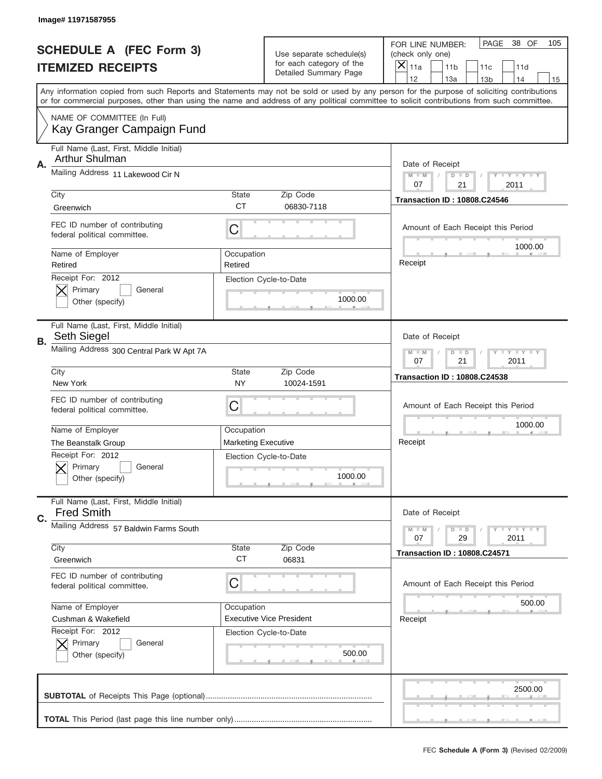|    | Image# 11971587955                                            |                                                         |                                                   |                                                                                                                                                                                       |
|----|---------------------------------------------------------------|---------------------------------------------------------|---------------------------------------------------|---------------------------------------------------------------------------------------------------------------------------------------------------------------------------------------|
|    | <b>SCHEDULE A (FEC Form 3)</b>                                |                                                         | Use separate schedule(s)                          | PAGE<br>38 OF<br>105<br>FOR LINE NUMBER:<br>(check only one)                                                                                                                          |
|    | <b>ITEMIZED RECEIPTS</b>                                      |                                                         | for each category of the<br>Detailed Summary Page | $\overline{X} _{11a}$<br>11 <sub>b</sub><br>11c<br>11d                                                                                                                                |
|    |                                                               |                                                         |                                                   | 12<br>13a<br>14<br>13 <sub>b</sub><br>15<br>Any information copied from such Reports and Statements may not be sold or used by any person for the purpose of soliciting contributions |
|    |                                                               |                                                         |                                                   | or for commercial purposes, other than using the name and address of any political committee to solicit contributions from such committee.                                            |
|    | NAME OF COMMITTEE (In Full)<br>Kay Granger Campaign Fund      |                                                         |                                                   |                                                                                                                                                                                       |
|    | Full Name (Last, First, Middle Initial)<br>Arthur Shulman     |                                                         |                                                   |                                                                                                                                                                                       |
| Α. | Mailing Address 11 Lakewood Cir N                             |                                                         |                                                   | Date of Receipt<br><b>LEY LEY LEY</b><br>$M - M$<br>$D$ $D$<br>07<br>21<br>2011                                                                                                       |
|    | City                                                          | <b>State</b>                                            | Zip Code                                          | <b>Transaction ID: 10808.C24546</b>                                                                                                                                                   |
|    | Greenwich                                                     | <b>CT</b>                                               | 06830-7118                                        |                                                                                                                                                                                       |
|    | FEC ID number of contributing<br>federal political committee. | C                                                       |                                                   | Amount of Each Receipt this Period<br>1000.00                                                                                                                                         |
|    | Name of Employer<br>Retired                                   | Occupation<br>Retired                                   |                                                   | Receipt                                                                                                                                                                               |
|    | Receipt For: 2012<br>Primary<br>General<br>Other (specify)    |                                                         | Election Cycle-to-Date<br>1000.00                 |                                                                                                                                                                                       |
| В. | Full Name (Last, First, Middle Initial)<br>Seth Siegel        | Date of Receipt                                         |                                                   |                                                                                                                                                                                       |
|    | Mailing Address 300 Central Park W Apt 7A                     | $D$ $D$<br><b>LYLYLY</b><br>$M - M$<br>07<br>21<br>2011 |                                                   |                                                                                                                                                                                       |
|    | City<br>New York                                              | <b>State</b>                                            | Zip Code                                          | <b>Transaction ID: 10808.C24538</b>                                                                                                                                                   |
|    |                                                               | NY                                                      | 10024-1591                                        |                                                                                                                                                                                       |
|    | FEC ID number of contributing<br>federal political committee. | C                                                       |                                                   | Amount of Each Receipt this Period                                                                                                                                                    |
|    | Name of Employer                                              | Occupation                                              |                                                   | 1000.00                                                                                                                                                                               |
|    | The Beanstalk Group                                           | <b>Marketing Executive</b>                              |                                                   | Receipt                                                                                                                                                                               |
|    | Receipt For: 2012<br>General<br>Primary<br>Other (specify)    |                                                         | Election Cycle-to-Date<br>1000.00                 |                                                                                                                                                                                       |
| C. | Full Name (Last, First, Middle Initial)<br><b>Fred Smith</b>  |                                                         |                                                   | Date of Receipt                                                                                                                                                                       |
|    | Mailing Address 57 Baldwin Farms South<br>City                | <b>State</b>                                            | Zip Code                                          | <b>LY LY LY</b><br>$M - M$<br>$D$ $D$<br>29<br>2011<br>07                                                                                                                             |
|    | Greenwich                                                     | <b>CT</b>                                               | 06831                                             | <b>Transaction ID: 10808.C24571</b>                                                                                                                                                   |
|    | FEC ID number of contributing<br>federal political committee. | С                                                       |                                                   | Amount of Each Receipt this Period                                                                                                                                                    |
|    | Name of Employer                                              | Occupation                                              |                                                   | 500.00                                                                                                                                                                                |
|    | Cushman & Wakefield                                           |                                                         | <b>Executive Vice President</b>                   | Receipt                                                                                                                                                                               |
|    | Receipt For: 2012<br>Primary<br>General<br>Other (specify)    |                                                         | Election Cycle-to-Date<br>500.00                  |                                                                                                                                                                                       |
|    |                                                               |                                                         |                                                   | 2500.00                                                                                                                                                                               |
|    |                                                               |                                                         |                                                   |                                                                                                                                                                                       |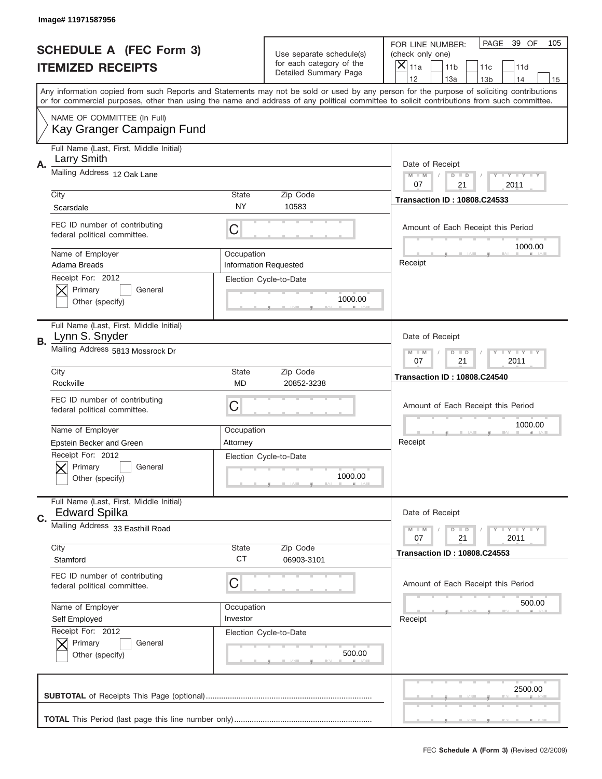|    | Image# 11971587956                                              |                                                           |                                                   |                                                                                                                                                                                       |
|----|-----------------------------------------------------------------|-----------------------------------------------------------|---------------------------------------------------|---------------------------------------------------------------------------------------------------------------------------------------------------------------------------------------|
|    | <b>SCHEDULE A (FEC Form 3)</b>                                  |                                                           | Use separate schedule(s)                          | PAGE<br>39 OF<br>105<br>FOR LINE NUMBER:<br>(check only one)                                                                                                                          |
|    | <b>ITEMIZED RECEIPTS</b>                                        |                                                           | for each category of the<br>Detailed Summary Page | ×<br>11a<br>11 <sub>b</sub><br>11c<br>11d                                                                                                                                             |
|    |                                                                 |                                                           |                                                   | 12<br>13a<br>14<br>13 <sub>b</sub><br>15<br>Any information copied from such Reports and Statements may not be sold or used by any person for the purpose of soliciting contributions |
|    |                                                                 |                                                           |                                                   | or for commercial purposes, other than using the name and address of any political committee to solicit contributions from such committee.                                            |
|    | NAME OF COMMITTEE (In Full)<br>Kay Granger Campaign Fund        |                                                           |                                                   |                                                                                                                                                                                       |
| Α. | Full Name (Last, First, Middle Initial)<br>Larry Smith          |                                                           |                                                   | Date of Receipt                                                                                                                                                                       |
|    | Mailing Address 12 Oak Lane                                     |                                                           |                                                   | $M - M$<br>$T$ $Y$ $Y$ $Y$ $Y$ $Y$<br>$D$ $D$<br>21<br>07<br>2011                                                                                                                     |
|    | City                                                            | <b>State</b>                                              | Zip Code                                          | <b>Transaction ID: 10808.C24533</b>                                                                                                                                                   |
|    | Scarsdale                                                       | <b>NY</b>                                                 | 10583                                             |                                                                                                                                                                                       |
|    | FEC ID number of contributing<br>federal political committee.   | C                                                         |                                                   | Amount of Each Receipt this Period<br>1000.00                                                                                                                                         |
|    | Name of Employer<br>Adama Breads                                | Occupation                                                | <b>Information Requested</b>                      | Receipt                                                                                                                                                                               |
|    | Receipt For: 2012                                               |                                                           | Election Cycle-to-Date                            |                                                                                                                                                                                       |
|    | Primary<br>General                                              |                                                           |                                                   |                                                                                                                                                                                       |
|    | Other (specify)                                                 |                                                           | 1000.00                                           |                                                                                                                                                                                       |
| В. | Full Name (Last, First, Middle Initial)<br>Lynn S. Snyder       |                                                           |                                                   | Date of Receipt                                                                                                                                                                       |
|    | Mailing Address 5813 Mossrock Dr                                | <b>LY LY LY</b><br>$M - M$<br>$D$ $D$<br>07<br>21<br>2011 |                                                   |                                                                                                                                                                                       |
|    | City                                                            | <b>State</b>                                              | Zip Code                                          | <b>Transaction ID: 10808.C24540</b>                                                                                                                                                   |
|    | Rockville                                                       | MD                                                        | 20852-3238                                        |                                                                                                                                                                                       |
|    |                                                                 |                                                           |                                                   |                                                                                                                                                                                       |
|    | FEC ID number of contributing<br>federal political committee.   | C                                                         |                                                   | Amount of Each Receipt this Period                                                                                                                                                    |
|    |                                                                 |                                                           |                                                   | 1000.00                                                                                                                                                                               |
|    | Name of Employer                                                | Occupation<br>Attorney                                    |                                                   | Receipt                                                                                                                                                                               |
|    | Epstein Becker and Green                                        |                                                           | Election Cycle-to-Date                            |                                                                                                                                                                                       |
|    | Receipt For: 2012<br>General<br>Primary                         |                                                           |                                                   |                                                                                                                                                                                       |
|    | Other (specify)                                                 |                                                           | 1000.00                                           |                                                                                                                                                                                       |
|    | Full Name (Last, First, Middle Initial)<br><b>Edward Spilka</b> |                                                           |                                                   | Date of Receipt                                                                                                                                                                       |
| C. | Mailing Address 33 Easthill Road                                |                                                           |                                                   | <b>TEY TEY TEY</b><br>$M - M$<br>$D$ $D$<br>21<br>2011<br>07                                                                                                                          |
|    | City                                                            | State                                                     | Zip Code                                          | <b>Transaction ID: 10808.C24553</b>                                                                                                                                                   |
|    | Stamford                                                        | <b>CT</b>                                                 | 06903-3101                                        |                                                                                                                                                                                       |
|    | FEC ID number of contributing<br>federal political committee.   | C                                                         |                                                   | Amount of Each Receipt this Period                                                                                                                                                    |
|    | Name of Employer                                                | Occupation                                                |                                                   | 500.00                                                                                                                                                                                |
|    | Self Employed                                                   | Investor                                                  |                                                   | Receipt                                                                                                                                                                               |
|    | Receipt For: 2012                                               |                                                           | Election Cycle-to-Date                            |                                                                                                                                                                                       |
|    | Primary<br>General                                              |                                                           |                                                   |                                                                                                                                                                                       |
|    | Other (specify)                                                 |                                                           | 500.00                                            |                                                                                                                                                                                       |
|    |                                                                 |                                                           |                                                   | 2500.00                                                                                                                                                                               |
|    |                                                                 |                                                           |                                                   |                                                                                                                                                                                       |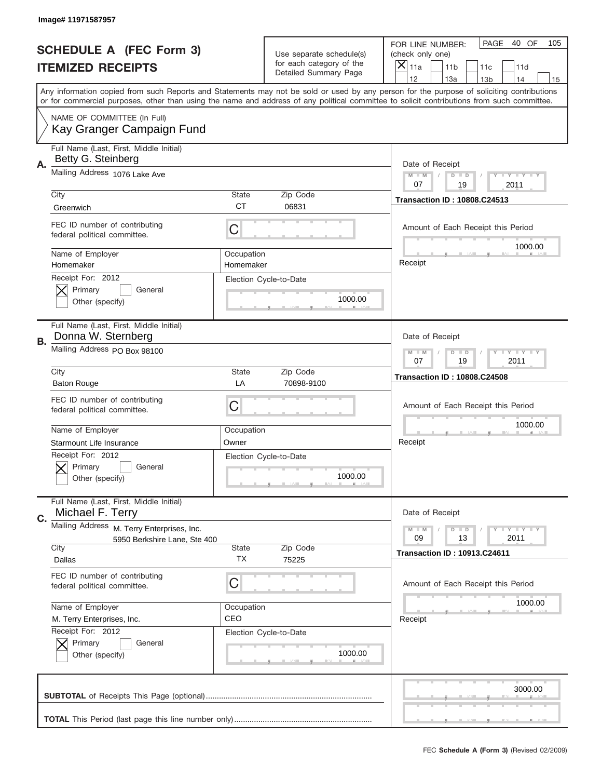|    | Image# 11971587957                                                            |                         |                                                   |                                                                                                                                                                                       |
|----|-------------------------------------------------------------------------------|-------------------------|---------------------------------------------------|---------------------------------------------------------------------------------------------------------------------------------------------------------------------------------------|
|    | <b>SCHEDULE A (FEC Form 3)</b>                                                |                         | Use separate schedule(s)                          | PAGE<br>40 OF<br>105<br>FOR LINE NUMBER:<br>(check only one)                                                                                                                          |
|    | <b>ITEMIZED RECEIPTS</b>                                                      |                         | for each category of the<br>Detailed Summary Page | ×<br>11a<br>11 <sub>b</sub><br>11c<br>11d                                                                                                                                             |
|    |                                                                               |                         |                                                   | 12<br>13a<br>14<br>13 <sub>b</sub><br>15<br>Any information copied from such Reports and Statements may not be sold or used by any person for the purpose of soliciting contributions |
|    |                                                                               |                         |                                                   | or for commercial purposes, other than using the name and address of any political committee to solicit contributions from such committee.                                            |
|    | NAME OF COMMITTEE (In Full)<br>Kay Granger Campaign Fund                      |                         |                                                   |                                                                                                                                                                                       |
| Α. | Full Name (Last, First, Middle Initial)<br>Betty G. Steinberg                 |                         |                                                   | Date of Receipt                                                                                                                                                                       |
|    | Mailing Address 1076 Lake Ave                                                 |                         |                                                   | $M - M$<br>Y I Y I Y I Y<br>$D$ $D$<br>07<br>19<br>2011                                                                                                                               |
|    | City                                                                          | <b>State</b>            | Zip Code                                          | <b>Transaction ID: 10808.C24513</b>                                                                                                                                                   |
|    | Greenwich                                                                     | <b>CT</b>               | 06831                                             |                                                                                                                                                                                       |
|    | FEC ID number of contributing<br>federal political committee.                 | C                       |                                                   | Amount of Each Receipt this Period<br>1000.00                                                                                                                                         |
|    | Name of Employer<br>Homemaker                                                 | Occupation<br>Homemaker |                                                   | Receipt                                                                                                                                                                               |
|    | Receipt For: 2012<br>Primary<br>General<br>Other (specify)                    |                         | Election Cycle-to-Date<br>1000.00                 |                                                                                                                                                                                       |
| В. | Full Name (Last, First, Middle Initial)<br>Donna W. Sternberg                 |                         |                                                   | Date of Receipt                                                                                                                                                                       |
|    | Mailing Address PO Box 98100                                                  |                         |                                                   | <b>LY LY LY</b><br>$M - M$<br>$D$ $D$<br>07<br>19<br>2011                                                                                                                             |
|    | City                                                                          | <b>State</b>            | Zip Code                                          | <b>Transaction ID: 10808.C24508</b>                                                                                                                                                   |
|    | <b>Baton Rouge</b>                                                            | LA                      | 70898-9100                                        |                                                                                                                                                                                       |
|    | FEC ID number of contributing<br>federal political committee.                 | C                       |                                                   | Amount of Each Receipt this Period                                                                                                                                                    |
|    | Name of Employer                                                              | Occupation              |                                                   | 1000.00                                                                                                                                                                               |
|    |                                                                               |                         |                                                   | Receipt                                                                                                                                                                               |
|    | Starmount Life Insurance                                                      | Owner                   |                                                   |                                                                                                                                                                                       |
|    | Receipt For: 2012<br>General<br>Primary<br>Other (specify)                    |                         | Election Cycle-to-Date<br>1000.00                 |                                                                                                                                                                                       |
|    | Full Name (Last, First, Middle Initial)<br>Michael F. Terry                   |                         |                                                   | Date of Receipt                                                                                                                                                                       |
| C. | Mailing Address<br>M. Terry Enterprises, Inc.<br>5950 Berkshire Lane, Ste 400 |                         |                                                   | $T + Y = Y + Y$<br>$M - M$<br>$D$ $D$<br>09<br>13<br>2011                                                                                                                             |
|    | City<br>Dallas                                                                | State<br>ТX             | Zip Code<br>75225                                 | <b>Transaction ID: 10913.C24611</b>                                                                                                                                                   |
|    | FEC ID number of contributing<br>federal political committee.                 | C                       |                                                   | Amount of Each Receipt this Period                                                                                                                                                    |
|    | Name of Employer                                                              | Occupation              |                                                   | 1000.00                                                                                                                                                                               |
|    | M. Terry Enterprises, Inc.                                                    | CEO                     |                                                   | Receipt                                                                                                                                                                               |
|    | Receipt For: 2012<br>Primary<br>General<br>Other (specify)                    |                         | Election Cycle-to-Date<br>1000.00                 |                                                                                                                                                                                       |
|    |                                                                               |                         |                                                   | 3000.00                                                                                                                                                                               |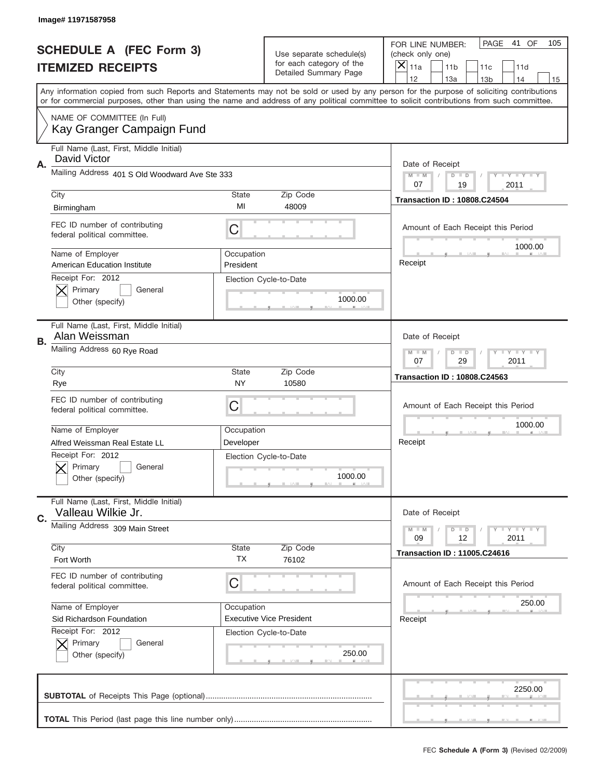|    | Image# 11971587958                                            |                         |                                                                   |                                                                                                                                                                                                                                                                                         |
|----|---------------------------------------------------------------|-------------------------|-------------------------------------------------------------------|-----------------------------------------------------------------------------------------------------------------------------------------------------------------------------------------------------------------------------------------------------------------------------------------|
|    | <b>SCHEDULE A (FEC Form 3)</b>                                |                         | Use separate schedule(s)                                          | PAGE<br>41 OF<br>105<br>FOR LINE NUMBER:<br>(check only one)                                                                                                                                                                                                                            |
|    | <b>ITEMIZED RECEIPTS</b>                                      |                         | for each category of the<br>Detailed Summary Page                 | ×<br>11a<br>11 <sub>b</sub><br>11c<br>11d                                                                                                                                                                                                                                               |
|    |                                                               |                         |                                                                   | 12<br>13a<br>14<br>13 <sub>b</sub><br>15                                                                                                                                                                                                                                                |
|    |                                                               |                         |                                                                   | Any information copied from such Reports and Statements may not be sold or used by any person for the purpose of soliciting contributions<br>or for commercial purposes, other than using the name and address of any political committee to solicit contributions from such committee. |
|    | NAME OF COMMITTEE (In Full)<br>Kay Granger Campaign Fund      |                         |                                                                   |                                                                                                                                                                                                                                                                                         |
| Α. | Full Name (Last, First, Middle Initial)<br>David Victor       |                         |                                                                   | Date of Receipt                                                                                                                                                                                                                                                                         |
|    | Mailing Address 401 S Old Woodward Ave Ste 333                |                         |                                                                   | $M$ $M$<br>Y I Y I Y I Y<br>$D$ $D$<br>07<br>19<br>2011                                                                                                                                                                                                                                 |
|    | City                                                          | State                   | Zip Code                                                          | <b>Transaction ID: 10808.C24504</b>                                                                                                                                                                                                                                                     |
|    | Birmingham                                                    | MI                      | 48009                                                             |                                                                                                                                                                                                                                                                                         |
|    | FEC ID number of contributing<br>federal political committee. | C                       |                                                                   | Amount of Each Receipt this Period<br>1000.00                                                                                                                                                                                                                                           |
|    | Name of Employer<br><b>American Education Institute</b>       | Occupation<br>President |                                                                   | Receipt                                                                                                                                                                                                                                                                                 |
|    | Receipt For: 2012<br>Primary<br>General<br>Other (specify)    |                         | Election Cycle-to-Date<br>1000.00                                 |                                                                                                                                                                                                                                                                                         |
| В. | Full Name (Last, First, Middle Initial)<br>Alan Weissman      |                         |                                                                   | Date of Receipt                                                                                                                                                                                                                                                                         |
|    | Mailing Address 60 Rye Road                                   |                         | $T$ $Y$ $T$ $Y$ $T$ $Y$<br>$M - M$<br>$D$ $D$<br>07<br>29<br>2011 |                                                                                                                                                                                                                                                                                         |
|    | City                                                          | State                   | Zip Code                                                          | <b>Transaction ID: 10808.C24563</b>                                                                                                                                                                                                                                                     |
|    | Rye                                                           | NY                      | 10580                                                             |                                                                                                                                                                                                                                                                                         |
|    | FEC ID number of contributing<br>federal political committee. | C                       |                                                                   | Amount of Each Receipt this Period                                                                                                                                                                                                                                                      |
|    | Name of Employer                                              | Occupation              |                                                                   | 1000.00                                                                                                                                                                                                                                                                                 |
|    |                                                               |                         |                                                                   | Receipt                                                                                                                                                                                                                                                                                 |
|    | Alfred Weissman Real Estate LL                                | Developer               |                                                                   |                                                                                                                                                                                                                                                                                         |
|    | Receipt For: 2012<br>Primary<br>General<br>Other (specify)    |                         | Election Cycle-to-Date<br>1000.00                                 |                                                                                                                                                                                                                                                                                         |
|    | Full Name (Last, First, Middle Initial)<br>Valleau Wilkie Jr. |                         |                                                                   | Date of Receipt                                                                                                                                                                                                                                                                         |
| C. | Mailing Address 309 Main Street                               |                         |                                                                   | $T$ $Y$ $Y$ $Y$ $Y$<br>$M - M$<br>$D$ $D$<br>09<br>2011<br>12                                                                                                                                                                                                                           |
|    | City                                                          | State                   | Zip Code                                                          | <b>Transaction ID: 11005.C24616</b>                                                                                                                                                                                                                                                     |
|    | Fort Worth                                                    | <b>TX</b>               | 76102                                                             |                                                                                                                                                                                                                                                                                         |
|    | FEC ID number of contributing<br>federal political committee. | C                       |                                                                   | Amount of Each Receipt this Period                                                                                                                                                                                                                                                      |
|    | Name of Employer                                              | Occupation              |                                                                   | 250.00                                                                                                                                                                                                                                                                                  |
|    | Sid Richardson Foundation                                     |                         | <b>Executive Vice President</b>                                   | Receipt                                                                                                                                                                                                                                                                                 |
|    | Receipt For: 2012<br>Primary<br>General<br>Other (specify)    |                         | Election Cycle-to-Date<br>250.00                                  |                                                                                                                                                                                                                                                                                         |
|    |                                                               |                         |                                                                   | 2250.00                                                                                                                                                                                                                                                                                 |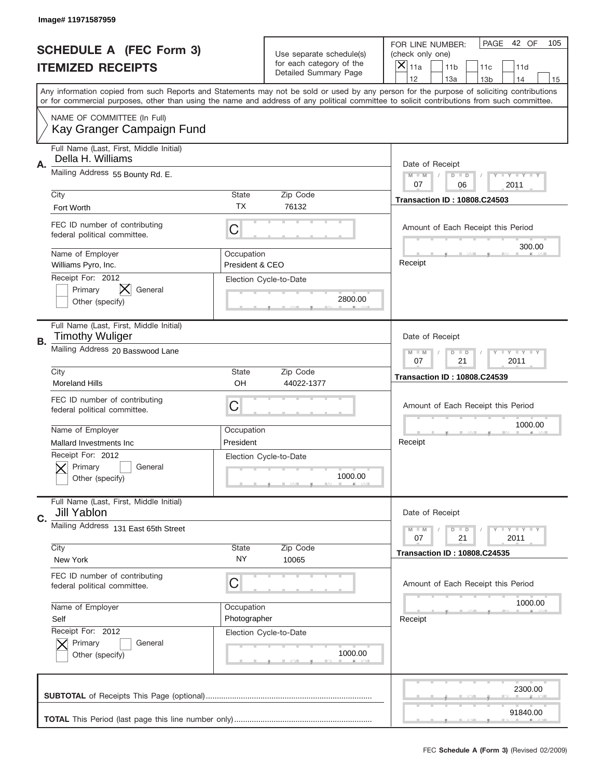|             | Image# 11971587959                                                |                                                               |                                                   |                                                                                                                                                                                                                                                                                                                                     |
|-------------|-------------------------------------------------------------------|---------------------------------------------------------------|---------------------------------------------------|-------------------------------------------------------------------------------------------------------------------------------------------------------------------------------------------------------------------------------------------------------------------------------------------------------------------------------------|
|             | <b>SCHEDULE A (FEC Form 3)</b>                                    |                                                               | Use separate schedule(s)                          | PAGE<br>42 OF<br>105<br>FOR LINE NUMBER:<br>(check only one)                                                                                                                                                                                                                                                                        |
|             | <b>ITEMIZED RECEIPTS</b>                                          |                                                               | for each category of the<br>Detailed Summary Page | ×<br>11a<br>11 <sub>b</sub><br>11c<br>11d                                                                                                                                                                                                                                                                                           |
|             |                                                                   |                                                               |                                                   | 12<br>13a<br>14<br>13 <sub>b</sub><br>15<br>Any information copied from such Reports and Statements may not be sold or used by any person for the purpose of soliciting contributions<br>or for commercial purposes, other than using the name and address of any political committee to solicit contributions from such committee. |
|             | NAME OF COMMITTEE (In Full)<br>Kay Granger Campaign Fund          |                                                               |                                                   |                                                                                                                                                                                                                                                                                                                                     |
| Α.          | Full Name (Last, First, Middle Initial)<br>Della H. Williams      |                                                               |                                                   | Date of Receipt                                                                                                                                                                                                                                                                                                                     |
|             | Mailing Address 55 Bounty Rd. E.                                  |                                                               |                                                   | $M - M$<br>Y I Y I Y I Y<br>$D$ $D$<br>07<br>06<br>2011                                                                                                                                                                                                                                                                             |
|             | City<br>Fort Worth                                                | State<br><b>TX</b>                                            | Zip Code<br>76132                                 | <b>Transaction ID: 10808.C24503</b>                                                                                                                                                                                                                                                                                                 |
|             | FEC ID number of contributing<br>federal political committee.     | C                                                             |                                                   | Amount of Each Receipt this Period<br>300.00                                                                                                                                                                                                                                                                                        |
|             | Name of Employer<br>Williams Pyro, Inc.                           | Occupation<br>President & CEO                                 |                                                   | Receipt                                                                                                                                                                                                                                                                                                                             |
|             | Receipt For: 2012<br>Primary<br>General<br>Other (specify)        |                                                               | Election Cycle-to-Date<br>2800.00                 |                                                                                                                                                                                                                                                                                                                                     |
| В.          | Full Name (Last, First, Middle Initial)<br><b>Timothy Wuliger</b> |                                                               |                                                   | Date of Receipt                                                                                                                                                                                                                                                                                                                     |
|             | Mailing Address 20 Basswood Lane                                  | $T$ $Y$ $Y$ $Y$ $Y$<br>$M - M$<br>$D$ $D$<br>07<br>21<br>2011 |                                                   |                                                                                                                                                                                                                                                                                                                                     |
|             | City<br><b>Moreland Hills</b>                                     | State<br>OH                                                   | Zip Code<br>44022-1377                            | <b>Transaction ID: 10808.C24539</b>                                                                                                                                                                                                                                                                                                 |
|             | FEC ID number of contributing<br>federal political committee.     | C                                                             |                                                   | Amount of Each Receipt this Period                                                                                                                                                                                                                                                                                                  |
|             | Name of Employer<br>Mallard Investments Inc                       | Occupation<br>President                                       |                                                   | 1000.00<br>Receipt                                                                                                                                                                                                                                                                                                                  |
|             | Receipt For: 2012                                                 |                                                               | Election Cycle-to-Date                            |                                                                                                                                                                                                                                                                                                                                     |
|             | General<br>Primary<br>Other (specify)                             |                                                               | 1000.00                                           |                                                                                                                                                                                                                                                                                                                                     |
| $C_{\cdot}$ | Full Name (Last, First, Middle Initial)<br>Jill Yablon            |                                                               |                                                   | Date of Receipt                                                                                                                                                                                                                                                                                                                     |
|             | Mailing Address 131 East 65th Street                              |                                                               |                                                   | <b>LYLYLY</b><br>$M - M$<br>$D$ $D$<br>21<br>2011<br>07                                                                                                                                                                                                                                                                             |
|             | City<br>New York                                                  | State<br>NY                                                   | Zip Code<br>10065                                 | <b>Transaction ID: 10808.C24535</b>                                                                                                                                                                                                                                                                                                 |
|             | FEC ID number of contributing<br>federal political committee.     | C                                                             |                                                   | Amount of Each Receipt this Period                                                                                                                                                                                                                                                                                                  |
|             | Name of Employer<br>Self                                          | Occupation<br>Photographer                                    |                                                   | 1000.00<br>Receipt                                                                                                                                                                                                                                                                                                                  |
|             | Receipt For: 2012<br>Primary<br>General<br>Other (specify)        |                                                               | Election Cycle-to-Date<br>1000.00                 |                                                                                                                                                                                                                                                                                                                                     |
|             |                                                                   |                                                               |                                                   | 2300.00                                                                                                                                                                                                                                                                                                                             |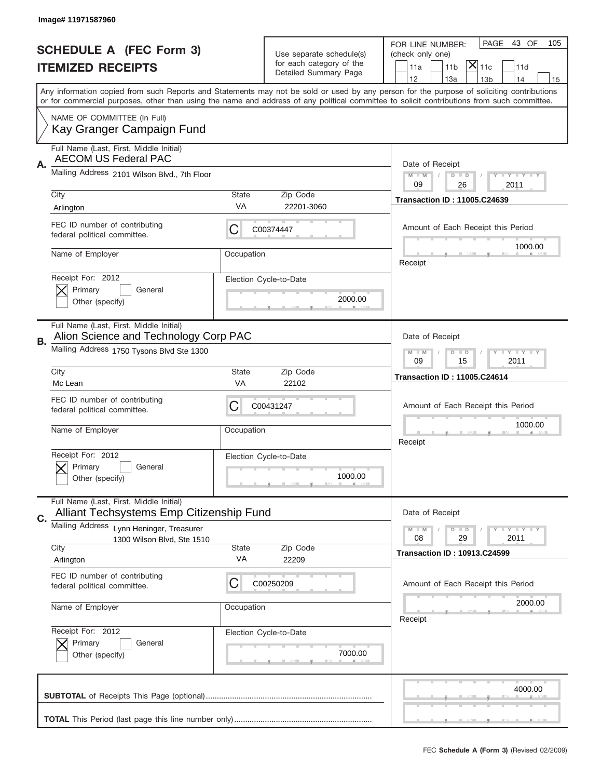|    | Image# 11971587960                                                                  |                                                            |                                                      |                                                                                                                                                                                                                                                                                         |
|----|-------------------------------------------------------------------------------------|------------------------------------------------------------|------------------------------------------------------|-----------------------------------------------------------------------------------------------------------------------------------------------------------------------------------------------------------------------------------------------------------------------------------------|
|    | <b>SCHEDULE A (FEC Form 3)</b>                                                      |                                                            |                                                      | PAGE<br>43 OF<br>105<br>FOR LINE NUMBER:                                                                                                                                                                                                                                                |
|    |                                                                                     |                                                            | Use separate schedule(s)<br>for each category of the | (check only one)<br>$ \mathsf{\overline{X}} _{\mathsf{11c}}$                                                                                                                                                                                                                            |
|    | <b>ITEMIZED RECEIPTS</b>                                                            |                                                            | Detailed Summary Page                                | 11 <sub>b</sub><br>11a<br>11d<br>12<br>13a<br>14<br>13 <sub>b</sub><br>15                                                                                                                                                                                                               |
|    |                                                                                     |                                                            |                                                      | Any information copied from such Reports and Statements may not be sold or used by any person for the purpose of soliciting contributions<br>or for commercial purposes, other than using the name and address of any political committee to solicit contributions from such committee. |
|    | NAME OF COMMITTEE (In Full)<br>Kay Granger Campaign Fund                            |                                                            |                                                      |                                                                                                                                                                                                                                                                                         |
| Α. | Full Name (Last, First, Middle Initial)<br><b>AECOM US Federal PAC</b>              |                                                            |                                                      | Date of Receipt                                                                                                                                                                                                                                                                         |
|    | Mailing Address 2101 Wilson Blvd., 7th Floor                                        |                                                            |                                                      | Y I Y I Y I Y<br>$M - M$<br>$D$ $D$<br>09<br>26<br>2011                                                                                                                                                                                                                                 |
|    | City<br>Arlington                                                                   | State<br>VA                                                | Zip Code<br>22201-3060                               | <b>Transaction ID: 11005.C24639</b>                                                                                                                                                                                                                                                     |
|    | FEC ID number of contributing<br>federal political committee.                       | C                                                          | C00374447                                            | Amount of Each Receipt this Period                                                                                                                                                                                                                                                      |
|    | Name of Employer                                                                    | Occupation                                                 |                                                      | 1000.00<br>Receipt                                                                                                                                                                                                                                                                      |
|    | Receipt For: 2012<br>Primary<br>General<br>Other (specify)                          |                                                            | Election Cycle-to-Date<br>2000.00                    |                                                                                                                                                                                                                                                                                         |
| В. | Full Name (Last, First, Middle Initial)<br>Alion Science and Technology Corp PAC    |                                                            |                                                      | Date of Receipt                                                                                                                                                                                                                                                                         |
|    | Mailing Address 1750 Tysons Blvd Ste 1300                                           | <b>THEY THEY</b><br>$M - M$<br>$D$ $D$<br>09<br>15<br>2011 |                                                      |                                                                                                                                                                                                                                                                                         |
|    | City<br>Mc Lean                                                                     | State<br>VA                                                | Zip Code<br>22102                                    | <b>Transaction ID: 11005.C24614</b>                                                                                                                                                                                                                                                     |
|    | FEC ID number of contributing<br>federal political committee.                       | C                                                          | C00431247                                            | Amount of Each Receipt this Period                                                                                                                                                                                                                                                      |
|    | Name of Employer                                                                    | Occupation                                                 |                                                      | 1000.00<br>Receipt                                                                                                                                                                                                                                                                      |
|    | Receipt For: 2012<br>Primary<br>General<br>Other (specify)                          |                                                            | Election Cycle-to-Date<br>1000.00                    |                                                                                                                                                                                                                                                                                         |
| C. | Full Name (Last, First, Middle Initial)<br>Alliant Techsystems Emp Citizenship Fund |                                                            |                                                      | Date of Receipt                                                                                                                                                                                                                                                                         |
|    | Mailing Address<br>Lynn Heninger, Treasurer<br>1300 Wilson Blvd, Ste 1510<br>City   | State                                                      | Zip Code                                             | <b>LYLYLY</b><br>$M - M$<br>$D$ $D$<br>08<br>29<br>2011<br><b>Transaction ID: 10913.C24599</b>                                                                                                                                                                                          |
|    | Arlington                                                                           | VA                                                         | 22209                                                |                                                                                                                                                                                                                                                                                         |
|    | FEC ID number of contributing<br>federal political committee.                       | C                                                          | C00250209                                            | Amount of Each Receipt this Period                                                                                                                                                                                                                                                      |
|    | Name of Employer                                                                    | Occupation                                                 |                                                      | 2000.00<br>Receipt                                                                                                                                                                                                                                                                      |
|    | Receipt For: 2012<br>Primary<br>General<br>Other (specify)                          |                                                            | Election Cycle-to-Date<br>7000.00                    |                                                                                                                                                                                                                                                                                         |
|    |                                                                                     |                                                            |                                                      | 4000.00                                                                                                                                                                                                                                                                                 |
|    |                                                                                     |                                                            |                                                      |                                                                                                                                                                                                                                                                                         |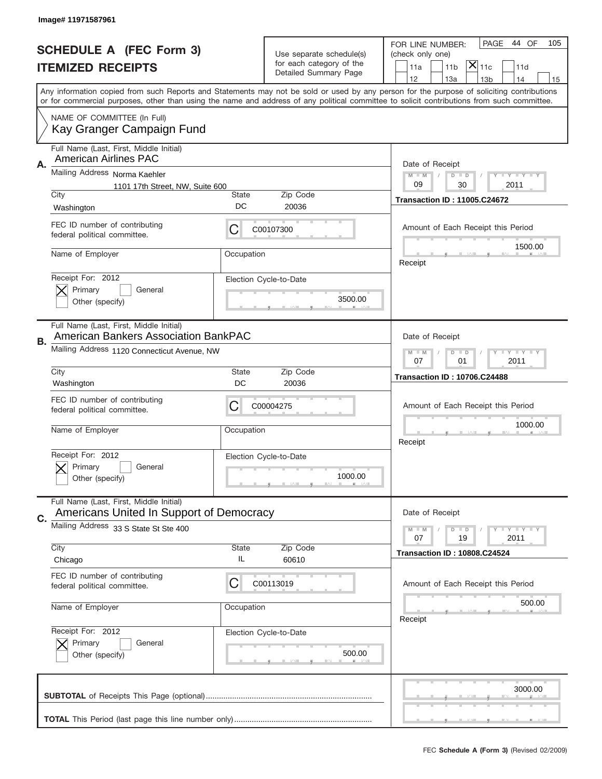|    | Image# 11971587961                                                                     |                                                         |                          |                                                                                                                                                                                                                                                                                         |
|----|----------------------------------------------------------------------------------------|---------------------------------------------------------|--------------------------|-----------------------------------------------------------------------------------------------------------------------------------------------------------------------------------------------------------------------------------------------------------------------------------------|
|    | <b>SCHEDULE A (FEC Form 3)</b>                                                         |                                                         | Use separate schedule(s) | PAGE<br>44 OF<br>105<br>FOR LINE NUMBER:<br>(check only one)                                                                                                                                                                                                                            |
|    | <b>ITEMIZED RECEIPTS</b>                                                               |                                                         | for each category of the | $ \mathsf{\overline{X}} _{\mathsf{11c}}$<br>11 <sub>b</sub><br>11a<br>11d                                                                                                                                                                                                               |
|    |                                                                                        |                                                         | Detailed Summary Page    | 12<br>13a<br>13 <sub>b</sub><br>14<br>15                                                                                                                                                                                                                                                |
|    |                                                                                        |                                                         |                          | Any information copied from such Reports and Statements may not be sold or used by any person for the purpose of soliciting contributions<br>or for commercial purposes, other than using the name and address of any political committee to solicit contributions from such committee. |
|    | NAME OF COMMITTEE (In Full)<br>Kay Granger Campaign Fund                               |                                                         |                          |                                                                                                                                                                                                                                                                                         |
| Α. | Full Name (Last, First, Middle Initial)<br>American Airlines PAC                       |                                                         |                          | Date of Receipt                                                                                                                                                                                                                                                                         |
|    | Mailing Address Norma Kaehler<br>1101 17th Street, NW, Suite 600                       |                                                         |                          | $M - M$<br><b>LY LY LY</b><br>$D$ $D$<br>09<br>30<br>2011                                                                                                                                                                                                                               |
|    | City                                                                                   | State                                                   | Zip Code                 | <b>Transaction ID: 11005.C24672</b>                                                                                                                                                                                                                                                     |
|    | Washington                                                                             | DC                                                      | 20036                    |                                                                                                                                                                                                                                                                                         |
|    | FEC ID number of contributing<br>federal political committee.                          | C                                                       | C00107300                | Amount of Each Receipt this Period                                                                                                                                                                                                                                                      |
|    | Name of Employer                                                                       | Occupation                                              |                          | 1500.00<br>Receipt                                                                                                                                                                                                                                                                      |
|    | Receipt For: 2012                                                                      |                                                         | Election Cycle-to-Date   |                                                                                                                                                                                                                                                                                         |
|    | Primary<br>General<br>Other (specify)                                                  |                                                         | 3500.00                  |                                                                                                                                                                                                                                                                                         |
|    | Full Name (Last, First, Middle Initial)<br><b>American Bankers Association BankPAC</b> |                                                         |                          | Date of Receipt                                                                                                                                                                                                                                                                         |
| В. | Mailing Address 1120 Connecticut Avenue, NW                                            | <b>LY LY LY</b><br>$M$ M<br>$D$ $D$<br>07<br>01<br>2011 |                          |                                                                                                                                                                                                                                                                                         |
|    | City                                                                                   | State                                                   | Zip Code                 | <b>Transaction ID: 10706.C24488</b>                                                                                                                                                                                                                                                     |
|    | Washington                                                                             | DC                                                      | 20036                    |                                                                                                                                                                                                                                                                                         |
|    | FEC ID number of contributing<br>federal political committee.                          | С                                                       | C00004275                | Amount of Each Receipt this Period                                                                                                                                                                                                                                                      |
|    | Name of Employer                                                                       | Occupation                                              |                          | 1000.00<br>Receipt                                                                                                                                                                                                                                                                      |
|    | Receipt For: 2012                                                                      |                                                         | Election Cycle-to-Date   |                                                                                                                                                                                                                                                                                         |
|    | General<br>Primary<br>Other (specify)                                                  |                                                         | 1000.00                  |                                                                                                                                                                                                                                                                                         |
| C. | Full Name (Last, First, Middle Initial)<br>Americans United In Support of Democracy    |                                                         |                          | Date of Receipt                                                                                                                                                                                                                                                                         |
|    | Mailing Address 33 S State St Ste 400                                                  |                                                         |                          | <b>LY LY LY</b><br>$M - M$<br>$D$ $D$<br>07<br>2011<br>19                                                                                                                                                                                                                               |
|    | City<br>Chicago                                                                        | State<br>IL                                             | Zip Code<br>60610        | <b>Transaction ID: 10808.C24524</b>                                                                                                                                                                                                                                                     |
|    | FEC ID number of contributing<br>federal political committee.                          | С                                                       | C00113019                | Amount of Each Receipt this Period                                                                                                                                                                                                                                                      |
|    | Name of Employer                                                                       | Occupation                                              |                          | 500.00<br>Receipt                                                                                                                                                                                                                                                                       |
|    | Receipt For: 2012                                                                      |                                                         | Election Cycle-to-Date   |                                                                                                                                                                                                                                                                                         |
|    | Primary<br>General<br>Other (specify)                                                  |                                                         | 500.00                   |                                                                                                                                                                                                                                                                                         |
|    |                                                                                        |                                                         |                          |                                                                                                                                                                                                                                                                                         |
|    |                                                                                        |                                                         |                          | 3000.00                                                                                                                                                                                                                                                                                 |
|    |                                                                                        |                                                         |                          |                                                                                                                                                                                                                                                                                         |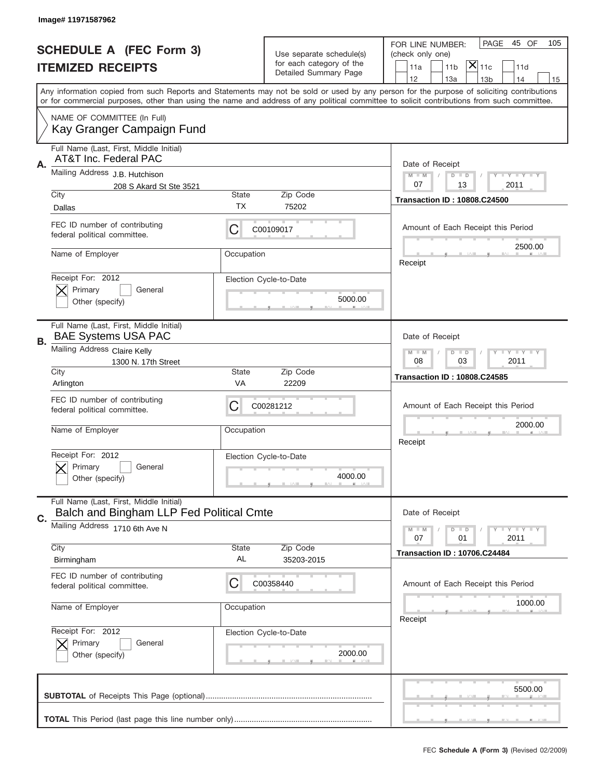|    | Image# 11971587962                                                                  |                                                            |                                                   |                                                                                                                                                                                                                                                                                         |
|----|-------------------------------------------------------------------------------------|------------------------------------------------------------|---------------------------------------------------|-----------------------------------------------------------------------------------------------------------------------------------------------------------------------------------------------------------------------------------------------------------------------------------------|
|    | <b>SCHEDULE A (FEC Form 3)</b>                                                      |                                                            | Use separate schedule(s)                          | PAGE<br>45 OF<br>105<br>FOR LINE NUMBER:<br>(check only one)                                                                                                                                                                                                                            |
|    | <b>ITEMIZED RECEIPTS</b>                                                            |                                                            | for each category of the<br>Detailed Summary Page | $\overline{X} _{11c}$<br>11 <sub>b</sub><br>11a<br>11d<br>12<br>13a<br>13 <sub>b</sub><br>14<br>15                                                                                                                                                                                      |
|    |                                                                                     |                                                            |                                                   | Any information copied from such Reports and Statements may not be sold or used by any person for the purpose of soliciting contributions<br>or for commercial purposes, other than using the name and address of any political committee to solicit contributions from such committee. |
|    | NAME OF COMMITTEE (In Full)<br>Kay Granger Campaign Fund                            |                                                            |                                                   |                                                                                                                                                                                                                                                                                         |
| A. | Full Name (Last, First, Middle Initial)<br>AT&T Inc. Federal PAC                    |                                                            |                                                   | Date of Receipt                                                                                                                                                                                                                                                                         |
|    | Mailing Address J.B. Hutchison<br>208 S Akard St Ste 3521                           |                                                            |                                                   | $M - M$<br><b>LEY LEY LEY</b><br>$D$ $D$<br>07<br>13<br>2011                                                                                                                                                                                                                            |
|    | City<br>Dallas                                                                      | <b>State</b><br>ТX                                         | Zip Code<br>75202                                 | <b>Transaction ID: 10808.C24500</b>                                                                                                                                                                                                                                                     |
|    | FEC ID number of contributing<br>federal political committee.                       | С                                                          | C00109017                                         | Amount of Each Receipt this Period                                                                                                                                                                                                                                                      |
|    | Name of Employer                                                                    | Occupation                                                 |                                                   | 2500.00<br>Receipt                                                                                                                                                                                                                                                                      |
|    | Receipt For: 2012<br>Primary<br>General<br>Other (specify)                          |                                                            | Election Cycle-to-Date<br>5000.00                 |                                                                                                                                                                                                                                                                                         |
| В. | Full Name (Last, First, Middle Initial)<br><b>BAE Systems USA PAC</b>               |                                                            |                                                   | Date of Receipt                                                                                                                                                                                                                                                                         |
|    | Mailing Address Claire Kelly<br>1300 N. 17th Street                                 | <b>LEY LEY LEY</b><br>$M$ M<br>$D$ $D$<br>08<br>03<br>2011 |                                                   |                                                                                                                                                                                                                                                                                         |
|    | City<br>Arlington                                                                   | <b>State</b><br>VA                                         | Zip Code<br>22209                                 | <b>Transaction ID: 10808.C24585</b>                                                                                                                                                                                                                                                     |
|    | FEC ID number of contributing<br>federal political committee.                       | C                                                          | C00281212                                         | Amount of Each Receipt this Period                                                                                                                                                                                                                                                      |
|    | Name of Employer                                                                    | Occupation                                                 |                                                   | 2000.00<br>Receipt                                                                                                                                                                                                                                                                      |
|    | Receipt For: 2012<br>General<br>Primary<br>Other (specify)                          |                                                            | Election Cycle-to-Date<br>4000.00                 |                                                                                                                                                                                                                                                                                         |
| C. | Full Name (Last, First, Middle Initial)<br>Balch and Bingham LLP Fed Political Cmte |                                                            |                                                   | Date of Receipt                                                                                                                                                                                                                                                                         |
|    | Mailing Address 1710 6th Ave N                                                      |                                                            |                                                   | <b>LY LY LY</b><br>$M - M$<br>$D$ $D$<br>07<br>2011<br>01                                                                                                                                                                                                                               |
|    | City<br>Birmingham                                                                  | <b>State</b><br>AL                                         | Zip Code<br>35203-2015                            | <b>Transaction ID: 10706.C24484</b>                                                                                                                                                                                                                                                     |
|    | FEC ID number of contributing<br>federal political committee.                       | С                                                          | C00358440                                         | Amount of Each Receipt this Period                                                                                                                                                                                                                                                      |
|    | Name of Employer                                                                    | Occupation                                                 |                                                   | 1000.00<br>Receipt                                                                                                                                                                                                                                                                      |
|    | Receipt For: 2012<br>Primary<br>General<br>Other (specify)                          |                                                            | Election Cycle-to-Date<br>2000.00                 |                                                                                                                                                                                                                                                                                         |
|    |                                                                                     |                                                            |                                                   | 5500.00                                                                                                                                                                                                                                                                                 |
|    |                                                                                     |                                                            |                                                   |                                                                                                                                                                                                                                                                                         |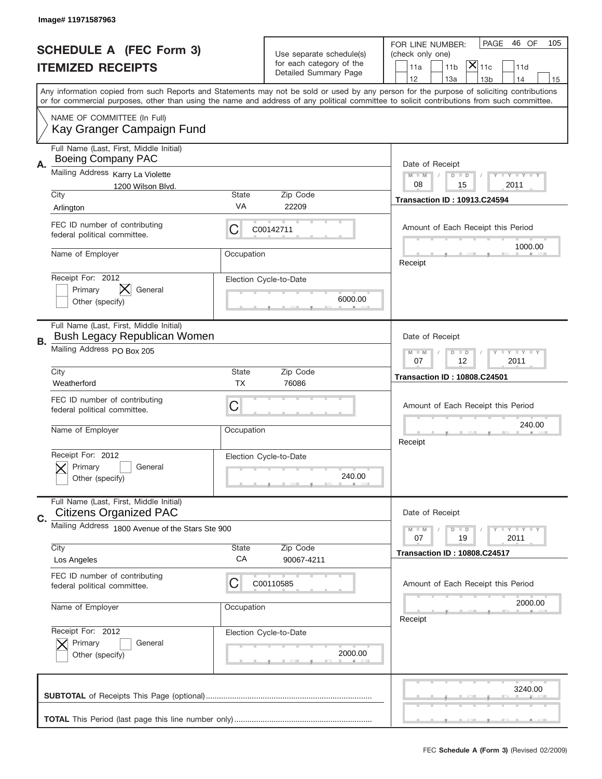|    | Image# 11971587963                                                       |                                                         |                                                   |                                                                                                                                                                                                                                                                                                                                     |
|----|--------------------------------------------------------------------------|---------------------------------------------------------|---------------------------------------------------|-------------------------------------------------------------------------------------------------------------------------------------------------------------------------------------------------------------------------------------------------------------------------------------------------------------------------------------|
|    | <b>SCHEDULE A (FEC Form 3)</b>                                           |                                                         | Use separate schedule(s)                          | PAGE<br>46 OF<br>105<br>FOR LINE NUMBER:<br>(check only one)                                                                                                                                                                                                                                                                        |
|    | <b>ITEMIZED RECEIPTS</b>                                                 |                                                         | for each category of the<br>Detailed Summary Page | $ \overline{\mathsf{X}} _{\mathsf{11c}}$<br>11a<br>11 <sub>b</sub><br>11d                                                                                                                                                                                                                                                           |
|    |                                                                          |                                                         |                                                   | 12<br>13a<br>14<br>13 <sub>b</sub><br>15<br>Any information copied from such Reports and Statements may not be sold or used by any person for the purpose of soliciting contributions<br>or for commercial purposes, other than using the name and address of any political committee to solicit contributions from such committee. |
|    | NAME OF COMMITTEE (In Full)<br>Kay Granger Campaign Fund                 |                                                         |                                                   |                                                                                                                                                                                                                                                                                                                                     |
| Α. | Full Name (Last, First, Middle Initial)<br><b>Boeing Company PAC</b>     |                                                         |                                                   | Date of Receipt                                                                                                                                                                                                                                                                                                                     |
|    | Mailing Address Karry La Violette<br>1200 Wilson Blvd.<br>City           | State                                                   | Zip Code                                          | $M - M$<br><b>LY LY LY</b><br>$D$ $D$<br>08<br>15<br>2011                                                                                                                                                                                                                                                                           |
|    | Arlington                                                                | VA                                                      | 22209                                             | <b>Transaction ID: 10913.C24594</b>                                                                                                                                                                                                                                                                                                 |
|    | FEC ID number of contributing<br>federal political committee.            | C                                                       | C00142711                                         | Amount of Each Receipt this Period<br>1000.00                                                                                                                                                                                                                                                                                       |
|    | Name of Employer                                                         | Occupation                                              |                                                   | Receipt                                                                                                                                                                                                                                                                                                                             |
|    | Receipt For: 2012<br>X<br>Primary<br>General<br>Other (specify)          |                                                         | Election Cycle-to-Date<br>6000.00                 |                                                                                                                                                                                                                                                                                                                                     |
| В. | Full Name (Last, First, Middle Initial)<br>Bush Legacy Republican Women  |                                                         |                                                   | Date of Receipt                                                                                                                                                                                                                                                                                                                     |
|    | Mailing Address PO Box 205                                               | <b>LYLYLY</b><br>$M - M$<br>$D$ $D$<br>07<br>12<br>2011 |                                                   |                                                                                                                                                                                                                                                                                                                                     |
|    | City<br>Weatherford                                                      | State<br><b>TX</b>                                      | Zip Code<br>76086                                 | <b>Transaction ID: 10808.C24501</b>                                                                                                                                                                                                                                                                                                 |
|    | FEC ID number of contributing                                            | C                                                       |                                                   | Amount of Each Receipt this Period                                                                                                                                                                                                                                                                                                  |
|    | federal political committee.                                             |                                                         |                                                   |                                                                                                                                                                                                                                                                                                                                     |
|    | Name of Employer                                                         | Occupation                                              |                                                   | 240.00<br>Receipt                                                                                                                                                                                                                                                                                                                   |
|    | Receipt For: 2012<br>General<br>Primary<br>Other (specify)               |                                                         | Election Cycle-to-Date<br>240.00                  |                                                                                                                                                                                                                                                                                                                                     |
| C. | Full Name (Last, First, Middle Initial)<br><b>Citizens Organized PAC</b> |                                                         |                                                   | Date of Receipt                                                                                                                                                                                                                                                                                                                     |
|    | Mailing Address 1800 Avenue of the Stars Ste 900                         |                                                         |                                                   | <b>LYLYLY</b><br>$M - M$<br>$D$ $D$<br>07<br>2011<br>19                                                                                                                                                                                                                                                                             |
|    | City<br>Los Angeles                                                      | State<br>CA                                             | Zip Code<br>90067-4211                            | <b>Transaction ID: 10808.C24517</b>                                                                                                                                                                                                                                                                                                 |
|    | FEC ID number of contributing<br>federal political committee.            | C                                                       | C00110585                                         | Amount of Each Receipt this Period                                                                                                                                                                                                                                                                                                  |
|    | Name of Employer                                                         | Occupation                                              |                                                   | 2000.00<br>Receipt                                                                                                                                                                                                                                                                                                                  |
|    | Receipt For: 2012<br>Primary<br>General<br>Other (specify)               |                                                         | Election Cycle-to-Date<br>2000.00                 |                                                                                                                                                                                                                                                                                                                                     |
|    |                                                                          |                                                         |                                                   | 3240.00                                                                                                                                                                                                                                                                                                                             |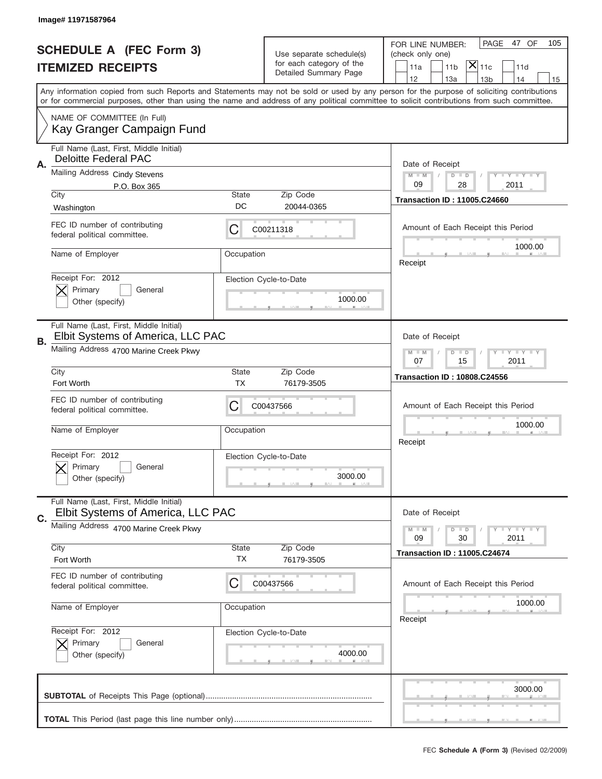|           | Image# 11971587964                                                           |                                                         |                                                   |                                                                                                                                                                                                                                                                                                                                     |
|-----------|------------------------------------------------------------------------------|---------------------------------------------------------|---------------------------------------------------|-------------------------------------------------------------------------------------------------------------------------------------------------------------------------------------------------------------------------------------------------------------------------------------------------------------------------------------|
|           | <b>SCHEDULE A (FEC Form 3)</b>                                               |                                                         | Use separate schedule(s)                          | PAGE<br>47 OF<br>105<br>FOR LINE NUMBER:<br>(check only one)                                                                                                                                                                                                                                                                        |
|           | <b>ITEMIZED RECEIPTS</b>                                                     |                                                         | for each category of the<br>Detailed Summary Page | $ \mathsf{X} _{\mathsf{11c}}$<br>11 <sub>b</sub><br>11a<br>11d                                                                                                                                                                                                                                                                      |
|           |                                                                              |                                                         |                                                   | 12<br>13a<br>13 <sub>b</sub><br>14<br>15<br>Any information copied from such Reports and Statements may not be sold or used by any person for the purpose of soliciting contributions<br>or for commercial purposes, other than using the name and address of any political committee to solicit contributions from such committee. |
|           | NAME OF COMMITTEE (In Full)<br>Kay Granger Campaign Fund                     |                                                         |                                                   |                                                                                                                                                                                                                                                                                                                                     |
| Α.        | Full Name (Last, First, Middle Initial)<br><b>Deloitte Federal PAC</b>       |                                                         |                                                   | Date of Receipt                                                                                                                                                                                                                                                                                                                     |
|           | Mailing Address Cindy Stevens<br>P.O. Box 365                                |                                                         |                                                   | <b>LEY LEY LEY</b><br>$M - M$<br>$D$ $D$<br>09<br>28<br>2011                                                                                                                                                                                                                                                                        |
|           | City<br>Washington                                                           | <b>State</b><br>DC                                      | Zip Code<br>20044-0365                            | <b>Transaction ID: 11005.C24660</b>                                                                                                                                                                                                                                                                                                 |
|           | FEC ID number of contributing<br>federal political committee.                | С                                                       | C00211318                                         | Amount of Each Receipt this Period                                                                                                                                                                                                                                                                                                  |
|           | Name of Employer                                                             | Occupation                                              |                                                   | 1000.00<br>Receipt                                                                                                                                                                                                                                                                                                                  |
|           | Receipt For: 2012<br>Primary<br>General<br>Other (specify)                   |                                                         | Election Cycle-to-Date<br>1000.00                 |                                                                                                                                                                                                                                                                                                                                     |
| <b>B.</b> | Full Name (Last, First, Middle Initial)<br>Elbit Systems of America, LLC PAC | Date of Receipt                                         |                                                   |                                                                                                                                                                                                                                                                                                                                     |
|           | Mailing Address 4700 Marine Creek Pkwy                                       | $D$ $D$<br><b>LYLYLY</b><br>$M - M$<br>07<br>15<br>2011 |                                                   |                                                                                                                                                                                                                                                                                                                                     |
|           | City<br>Fort Worth                                                           | <b>State</b><br><b>TX</b>                               | Zip Code<br>76179-3505                            | <b>Transaction ID: 10808.C24556</b>                                                                                                                                                                                                                                                                                                 |
|           | FEC ID number of contributing<br>federal political committee.                | С                                                       | C00437566                                         | Amount of Each Receipt this Period                                                                                                                                                                                                                                                                                                  |
|           | Name of Employer                                                             | Occupation                                              |                                                   | 1000.00<br>Receipt                                                                                                                                                                                                                                                                                                                  |
|           | Receipt For: 2012<br>Primary<br>General<br>Other (specify)                   |                                                         | Election Cycle-to-Date<br>3000.00                 |                                                                                                                                                                                                                                                                                                                                     |
| C.        | Full Name (Last, First, Middle Initial)<br>Elbit Systems of America, LLC PAC |                                                         |                                                   | Date of Receipt                                                                                                                                                                                                                                                                                                                     |
|           | Mailing Address 4700 Marine Creek Pkwy                                       |                                                         |                                                   | <b>LEY LEY LEY</b><br>$M - M$<br>$D$ $D$<br>2011<br>09<br>30                                                                                                                                                                                                                                                                        |
|           | City<br>Fort Worth                                                           | <b>State</b><br>ТX                                      | Zip Code<br>76179-3505                            | <b>Transaction ID: 11005.C24674</b>                                                                                                                                                                                                                                                                                                 |
|           | FEC ID number of contributing<br>federal political committee.                | C                                                       | C00437566                                         | Amount of Each Receipt this Period                                                                                                                                                                                                                                                                                                  |
|           | Name of Employer                                                             | Occupation                                              |                                                   | 1000.00<br>Receipt                                                                                                                                                                                                                                                                                                                  |
|           | Receipt For: 2012<br>Primary<br>General<br>Other (specify)                   |                                                         | Election Cycle-to-Date<br>4000.00                 |                                                                                                                                                                                                                                                                                                                                     |
|           |                                                                              |                                                         |                                                   |                                                                                                                                                                                                                                                                                                                                     |
|           |                                                                              |                                                         |                                                   | 3000.00                                                                                                                                                                                                                                                                                                                             |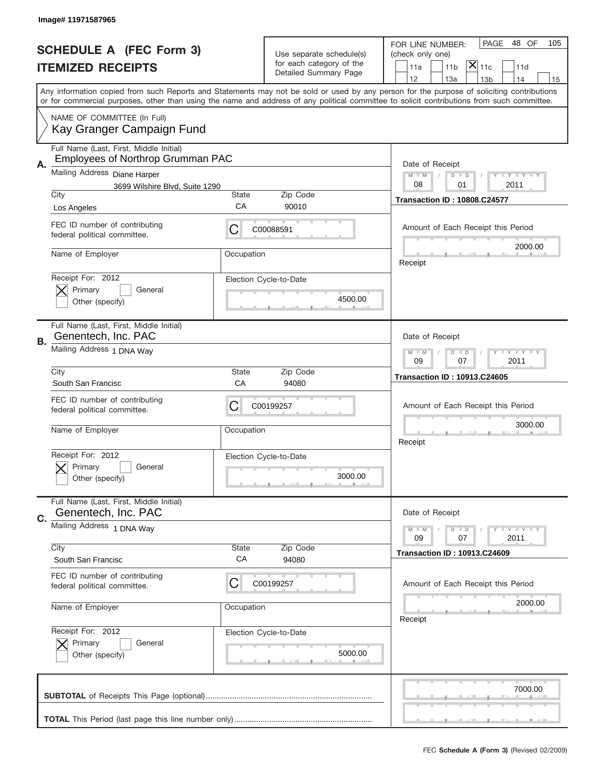|    | Image# 11971587965                                                                                                                         |                                                         |                                                      |                                                                                                                                           |
|----|--------------------------------------------------------------------------------------------------------------------------------------------|---------------------------------------------------------|------------------------------------------------------|-------------------------------------------------------------------------------------------------------------------------------------------|
|    |                                                                                                                                            |                                                         |                                                      | PAGE<br>48 OF<br>105<br>FOR LINE NUMBER:                                                                                                  |
|    | <b>SCHEDULE A (FEC Form 3)</b>                                                                                                             |                                                         | Use separate schedule(s)<br>for each category of the | (check only one)                                                                                                                          |
|    | <b>ITEMIZED RECEIPTS</b>                                                                                                                   |                                                         | Detailed Summary Page                                | $ \overline{\mathsf{x}} _{\text{11c}}$<br>11 <sub>b</sub><br>11a<br>11d<br>12<br>13a<br>14<br>13 <sub>b</sub><br>15                       |
|    | or for commercial purposes, other than using the name and address of any political committee to solicit contributions from such committee. |                                                         |                                                      | Any information copied from such Reports and Statements may not be sold or used by any person for the purpose of soliciting contributions |
|    | NAME OF COMMITTEE (In Full)<br>Kay Granger Campaign Fund                                                                                   |                                                         |                                                      |                                                                                                                                           |
|    | Full Name (Last, First, Middle Initial)<br><b>Employees of Northrop Grumman PAC</b>                                                        |                                                         |                                                      |                                                                                                                                           |
| А. | Mailing Address Diane Harper<br>3699 Wilshire Blvd, Suite 1290                                                                             |                                                         |                                                      | Date of Receipt<br><b>LEY LEY LEY</b><br>$M - M$<br>$D$ $D$<br>08<br>01<br>2011                                                           |
|    | City                                                                                                                                       | <b>State</b>                                            | Zip Code                                             | <b>Transaction ID: 10808.C24577</b>                                                                                                       |
|    | Los Angeles                                                                                                                                | CA                                                      | 90010                                                |                                                                                                                                           |
|    | FEC ID number of contributing<br>federal political committee.                                                                              | С                                                       | C00088591                                            | Amount of Each Receipt this Period<br>2000.00                                                                                             |
|    | Name of Employer                                                                                                                           | Occupation                                              |                                                      | Receipt                                                                                                                                   |
|    | Receipt For: 2012<br>Primary<br>General<br>Other (specify)                                                                                 |                                                         | Election Cycle-to-Date<br>4500.00                    |                                                                                                                                           |
| В. | Full Name (Last, First, Middle Initial)<br>Genentech, Inc. PAC                                                                             |                                                         |                                                      | Date of Receipt                                                                                                                           |
|    | Mailing Address 1 DNA Way                                                                                                                  | <b>LYLYLY</b><br>$M - M$<br>$D$ $D$<br>09<br>07<br>2011 |                                                      |                                                                                                                                           |
|    | City<br>South San Francisc                                                                                                                 | <b>State</b><br>CA                                      | Zip Code<br>94080                                    | <b>Transaction ID: 10913.C24605</b>                                                                                                       |
|    | FEC ID number of contributing<br>federal political committee.                                                                              | С                                                       | C00199257                                            | Amount of Each Receipt this Period                                                                                                        |
|    | Name of Employer                                                                                                                           | Occupation                                              |                                                      | 3000.00<br>Receipt                                                                                                                        |
|    | Receipt For: 2012<br>Primary<br>General<br>Other (specify)                                                                                 |                                                         | Election Cycle-to-Date<br>3000.00                    |                                                                                                                                           |
| C. | Full Name (Last, First, Middle Initial)<br>Genentech, Inc. PAC                                                                             |                                                         |                                                      | Date of Receipt                                                                                                                           |
|    | Mailing Address 1 DNA Way<br>City                                                                                                          | State                                                   | Zip Code                                             | <b>LYLYLY</b><br>$M - M$<br>$D$ $D$<br>2011<br>09<br>07                                                                                   |
|    | South San Francisc                                                                                                                         | CA                                                      | 94080                                                | <b>Transaction ID: 10913.C24609</b>                                                                                                       |
|    | FEC ID number of contributing<br>federal political committee.                                                                              | С                                                       | C00199257                                            | Amount of Each Receipt this Period                                                                                                        |
|    | Name of Employer                                                                                                                           | Occupation                                              |                                                      | 2000.00<br>Receipt                                                                                                                        |
|    | Receipt For: 2012<br>Primary<br>General<br>Other (specify)                                                                                 |                                                         | Election Cycle-to-Date<br>5000.00                    |                                                                                                                                           |
|    |                                                                                                                                            |                                                         |                                                      | 7000.00                                                                                                                                   |
|    |                                                                                                                                            |                                                         |                                                      |                                                                                                                                           |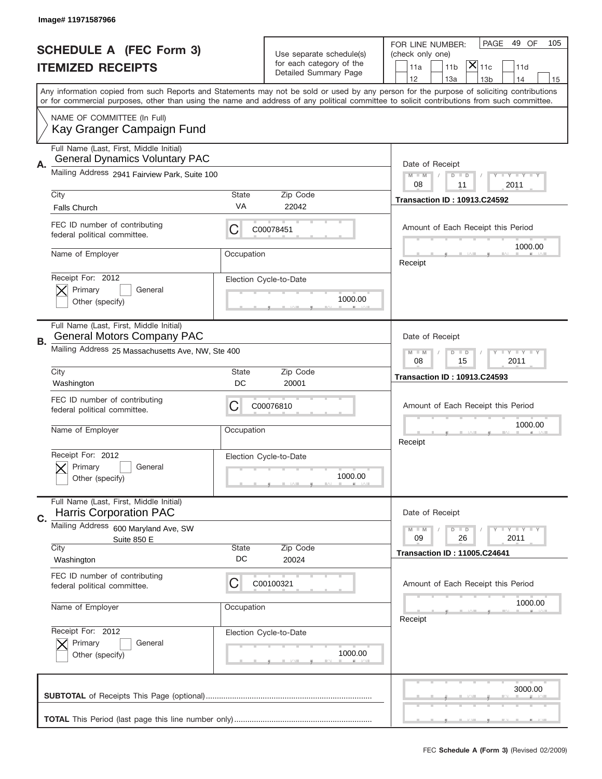|                                | Image# 11971587966                                                               |                                                            |                                                      |                                                                                                                                                                                                                                                                                         |  |
|--------------------------------|----------------------------------------------------------------------------------|------------------------------------------------------------|------------------------------------------------------|-----------------------------------------------------------------------------------------------------------------------------------------------------------------------------------------------------------------------------------------------------------------------------------------|--|
| <b>SCHEDULE A (FEC Form 3)</b> |                                                                                  |                                                            |                                                      | PAGE<br>49 OF<br>105<br>FOR LINE NUMBER:                                                                                                                                                                                                                                                |  |
| <b>ITEMIZED RECEIPTS</b>       |                                                                                  |                                                            | Use separate schedule(s)<br>for each category of the | (check only one)<br>$ \mathsf{\overline{X}} _{\mathsf{11c}}$                                                                                                                                                                                                                            |  |
|                                |                                                                                  |                                                            | Detailed Summary Page                                | 11 <sub>b</sub><br>11a<br>11d<br>12<br>13a<br>13 <sub>b</sub><br>14<br>15                                                                                                                                                                                                               |  |
|                                |                                                                                  |                                                            |                                                      | Any information copied from such Reports and Statements may not be sold or used by any person for the purpose of soliciting contributions<br>or for commercial purposes, other than using the name and address of any political committee to solicit contributions from such committee. |  |
|                                | NAME OF COMMITTEE (In Full)<br>Kay Granger Campaign Fund                         |                                                            |                                                      |                                                                                                                                                                                                                                                                                         |  |
| А.                             | Full Name (Last, First, Middle Initial)<br><b>General Dynamics Voluntary PAC</b> |                                                            |                                                      | Date of Receipt                                                                                                                                                                                                                                                                         |  |
|                                | Mailing Address 2941 Fairview Park, Suite 100                                    |                                                            |                                                      | $M - M$<br><b>THEY THEY</b><br>$D$ $D$<br>08<br>2011<br>11                                                                                                                                                                                                                              |  |
|                                | City<br><b>Falls Church</b>                                                      | State<br>VA                                                | Zip Code<br>22042                                    | <b>Transaction ID: 10913.C24592</b>                                                                                                                                                                                                                                                     |  |
|                                | FEC ID number of contributing<br>federal political committee.                    | C                                                          | C00078451                                            | Amount of Each Receipt this Period                                                                                                                                                                                                                                                      |  |
|                                | Name of Employer                                                                 | Occupation                                                 |                                                      | 1000.00<br>Receipt                                                                                                                                                                                                                                                                      |  |
|                                | Receipt For: 2012<br>Primary<br>General<br>Other (specify)                       |                                                            | Election Cycle-to-Date<br>1000.00                    |                                                                                                                                                                                                                                                                                         |  |
| В.                             | Full Name (Last, First, Middle Initial)<br><b>General Motors Company PAC</b>     |                                                            |                                                      | Date of Receipt                                                                                                                                                                                                                                                                         |  |
|                                | Mailing Address 25 Massachusetts Ave, NW, Ste 400                                | <b>THEY THEY</b><br>$M - M$<br>$D$ $D$<br>08<br>15<br>2011 |                                                      |                                                                                                                                                                                                                                                                                         |  |
|                                | City<br>Washington                                                               | State<br>DC                                                | Zip Code<br>20001                                    | <b>Transaction ID: 10913.C24593</b>                                                                                                                                                                                                                                                     |  |
|                                |                                                                                  |                                                            |                                                      |                                                                                                                                                                                                                                                                                         |  |
|                                | FEC ID number of contributing<br>federal political committee.                    | C                                                          | C00076810                                            | Amount of Each Receipt this Period                                                                                                                                                                                                                                                      |  |
|                                | Name of Employer                                                                 | Occupation                                                 |                                                      | 1000.00<br>Receipt                                                                                                                                                                                                                                                                      |  |
|                                | Receipt For: 2012<br>General<br>Primary<br>Other (specify)                       |                                                            | Election Cycle-to-Date<br>1000.00                    |                                                                                                                                                                                                                                                                                         |  |
|                                | Full Name (Last, First, Middle Initial)<br><b>Harris Corporation PAC</b>         |                                                            |                                                      | Date of Receipt                                                                                                                                                                                                                                                                         |  |
| C.                             | Mailing Address 600 Maryland Ave, SW<br>Suite 850 E                              |                                                            |                                                      | <b>LYLYLY</b><br>$M - M$<br>$D$ $D$<br>09<br>26<br>2011                                                                                                                                                                                                                                 |  |
|                                | City<br>Washington                                                               | State<br>DC                                                | Zip Code<br>20024                                    | <b>Transaction ID: 11005.C24641</b>                                                                                                                                                                                                                                                     |  |
|                                | FEC ID number of contributing<br>federal political committee.                    | C                                                          | C00100321                                            | Amount of Each Receipt this Period                                                                                                                                                                                                                                                      |  |
|                                | Name of Employer                                                                 | Occupation                                                 |                                                      | 1000.00<br>Receipt                                                                                                                                                                                                                                                                      |  |
|                                | Receipt For: 2012<br>Primary<br>General<br>Other (specify)                       |                                                            | Election Cycle-to-Date<br>1000.00                    |                                                                                                                                                                                                                                                                                         |  |
|                                |                                                                                  |                                                            |                                                      | 3000.00                                                                                                                                                                                                                                                                                 |  |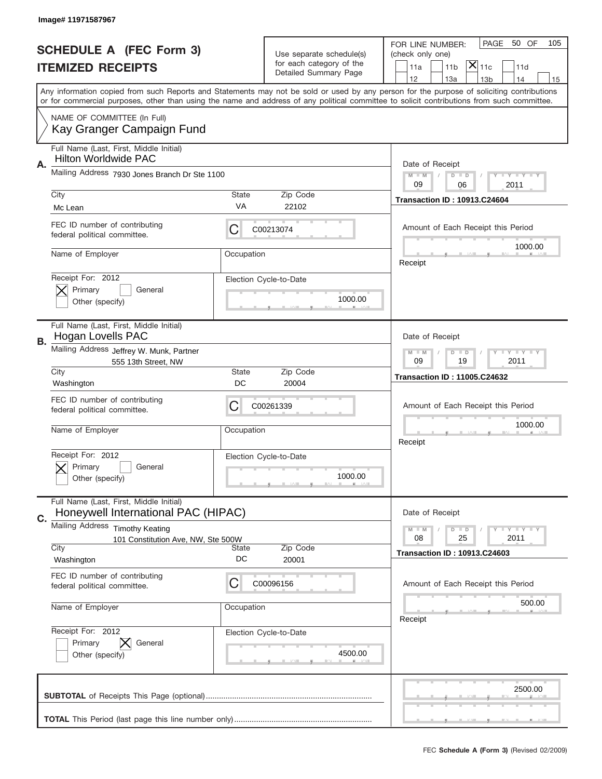|                                                            | Image# 11971587967                                                             |                                                         |                                                      |                                                                                                                                                                                                                                                                                         |  |
|------------------------------------------------------------|--------------------------------------------------------------------------------|---------------------------------------------------------|------------------------------------------------------|-----------------------------------------------------------------------------------------------------------------------------------------------------------------------------------------------------------------------------------------------------------------------------------------|--|
|                                                            |                                                                                |                                                         |                                                      | PAGE<br>50 OF<br>105<br>FOR LINE NUMBER:                                                                                                                                                                                                                                                |  |
| <b>SCHEDULE A (FEC Form 3)</b><br><b>ITEMIZED RECEIPTS</b> |                                                                                |                                                         | Use separate schedule(s)<br>for each category of the | (check only one)                                                                                                                                                                                                                                                                        |  |
|                                                            |                                                                                |                                                         | Detailed Summary Page                                | $ \mathsf{\overline{X}} _{\mathsf{11c}}$<br>11 <sub>b</sub><br>11a<br>11d<br>12<br>13a<br>14<br>13 <sub>b</sub><br>15                                                                                                                                                                   |  |
|                                                            |                                                                                |                                                         |                                                      | Any information copied from such Reports and Statements may not be sold or used by any person for the purpose of soliciting contributions<br>or for commercial purposes, other than using the name and address of any political committee to solicit contributions from such committee. |  |
|                                                            | NAME OF COMMITTEE (In Full)<br>Kay Granger Campaign Fund                       |                                                         |                                                      |                                                                                                                                                                                                                                                                                         |  |
| Α.                                                         | Full Name (Last, First, Middle Initial)<br><b>Hilton Worldwide PAC</b>         |                                                         |                                                      | Date of Receipt                                                                                                                                                                                                                                                                         |  |
|                                                            | Mailing Address 7930 Jones Branch Dr Ste 1100                                  |                                                         |                                                      | <b>LYLYLY</b><br>$M - M$<br>$D$ $D$<br>09<br>06<br>2011                                                                                                                                                                                                                                 |  |
|                                                            | City<br>Mc Lean                                                                | <b>State</b><br>VA                                      | Zip Code<br>22102                                    | <b>Transaction ID: 10913.C24604</b>                                                                                                                                                                                                                                                     |  |
|                                                            | FEC ID number of contributing<br>federal political committee.                  | С                                                       | C00213074                                            | Amount of Each Receipt this Period<br>1000.00                                                                                                                                                                                                                                           |  |
|                                                            | Name of Employer                                                               | Occupation                                              |                                                      | Receipt                                                                                                                                                                                                                                                                                 |  |
|                                                            | Receipt For: 2012<br>Primary<br>General<br>Other (specify)                     |                                                         | Election Cycle-to-Date<br>1000.00                    |                                                                                                                                                                                                                                                                                         |  |
| В.                                                         | Full Name (Last, First, Middle Initial)<br>Hogan Lovells PAC                   |                                                         |                                                      | Date of Receipt                                                                                                                                                                                                                                                                         |  |
|                                                            | Mailing Address Jeffrey W. Munk, Partner<br>555 13th Street, NW                | <b>LYLYLY</b><br>$M - M$<br>$D$ $D$<br>09<br>19<br>2011 |                                                      |                                                                                                                                                                                                                                                                                         |  |
|                                                            | City<br>Washington                                                             | State<br>DC                                             | Zip Code<br>20004                                    | <b>Transaction ID: 11005.C24632</b>                                                                                                                                                                                                                                                     |  |
|                                                            | FEC ID number of contributing<br>federal political committee.                  | C                                                       | C00261339                                            | Amount of Each Receipt this Period                                                                                                                                                                                                                                                      |  |
|                                                            | Name of Employer                                                               | Occupation                                              |                                                      | 1000.00<br>Receipt                                                                                                                                                                                                                                                                      |  |
|                                                            |                                                                                |                                                         |                                                      |                                                                                                                                                                                                                                                                                         |  |
|                                                            | Receipt For: 2012<br>Primary<br>General<br>Other (specify)                     |                                                         | Election Cycle-to-Date<br>1000.00                    |                                                                                                                                                                                                                                                                                         |  |
|                                                            | Full Name (Last, First, Middle Initial)<br>Honeywell International PAC (HIPAC) |                                                         |                                                      | Date of Receipt                                                                                                                                                                                                                                                                         |  |
| C.                                                         | Mailing Address Timothy Keating<br>101 Constitution Ave, NW, Ste 500W<br>City  | State                                                   | Zip Code                                             | <b>LYLYLY</b><br>$M - M$<br>$D$ $D$<br>25<br>2011<br>08<br><b>Transaction ID: 10913.C24603</b>                                                                                                                                                                                          |  |
|                                                            | Washington                                                                     | DC                                                      | 20001                                                |                                                                                                                                                                                                                                                                                         |  |
|                                                            | FEC ID number of contributing<br>federal political committee.                  | С                                                       | C00096156                                            | Amount of Each Receipt this Period                                                                                                                                                                                                                                                      |  |
|                                                            | Name of Employer                                                               | Occupation                                              |                                                      | 500.00<br>Receipt                                                                                                                                                                                                                                                                       |  |
|                                                            | Receipt For: 2012<br>Primary<br>General<br>Other (specify)                     |                                                         | Election Cycle-to-Date<br>4500.00                    |                                                                                                                                                                                                                                                                                         |  |
|                                                            |                                                                                |                                                         |                                                      | 2500.00                                                                                                                                                                                                                                                                                 |  |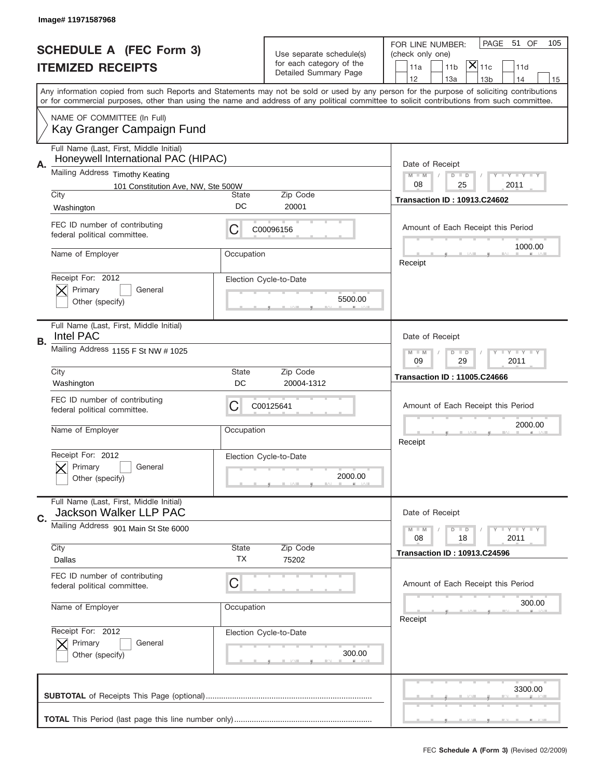|                                                            | Image# 11971587968                                                             |                                                           |                                                      |                                                                                                                                                                                                                                                                                         |
|------------------------------------------------------------|--------------------------------------------------------------------------------|-----------------------------------------------------------|------------------------------------------------------|-----------------------------------------------------------------------------------------------------------------------------------------------------------------------------------------------------------------------------------------------------------------------------------------|
|                                                            |                                                                                |                                                           |                                                      | PAGE<br>51 OF<br>105<br>FOR LINE NUMBER:                                                                                                                                                                                                                                                |
| <b>SCHEDULE A (FEC Form 3)</b><br><b>ITEMIZED RECEIPTS</b> |                                                                                |                                                           | Use separate schedule(s)<br>for each category of the | (check only one)<br>$ \mathsf{\overline{X}} _{\mathsf{11c}}$                                                                                                                                                                                                                            |
|                                                            |                                                                                |                                                           | Detailed Summary Page                                | 11 <sub>b</sub><br>11a<br>11d<br>12<br>13a<br>13 <sub>b</sub><br>14<br>15                                                                                                                                                                                                               |
|                                                            |                                                                                |                                                           |                                                      | Any information copied from such Reports and Statements may not be sold or used by any person for the purpose of soliciting contributions<br>or for commercial purposes, other than using the name and address of any political committee to solicit contributions from such committee. |
|                                                            | NAME OF COMMITTEE (In Full)<br>Kay Granger Campaign Fund                       |                                                           |                                                      |                                                                                                                                                                                                                                                                                         |
| Α.                                                         | Full Name (Last, First, Middle Initial)<br>Honeywell International PAC (HIPAC) |                                                           |                                                      | Date of Receipt                                                                                                                                                                                                                                                                         |
|                                                            | Mailing Address Timothy Keating                                                |                                                           |                                                      | $M - M$<br>$T$ $Y$ $Y$ $Y$ $Y$<br>$D$ $D$                                                                                                                                                                                                                                               |
|                                                            | 101 Constitution Ave, NW, Ste 500W<br>City                                     | State                                                     | Zip Code                                             | 08<br>25<br>2011                                                                                                                                                                                                                                                                        |
|                                                            | Washington                                                                     | DC                                                        | 20001                                                | <b>Transaction ID: 10913.C24602</b>                                                                                                                                                                                                                                                     |
|                                                            | FEC ID number of contributing<br>federal political committee.                  | C                                                         | C00096156                                            | Amount of Each Receipt this Period                                                                                                                                                                                                                                                      |
|                                                            | Name of Employer                                                               | Occupation                                                |                                                      | 1000.00<br>Receipt                                                                                                                                                                                                                                                                      |
|                                                            | Receipt For: 2012<br>Primary<br>General<br>Other (specify)                     |                                                           | Election Cycle-to-Date<br>5500.00                    |                                                                                                                                                                                                                                                                                         |
| В.                                                         | Full Name (Last, First, Middle Initial)<br>Intel PAC                           |                                                           |                                                      | Date of Receipt                                                                                                                                                                                                                                                                         |
|                                                            | Mailing Address 1155 F St NW # 1025                                            | <b>LY LY LY</b><br>$M - M$<br>$D$ $D$<br>09<br>29<br>2011 |                                                      |                                                                                                                                                                                                                                                                                         |
|                                                            | City                                                                           | State<br>DC                                               | Zip Code                                             | <b>Transaction ID: 11005.C24666</b>                                                                                                                                                                                                                                                     |
|                                                            | Washington                                                                     |                                                           | 20004-1312                                           |                                                                                                                                                                                                                                                                                         |
|                                                            | FEC ID number of contributing<br>federal political committee.                  | C                                                         | C00125641                                            | Amount of Each Receipt this Period                                                                                                                                                                                                                                                      |
|                                                            | Name of Employer                                                               | Occupation                                                |                                                      | 2000.00<br>Receipt                                                                                                                                                                                                                                                                      |
|                                                            | Receipt For: 2012<br>Primary<br>General<br>Other (specify)                     |                                                           | Election Cycle-to-Date<br>2000.00                    |                                                                                                                                                                                                                                                                                         |
| C.                                                         | Full Name (Last, First, Middle Initial)<br>Jackson Walker LLP PAC              |                                                           |                                                      | Date of Receipt                                                                                                                                                                                                                                                                         |
|                                                            | Mailing Address 901 Main St Ste 6000                                           |                                                           |                                                      | <b>LYLYLY</b><br>$M - M$<br>$D$ $D$<br>2011<br>08<br>18                                                                                                                                                                                                                                 |
|                                                            | City<br>Dallas                                                                 | State<br><b>TX</b>                                        | Zip Code<br>75202                                    | <b>Transaction ID: 10913.C24596</b>                                                                                                                                                                                                                                                     |
|                                                            | FEC ID number of contributing<br>federal political committee.                  | C                                                         |                                                      | Amount of Each Receipt this Period                                                                                                                                                                                                                                                      |
|                                                            | Name of Employer                                                               | Occupation                                                |                                                      | 300.00<br>Receipt                                                                                                                                                                                                                                                                       |
|                                                            | Receipt For: 2012<br>Primary<br>General<br>Other (specify)                     |                                                           | Election Cycle-to-Date<br>300.00                     |                                                                                                                                                                                                                                                                                         |
|                                                            |                                                                                |                                                           |                                                      | 3300.00                                                                                                                                                                                                                                                                                 |
|                                                            |                                                                                |                                                           |                                                      |                                                                                                                                                                                                                                                                                         |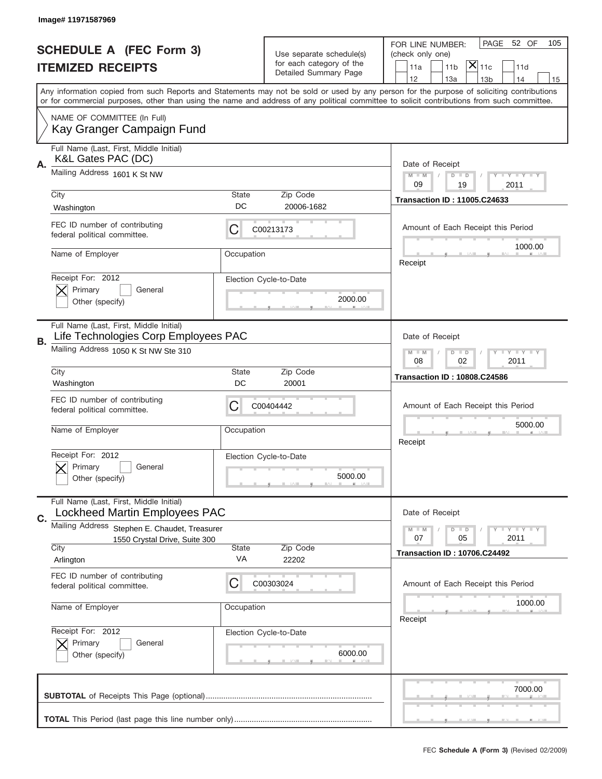|                                | Image# 11971587969                                                                        |              |                                   |                                                                                                                                                                                                                                                                                         |
|--------------------------------|-------------------------------------------------------------------------------------------|--------------|-----------------------------------|-----------------------------------------------------------------------------------------------------------------------------------------------------------------------------------------------------------------------------------------------------------------------------------------|
| <b>SCHEDULE A (FEC Form 3)</b> |                                                                                           |              | Use separate schedule(s)          | PAGE<br>52 OF<br>105<br>FOR LINE NUMBER:<br>(check only one)                                                                                                                                                                                                                            |
| <b>ITEMIZED RECEIPTS</b>       |                                                                                           |              | for each category of the          | $ \mathsf{\overline{X}} _{\mathsf{11c}}$<br>11a<br>11 <sub>b</sub><br>11d                                                                                                                                                                                                               |
|                                |                                                                                           |              | Detailed Summary Page             | 12<br>13a<br>13 <sub>b</sub><br>14<br>15                                                                                                                                                                                                                                                |
|                                |                                                                                           |              |                                   | Any information copied from such Reports and Statements may not be sold or used by any person for the purpose of soliciting contributions<br>or for commercial purposes, other than using the name and address of any political committee to solicit contributions from such committee. |
|                                | NAME OF COMMITTEE (In Full)<br>Kay Granger Campaign Fund                                  |              |                                   |                                                                                                                                                                                                                                                                                         |
| Α.                             | Full Name (Last, First, Middle Initial)<br>K&L Gates PAC (DC)                             |              |                                   | Date of Receipt                                                                                                                                                                                                                                                                         |
|                                | Mailing Address 1601 K St NW                                                              |              |                                   | $M - M$<br><b>LY LY LY</b><br>$D$ $D$<br>09<br>19<br>2011                                                                                                                                                                                                                               |
|                                | City<br>Washington                                                                        | State<br>DC  | Zip Code<br>20006-1682            | <b>Transaction ID: 11005.C24633</b>                                                                                                                                                                                                                                                     |
|                                | FEC ID number of contributing<br>federal political committee.                             | C            | C00213173                         | Amount of Each Receipt this Period<br>1000.00                                                                                                                                                                                                                                           |
|                                | Name of Employer                                                                          | Occupation   |                                   | Receipt                                                                                                                                                                                                                                                                                 |
|                                | Receipt For: 2012<br>Primary<br>General<br>Other (specify)                                |              | Election Cycle-to-Date<br>2000.00 |                                                                                                                                                                                                                                                                                         |
|                                | Full Name (Last, First, Middle Initial)                                                   |              |                                   |                                                                                                                                                                                                                                                                                         |
| В.                             | Life Technologies Corp Employees PAC<br>Mailing Address 1050 K St NW Ste 310              |              |                                   | Date of Receipt<br><b>LEYTEY LEY</b><br>$M$ M<br>$D$ $D$<br>08<br>02<br>2011                                                                                                                                                                                                            |
|                                | City<br>Washington                                                                        | State<br>DC  | Zip Code<br>20001                 | <b>Transaction ID: 10808.C24586</b>                                                                                                                                                                                                                                                     |
|                                | FEC ID number of contributing<br>federal political committee.                             | С            | C00404442                         | Amount of Each Receipt this Period                                                                                                                                                                                                                                                      |
|                                | Name of Employer                                                                          | Occupation   |                                   | 5000.00<br>Receipt                                                                                                                                                                                                                                                                      |
|                                | Receipt For: 2012<br>General<br>Primary<br>Other (specify)                                |              | Election Cycle-to-Date<br>5000.00 |                                                                                                                                                                                                                                                                                         |
| C.                             | Full Name (Last, First, Middle Initial)<br>Lockheed Martin Employees PAC                  |              |                                   | Date of Receipt                                                                                                                                                                                                                                                                         |
|                                | Mailing Address<br>Stephen E. Chaudet, Treasurer<br>1550 Crystal Drive, Suite 300<br>City | <b>State</b> | Zip Code                          | <b>LY LY LY</b><br>$M - M$<br>$D$ $D$<br>07<br>2011<br>05<br><b>Transaction ID: 10706.C24492</b>                                                                                                                                                                                        |
|                                | Arlington                                                                                 | VA           | 22202                             |                                                                                                                                                                                                                                                                                         |
|                                | FEC ID number of contributing<br>federal political committee.                             | С            | C00303024                         | Amount of Each Receipt this Period                                                                                                                                                                                                                                                      |
|                                | Name of Employer                                                                          | Occupation   |                                   | 1000.00<br>Receipt                                                                                                                                                                                                                                                                      |
|                                | Receipt For: 2012<br>Primary<br>General<br>Other (specify)                                |              | Election Cycle-to-Date<br>6000.00 |                                                                                                                                                                                                                                                                                         |
|                                |                                                                                           |              |                                   | 7000.00                                                                                                                                                                                                                                                                                 |
|                                |                                                                                           |              |                                   |                                                                                                                                                                                                                                                                                         |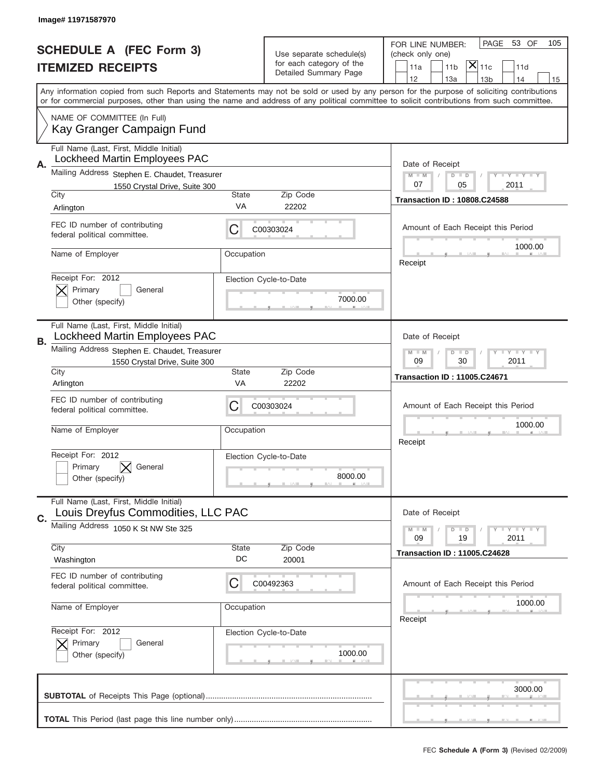|    | Image# 11971587970                                                                                                        |                                                                                           |                                                                               |                                                                                                                                                                                                                                                                                         |
|----|---------------------------------------------------------------------------------------------------------------------------|-------------------------------------------------------------------------------------------|-------------------------------------------------------------------------------|-----------------------------------------------------------------------------------------------------------------------------------------------------------------------------------------------------------------------------------------------------------------------------------------|
|    | <b>SCHEDULE A (FEC Form 3)</b><br><b>ITEMIZED RECEIPTS</b>                                                                |                                                                                           | Use separate schedule(s)<br>for each category of the<br>Detailed Summary Page | 53 OF<br>PAGE<br>105<br>FOR LINE NUMBER:<br>(check only one)<br>$ \overline{\mathsf{X}} _{\mathsf{11c}}$<br>11 <sub>b</sub><br>11a<br>11d<br>12<br>13a<br>14<br>13 <sub>b</sub><br>15                                                                                                   |
|    | NAME OF COMMITTEE (In Full)                                                                                               |                                                                                           |                                                                               | Any information copied from such Reports and Statements may not be sold or used by any person for the purpose of soliciting contributions<br>or for commercial purposes, other than using the name and address of any political committee to solicit contributions from such committee. |
|    | Kay Granger Campaign Fund                                                                                                 |                                                                                           |                                                                               |                                                                                                                                                                                                                                                                                         |
| Α. | Full Name (Last, First, Middle Initial)<br>Lockheed Martin Employees PAC<br>Mailing Address Stephen E. Chaudet, Treasurer |                                                                                           |                                                                               | Date of Receipt<br>$M - M$<br><b>LEY LEY LEY</b>                                                                                                                                                                                                                                        |
|    | 1550 Crystal Drive, Suite 300<br>City                                                                                     | State                                                                                     | Zip Code                                                                      | $D$ $D$<br>07<br>05<br>2011                                                                                                                                                                                                                                                             |
|    | Arlington                                                                                                                 | VA                                                                                        | 22202                                                                         | <b>Transaction ID: 10808.C24588</b>                                                                                                                                                                                                                                                     |
|    | FEC ID number of contributing<br>federal political committee.                                                             | C                                                                                         | C00303024                                                                     | Amount of Each Receipt this Period                                                                                                                                                                                                                                                      |
|    | Name of Employer                                                                                                          | Occupation                                                                                |                                                                               | 1000.00<br>Receipt                                                                                                                                                                                                                                                                      |
|    | Receipt For: 2012<br>Primary<br>General<br>Other (specify)                                                                |                                                                                           | Election Cycle-to-Date<br>7000.00                                             |                                                                                                                                                                                                                                                                                         |
| В. | Full Name (Last, First, Middle Initial)<br>Lockheed Martin Employees PAC                                                  | Date of Receipt                                                                           |                                                                               |                                                                                                                                                                                                                                                                                         |
|    | Mailing Address Stephen E. Chaudet, Treasurer<br>1550 Crystal Drive, Suite 300                                            | <b>LYLYLY</b><br>$M$ M<br>$D$ $D$<br>09<br>30<br>2011                                     |                                                                               |                                                                                                                                                                                                                                                                                         |
|    | City<br>Arlington                                                                                                         | State<br>VA                                                                               | Zip Code<br>22202                                                             | <b>Transaction ID: 11005.C24671</b>                                                                                                                                                                                                                                                     |
|    | FEC ID number of contributing<br>federal political committee.                                                             | C                                                                                         | C00303024                                                                     | Amount of Each Receipt this Period                                                                                                                                                                                                                                                      |
|    | Name of Employer                                                                                                          | Occupation                                                                                |                                                                               | 1000.00<br>Receipt                                                                                                                                                                                                                                                                      |
|    | Receipt For: 2012<br>General<br>Primary<br>Other (specify)                                                                |                                                                                           | Election Cycle-to-Date<br>8000.00                                             |                                                                                                                                                                                                                                                                                         |
| C. | Full Name (Last, First, Middle Initial)<br>Louis Dreyfus Commodities, LLC PAC                                             |                                                                                           |                                                                               | Date of Receipt                                                                                                                                                                                                                                                                         |
|    | Mailing Address 1050 K St NW Ste 325                                                                                      | $M - M$<br>$D$ $D$<br>$\bot$ $\gamma$ $\bot$ $\gamma$ $\bot$ $\gamma$<br>09<br>19<br>2011 |                                                                               |                                                                                                                                                                                                                                                                                         |
|    | City<br>Washington                                                                                                        | State<br>DC                                                                               | Zip Code<br>20001                                                             | <b>Transaction ID: 11005.C24628</b>                                                                                                                                                                                                                                                     |
|    | FEC ID number of contributing<br>federal political committee.                                                             | C                                                                                         | C00492363                                                                     | Amount of Each Receipt this Period                                                                                                                                                                                                                                                      |
|    | Name of Employer                                                                                                          | Occupation                                                                                |                                                                               | 1000.00<br>Receipt                                                                                                                                                                                                                                                                      |
|    | Receipt For: 2012<br>Primary<br>General<br>Other (specify)                                                                |                                                                                           | Election Cycle-to-Date<br>1000.00                                             |                                                                                                                                                                                                                                                                                         |
|    |                                                                                                                           |                                                                                           |                                                                               | 3000.00                                                                                                                                                                                                                                                                                 |
|    |                                                                                                                           |                                                                                           |                                                                               |                                                                                                                                                                                                                                                                                         |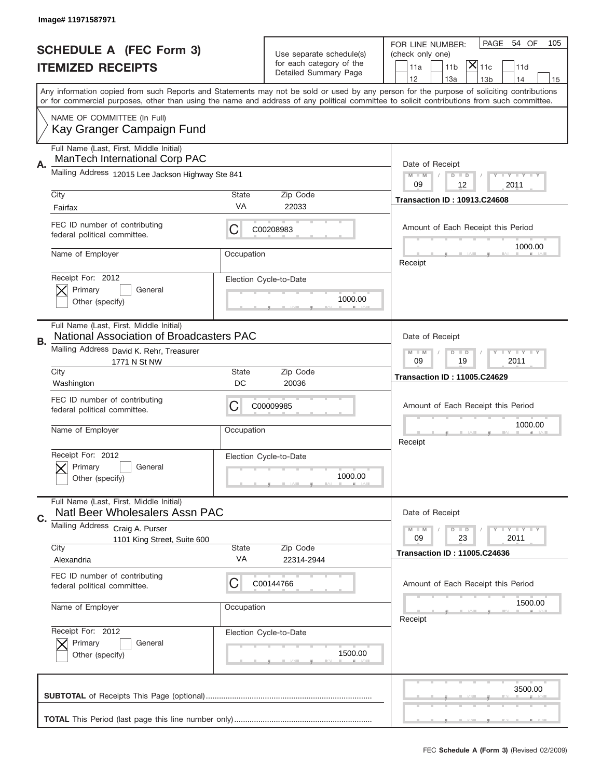|                                                            | Image# 11971587971                                                                                                              |                                                                   |                                                      |                                                                                                                                                                                                                                                                                         |
|------------------------------------------------------------|---------------------------------------------------------------------------------------------------------------------------------|-------------------------------------------------------------------|------------------------------------------------------|-----------------------------------------------------------------------------------------------------------------------------------------------------------------------------------------------------------------------------------------------------------------------------------------|
|                                                            |                                                                                                                                 |                                                                   |                                                      | PAGE<br>54 OF<br>105<br>FOR LINE NUMBER:                                                                                                                                                                                                                                                |
| <b>SCHEDULE A (FEC Form 3)</b><br><b>ITEMIZED RECEIPTS</b> |                                                                                                                                 |                                                                   | Use separate schedule(s)<br>for each category of the | (check only one)<br>$ \mathsf{\overline{X}} _{\mathsf{11c}}$<br>11 <sub>b</sub>                                                                                                                                                                                                         |
|                                                            |                                                                                                                                 |                                                                   | Detailed Summary Page                                | 11a<br>11d<br>12<br>13a<br>13 <sub>b</sub><br>14<br>15                                                                                                                                                                                                                                  |
|                                                            |                                                                                                                                 |                                                                   |                                                      | Any information copied from such Reports and Statements may not be sold or used by any person for the purpose of soliciting contributions<br>or for commercial purposes, other than using the name and address of any political committee to solicit contributions from such committee. |
|                                                            | NAME OF COMMITTEE (In Full)<br>Kay Granger Campaign Fund                                                                        |                                                                   |                                                      |                                                                                                                                                                                                                                                                                         |
| Α.                                                         | Full Name (Last, First, Middle Initial)<br>ManTech International Corp PAC                                                       |                                                                   |                                                      | Date of Receipt                                                                                                                                                                                                                                                                         |
|                                                            | Mailing Address 12015 Lee Jackson Highway Ste 841                                                                               |                                                                   |                                                      | $M - M$<br>Y I Y I Y I Y<br>$D$ $D$<br>09<br>12<br>2011                                                                                                                                                                                                                                 |
|                                                            | City<br>Fairfax                                                                                                                 | State<br>VA                                                       | Zip Code<br>22033                                    | <b>Transaction ID: 10913.C24608</b>                                                                                                                                                                                                                                                     |
|                                                            | FEC ID number of contributing<br>federal political committee.                                                                   | C                                                                 | C00208983                                            | Amount of Each Receipt this Period                                                                                                                                                                                                                                                      |
|                                                            | Name of Employer                                                                                                                | Occupation                                                        |                                                      | 1000.00<br>Receipt                                                                                                                                                                                                                                                                      |
|                                                            | Receipt For: 2012<br>Primary<br>General<br>Other (specify)                                                                      |                                                                   | Election Cycle-to-Date<br>1000.00                    |                                                                                                                                                                                                                                                                                         |
| В.                                                         | Full Name (Last, First, Middle Initial)<br>National Association of Broadcasters PAC<br>Mailing Address David K. Rehr, Treasurer |                                                                   |                                                      | Date of Receipt                                                                                                                                                                                                                                                                         |
|                                                            | 1771 N St NW<br>City                                                                                                            | $T$ $Y$ $T$ $Y$ $T$ $Y$<br>$M - M$<br>$D$ $D$<br>09<br>19<br>2011 |                                                      |                                                                                                                                                                                                                                                                                         |
|                                                            | Washington                                                                                                                      | State<br>DC                                                       | Zip Code<br>20036                                    | <b>Transaction ID: 11005.C24629</b>                                                                                                                                                                                                                                                     |
|                                                            | FEC ID number of contributing<br>federal political committee.                                                                   | C                                                                 | C00009985                                            | Amount of Each Receipt this Period                                                                                                                                                                                                                                                      |
|                                                            | Name of Employer                                                                                                                | Occupation                                                        |                                                      | 1000.00<br>Receipt                                                                                                                                                                                                                                                                      |
|                                                            | Receipt For: 2012<br>Primary<br>General<br>Other (specify)                                                                      |                                                                   | Election Cycle-to-Date<br>1000.00                    |                                                                                                                                                                                                                                                                                         |
|                                                            | Full Name (Last, First, Middle Initial)                                                                                         |                                                                   |                                                      |                                                                                                                                                                                                                                                                                         |
|                                                            | Natl Beer Wholesalers Assn PAC                                                                                                  |                                                                   |                                                      | Date of Receipt                                                                                                                                                                                                                                                                         |
| C.                                                         | Mailing Address<br>Craig A. Purser<br>1101 King Street, Suite 600<br>City                                                       | State                                                             | Zip Code                                             | <b>LYLYLY</b><br>$M - M$<br>$D$ $D$<br>09<br>23<br>2011<br><b>Transaction ID: 11005.C24636</b>                                                                                                                                                                                          |
|                                                            | Alexandria<br>FEC ID number of contributing                                                                                     | VA                                                                | 22314-2944                                           |                                                                                                                                                                                                                                                                                         |
|                                                            | federal political committee.                                                                                                    | C                                                                 | C00144766                                            | Amount of Each Receipt this Period                                                                                                                                                                                                                                                      |
|                                                            | Name of Employer                                                                                                                | Occupation                                                        |                                                      | 1500.00<br>Receipt                                                                                                                                                                                                                                                                      |
|                                                            | Receipt For: 2012<br>Primary<br>General<br>Other (specify)                                                                      |                                                                   | Election Cycle-to-Date<br>1500.00                    |                                                                                                                                                                                                                                                                                         |
|                                                            |                                                                                                                                 |                                                                   |                                                      | 3500.00                                                                                                                                                                                                                                                                                 |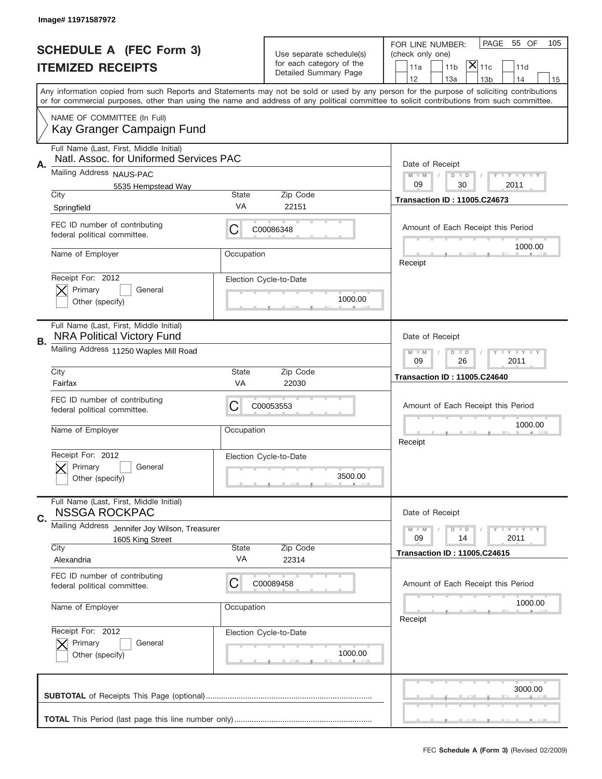|                                | Image# 11971587972                                                                 |                                                             |                                                   |                                                                                                                                                                                                                                                                                         |
|--------------------------------|------------------------------------------------------------------------------------|-------------------------------------------------------------|---------------------------------------------------|-----------------------------------------------------------------------------------------------------------------------------------------------------------------------------------------------------------------------------------------------------------------------------------------|
| <b>SCHEDULE A (FEC Form 3)</b> |                                                                                    |                                                             | Use separate schedule(s)                          | PAGE<br>55 OF<br>105<br>FOR LINE NUMBER:<br>(check only one)                                                                                                                                                                                                                            |
|                                | <b>ITEMIZED RECEIPTS</b>                                                           |                                                             | for each category of the<br>Detailed Summary Page | $ \overline{\mathsf{X}} _{\mathsf{11c}}$<br>11a<br>11 <sub>b</sub><br>11d<br>12<br>13a<br>14<br>13 <sub>b</sub><br>15                                                                                                                                                                   |
|                                |                                                                                    |                                                             |                                                   | Any information copied from such Reports and Statements may not be sold or used by any person for the purpose of soliciting contributions<br>or for commercial purposes, other than using the name and address of any political committee to solicit contributions from such committee. |
|                                | NAME OF COMMITTEE (In Full)<br>Kay Granger Campaign Fund                           |                                                             |                                                   |                                                                                                                                                                                                                                                                                         |
| Α.                             | Full Name (Last, First, Middle Initial)<br>Natl. Assoc. for Uniformed Services PAC |                                                             |                                                   | Date of Receipt                                                                                                                                                                                                                                                                         |
|                                | Mailing Address NAUS-PAC                                                           |                                                             |                                                   | $M - M$<br><b>LY LY LY</b><br>$D$ $D$                                                                                                                                                                                                                                                   |
|                                | 5535 Hempstead Way<br>City                                                         | <b>State</b>                                                | Zip Code                                          | 09<br>30<br>2011                                                                                                                                                                                                                                                                        |
|                                | Springfield                                                                        | VA                                                          | 22151                                             | <b>Transaction ID: 11005.C24673</b>                                                                                                                                                                                                                                                     |
|                                | FEC ID number of contributing<br>federal political committee.                      | C                                                           | C00086348                                         | Amount of Each Receipt this Period                                                                                                                                                                                                                                                      |
|                                | Name of Employer                                                                   | Occupation                                                  |                                                   | 1000.00<br>Receipt                                                                                                                                                                                                                                                                      |
|                                | Receipt For: 2012<br>Primary<br>General<br>Other (specify)                         |                                                             | Election Cycle-to-Date<br>1000.00                 |                                                                                                                                                                                                                                                                                         |
| В.                             | Full Name (Last, First, Middle Initial)<br><b>NRA Political Victory Fund</b>       |                                                             |                                                   | Date of Receipt                                                                                                                                                                                                                                                                         |
|                                | Mailing Address 11250 Waples Mill Road                                             | <b>LEYTEY LEY</b><br>$M - M$<br>$D$ $D$<br>09<br>26<br>2011 |                                                   |                                                                                                                                                                                                                                                                                         |
|                                | City<br>Fairfax                                                                    | State<br>VA                                                 | Zip Code<br>22030                                 | <b>Transaction ID: 11005.C24640</b>                                                                                                                                                                                                                                                     |
|                                | FEC ID number of contributing<br>federal political committee.                      | C                                                           | C00053553                                         | Amount of Each Receipt this Period                                                                                                                                                                                                                                                      |
|                                | Name of Employer                                                                   | Occupation                                                  |                                                   | 1000.00<br>Receipt                                                                                                                                                                                                                                                                      |
|                                | Receipt For: 2012<br>General<br>Primary<br>Other (specify)                         |                                                             | Election Cycle-to-Date<br>3500.00                 |                                                                                                                                                                                                                                                                                         |
| C.                             | Full Name (Last, First, Middle Initial)<br><b>NSSGA ROCKPAC</b>                    |                                                             |                                                   | Date of Receipt                                                                                                                                                                                                                                                                         |
|                                | Mailing Address<br>Jennifer Joy Wilson, Treasurer                                  |                                                             |                                                   | <b>LYLYLY</b><br>$M - M$<br>$\overline{D}$<br>$\Box$                                                                                                                                                                                                                                    |
|                                | 1605 King Street<br>City                                                           | State                                                       | Zip Code                                          | 09<br>2011<br>14<br><b>Transaction ID: 11005.C24615</b>                                                                                                                                                                                                                                 |
|                                | Alexandria                                                                         | VA                                                          | 22314                                             |                                                                                                                                                                                                                                                                                         |
|                                | FEC ID number of contributing<br>federal political committee.                      | C                                                           | C00089458                                         | Amount of Each Receipt this Period                                                                                                                                                                                                                                                      |
|                                | Name of Employer                                                                   | Occupation                                                  |                                                   | 1000.00<br>Receipt                                                                                                                                                                                                                                                                      |
|                                | Receipt For: 2012<br>Primary<br>General<br>Other (specify)                         |                                                             | Election Cycle-to-Date<br>1000.00                 |                                                                                                                                                                                                                                                                                         |
|                                |                                                                                    |                                                             |                                                   |                                                                                                                                                                                                                                                                                         |
|                                |                                                                                    |                                                             |                                                   | 3000.00                                                                                                                                                                                                                                                                                 |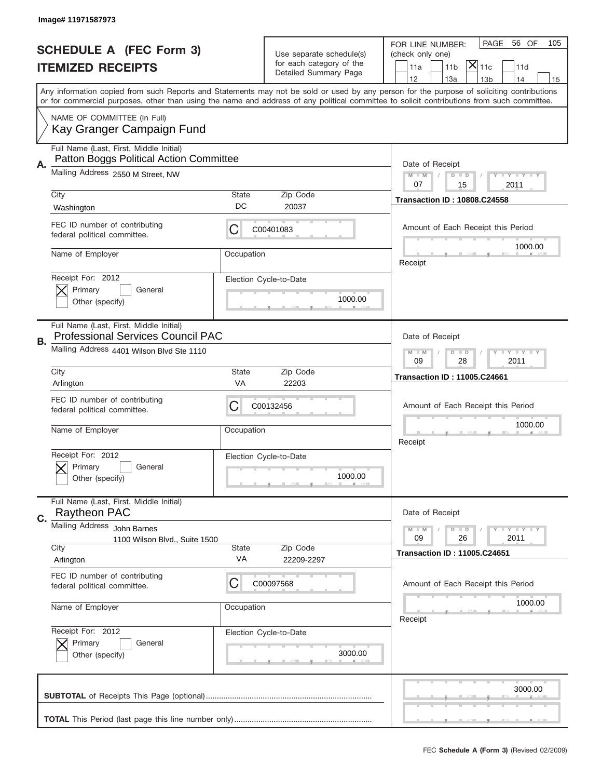|                          | Image# 11971587973                                                                  |                                                                                                |                                                      |                                                                                                                                                                                                                                                                                         |
|--------------------------|-------------------------------------------------------------------------------------|------------------------------------------------------------------------------------------------|------------------------------------------------------|-----------------------------------------------------------------------------------------------------------------------------------------------------------------------------------------------------------------------------------------------------------------------------------------|
|                          | <b>SCHEDULE A (FEC Form 3)</b>                                                      |                                                                                                |                                                      | PAGE<br>56 OF<br>105<br>FOR LINE NUMBER:                                                                                                                                                                                                                                                |
| <b>ITEMIZED RECEIPTS</b> |                                                                                     |                                                                                                | Use separate schedule(s)<br>for each category of the | (check only one)<br>$ \mathsf{X} _{\mathsf{11c}}$<br>11 <sub>b</sub><br>11a<br>11d                                                                                                                                                                                                      |
|                          |                                                                                     |                                                                                                | Detailed Summary Page                                | 12<br>13a<br>13 <sub>b</sub><br>14<br>15                                                                                                                                                                                                                                                |
|                          |                                                                                     |                                                                                                |                                                      | Any information copied from such Reports and Statements may not be sold or used by any person for the purpose of soliciting contributions<br>or for commercial purposes, other than using the name and address of any political committee to solicit contributions from such committee. |
|                          | NAME OF COMMITTEE (In Full)<br>Kay Granger Campaign Fund                            |                                                                                                |                                                      |                                                                                                                                                                                                                                                                                         |
| А.                       | Full Name (Last, First, Middle Initial)<br>Patton Boggs Political Action Committee  |                                                                                                |                                                      | Date of Receipt                                                                                                                                                                                                                                                                         |
|                          | Mailing Address 2550 M Street, NW                                                   |                                                                                                |                                                      | <b>LEY LEY LEY</b><br>$M - M$<br>$D$ $D$<br>07<br>15<br>2011                                                                                                                                                                                                                            |
|                          | City<br>Washington                                                                  | <b>State</b><br>DC                                                                             | Zip Code<br>20037                                    | <b>Transaction ID: 10808.C24558</b>                                                                                                                                                                                                                                                     |
|                          | FEC ID number of contributing<br>federal political committee.                       | С                                                                                              | C00401083                                            | Amount of Each Receipt this Period                                                                                                                                                                                                                                                      |
|                          | Name of Employer                                                                    | Occupation                                                                                     |                                                      | 1000.00<br>Receipt                                                                                                                                                                                                                                                                      |
|                          | Receipt For: 2012<br>Primary<br>General<br>Other (specify)                          |                                                                                                | Election Cycle-to-Date<br>1000.00                    |                                                                                                                                                                                                                                                                                         |
| В.                       | Full Name (Last, First, Middle Initial)<br><b>Professional Services Council PAC</b> |                                                                                                |                                                      | Date of Receipt                                                                                                                                                                                                                                                                         |
|                          | Mailing Address 4401 Wilson Blvd Ste 1110                                           | <b>LYLYLY</b><br>$M$ M<br>$D$ $D$<br>09<br>28<br>2011                                          |                                                      |                                                                                                                                                                                                                                                                                         |
|                          | City<br>Arlington                                                                   | <b>State</b><br><b>VA</b>                                                                      | Zip Code<br>22203                                    | <b>Transaction ID: 11005.C24661</b>                                                                                                                                                                                                                                                     |
|                          | FEC ID number of contributing<br>federal political committee.                       | С                                                                                              | C00132456                                            | Amount of Each Receipt this Period                                                                                                                                                                                                                                                      |
|                          | Name of Employer                                                                    | Occupation                                                                                     |                                                      | 1000.00<br>Receipt                                                                                                                                                                                                                                                                      |
|                          | Receipt For: 2012<br>General<br>Primary<br>Other (specify)                          |                                                                                                | Election Cycle-to-Date<br>1000.00                    |                                                                                                                                                                                                                                                                                         |
| C.                       | Full Name (Last, First, Middle Initial)<br>Raytheon PAC                             |                                                                                                |                                                      | Date of Receipt                                                                                                                                                                                                                                                                         |
|                          | Mailing Address<br>John Barnes<br>1100 Wilson Blvd., Suite 1500<br>City             | <b>LYLYLY</b><br>$M - M$<br>$D$ $D$<br>09<br>26<br>2011<br><b>Transaction ID: 11005.C24651</b> |                                                      |                                                                                                                                                                                                                                                                                         |
|                          | Arlington                                                                           | VA                                                                                             | 22209-2297                                           |                                                                                                                                                                                                                                                                                         |
|                          | FEC ID number of contributing<br>federal political committee.                       | C                                                                                              | C00097568                                            | Amount of Each Receipt this Period                                                                                                                                                                                                                                                      |
|                          | Name of Employer                                                                    | Occupation                                                                                     |                                                      | 1000.00<br>Receipt                                                                                                                                                                                                                                                                      |
|                          | Receipt For: 2012<br>Primary<br>General<br>Other (specify)                          |                                                                                                | Election Cycle-to-Date<br>3000.00                    |                                                                                                                                                                                                                                                                                         |
|                          |                                                                                     |                                                                                                |                                                      | 3000.00                                                                                                                                                                                                                                                                                 |
|                          |                                                                                     |                                                                                                |                                                      |                                                                                                                                                                                                                                                                                         |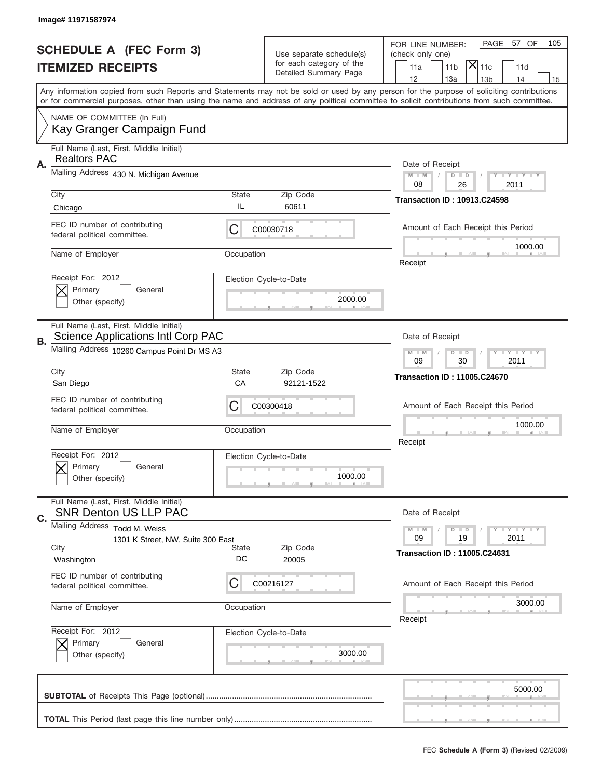|                                                            | Image# 11971587974                                                            |                                                                                                  |                                                      |                                                                                                                                                                                                                                                                                         |  |
|------------------------------------------------------------|-------------------------------------------------------------------------------|--------------------------------------------------------------------------------------------------|------------------------------------------------------|-----------------------------------------------------------------------------------------------------------------------------------------------------------------------------------------------------------------------------------------------------------------------------------------|--|
|                                                            |                                                                               |                                                                                                  |                                                      | PAGE<br>57 OF<br>105<br>FOR LINE NUMBER:                                                                                                                                                                                                                                                |  |
| <b>SCHEDULE A (FEC Form 3)</b><br><b>ITEMIZED RECEIPTS</b> |                                                                               |                                                                                                  | Use separate schedule(s)<br>for each category of the | (check only one)                                                                                                                                                                                                                                                                        |  |
|                                                            |                                                                               |                                                                                                  | Detailed Summary Page                                | $ \mathsf{X} _{\mathsf{11c}}$<br>11 <sub>b</sub><br>11a<br>11d<br>12<br>13a<br>14<br>13 <sub>b</sub><br>15                                                                                                                                                                              |  |
|                                                            |                                                                               |                                                                                                  |                                                      | Any information copied from such Reports and Statements may not be sold or used by any person for the purpose of soliciting contributions<br>or for commercial purposes, other than using the name and address of any political committee to solicit contributions from such committee. |  |
|                                                            | NAME OF COMMITTEE (In Full)<br>Kay Granger Campaign Fund                      |                                                                                                  |                                                      |                                                                                                                                                                                                                                                                                         |  |
| Α.                                                         | Full Name (Last, First, Middle Initial)<br><b>Realtors PAC</b>                |                                                                                                  |                                                      | Date of Receipt                                                                                                                                                                                                                                                                         |  |
|                                                            | Mailing Address 430 N. Michigan Avenue                                        |                                                                                                  |                                                      | <b>THEY THEY</b><br>$M - M$<br>$D$ $D$<br>08<br>26<br>2011                                                                                                                                                                                                                              |  |
|                                                            | City<br>Chicago                                                               | <b>State</b><br>IL                                                                               | Zip Code<br>60611                                    | <b>Transaction ID: 10913.C24598</b>                                                                                                                                                                                                                                                     |  |
|                                                            | FEC ID number of contributing<br>federal political committee.                 | C                                                                                                | C00030718                                            | Amount of Each Receipt this Period<br>1000.00                                                                                                                                                                                                                                           |  |
|                                                            | Name of Employer                                                              | Occupation                                                                                       |                                                      | Receipt                                                                                                                                                                                                                                                                                 |  |
|                                                            | Receipt For: 2012<br>Primary<br>General<br>Other (specify)                    |                                                                                                  | Election Cycle-to-Date<br>2000.00                    |                                                                                                                                                                                                                                                                                         |  |
| В.                                                         | Full Name (Last, First, Middle Initial)<br>Science Applications Intl Corp PAC |                                                                                                  |                                                      | Date of Receipt                                                                                                                                                                                                                                                                         |  |
|                                                            | Mailing Address 10260 Campus Point Dr MS A3                                   | <b>LYLYLY</b><br>$M - M$<br>$D$ $D$<br>09<br>30<br>2011                                          |                                                      |                                                                                                                                                                                                                                                                                         |  |
|                                                            | City<br>San Diego                                                             | <b>State</b><br>CA                                                                               | Zip Code<br>92121-1522                               | <b>Transaction ID: 11005.C24670</b>                                                                                                                                                                                                                                                     |  |
|                                                            | FEC ID number of contributing<br>federal political committee.                 | C                                                                                                | C00300418                                            | Amount of Each Receipt this Period                                                                                                                                                                                                                                                      |  |
|                                                            | Name of Employer                                                              | Occupation                                                                                       |                                                      | 1000.00<br>Receipt                                                                                                                                                                                                                                                                      |  |
|                                                            | Receipt For: 2012<br>Primary<br>General<br>Other (specify)                    |                                                                                                  | Election Cycle-to-Date<br>1000.00                    |                                                                                                                                                                                                                                                                                         |  |
| C.                                                         | Full Name (Last, First, Middle Initial)<br><b>SNR Denton US LLP PAC</b>       |                                                                                                  |                                                      | Date of Receipt                                                                                                                                                                                                                                                                         |  |
|                                                            | Mailing Address Todd M. Weiss<br>1301 K Street, NW, Suite 300 East<br>City    | $T + Y = Y + Y$<br>$M - M$<br>$D$ $D$<br>09<br>19<br>2011<br><b>Transaction ID: 11005.C24631</b> |                                                      |                                                                                                                                                                                                                                                                                         |  |
|                                                            | Washington                                                                    | DC                                                                                               | 20005                                                |                                                                                                                                                                                                                                                                                         |  |
|                                                            | FEC ID number of contributing<br>federal political committee.                 | С                                                                                                | C00216127                                            | Amount of Each Receipt this Period                                                                                                                                                                                                                                                      |  |
|                                                            | Name of Employer                                                              | Occupation                                                                                       |                                                      | 3000.00<br>Receipt                                                                                                                                                                                                                                                                      |  |
|                                                            | Receipt For: 2012<br>Primary<br>General<br>Other (specify)                    |                                                                                                  | Election Cycle-to-Date<br>3000.00                    |                                                                                                                                                                                                                                                                                         |  |
|                                                            |                                                                               |                                                                                                  |                                                      | 5000.00                                                                                                                                                                                                                                                                                 |  |
|                                                            |                                                                               |                                                                                                  |                                                      |                                                                                                                                                                                                                                                                                         |  |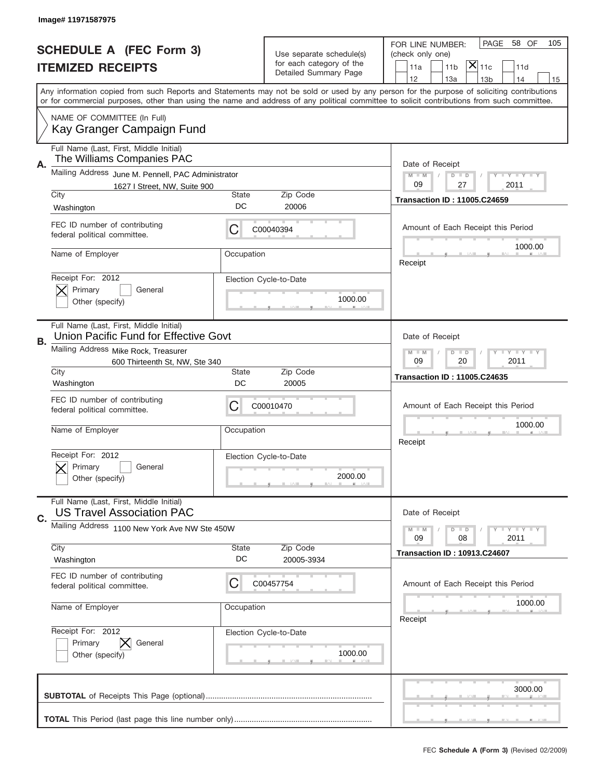|                                                            | Image# 11971587975                                                                 |                                                              |                                   |                                                                                                                                                                                                                                                                                         |
|------------------------------------------------------------|------------------------------------------------------------------------------------|--------------------------------------------------------------|-----------------------------------|-----------------------------------------------------------------------------------------------------------------------------------------------------------------------------------------------------------------------------------------------------------------------------------------|
| <b>SCHEDULE A (FEC Form 3)</b><br><b>ITEMIZED RECEIPTS</b> |                                                                                    | Use separate schedule(s)<br>for each category of the         |                                   | PAGE<br>58 OF<br>105<br>FOR LINE NUMBER:<br>(check only one)<br>$ \mathsf{\overline{X}} _{\mathsf{11c}}$<br>11 <sub>b</sub><br>11a<br>11d                                                                                                                                               |
|                                                            |                                                                                    |                                                              | Detailed Summary Page             | 12<br>13a<br>14<br>13 <sub>b</sub><br>15                                                                                                                                                                                                                                                |
|                                                            |                                                                                    |                                                              |                                   | Any information copied from such Reports and Statements may not be sold or used by any person for the purpose of soliciting contributions<br>or for commercial purposes, other than using the name and address of any political committee to solicit contributions from such committee. |
|                                                            | NAME OF COMMITTEE (In Full)<br>Kay Granger Campaign Fund                           |                                                              |                                   |                                                                                                                                                                                                                                                                                         |
| Α.                                                         | Full Name (Last, First, Middle Initial)<br>The Williams Companies PAC              |                                                              |                                   | Date of Receipt                                                                                                                                                                                                                                                                         |
|                                                            | Mailing Address June M. Pennell, PAC Administrator<br>1627 I Street, NW, Suite 900 |                                                              |                                   | <b>LY LY LY</b><br>$M - M$<br>$D$ $D$<br>09<br>27<br>2011                                                                                                                                                                                                                               |
|                                                            | City<br>Washington                                                                 | State<br>DC                                                  | Zip Code<br>20006                 | <b>Transaction ID: 11005.C24659</b>                                                                                                                                                                                                                                                     |
|                                                            | FEC ID number of contributing<br>federal political committee.                      | С                                                            | C00040394                         | Amount of Each Receipt this Period                                                                                                                                                                                                                                                      |
|                                                            | Name of Employer                                                                   | Occupation                                                   |                                   | 1000.00<br>Receipt                                                                                                                                                                                                                                                                      |
|                                                            | Receipt For: 2012<br>Primary<br>General<br>Other (specify)                         |                                                              | Election Cycle-to-Date<br>1000.00 |                                                                                                                                                                                                                                                                                         |
| В.                                                         | Full Name (Last, First, Middle Initial)<br>Union Pacific Fund for Effective Govt   | Date of Receipt                                              |                                   |                                                                                                                                                                                                                                                                                         |
|                                                            | Mailing Address Mike Rock, Treasurer<br>600 Thirteenth St, NW, Ste 340             | <b>LEY LEY LEY</b><br>$M - M$<br>$D$ $D$<br>09<br>2011<br>20 |                                   |                                                                                                                                                                                                                                                                                         |
|                                                            | City<br>Washington                                                                 | State<br>DC                                                  | Zip Code<br>20005                 | <b>Transaction ID: 11005.C24635</b>                                                                                                                                                                                                                                                     |
|                                                            |                                                                                    |                                                              |                                   |                                                                                                                                                                                                                                                                                         |
|                                                            | FEC ID number of contributing<br>federal political committee.                      | С                                                            | C00010470                         | Amount of Each Receipt this Period                                                                                                                                                                                                                                                      |
|                                                            | Name of Employer                                                                   | Occupation                                                   |                                   | 1000.00<br>Receipt                                                                                                                                                                                                                                                                      |
|                                                            | Receipt For: 2012<br>General<br>Primary<br>Other (specify)                         |                                                              | Election Cycle-to-Date<br>2000.00 |                                                                                                                                                                                                                                                                                         |
|                                                            | Full Name (Last, First, Middle Initial)<br><b>US Travel Association PAC</b>        |                                                              |                                   | Date of Receipt                                                                                                                                                                                                                                                                         |
| C.                                                         | Mailing Address 1100 New York Ave NW Ste 450W                                      |                                                              |                                   | <b>LYLYLY</b><br>$M - M$<br>$D$ $D$<br>08<br>2011<br>09                                                                                                                                                                                                                                 |
|                                                            | City<br>Washington                                                                 | <b>State</b><br>DC                                           | Zip Code<br>20005-3934            | <b>Transaction ID: 10913.C24607</b>                                                                                                                                                                                                                                                     |
|                                                            | FEC ID number of contributing<br>federal political committee.                      | C                                                            | C00457754                         | Amount of Each Receipt this Period                                                                                                                                                                                                                                                      |
|                                                            | Name of Employer                                                                   | Occupation                                                   |                                   | 1000.00<br>Receipt                                                                                                                                                                                                                                                                      |
|                                                            | Receipt For: 2012<br>Primary<br>General<br>Other (specify)                         |                                                              | Election Cycle-to-Date<br>1000.00 |                                                                                                                                                                                                                                                                                         |
|                                                            |                                                                                    |                                                              |                                   | 3000.00                                                                                                                                                                                                                                                                                 |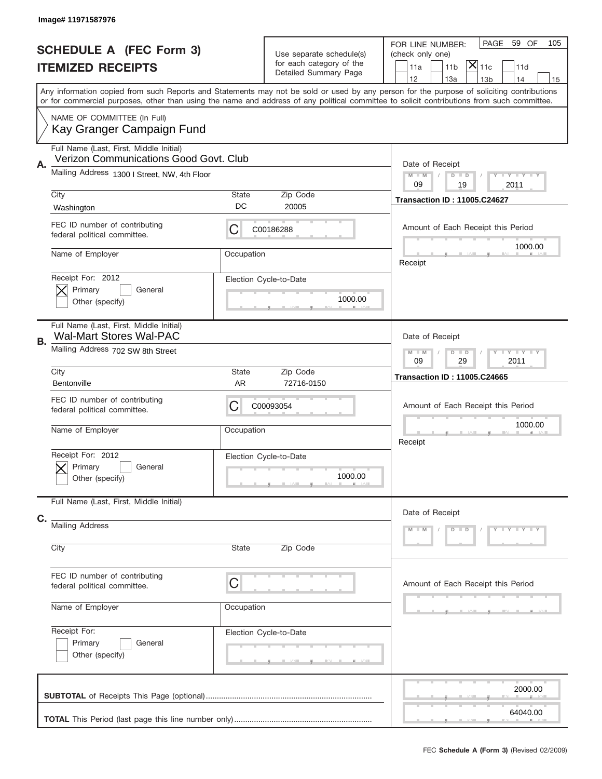|    | Image# 11971587976                                                                |                                                         |                                                                               |                                                                                                                                                                                                                                                                                         |
|----|-----------------------------------------------------------------------------------|---------------------------------------------------------|-------------------------------------------------------------------------------|-----------------------------------------------------------------------------------------------------------------------------------------------------------------------------------------------------------------------------------------------------------------------------------------|
|    | <b>SCHEDULE A (FEC Form 3)</b><br><b>ITEMIZED RECEIPTS</b>                        |                                                         | Use separate schedule(s)<br>for each category of the<br>Detailed Summary Page | PAGE<br>59 OF<br>105<br>FOR LINE NUMBER:<br>(check only one)<br>$ \mathsf{X} _{\mathsf{11c}}$<br>11 <sub>b</sub><br>11a<br>11d<br>12<br>13a<br>14<br>13 <sub>b</sub><br>15                                                                                                              |
|    |                                                                                   |                                                         |                                                                               | Any information copied from such Reports and Statements may not be sold or used by any person for the purpose of soliciting contributions<br>or for commercial purposes, other than using the name and address of any political committee to solicit contributions from such committee. |
|    | NAME OF COMMITTEE (In Full)<br>Kay Granger Campaign Fund                          |                                                         |                                                                               |                                                                                                                                                                                                                                                                                         |
| Α. | Full Name (Last, First, Middle Initial)<br>Verizon Communications Good Govt. Club |                                                         |                                                                               | Date of Receipt                                                                                                                                                                                                                                                                         |
|    | Mailing Address 1300 I Street, NW, 4th Floor                                      |                                                         |                                                                               | $M$ M<br>Y FY FY FY<br>$D$ $D$<br>09<br>19<br>2011                                                                                                                                                                                                                                      |
|    | City<br>Washington                                                                | State<br>DC                                             | Zip Code<br>20005                                                             | <b>Transaction ID: 11005.C24627</b>                                                                                                                                                                                                                                                     |
|    | FEC ID number of contributing<br>federal political committee.                     | С                                                       | C00186288                                                                     | Amount of Each Receipt this Period<br>1000.00                                                                                                                                                                                                                                           |
|    | Name of Employer                                                                  | Occupation                                              |                                                                               | Receipt                                                                                                                                                                                                                                                                                 |
|    | Receipt For: 2012<br>Primary<br>General<br>Other (specify)                        |                                                         | Election Cycle-to-Date<br>1000.00                                             |                                                                                                                                                                                                                                                                                         |
|    | Full Name (Last, First, Middle Initial)<br><b>Wal-Mart Stores Wal-PAC</b>         |                                                         |                                                                               | Date of Receipt                                                                                                                                                                                                                                                                         |
| В. | Mailing Address 702 SW 8th Street                                                 | Y I Y I Y I Y<br>$M - M$<br>$D$ $D$<br>09<br>29<br>2011 |                                                                               |                                                                                                                                                                                                                                                                                         |
|    | City<br>Bentonville                                                               | State<br><b>AR</b>                                      | Zip Code<br>72716-0150                                                        | <b>Transaction ID: 11005.C24665</b>                                                                                                                                                                                                                                                     |
|    | FEC ID number of contributing<br>federal political committee.                     | С                                                       | C00093054                                                                     | Amount of Each Receipt this Period                                                                                                                                                                                                                                                      |
|    | Name of Employer                                                                  | Occupation                                              |                                                                               | 1000.00<br>Receipt                                                                                                                                                                                                                                                                      |
|    | Receipt For: 2012<br>General<br>Primary<br>Other (specify)                        |                                                         | Election Cycle-to-Date<br>1000.00                                             |                                                                                                                                                                                                                                                                                         |
|    | Full Name (Last, First, Middle Initial)                                           |                                                         |                                                                               | Date of Receipt                                                                                                                                                                                                                                                                         |
| C. | <b>Mailing Address</b>                                                            |                                                         |                                                                               | Y LY LY LY<br>$M - M$<br>$D$ $D$                                                                                                                                                                                                                                                        |
|    | City                                                                              |                                                         |                                                                               |                                                                                                                                                                                                                                                                                         |
|    | FEC ID number of contributing<br>federal political committee.                     | C                                                       |                                                                               | Amount of Each Receipt this Period                                                                                                                                                                                                                                                      |
|    | Name of Employer                                                                  | Occupation                                              |                                                                               |                                                                                                                                                                                                                                                                                         |
|    |                                                                                   |                                                         |                                                                               |                                                                                                                                                                                                                                                                                         |
|    | Receipt For:<br>Primary<br>General<br>Other (specify)                             | Election Cycle-to-Date                                  |                                                                               |                                                                                                                                                                                                                                                                                         |
|    |                                                                                   |                                                         |                                                                               | 2000.00                                                                                                                                                                                                                                                                                 |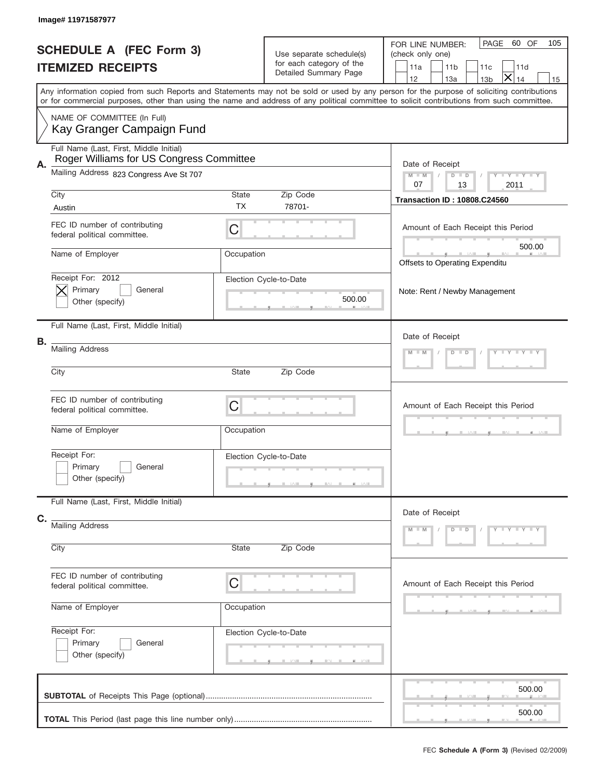|    | Image# 11971587977                                                                  |                                     |                                                                               |                                                                                                                                                                                                                                                                                         |
|----|-------------------------------------------------------------------------------------|-------------------------------------|-------------------------------------------------------------------------------|-----------------------------------------------------------------------------------------------------------------------------------------------------------------------------------------------------------------------------------------------------------------------------------------|
|    | <b>SCHEDULE A (FEC Form 3)</b><br><b>ITEMIZED RECEIPTS</b>                          |                                     | Use separate schedule(s)<br>for each category of the<br>Detailed Summary Page | PAGE<br>60 OF<br>105<br>FOR LINE NUMBER:<br>(check only one)<br>11 <sub>b</sub><br>11a<br>11d<br>11c<br>$\times$<br>12<br>13a<br>14<br>13 <sub>b</sub><br>15                                                                                                                            |
|    |                                                                                     |                                     |                                                                               | Any information copied from such Reports and Statements may not be sold or used by any person for the purpose of soliciting contributions<br>or for commercial purposes, other than using the name and address of any political committee to solicit contributions from such committee. |
|    | NAME OF COMMITTEE (In Full)<br>Kay Granger Campaign Fund                            |                                     |                                                                               |                                                                                                                                                                                                                                                                                         |
| Α. | Full Name (Last, First, Middle Initial)<br>Roger Williams for US Congress Committee |                                     |                                                                               | Date of Receipt                                                                                                                                                                                                                                                                         |
|    | Mailing Address 823 Congress Ave St 707                                             |                                     |                                                                               | $M - M$<br>Y TY TY TY<br>$D$ $D$<br>13<br>07<br>2011                                                                                                                                                                                                                                    |
|    | City<br>Austin                                                                      | <b>State</b><br><b>TX</b>           | Zip Code<br>78701-                                                            | <b>Transaction ID: 10808.C24560</b>                                                                                                                                                                                                                                                     |
|    | FEC ID number of contributing<br>federal political committee.                       | C                                   |                                                                               | Amount of Each Receipt this Period                                                                                                                                                                                                                                                      |
|    | Name of Employer                                                                    | Occupation                          |                                                                               | 500.00<br>Offsets to Operating Expenditu                                                                                                                                                                                                                                                |
|    | Receipt For: 2012<br>Primary<br>General<br>Other (specify)                          |                                     | Election Cycle-to-Date<br>500.00                                              | Note: Rent / Newby Management                                                                                                                                                                                                                                                           |
|    | Full Name (Last, First, Middle Initial)                                             |                                     |                                                                               | Date of Receipt                                                                                                                                                                                                                                                                         |
| В. | <b>Mailing Address</b>                                                              | Y TY TY TY<br>$D$ $D$               |                                                                               |                                                                                                                                                                                                                                                                                         |
|    | City                                                                                | State                               | Zip Code                                                                      |                                                                                                                                                                                                                                                                                         |
|    | FEC ID number of contributing<br>federal political committee.                       | C                                   |                                                                               | Amount of Each Receipt this Period                                                                                                                                                                                                                                                      |
|    | Name of Employer                                                                    | Occupation                          |                                                                               |                                                                                                                                                                                                                                                                                         |
|    | Receipt For:<br>Primary<br>General<br>Other (specify)                               |                                     | Election Cycle-to-Date                                                        |                                                                                                                                                                                                                                                                                         |
| C. | Full Name (Last, First, Middle Initial)                                             |                                     |                                                                               | Date of Receipt                                                                                                                                                                                                                                                                         |
|    | <b>Mailing Address</b><br>City                                                      | Y - Y - Y - Y<br>$M - M$<br>$D$ $D$ |                                                                               |                                                                                                                                                                                                                                                                                         |
|    |                                                                                     | State                               | Zip Code                                                                      |                                                                                                                                                                                                                                                                                         |
|    | FEC ID number of contributing<br>federal political committee.                       | C                                   |                                                                               | Amount of Each Receipt this Period                                                                                                                                                                                                                                                      |
|    | Name of Employer                                                                    | Occupation                          |                                                                               |                                                                                                                                                                                                                                                                                         |
|    | Receipt For:<br>Primary<br>General<br>Other (specify)                               |                                     | Election Cycle-to-Date                                                        |                                                                                                                                                                                                                                                                                         |
|    |                                                                                     |                                     |                                                                               | 500.00<br>500.00                                                                                                                                                                                                                                                                        |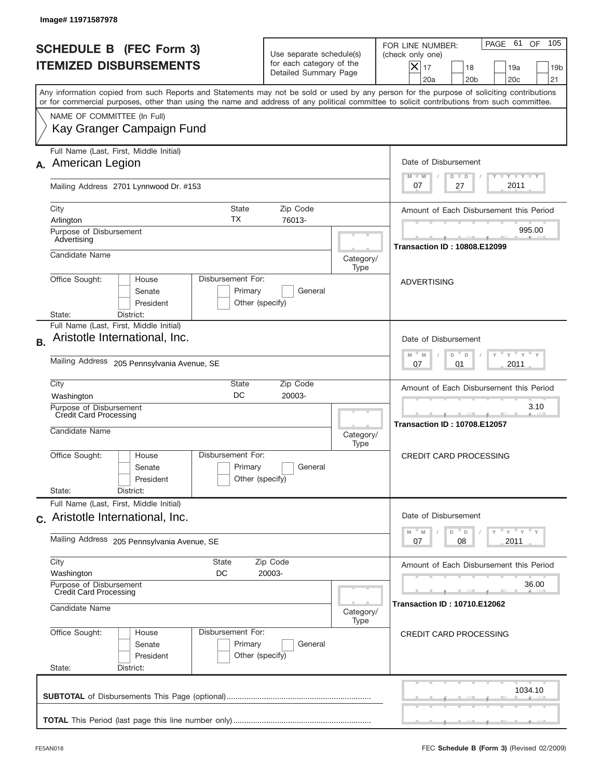|           | Image#11971587978                                                                                                                                                                                                                                                                       |                                                                               |                                     |                                                                                                                                                              |
|-----------|-----------------------------------------------------------------------------------------------------------------------------------------------------------------------------------------------------------------------------------------------------------------------------------------|-------------------------------------------------------------------------------|-------------------------------------|--------------------------------------------------------------------------------------------------------------------------------------------------------------|
|           | <b>SCHEDULE B (FEC Form 3)</b><br><b>ITEMIZED DISBURSEMENTS</b>                                                                                                                                                                                                                         | Use separate schedule(s)<br>for each category of the<br>Detailed Summary Page |                                     | 105<br>PAGE 61<br>OF<br>FOR LINE NUMBER:<br>(check only one)<br>$X _{17}$<br>18<br>19a<br>19 <sub>b</sub><br>20a<br>20 <sub>b</sub><br>20 <sub>c</sub><br>21 |
|           | Any information copied from such Reports and Statements may not be sold or used by any person for the purpose of soliciting contributions<br>or for commercial purposes, other than using the name and address of any political committee to solicit contributions from such committee. |                                                                               |                                     |                                                                                                                                                              |
|           | NAME OF COMMITTEE (In Full)<br>Kay Granger Campaign Fund                                                                                                                                                                                                                                |                                                                               |                                     |                                                                                                                                                              |
|           | Full Name (Last, First, Middle Initial)<br>American Legion                                                                                                                                                                                                                              |                                                                               |                                     | Date of Disbursement                                                                                                                                         |
|           | Mailing Address 2701 Lynnwood Dr. #153                                                                                                                                                                                                                                                  |                                                                               |                                     | $T - Y$ $T - Y$<br>$M - M$<br>$D$ $D$<br>2011<br>07<br>27                                                                                                    |
|           | City<br>State<br>ТX<br>Arlington                                                                                                                                                                                                                                                        | Zip Code<br>76013-                                                            |                                     | Amount of Each Disbursement this Period                                                                                                                      |
|           | Purpose of Disbursement<br>Advertising                                                                                                                                                                                                                                                  |                                                                               |                                     | 995.00<br><b>Transaction ID: 10808.E12099</b>                                                                                                                |
|           | Candidate Name                                                                                                                                                                                                                                                                          |                                                                               | Category/<br>Type                   |                                                                                                                                                              |
|           | Office Sought:<br>Disbursement For:<br>House<br>Senate<br>Primary<br>President<br>Other (specify)<br>District:<br>State:                                                                                                                                                                | General                                                                       |                                     | <b>ADVERTISING</b>                                                                                                                                           |
| <b>B.</b> | Full Name (Last, First, Middle Initial)<br>Aristotle International, Inc.                                                                                                                                                                                                                |                                                                               |                                     | Date of Disbursement<br>$\cdots$ $\gamma$ $\cdots$ $\gamma$ $\cdots$<br>M<br>D<br>M<br>D                                                                     |
|           | Mailing Address 205 Pennsylvania Avenue, SE                                                                                                                                                                                                                                             | 2011<br>07<br>01                                                              |                                     |                                                                                                                                                              |
|           | City<br>State<br>DC<br>Washington                                                                                                                                                                                                                                                       | Zip Code<br>20003-                                                            |                                     | Amount of Each Disbursement this Period                                                                                                                      |
|           | Purpose of Disbursement<br>Credit Card Processing<br>Candidate Name                                                                                                                                                                                                                     |                                                                               | Category/<br>Type                   | 3.10<br><b>Transaction ID: 10708.E12057</b>                                                                                                                  |
|           | Disbursement For:<br>Office Sought:<br>House<br>Primary<br>Senate<br>Other (specify)<br>President                                                                                                                                                                                       | General                                                                       |                                     | <b>CREDIT CARD PROCESSING</b>                                                                                                                                |
|           | State:<br>District:<br>Full Name (Last, First, Middle Initial)                                                                                                                                                                                                                          |                                                                               |                                     |                                                                                                                                                              |
|           | c. Aristotle International, Inc.                                                                                                                                                                                                                                                        |                                                                               |                                     | Date of Disbursement<br>γ " γ " γ " γ<br>$\mathbb M$<br>D<br>M                                                                                               |
|           | Mailing Address 205 Pennsylvania Avenue, SE                                                                                                                                                                                                                                             | D<br>2011<br>07<br>08                                                         |                                     |                                                                                                                                                              |
|           | City<br><b>State</b><br>Washington<br>DC<br>Purpose of Disbursement                                                                                                                                                                                                                     | Zip Code<br>20003-                                                            |                                     | Amount of Each Disbursement this Period<br>36.00                                                                                                             |
|           | <b>Credit Card Processing</b><br>Candidate Name                                                                                                                                                                                                                                         | Category/<br>Type                                                             | <b>Transaction ID: 10710.E12062</b> |                                                                                                                                                              |
|           | Office Sought:<br>Disbursement For:<br>House<br>Primary<br>Senate<br>Other (specify)<br>President<br>State:<br>District:                                                                                                                                                                | General                                                                       |                                     | <b>CREDIT CARD PROCESSING</b>                                                                                                                                |
|           |                                                                                                                                                                                                                                                                                         |                                                                               |                                     | 1034.10                                                                                                                                                      |
|           |                                                                                                                                                                                                                                                                                         |                                                                               |                                     |                                                                                                                                                              |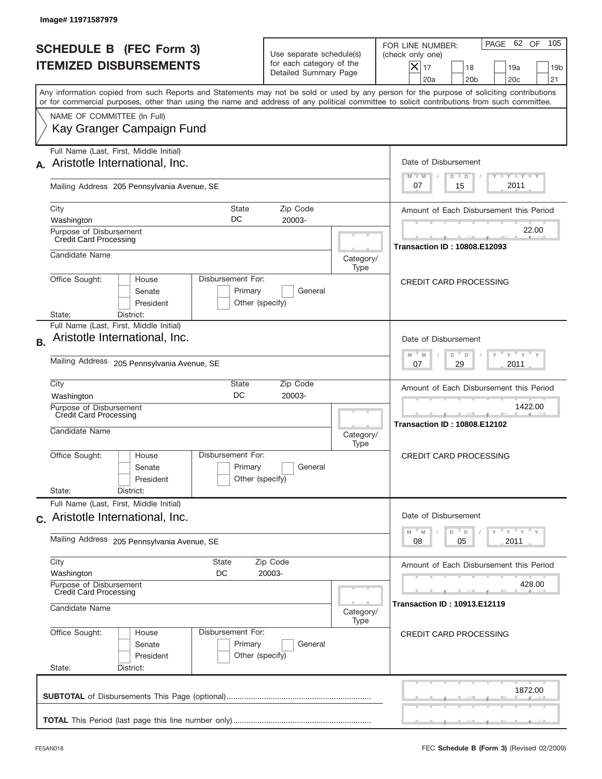|           | Image# 11971587979                                                                                                                         |                                                 |                                                                               |                   |                                                                                                                                                                   |
|-----------|--------------------------------------------------------------------------------------------------------------------------------------------|-------------------------------------------------|-------------------------------------------------------------------------------|-------------------|-------------------------------------------------------------------------------------------------------------------------------------------------------------------|
|           | <b>SCHEDULE B (FEC Form 3)</b><br><b>ITEMIZED DISBURSEMENTS</b>                                                                            |                                                 | Use separate schedule(s)<br>for each category of the<br>Detailed Summary Page |                   | 105<br>PAGE 62 OF<br>FOR LINE NUMBER:<br>(check only one)<br>$ \boldsymbol{\times} $<br>17<br>18<br>19a<br>19 <sub>b</sub><br>20a<br>20 <sub>b</sub><br>20c<br>21 |
|           | or for commercial purposes, other than using the name and address of any political committee to solicit contributions from such committee. |                                                 |                                                                               |                   | Any information copied from such Reports and Statements may not be sold or used by any person for the purpose of soliciting contributions                         |
|           | NAME OF COMMITTEE (In Full)<br>Kay Granger Campaign Fund                                                                                   |                                                 |                                                                               |                   |                                                                                                                                                                   |
|           | Full Name (Last, First, Middle Initial)<br>Aristotle International, Inc.                                                                   |                                                 |                                                                               |                   | Date of Disbursement<br><b>TANK TANK</b><br>$M - M$<br>$D$ $D$                                                                                                    |
|           | Mailing Address 205 Pennsylvania Avenue, SE                                                                                                |                                                 |                                                                               |                   | 2011<br>07<br>15                                                                                                                                                  |
|           | City<br>Washington                                                                                                                         | State<br>DC                                     | Zip Code<br>20003-                                                            |                   | Amount of Each Disbursement this Period                                                                                                                           |
|           | Purpose of Disbursement<br><b>Credit Card Processing</b>                                                                                   |                                                 |                                                                               |                   | 22.00<br><b>Transaction ID: 10808.E12093</b>                                                                                                                      |
|           | Candidate Name                                                                                                                             |                                                 |                                                                               | Category/<br>Type |                                                                                                                                                                   |
|           | Office Sought:<br>House<br>Senate<br>President<br>District:<br>State:                                                                      | Disbursement For:<br>Primary<br>Other (specify) | General                                                                       |                   | <b>CREDIT CARD PROCESSING</b>                                                                                                                                     |
| <b>B.</b> | Full Name (Last, First, Middle Initial)<br>Aristotle International, Inc.                                                                   |                                                 |                                                                               |                   | Date of Disbursement                                                                                                                                              |
|           | Mailing Address 205 Pennsylvania Avenue, SE                                                                                                |                                                 |                                                                               |                   | $\cdots$ $\gamma$ $\cdots$ $\gamma$ $\cdots$<br>D <sup>=</sup><br>M<br>M<br>D<br>29<br>2011<br>07                                                                 |
|           | City<br>Washington                                                                                                                         | State<br>DC                                     | Zip Code<br>20003-                                                            |                   | Amount of Each Disbursement this Period                                                                                                                           |
|           | Purpose of Disbursement<br><b>Credit Card Processing</b><br>Candidate Name                                                                 |                                                 |                                                                               | Category/<br>Type | 1422.00<br><b>Transaction ID: 10808.E12102</b>                                                                                                                    |
|           | Office Sought:<br>House<br>Senate<br>President                                                                                             | Disbursement For:<br>Primary<br>Other (specify) | General                                                                       |                   | <b>CREDIT CARD PROCESSING</b>                                                                                                                                     |
|           | State:<br>District:<br>Full Name (Last, First, Middle Initial)                                                                             |                                                 |                                                                               |                   |                                                                                                                                                                   |
|           | c. Aristotle International, Inc.                                                                                                           |                                                 |                                                                               |                   | Date of Disbursement<br>ү "ү "ү "ү<br>$-M$<br>$\overline{D}$<br>M<br>D                                                                                            |
|           | Mailing Address 205 Pennsylvania Avenue, SE                                                                                                |                                                 |                                                                               |                   | 2011<br>08<br>05                                                                                                                                                  |
|           | City<br><b>State</b><br>Washington<br>DC                                                                                                   |                                                 | Zip Code<br>20003-                                                            |                   | Amount of Each Disbursement this Period<br>428.00                                                                                                                 |
|           | Purpose of Disbursement<br><b>Credit Card Processing</b><br>Candidate Name                                                                 |                                                 |                                                                               | Category/<br>Type | <b>Transaction ID: 10913.E12119</b>                                                                                                                               |
|           | Office Sought:<br>House<br>Senate<br>President<br>State:<br>District:                                                                      | Disbursement For:<br>Primary<br>Other (specify) | General                                                                       |                   | <b>CREDIT CARD PROCESSING</b>                                                                                                                                     |
|           |                                                                                                                                            |                                                 |                                                                               |                   | 1872.00                                                                                                                                                           |
|           |                                                                                                                                            |                                                 |                                                                               |                   |                                                                                                                                                                   |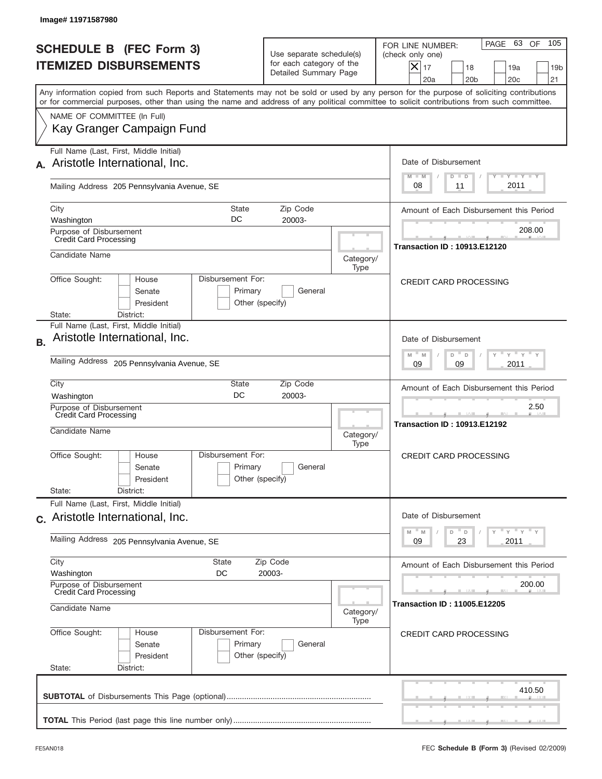|           | Image# 11971587980                                                                                                                                                                                                                                                                      |                                                                               |                   |                                                                                                                                                           |
|-----------|-----------------------------------------------------------------------------------------------------------------------------------------------------------------------------------------------------------------------------------------------------------------------------------------|-------------------------------------------------------------------------------|-------------------|-----------------------------------------------------------------------------------------------------------------------------------------------------------|
|           | <b>SCHEDULE B (FEC Form 3)</b><br><b>ITEMIZED DISBURSEMENTS</b>                                                                                                                                                                                                                         | Use separate schedule(s)<br>for each category of the<br>Detailed Summary Page |                   | 105<br>PAGE 63 OF<br>FOR LINE NUMBER:<br>(check only one)<br>$X _{17}$<br>18<br>19a<br>19 <sub>b</sub><br>20a<br>20 <sub>b</sub><br>20 <sub>c</sub><br>21 |
|           | Any information copied from such Reports and Statements may not be sold or used by any person for the purpose of soliciting contributions<br>or for commercial purposes, other than using the name and address of any political committee to solicit contributions from such committee. |                                                                               |                   |                                                                                                                                                           |
|           | NAME OF COMMITTEE (In Full)<br>Kay Granger Campaign Fund                                                                                                                                                                                                                                |                                                                               |                   |                                                                                                                                                           |
|           | Full Name (Last, First, Middle Initial)<br>Aristotle International, Inc.                                                                                                                                                                                                                |                                                                               |                   | Date of Disbursement                                                                                                                                      |
|           | Mailing Address 205 Pennsylvania Avenue, SE                                                                                                                                                                                                                                             |                                                                               |                   | $T - Y$ $T - Y$<br>$M - M$<br>$D$ $D$<br>2011<br>08<br>11                                                                                                 |
|           | State                                                                                                                                                                                                                                                                                   |                                                                               |                   |                                                                                                                                                           |
|           | City<br>DC<br>Washington                                                                                                                                                                                                                                                                | Zip Code<br>20003-                                                            |                   | Amount of Each Disbursement this Period                                                                                                                   |
|           | Purpose of Disbursement<br><b>Credit Card Processing</b>                                                                                                                                                                                                                                |                                                                               |                   | 208.00                                                                                                                                                    |
|           | Candidate Name                                                                                                                                                                                                                                                                          |                                                                               | Category/<br>Type | <b>Transaction ID: 10913.E12120</b>                                                                                                                       |
|           | Office Sought:<br>Disbursement For:<br>House<br>Primary<br>Senate<br>President<br>District:<br>State:                                                                                                                                                                                   | General<br>Other (specify)                                                    |                   | <b>CREDIT CARD PROCESSING</b>                                                                                                                             |
| <b>B.</b> | Full Name (Last, First, Middle Initial)<br>Aristotle International, Inc.<br>Mailing Address 205 Pennsylvania Avenue, SE                                                                                                                                                                 |                                                                               |                   | Date of Disbursement<br>$-\gamma + \gamma$<br>$-M$<br>M<br>D<br>D<br>2011<br>09<br>09                                                                     |
|           | City<br>State                                                                                                                                                                                                                                                                           | Zip Code                                                                      |                   | Amount of Each Disbursement this Period                                                                                                                   |
|           | DC<br>Washington<br>Purpose of Disbursement<br><b>Credit Card Processing</b><br>Candidate Name                                                                                                                                                                                          | 20003-                                                                        | Category/<br>Type | 2.50<br><b>Transaction ID: 10913.E12192</b>                                                                                                               |
|           | Disbursement For:<br>Office Sought:<br>House<br>Primary<br>Senate<br>President<br>State:<br>District:                                                                                                                                                                                   | General<br>Other (specify)                                                    |                   | <b>CREDIT CARD PROCESSING</b>                                                                                                                             |
|           | Full Name (Last, First, Middle Initial)<br>c. Aristotle International, Inc.                                                                                                                                                                                                             |                                                                               |                   | Date of Disbursement                                                                                                                                      |
|           | Mailing Address 205 Pennsylvania Avenue, SE                                                                                                                                                                                                                                             |                                                                               |                   | γ " γ " γ " γ<br>M<br>D<br>M<br>D<br>23<br>2011<br>09                                                                                                     |
|           | City<br><b>State</b><br>Washington<br>DC                                                                                                                                                                                                                                                | Zip Code<br>20003-                                                            |                   | Amount of Each Disbursement this Period                                                                                                                   |
|           | Purpose of Disbursement<br><b>Credit Card Processing</b><br>Candidate Name                                                                                                                                                                                                              |                                                                               | Category/<br>Type | 200.00<br><b>Transaction ID: 11005.E12205</b>                                                                                                             |
|           | Office Sought:<br>Disbursement For:<br>House<br>Primary<br>Senate<br>President<br>State:<br>District:                                                                                                                                                                                   | General<br>Other (specify)                                                    |                   | <b>CREDIT CARD PROCESSING</b>                                                                                                                             |
|           |                                                                                                                                                                                                                                                                                         |                                                                               |                   | 410.50                                                                                                                                                    |
|           |                                                                                                                                                                                                                                                                                         |                                                                               |                   |                                                                                                                                                           |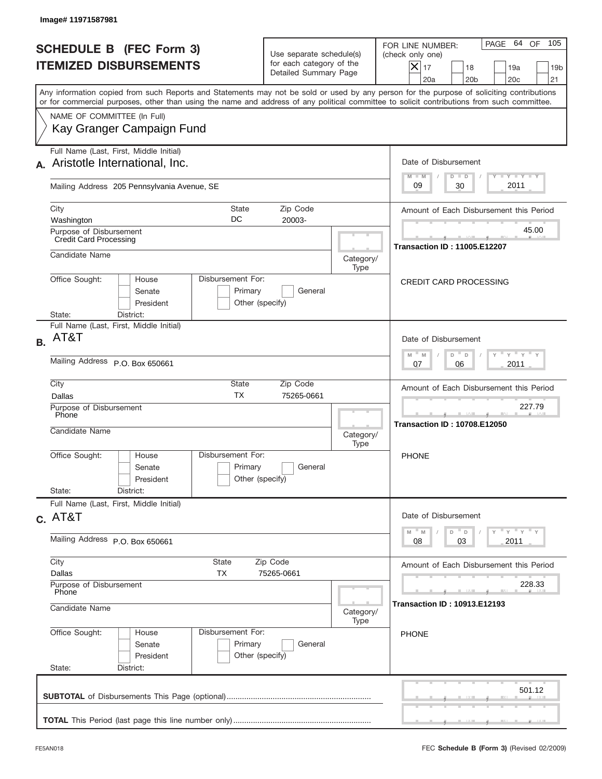| <b>SCHEDULE B (FEC Form 3)</b><br><b>ITEMIZED DISBURSEMENTS</b>                                                                                                                                                                                                                         | Use separate schedule(s)<br>for each category of the<br>Detailed Summary Page               |                   | 105<br>PAGE 64 OF<br>FOR LINE NUMBER:<br>(check only one)<br>$X _{17}$<br>18<br>19a<br>19 <sub>b</sub><br>20a<br>20 <sub>b</sub><br>20 <sub>c</sub><br>21 |
|-----------------------------------------------------------------------------------------------------------------------------------------------------------------------------------------------------------------------------------------------------------------------------------------|---------------------------------------------------------------------------------------------|-------------------|-----------------------------------------------------------------------------------------------------------------------------------------------------------|
| Any information copied from such Reports and Statements may not be sold or used by any person for the purpose of soliciting contributions<br>or for commercial purposes, other than using the name and address of any political committee to solicit contributions from such committee. |                                                                                             |                   |                                                                                                                                                           |
| NAME OF COMMITTEE (In Full)<br>Kay Granger Campaign Fund                                                                                                                                                                                                                                |                                                                                             |                   |                                                                                                                                                           |
| Full Name (Last, First, Middle Initial)<br>Aristotle International, Inc.                                                                                                                                                                                                                |                                                                                             |                   | Date of Disbursement<br>$T - Y$ $T - Y$<br>$M - M$<br>$D$ $D$                                                                                             |
| Mailing Address 205 Pennsylvania Avenue, SE                                                                                                                                                                                                                                             |                                                                                             |                   | 2011<br>09<br>30                                                                                                                                          |
| City<br>State<br>DC<br>Washington                                                                                                                                                                                                                                                       | Zip Code<br>20003-                                                                          |                   | Amount of Each Disbursement this Period                                                                                                                   |
| Purpose of Disbursement<br><b>Credit Card Processing</b>                                                                                                                                                                                                                                | 45.00<br><b>Transaction ID: 11005.E12207</b>                                                |                   |                                                                                                                                                           |
| Candidate Name<br>Office Sought:<br>Disbursement For:<br>House                                                                                                                                                                                                                          |                                                                                             | Category/<br>Type | <b>CREDIT CARD PROCESSING</b>                                                                                                                             |
| Senate<br>President<br>District:<br>State:                                                                                                                                                                                                                                              | Primary<br>General<br>Other (specify)                                                       |                   |                                                                                                                                                           |
| Full Name (Last, First, Middle Initial)<br>AT&T<br><b>B.</b>                                                                                                                                                                                                                            |                                                                                             |                   | Date of Disbursement                                                                                                                                      |
| Mailing Address P.O. Box 650661                                                                                                                                                                                                                                                         | $\cdots$ $\gamma$ $\cdots$ $\gamma$ $\cdots$<br>$-M$<br>M<br>$D =$<br>D<br>2011<br>07<br>06 |                   |                                                                                                                                                           |
| City<br>State<br><b>TX</b><br>Dallas                                                                                                                                                                                                                                                    | Zip Code<br>75265-0661                                                                      |                   | Amount of Each Disbursement this Period                                                                                                                   |
| Purpose of Disbursement<br>Phone<br>Candidate Name                                                                                                                                                                                                                                      |                                                                                             | Category/<br>Type | 227.79<br><b>Transaction ID: 10708.E12050</b>                                                                                                             |
| Disbursement For:<br>Office Sought:<br>House<br>Senate<br>President                                                                                                                                                                                                                     | Primary<br>General<br>Other (specify)                                                       |                   | <b>PHONE</b>                                                                                                                                              |
| State:<br>District:<br>Full Name (Last, First, Middle Initial)                                                                                                                                                                                                                          |                                                                                             |                   |                                                                                                                                                           |
| $c.$ AT&T                                                                                                                                                                                                                                                                               | Date of Disbursement<br>ү "ү "ү "ү<br>M<br>$D$ $D$<br>M                                     |                   |                                                                                                                                                           |
| Mailing Address P.O. Box 650661<br>City<br>State                                                                                                                                                                                                                                        | 2011<br>08<br>03                                                                            |                   |                                                                                                                                                           |
| Dallas<br>ТX                                                                                                                                                                                                                                                                            | Amount of Each Disbursement this Period<br>228.33                                           |                   |                                                                                                                                                           |
| Purpose of Disbursement<br>Phone<br>Candidate Name<br>Category/                                                                                                                                                                                                                         |                                                                                             |                   | <b>Transaction ID: 10913.E12193</b>                                                                                                                       |
| Office Sought:<br>Disbursement For:<br>House<br>Senate<br>President<br>State:<br>District:                                                                                                                                                                                              | Primary<br>General<br>Other (specify)                                                       | Type              | <b>PHONE</b>                                                                                                                                              |
|                                                                                                                                                                                                                                                                                         |                                                                                             |                   | 501.12                                                                                                                                                    |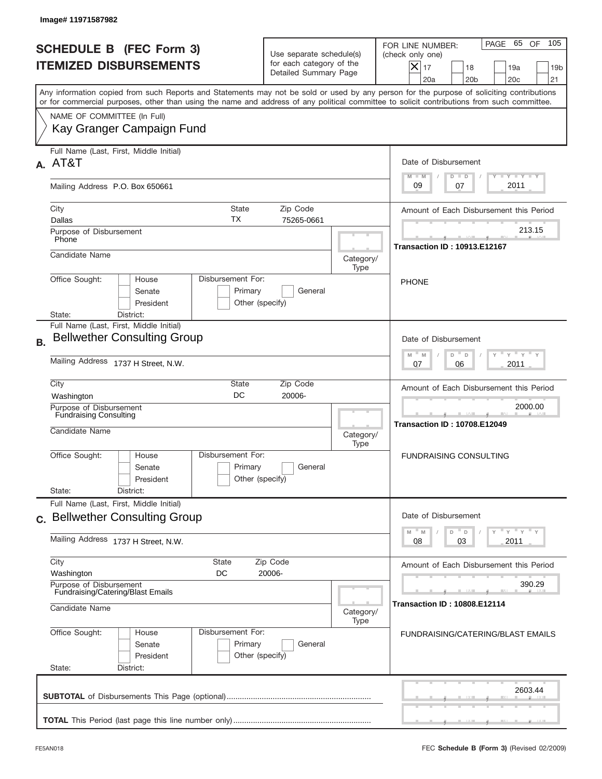|           | Image# 11971587982                                                                                                                                                                                                                                                                      |                                                                               |                   |                                                                                                                                                            |
|-----------|-----------------------------------------------------------------------------------------------------------------------------------------------------------------------------------------------------------------------------------------------------------------------------------------|-------------------------------------------------------------------------------|-------------------|------------------------------------------------------------------------------------------------------------------------------------------------------------|
|           | <b>SCHEDULE B</b> (FEC Form 3)<br><b>ITEMIZED DISBURSEMENTS</b>                                                                                                                                                                                                                         | Use separate schedule(s)<br>for each category of the<br>Detailed Summary Page |                   | 105<br>PAGE 65<br>OF<br>FOR LINE NUMBER:<br>(check only one)<br>X<br>17<br>18<br>19a<br>19 <sub>b</sub><br>20 <sub>c</sub><br>21<br>20a<br>20 <sub>b</sub> |
|           | Any information copied from such Reports and Statements may not be sold or used by any person for the purpose of soliciting contributions<br>or for commercial purposes, other than using the name and address of any political committee to solicit contributions from such committee. |                                                                               |                   |                                                                                                                                                            |
|           | NAME OF COMMITTEE (In Full)<br>Kay Granger Campaign Fund                                                                                                                                                                                                                                |                                                                               |                   |                                                                                                                                                            |
|           | Full Name (Last, First, Middle Initial)<br>A. AT&T                                                                                                                                                                                                                                      |                                                                               |                   | Date of Disbursement<br>$\mathbf{I}$ $\mathbf{Y}$ $\mathbf{I}$ $\mathbf{Y}$ $\mathbf{I}$ $\mathbf{Y}$<br>$M - M$<br>$D$ $D$                                |
|           | Mailing Address P.O. Box 650661                                                                                                                                                                                                                                                         |                                                                               |                   | 2011<br>09<br>07                                                                                                                                           |
|           | <b>State</b><br>City<br>TX<br>Dallas<br>Purpose of Disbursement                                                                                                                                                                                                                         | Zip Code<br>75265-0661                                                        |                   | Amount of Each Disbursement this Period<br>213.15                                                                                                          |
|           | Phone<br>Candidate Name                                                                                                                                                                                                                                                                 |                                                                               | Category/<br>Type | <b>Transaction ID: 10913.E12167</b>                                                                                                                        |
|           | Disbursement For:<br>Office Sought:<br>House<br>Senate<br>Primary<br>President<br>State:<br>District:                                                                                                                                                                                   | General<br>Other (specify)                                                    |                   | <b>PHONE</b>                                                                                                                                               |
| <b>B.</b> | Full Name (Last, First, Middle Initial)<br><b>Bellwether Consulting Group</b>                                                                                                                                                                                                           |                                                                               |                   | Date of Disbursement<br>$-\gamma + \gamma$<br>$M - M$<br>D<br>D                                                                                            |
|           | Mailing Address 1737 H Street, N.W.                                                                                                                                                                                                                                                     |                                                                               |                   | 2011<br>07<br>06                                                                                                                                           |
|           | City<br>State<br>DC<br>Washington<br><b>Purpose of Disbursement</b><br>Fundraising Consulting<br>Candidate Name                                                                                                                                                                         | Zip Code<br>20006-                                                            |                   | Amount of Each Disbursement this Period<br>2000.00<br>--<br><b>Transaction ID: 10708.E12049</b>                                                            |
|           | Disbursement For:<br>Office Sought:<br>House<br>Primary<br>Senate<br>President<br>State:<br>District:                                                                                                                                                                                   | General<br>Other (specify)                                                    | Category/<br>Type | <b>FUNDRAISING CONSULTING</b>                                                                                                                              |
|           | Full Name (Last, First, Middle Initial)<br>c. Bellwether Consulting Group                                                                                                                                                                                                               |                                                                               |                   | Date of Disbursement                                                                                                                                       |
|           | Mailing Address 1737 H Street, N.W.                                                                                                                                                                                                                                                     |                                                                               |                   | $=\frac{1}{\gamma}+\frac{1}{\gamma}+\frac{1}{\gamma}+\frac{1}{\gamma}$<br>M<br>D<br>M<br>D<br>03<br>2011<br>08                                             |
|           | City<br>State<br>Washington<br>DC<br>Purpose of Disbursement                                                                                                                                                                                                                            | Zip Code<br>20006-                                                            |                   | Amount of Each Disbursement this Period<br>390.29                                                                                                          |
|           | Fundraising/Catering/Blast Emails<br>Candidate Name                                                                                                                                                                                                                                     |                                                                               | Category/<br>Type | <b>Transaction ID: 10808.E12114</b>                                                                                                                        |
|           | Disbursement For:<br>Office Sought:<br>House<br>Primary<br>Senate<br>President<br>State:<br>District:                                                                                                                                                                                   | General<br>Other (specify)                                                    |                   | <b>FUNDRAISING/CATERING/BLAST EMAILS</b>                                                                                                                   |
|           |                                                                                                                                                                                                                                                                                         |                                                                               |                   | 2603.44                                                                                                                                                    |
|           |                                                                                                                                                                                                                                                                                         |                                                                               |                   |                                                                                                                                                            |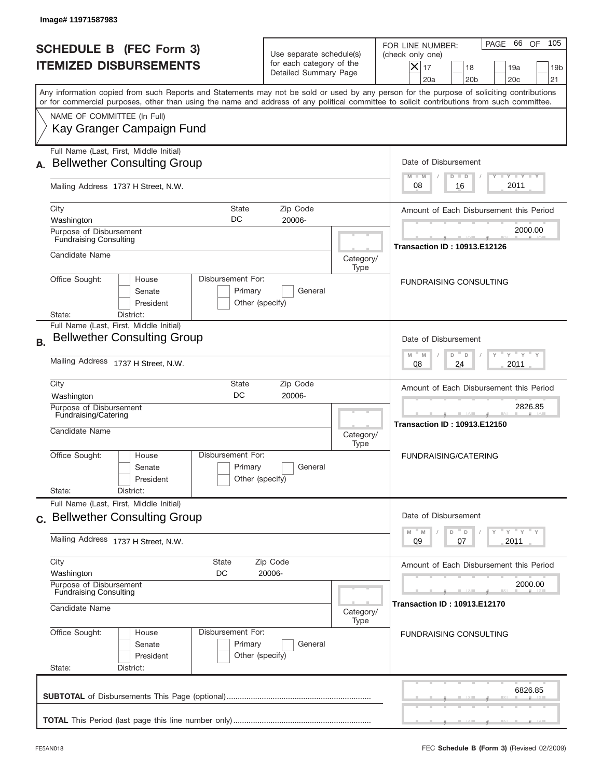|           | Image#11971587983                                                                                                                                                                                                                                                                       |                                                                               |                   |                                                                                                                                                           |
|-----------|-----------------------------------------------------------------------------------------------------------------------------------------------------------------------------------------------------------------------------------------------------------------------------------------|-------------------------------------------------------------------------------|-------------------|-----------------------------------------------------------------------------------------------------------------------------------------------------------|
|           | <b>SCHEDULE B (FEC Form 3)</b><br><b>ITEMIZED DISBURSEMENTS</b>                                                                                                                                                                                                                         | Use separate schedule(s)<br>for each category of the<br>Detailed Summary Page |                   | 105<br>PAGE 66 OF<br>FOR LINE NUMBER:<br>(check only one)<br>$X _{17}$<br>18<br>19a<br>19 <sub>b</sub><br>20a<br>20 <sub>b</sub><br>20 <sub>c</sub><br>21 |
|           | Any information copied from such Reports and Statements may not be sold or used by any person for the purpose of soliciting contributions<br>or for commercial purposes, other than using the name and address of any political committee to solicit contributions from such committee. |                                                                               |                   |                                                                                                                                                           |
|           | NAME OF COMMITTEE (In Full)<br>Kay Granger Campaign Fund                                                                                                                                                                                                                                |                                                                               |                   |                                                                                                                                                           |
|           | Full Name (Last, First, Middle Initial)<br><b>Bellwether Consulting Group</b>                                                                                                                                                                                                           |                                                                               |                   | Date of Disbursement<br>Y TY TY TY<br>$M - M$<br>$D$ $D$                                                                                                  |
|           | Mailing Address 1737 H Street, N.W.                                                                                                                                                                                                                                                     |                                                                               |                   | 2011<br>08<br>16                                                                                                                                          |
|           | City<br>State<br>DC<br>Washington                                                                                                                                                                                                                                                       | Zip Code<br>20006-                                                            |                   | Amount of Each Disbursement this Period                                                                                                                   |
|           | Purpose of Disbursement<br><b>Fundraising Consulting</b>                                                                                                                                                                                                                                |                                                                               |                   | 2000.00<br><b>Transaction ID: 10913.E12126</b>                                                                                                            |
|           | Candidate Name                                                                                                                                                                                                                                                                          |                                                                               | Category/<br>Type |                                                                                                                                                           |
|           | Office Sought:<br>Disbursement For:<br>House<br>Senate<br>President                                                                                                                                                                                                                     | Primary<br>General<br>Other (specify)                                         |                   | <b>FUNDRAISING CONSULTING</b>                                                                                                                             |
| <b>B.</b> | District:<br>State:<br>Full Name (Last, First, Middle Initial)<br><b>Bellwether Consulting Group</b>                                                                                                                                                                                    |                                                                               |                   | Date of Disbursement                                                                                                                                      |
|           | Mailing Address 1737 H Street, N.W.                                                                                                                                                                                                                                                     |                                                                               |                   | $\cdots$ $\gamma$ $\cdots$ $\gamma$ $\cdots$<br>$-M$<br>M<br>D<br>D<br>2011<br>08<br>24                                                                   |
|           | City<br>State<br>DC<br>Washington                                                                                                                                                                                                                                                       | Zip Code<br>20006-                                                            |                   | Amount of Each Disbursement this Period                                                                                                                   |
|           | Purpose of Disbursement<br>Fundraising/Catering<br>Candidate Name                                                                                                                                                                                                                       |                                                                               | Category/<br>Type | 2826.85<br><b>Transaction ID: 10913.E12150</b>                                                                                                            |
|           | Disbursement For:<br>Office Sought:<br>House<br>Senate<br>President<br>State:<br>District:                                                                                                                                                                                              | Primary<br>General<br>Other (specify)                                         |                   | <b>FUNDRAISING/CATERING</b>                                                                                                                               |
|           | Full Name (Last, First, Middle Initial)                                                                                                                                                                                                                                                 |                                                                               |                   | Date of Disbursement                                                                                                                                      |
|           | c. Bellwether Consulting Group<br>Mailing Address 1737 H Street, N.W.                                                                                                                                                                                                                   |                                                                               |                   | γ " γ " γ " γ<br>M<br>D<br>M<br>D<br>2011<br>09<br>07                                                                                                     |
|           | City<br><b>State</b><br>Washington<br>DC                                                                                                                                                                                                                                                | Zip Code<br>20006-                                                            |                   | Amount of Each Disbursement this Period                                                                                                                   |
|           | Purpose of Disbursement<br><b>Fundraising Consulting</b>                                                                                                                                                                                                                                |                                                                               |                   | 2000.00                                                                                                                                                   |
|           | Candidate Name                                                                                                                                                                                                                                                                          | <b>Transaction ID: 10913.E12170</b>                                           |                   |                                                                                                                                                           |
|           | Disbursement For:<br>Office Sought:<br>House<br>Senate<br>President<br>State:<br>District:                                                                                                                                                                                              | Primary<br>General<br>Other (specify)                                         |                   | <b>FUNDRAISING CONSULTING</b>                                                                                                                             |
|           |                                                                                                                                                                                                                                                                                         |                                                                               |                   | 6826.85                                                                                                                                                   |
|           |                                                                                                                                                                                                                                                                                         |                                                                               |                   |                                                                                                                                                           |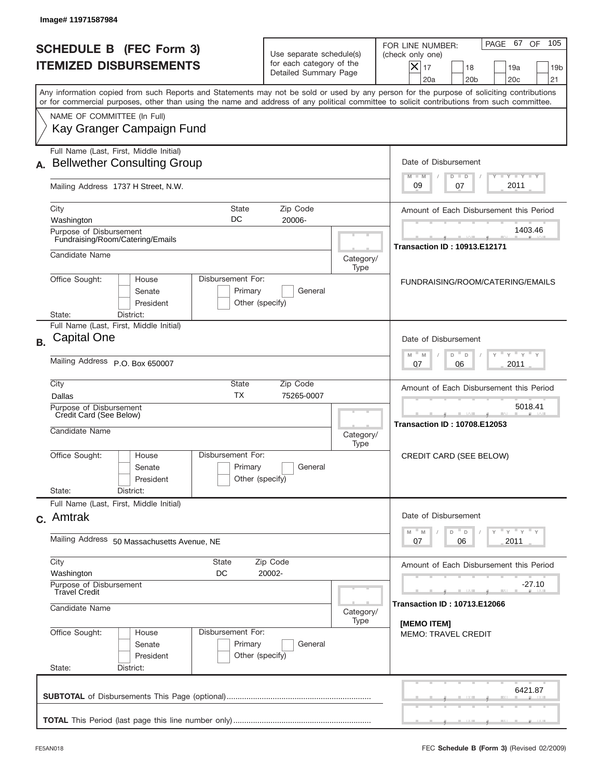|                                 | Image# 11971587984                                                            |                                                 |                                                                               |                   |                                                                                                                                                                                                                                                                                         |
|---------------------------------|-------------------------------------------------------------------------------|-------------------------------------------------|-------------------------------------------------------------------------------|-------------------|-----------------------------------------------------------------------------------------------------------------------------------------------------------------------------------------------------------------------------------------------------------------------------------------|
|                                 | <b>SCHEDULE B (FEC Form 3)</b><br><b>ITEMIZED DISBURSEMENTS</b>               |                                                 | Use separate schedule(s)<br>for each category of the<br>Detailed Summary Page |                   | 105<br>PAGE 67 OF<br>FOR LINE NUMBER:<br>(check only one)<br>$ \mathsf{X} _{17}$<br>18<br>19a<br>19 <sub>b</sub><br>20a<br>20 <sub>b</sub><br>20c<br>21                                                                                                                                 |
|                                 |                                                                               |                                                 |                                                                               |                   | Any information copied from such Reports and Statements may not be sold or used by any person for the purpose of soliciting contributions<br>or for commercial purposes, other than using the name and address of any political committee to solicit contributions from such committee. |
|                                 | NAME OF COMMITTEE (In Full)<br>Kay Granger Campaign Fund                      |                                                 |                                                                               |                   |                                                                                                                                                                                                                                                                                         |
|                                 | Full Name (Last, First, Middle Initial)<br><b>Bellwether Consulting Group</b> |                                                 |                                                                               |                   | Date of Disbursement<br><b>THEY THEY</b><br>$M - M$<br>$D$ $D$                                                                                                                                                                                                                          |
|                                 | Mailing Address 1737 H Street, N.W.                                           |                                                 |                                                                               |                   | 2011<br>09<br>07                                                                                                                                                                                                                                                                        |
| City<br>Washington              |                                                                               | <b>State</b><br>DC                              | Zip Code<br>20006-                                                            |                   | Amount of Each Disbursement this Period                                                                                                                                                                                                                                                 |
|                                 | Purpose of Disbursement<br>Fundraising/Room/Catering/Emails                   |                                                 |                                                                               |                   | 1403.46<br><b>Transaction ID: 10913.E12171</b>                                                                                                                                                                                                                                          |
| Candidate Name                  |                                                                               |                                                 |                                                                               | Category/<br>Type |                                                                                                                                                                                                                                                                                         |
| Office Sought:<br>State:        | House<br>Senate<br>President<br>District:                                     | Disbursement For:<br>Primary<br>Other (specify) | General                                                                       |                   | FUNDRAISING/ROOM/CATERING/EMAILS                                                                                                                                                                                                                                                        |
| <b>Capital One</b><br><b>B.</b> | Full Name (Last, First, Middle Initial)                                       |                                                 |                                                                               |                   | Date of Disbursement                                                                                                                                                                                                                                                                    |
|                                 | Mailing Address P.O. Box 650007                                               |                                                 |                                                                               |                   | $\cdots$ $\gamma$ $\cdots$ $\gamma$ $\cdots$ $\gamma$<br>D<br>M<br>M<br>D<br>2011<br>07<br>06                                                                                                                                                                                           |
| City<br>Dallas                  |                                                                               | <b>State</b><br><b>TX</b>                       | Zip Code<br>75265-0007                                                        |                   | Amount of Each Disbursement this Period                                                                                                                                                                                                                                                 |
| Candidate Name                  | Purpose of Disbursement<br>Credit Card (See Below)                            |                                                 |                                                                               | Category/<br>Type | 5018.41<br><b>Transaction ID: 10708.E12053</b>                                                                                                                                                                                                                                          |
| Office Sought:                  | House<br>Senate<br>President                                                  | Disbursement For:<br>Primary<br>Other (specify) | General                                                                       |                   | CREDIT CARD (SEE BELOW)                                                                                                                                                                                                                                                                 |
| State:                          | District:<br>Full Name (Last, First, Middle Initial)                          |                                                 |                                                                               |                   |                                                                                                                                                                                                                                                                                         |
| c. Amtrak                       |                                                                               |                                                 |                                                                               |                   | Date of Disbursement<br>ү "ү "ү "ү<br>$\overline{\phantom{a}}$ D<br>$M$ $M$<br>D                                                                                                                                                                                                        |
|                                 | Mailing Address 50 Massachusetts Avenue, NE                                   | 2011<br>07<br>06                                |                                                                               |                   |                                                                                                                                                                                                                                                                                         |
| City<br>Washington              |                                                                               | <b>State</b><br>DC                              | Zip Code<br>20002-                                                            |                   | Amount of Each Disbursement this Period                                                                                                                                                                                                                                                 |
| Candidate Name                  | Purpose of Disbursement<br>Travel Credit                                      |                                                 |                                                                               | Category/         | -27.10<br><b>Transaction ID: 10713.E12066</b>                                                                                                                                                                                                                                           |
| Office Sought:<br>State:        | House<br>Senate<br>President<br>District:                                     | Disbursement For:<br>Primary<br>Other (specify) | General                                                                       | Type              | [MEMO ITEM]<br><b>MEMO: TRAVEL CREDIT</b>                                                                                                                                                                                                                                               |
|                                 |                                                                               |                                                 |                                                                               |                   | 6421.87                                                                                                                                                                                                                                                                                 |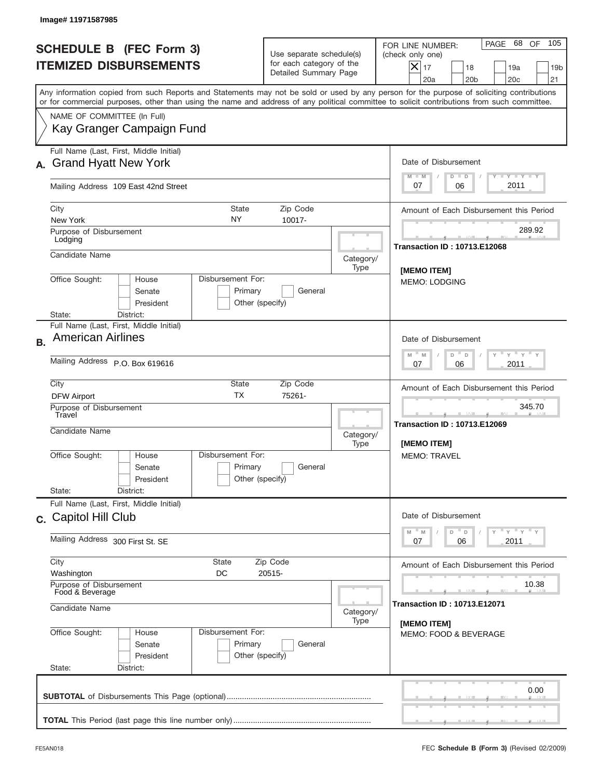| Image# 11971587985                                                                                                                                                                                                                                                                      |                                                                                          |                   |                                                                                                                                                           |
|-----------------------------------------------------------------------------------------------------------------------------------------------------------------------------------------------------------------------------------------------------------------------------------------|------------------------------------------------------------------------------------------|-------------------|-----------------------------------------------------------------------------------------------------------------------------------------------------------|
| <b>SCHEDULE B (FEC Form 3)</b><br><b>ITEMIZED DISBURSEMENTS</b>                                                                                                                                                                                                                         | Use separate schedule(s)<br>for each category of the<br>Detailed Summary Page            |                   | 105<br>PAGE 68 OF<br>FOR LINE NUMBER:<br>(check only one)<br>$X _{17}$<br>18<br>19a<br>19 <sub>b</sub><br>20a<br>20 <sub>b</sub><br>20 <sub>c</sub><br>21 |
| Any information copied from such Reports and Statements may not be sold or used by any person for the purpose of soliciting contributions<br>or for commercial purposes, other than using the name and address of any political committee to solicit contributions from such committee. |                                                                                          |                   |                                                                                                                                                           |
| NAME OF COMMITTEE (In Full)<br>Kay Granger Campaign Fund                                                                                                                                                                                                                                |                                                                                          |                   |                                                                                                                                                           |
| Full Name (Last, First, Middle Initial)<br><b>Grand Hyatt New York</b>                                                                                                                                                                                                                  |                                                                                          |                   | Date of Disbursement<br>$T - Y$ $T - Y$<br>$M - M$<br>$D$ $D$                                                                                             |
| Mailing Address 109 East 42nd Street                                                                                                                                                                                                                                                    |                                                                                          |                   | 2011<br>07<br>06                                                                                                                                          |
| City<br><b>State</b><br>NY.<br>New York                                                                                                                                                                                                                                                 | Zip Code<br>10017-                                                                       |                   | Amount of Each Disbursement this Period                                                                                                                   |
| Purpose of Disbursement<br>Lodging                                                                                                                                                                                                                                                      |                                                                                          |                   | 289.92<br><b>Transaction ID: 10713.E12068</b>                                                                                                             |
| Candidate Name                                                                                                                                                                                                                                                                          |                                                                                          | Category/<br>Type | [MEMO ITEM]                                                                                                                                               |
| Office Sought:<br>Disbursement For:<br>House<br>Senate<br>President<br>State:<br>District:                                                                                                                                                                                              | Primary<br>General<br>Other (specify)                                                    |                   | <b>MEMO: LODGING</b>                                                                                                                                      |
| Full Name (Last, First, Middle Initial)<br><b>American Airlines</b><br><b>B.</b>                                                                                                                                                                                                        |                                                                                          |                   | Date of Disbursement                                                                                                                                      |
| Mailing Address P.O. Box 619616                                                                                                                                                                                                                                                         | $\cdots$ $\vee$ $\cdots$ $\vee$ $\cdots$ $\vee$<br>$M - M$<br>D<br>D<br>2011<br>07<br>06 |                   |                                                                                                                                                           |
| City<br>State<br><b>TX</b><br><b>DFW Airport</b>                                                                                                                                                                                                                                        | Zip Code<br>75261-                                                                       |                   | Amount of Each Disbursement this Period                                                                                                                   |
| Purpose of Disbursement<br>Travel<br>Candidate Name                                                                                                                                                                                                                                     |                                                                                          | Category/         | 345.70<br><b>Transaction ID: 10713.E12069</b>                                                                                                             |
| Disbursement For:<br>Office Sought:<br>House<br>Senate<br>President<br>State:<br>District:                                                                                                                                                                                              | Primary<br>General<br>Other (specify)                                                    | Type              | [MEMO ITEM]<br>MEMO: TRAVEL                                                                                                                               |
| Full Name (Last, First, Middle Initial)<br>c. Capitol Hill Club                                                                                                                                                                                                                         |                                                                                          |                   | Date of Disbursement                                                                                                                                      |
| Mailing Address 300 First St. SE                                                                                                                                                                                                                                                        | ү" ү" ү" ү<br>D<br>M<br>$\mathbb M$<br>$\mathsf D$<br>2011<br>07<br>06                   |                   |                                                                                                                                                           |
| City<br>State<br>Washington<br>DC                                                                                                                                                                                                                                                       | Zip Code<br>20515-                                                                       |                   | Amount of Each Disbursement this Period                                                                                                                   |
| Purpose of Disbursement<br>Food & Beverage<br>Candidate Name                                                                                                                                                                                                                            | 10.38<br><b>Transaction ID: 10713.E12071</b>                                             |                   |                                                                                                                                                           |
| Office Sought:<br>Disbursement For:<br>House<br>Primary<br>Senate<br>President<br>State:<br>District:                                                                                                                                                                                   | General<br>Other (specify)                                                               | Type              | [MEMO ITEM]<br>MEMO: FOOD & BEVERAGE                                                                                                                      |
|                                                                                                                                                                                                                                                                                         |                                                                                          |                   | 0.00                                                                                                                                                      |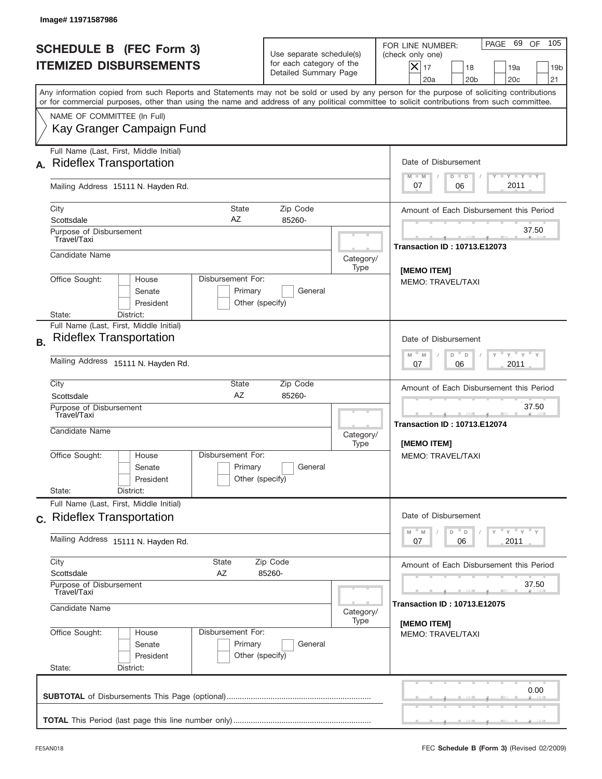| Use separate schedule(s)<br>for each category of the<br>Detailed Summary Page<br>Zip Code<br>85260-<br>General | 105<br>PAGE 69 OF<br>FOR LINE NUMBER:<br>(check only one)<br>$X _{17}$<br>18<br>19a<br>19 <sub>b</sub><br>20a<br>20 <sub>b</sub><br>20 <sub>c</sub><br>21<br>Any information copied from such Reports and Statements may not be sold or used by any person for the purpose of soliciting contributions<br>or for commercial purposes, other than using the name and address of any political committee to solicit contributions from such committee.<br>Date of Disbursement<br>$T - Y$ $T - Y$<br>$M - M$<br>$D$ $D$<br>2011<br>07<br>06<br>Amount of Each Disbursement this Period<br>37.50<br><b>Transaction ID: 10713.E12073</b><br>Category/<br>Type<br>[MEMO ITEM]<br><b>MEMO: TRAVEL/TAXI</b> |  |  |  |
|----------------------------------------------------------------------------------------------------------------|------------------------------------------------------------------------------------------------------------------------------------------------------------------------------------------------------------------------------------------------------------------------------------------------------------------------------------------------------------------------------------------------------------------------------------------------------------------------------------------------------------------------------------------------------------------------------------------------------------------------------------------------------------------------------------------------------|--|--|--|
|                                                                                                                |                                                                                                                                                                                                                                                                                                                                                                                                                                                                                                                                                                                                                                                                                                      |  |  |  |
|                                                                                                                |                                                                                                                                                                                                                                                                                                                                                                                                                                                                                                                                                                                                                                                                                                      |  |  |  |
|                                                                                                                |                                                                                                                                                                                                                                                                                                                                                                                                                                                                                                                                                                                                                                                                                                      |  |  |  |
|                                                                                                                |                                                                                                                                                                                                                                                                                                                                                                                                                                                                                                                                                                                                                                                                                                      |  |  |  |
|                                                                                                                |                                                                                                                                                                                                                                                                                                                                                                                                                                                                                                                                                                                                                                                                                                      |  |  |  |
|                                                                                                                |                                                                                                                                                                                                                                                                                                                                                                                                                                                                                                                                                                                                                                                                                                      |  |  |  |
|                                                                                                                |                                                                                                                                                                                                                                                                                                                                                                                                                                                                                                                                                                                                                                                                                                      |  |  |  |
|                                                                                                                |                                                                                                                                                                                                                                                                                                                                                                                                                                                                                                                                                                                                                                                                                                      |  |  |  |
|                                                                                                                |                                                                                                                                                                                                                                                                                                                                                                                                                                                                                                                                                                                                                                                                                                      |  |  |  |
|                                                                                                                | Date of Disbursement<br>$\cdots$ $\gamma$ $\cdots$ $\gamma$ $\cdots$<br>D<br>M<br>M<br>D                                                                                                                                                                                                                                                                                                                                                                                                                                                                                                                                                                                                             |  |  |  |
| Mailing Address 15111 N. Hayden Rd.                                                                            |                                                                                                                                                                                                                                                                                                                                                                                                                                                                                                                                                                                                                                                                                                      |  |  |  |
| Zip Code<br>85260-                                                                                             | Amount of Each Disbursement this Period                                                                                                                                                                                                                                                                                                                                                                                                                                                                                                                                                                                                                                                              |  |  |  |
|                                                                                                                | 37.50<br><b>Transaction ID: 10713.E12074</b><br>Category/<br>[MEMO ITEM]                                                                                                                                                                                                                                                                                                                                                                                                                                                                                                                                                                                                                             |  |  |  |
| General                                                                                                        | MEMO: TRAVEL/TAXI                                                                                                                                                                                                                                                                                                                                                                                                                                                                                                                                                                                                                                                                                    |  |  |  |
|                                                                                                                |                                                                                                                                                                                                                                                                                                                                                                                                                                                                                                                                                                                                                                                                                                      |  |  |  |
|                                                                                                                | Date of Disbursement<br>ү" ү" ү" ү<br>M<br>$\mathbb M$<br>D<br>D                                                                                                                                                                                                                                                                                                                                                                                                                                                                                                                                                                                                                                     |  |  |  |
| Mailing Address 15111 N. Hayden Rd.                                                                            |                                                                                                                                                                                                                                                                                                                                                                                                                                                                                                                                                                                                                                                                                                      |  |  |  |
|                                                                                                                | Amount of Each Disbursement this Period                                                                                                                                                                                                                                                                                                                                                                                                                                                                                                                                                                                                                                                              |  |  |  |
|                                                                                                                | 37.50<br><b>Transaction ID: 10713.E12075</b><br>Category/                                                                                                                                                                                                                                                                                                                                                                                                                                                                                                                                                                                                                                            |  |  |  |
| General                                                                                                        | [MEMO ITEM]<br><b>MEMO: TRAVEL/TAXI</b>                                                                                                                                                                                                                                                                                                                                                                                                                                                                                                                                                                                                                                                              |  |  |  |
|                                                                                                                | 0.00                                                                                                                                                                                                                                                                                                                                                                                                                                                                                                                                                                                                                                                                                                 |  |  |  |
| Disbursement For:<br>Disbursement For:                                                                         | Other (specify)<br>Type<br>Other (specify)<br>Zip Code<br>85260-<br>Type<br>Other (specify)                                                                                                                                                                                                                                                                                                                                                                                                                                                                                                                                                                                                          |  |  |  |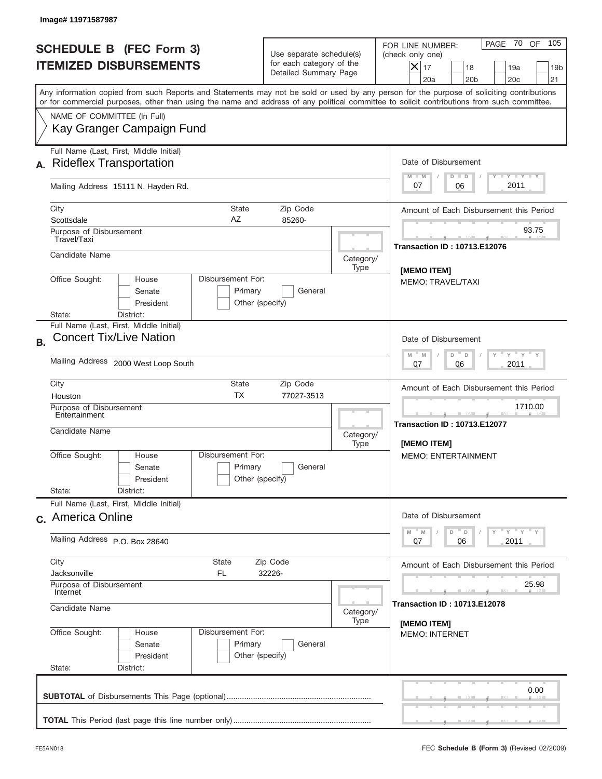|           | Image# 11971587987                                                        |                                                 |                                                                               |                                                                                                      |                                                                                                                                                                                                                                                                                         |
|-----------|---------------------------------------------------------------------------|-------------------------------------------------|-------------------------------------------------------------------------------|------------------------------------------------------------------------------------------------------|-----------------------------------------------------------------------------------------------------------------------------------------------------------------------------------------------------------------------------------------------------------------------------------------|
|           | <b>SCHEDULE B (FEC Form 3)</b><br><b>ITEMIZED DISBURSEMENTS</b>           |                                                 | Use separate schedule(s)<br>for each category of the<br>Detailed Summary Page |                                                                                                      | 70 OF<br>105<br>PAGE<br>FOR LINE NUMBER:<br>(check only one)<br>$X _{17}$<br>18<br>19a<br>19 <sub>b</sub><br>20a<br>20 <sub>b</sub><br>20 <sub>c</sub><br>21                                                                                                                            |
|           |                                                                           |                                                 |                                                                               |                                                                                                      | Any information copied from such Reports and Statements may not be sold or used by any person for the purpose of soliciting contributions<br>or for commercial purposes, other than using the name and address of any political committee to solicit contributions from such committee. |
|           | NAME OF COMMITTEE (In Full)<br>Kay Granger Campaign Fund                  |                                                 |                                                                               |                                                                                                      |                                                                                                                                                                                                                                                                                         |
| А.        | Full Name (Last, First, Middle Initial)<br><b>Rideflex Transportation</b> |                                                 |                                                                               |                                                                                                      | Date of Disbursement<br>$T - Y$ $T - Y$<br>$M - M$<br>$D$ $D$                                                                                                                                                                                                                           |
|           | Mailing Address 15111 N. Hayden Rd.                                       |                                                 |                                                                               |                                                                                                      | 2011<br>07<br>06                                                                                                                                                                                                                                                                        |
|           | City<br>Scottsdale                                                        | State<br>AZ                                     | Zip Code<br>85260-                                                            |                                                                                                      | Amount of Each Disbursement this Period                                                                                                                                                                                                                                                 |
|           | Purpose of Disbursement<br>Travel/Taxi                                    |                                                 |                                                                               |                                                                                                      | 93.75<br><b>Transaction ID: 10713.E12076</b>                                                                                                                                                                                                                                            |
|           | Candidate Name                                                            |                                                 |                                                                               | Category/<br>Type                                                                                    | [MEMO ITEM]                                                                                                                                                                                                                                                                             |
|           | Office Sought:<br>House<br>Senate<br>President                            | Disbursement For:<br>Primary<br>Other (specify) | General                                                                       |                                                                                                      | <b>MEMO: TRAVEL/TAXI</b>                                                                                                                                                                                                                                                                |
|           | District:<br>State:<br>Full Name (Last, First, Middle Initial)            |                                                 |                                                                               |                                                                                                      |                                                                                                                                                                                                                                                                                         |
| <b>B.</b> | <b>Concert Tix/Live Nation</b>                                            |                                                 |                                                                               |                                                                                                      | Date of Disbursement<br>$\cdots$ $\gamma$ $\cdots$ $\gamma$ $\cdots$<br>$-M$<br>M<br>$D =$<br>D                                                                                                                                                                                         |
|           | Mailing Address 2000 West Loop South                                      |                                                 |                                                                               |                                                                                                      | 2011<br>07<br>06                                                                                                                                                                                                                                                                        |
|           | City<br>Houston                                                           | State<br><b>TX</b>                              | Zip Code<br>77027-3513                                                        |                                                                                                      | Amount of Each Disbursement this Period                                                                                                                                                                                                                                                 |
|           | Purpose of Disbursement<br>Entertainment<br>Candidate Name                |                                                 |                                                                               | Category/<br>Type                                                                                    | 1710.00<br><b>Transaction ID: 10713.E12077</b><br>[MEMO ITEM]                                                                                                                                                                                                                           |
|           | Office Sought:<br>House<br>Senate<br>President                            | Disbursement For:<br>Primary<br>Other (specify) | General                                                                       |                                                                                                      | <b>MEMO: ENTERTAINMENT</b>                                                                                                                                                                                                                                                              |
|           | State:<br>District:<br>Full Name (Last, First, Middle Initial)            |                                                 |                                                                               |                                                                                                      |                                                                                                                                                                                                                                                                                         |
|           | c. America Online                                                         |                                                 |                                                                               | Date of Disbursement<br>$\gamma$ = $\gamma$ = $\gamma$ = $\gamma$<br>$-M$<br>D =<br>M<br>$\mathsf D$ |                                                                                                                                                                                                                                                                                         |
|           | Mailing Address P.O. Box 28640                                            | 2011<br>07<br>06                                |                                                                               |                                                                                                      |                                                                                                                                                                                                                                                                                         |
|           | City<br>State<br>Zip Code<br>Jacksonville<br>FL.<br>32226-                |                                                 |                                                                               |                                                                                                      | Amount of Each Disbursement this Period                                                                                                                                                                                                                                                 |
|           | Purpose of Disbursement<br>Internet                                       |                                                 |                                                                               |                                                                                                      | 25.98<br><b>Transaction ID: 10713.E12078</b>                                                                                                                                                                                                                                            |
|           | Candidate Name<br>Category/<br>Type                                       |                                                 |                                                                               |                                                                                                      | [MEMO ITEM]                                                                                                                                                                                                                                                                             |
|           | Office Sought:<br>House<br>Senate<br>President<br>State:<br>District:     | Disbursement For:<br>Primary<br>Other (specify) | General                                                                       |                                                                                                      | <b>MEMO: INTERNET</b>                                                                                                                                                                                                                                                                   |
|           |                                                                           |                                                 |                                                                               |                                                                                                      | 0.00                                                                                                                                                                                                                                                                                    |
|           |                                                                           |                                                 |                                                                               |                                                                                                      |                                                                                                                                                                                                                                                                                         |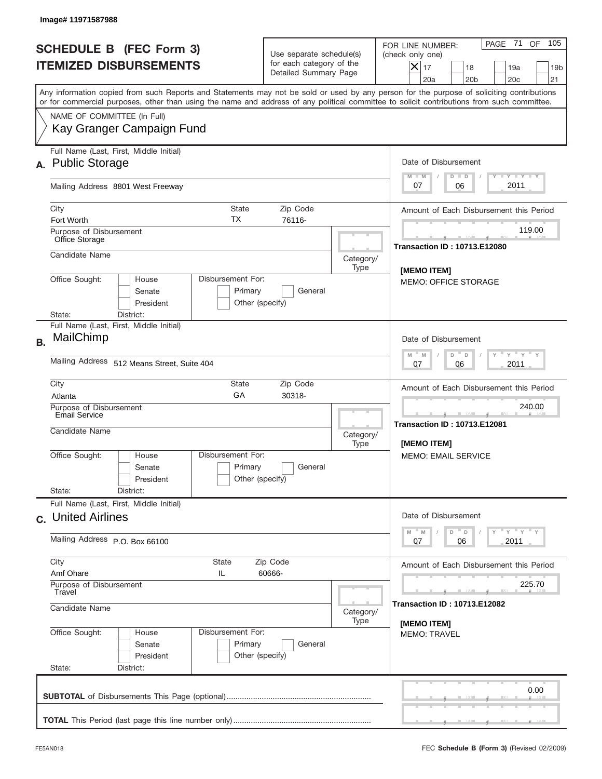| Image# 11971587988                                                                                                                                                                                                                                                                      |                                                                                                                          |                   |                                                                                                                                                               |
|-----------------------------------------------------------------------------------------------------------------------------------------------------------------------------------------------------------------------------------------------------------------------------------------|--------------------------------------------------------------------------------------------------------------------------|-------------------|---------------------------------------------------------------------------------------------------------------------------------------------------------------|
| <b>SCHEDULE B (FEC Form 3)</b><br><b>ITEMIZED DISBURSEMENTS</b>                                                                                                                                                                                                                         | Use separate schedule(s)<br>for each category of the<br>Detailed Summary Page                                            |                   | 105<br>71<br>OF<br>PAGE<br>FOR LINE NUMBER:<br>(check only one)<br>$ \mathsf{X} _{17}$<br>18<br>19a<br>19 <sub>b</sub><br>20a<br>20 <sub>b</sub><br>20c<br>21 |
| Any information copied from such Reports and Statements may not be sold or used by any person for the purpose of soliciting contributions<br>or for commercial purposes, other than using the name and address of any political committee to solicit contributions from such committee. |                                                                                                                          |                   |                                                                                                                                                               |
| NAME OF COMMITTEE (In Full)<br>Kay Granger Campaign Fund                                                                                                                                                                                                                                |                                                                                                                          |                   |                                                                                                                                                               |
| Full Name (Last, First, Middle Initial)<br>A. Public Storage                                                                                                                                                                                                                            |                                                                                                                          |                   | Date of Disbursement<br>$T$ $Y$ $Y$ $Y$ $Y$<br>$M - M$<br>$D$ $D$                                                                                             |
| Mailing Address 8801 West Freeway                                                                                                                                                                                                                                                       |                                                                                                                          |                   | 2011<br>07<br>06                                                                                                                                              |
| City<br>Fort Worth                                                                                                                                                                                                                                                                      | <b>State</b><br>Zip Code<br>ТX<br>76116-                                                                                 |                   | Amount of Each Disbursement this Period                                                                                                                       |
| Purpose of Disbursement<br>Office Storage                                                                                                                                                                                                                                               |                                                                                                                          |                   | 119.00<br><b>Transaction ID: 10713.E12080</b>                                                                                                                 |
| Candidate Name                                                                                                                                                                                                                                                                          |                                                                                                                          | Category/<br>Type | [MEMO ITEM]                                                                                                                                                   |
| Office Sought:<br>House<br>Senate<br>President<br>State:<br>District:                                                                                                                                                                                                                   | Disbursement For:<br>Primary<br>General<br>Other (specify)                                                               |                   | <b>MEMO: OFFICE STORAGE</b>                                                                                                                                   |
| Full Name (Last, First, Middle Initial)<br>MailChimp<br><b>B.</b>                                                                                                                                                                                                                       |                                                                                                                          |                   | Date of Disbursement                                                                                                                                          |
| Mailing Address 512 Means Street, Suite 404                                                                                                                                                                                                                                             | $\frac{1}{\gamma}$ $\frac{1}{\gamma}$ $\frac{1}{\gamma}$ $\frac{1}{\gamma}$<br>D<br>M<br>M<br>$\Box$<br>2011<br>07<br>06 |                   |                                                                                                                                                               |
| City<br>Atlanta                                                                                                                                                                                                                                                                         | <b>State</b><br>Zip Code<br>GA<br>30318-                                                                                 |                   | Amount of Each Disbursement this Period                                                                                                                       |
| Purpose of Disbursement<br>Email Service<br>Candidate Name                                                                                                                                                                                                                              |                                                                                                                          | Category/         | 240.00<br>المستقبل<br><b>Transaction ID: 10713.E12081</b>                                                                                                     |
| Office Sought:<br>House<br>Senate<br>President<br>State:<br>District:                                                                                                                                                                                                                   | Disbursement For:<br>Primary<br>General<br>Other (specify)                                                               | Type              | <b>IMEMO ITEMI</b><br><b>MEMO: EMAIL SERVICE</b>                                                                                                              |
| Full Name (Last, First, Middle Initial)<br>c. United Airlines                                                                                                                                                                                                                           |                                                                                                                          |                   | Date of Disbursement                                                                                                                                          |
| Mailing Address P.O. Box 66100                                                                                                                                                                                                                                                          | γ " γ " γ " γ<br>$D$ D<br>$M$ $M$<br>2011<br>07<br>06                                                                    |                   |                                                                                                                                                               |
| City<br><b>State</b><br>Amf Ohare<br>IL                                                                                                                                                                                                                                                 | Zip Code<br>60666-                                                                                                       |                   | Amount of Each Disbursement this Period                                                                                                                       |
| Purpose of Disbursement<br>Travel<br>Candidate Name                                                                                                                                                                                                                                     |                                                                                                                          | Category/         | 225.70<br><b>Transaction ID: 10713.E12082</b>                                                                                                                 |
| Office Sought:<br>House<br>Senate<br>President<br>State:<br>District:                                                                                                                                                                                                                   | Disbursement For:<br>Primary<br>General<br>Other (specify)                                                               | Type              | [MEMO ITEM]<br><b>MEMO: TRAVEL</b>                                                                                                                            |
|                                                                                                                                                                                                                                                                                         |                                                                                                                          |                   | 0.00                                                                                                                                                          |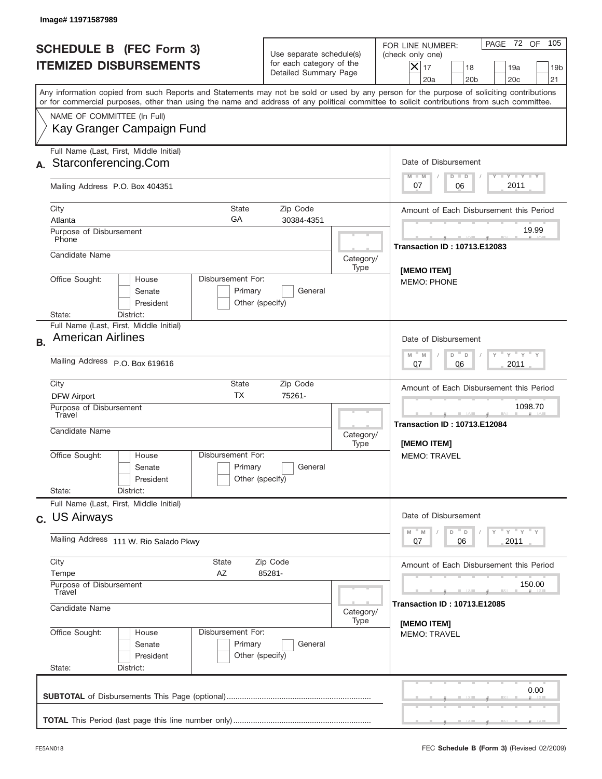| Image# 11971587989                                                                                                                                                                                                                                                                      |                                                                                          |                   |                                                                                                                                                           |
|-----------------------------------------------------------------------------------------------------------------------------------------------------------------------------------------------------------------------------------------------------------------------------------------|------------------------------------------------------------------------------------------|-------------------|-----------------------------------------------------------------------------------------------------------------------------------------------------------|
| <b>SCHEDULE B (FEC Form 3)</b><br><b>ITEMIZED DISBURSEMENTS</b>                                                                                                                                                                                                                         | Use separate schedule(s)<br>for each category of the<br>Detailed Summary Page            |                   | 105<br>PAGE 72 OF<br>FOR LINE NUMBER:<br>(check only one)<br>$X _{17}$<br>18<br>19a<br>19 <sub>b</sub><br>20a<br>20 <sub>b</sub><br>20 <sub>c</sub><br>21 |
| Any information copied from such Reports and Statements may not be sold or used by any person for the purpose of soliciting contributions<br>or for commercial purposes, other than using the name and address of any political committee to solicit contributions from such committee. |                                                                                          |                   |                                                                                                                                                           |
| NAME OF COMMITTEE (In Full)<br>Kay Granger Campaign Fund                                                                                                                                                                                                                                |                                                                                          |                   |                                                                                                                                                           |
| Full Name (Last, First, Middle Initial)<br>Starconferencing.Com                                                                                                                                                                                                                         |                                                                                          |                   | Date of Disbursement<br>$T - Y$ $T - Y$                                                                                                                   |
| Mailing Address P.O. Box 404351                                                                                                                                                                                                                                                         |                                                                                          |                   | $M - M$<br>$D$ $D$<br>2011<br>07<br>06                                                                                                                    |
| City<br><b>State</b><br>GА<br>Atlanta<br>Purpose of Disbursement                                                                                                                                                                                                                        | Zip Code<br>30384-4351                                                                   |                   | Amount of Each Disbursement this Period<br>19.99                                                                                                          |
| Phone<br>Candidate Name                                                                                                                                                                                                                                                                 |                                                                                          | Category/         | <b>Transaction ID: 10713.E12083</b>                                                                                                                       |
| Disbursement For:<br>Office Sought:<br>House<br>Senate<br>Primary<br>President<br>State:<br>District:                                                                                                                                                                                   | General<br>Other (specify)                                                               | Type              | [MEMO ITEM]<br><b>MEMO: PHONE</b>                                                                                                                         |
| Full Name (Last, First, Middle Initial)<br><b>American Airlines</b><br><b>B.</b>                                                                                                                                                                                                        |                                                                                          |                   | Date of Disbursement                                                                                                                                      |
| Mailing Address P.O. Box 619616                                                                                                                                                                                                                                                         | $\cdots$ $\vee$ $\cdots$ $\vee$ $\cdots$ $\vee$<br>$M - M$<br>D<br>D<br>2011<br>07<br>06 |                   |                                                                                                                                                           |
| City<br>State<br><b>TX</b><br><b>DFW Airport</b>                                                                                                                                                                                                                                        | Zip Code<br>75261-                                                                       |                   | Amount of Each Disbursement this Period                                                                                                                   |
| Purpose of Disbursement<br>Travel<br>Candidate Name                                                                                                                                                                                                                                     |                                                                                          | Category/<br>Type | 1098.70<br>___<br><b>Transaction ID: 10713.E12084</b><br>[MEMO ITEM]                                                                                      |
| Disbursement For:<br>Office Sought:<br>House<br>Primary<br>Senate<br>President                                                                                                                                                                                                          | General<br>Other (specify)                                                               |                   | <b>MEMO: TRAVEL</b>                                                                                                                                       |
| State:<br>District:<br>Full Name (Last, First, Middle Initial)                                                                                                                                                                                                                          |                                                                                          |                   |                                                                                                                                                           |
| c. US Airways                                                                                                                                                                                                                                                                           | Date of Disbursement<br>ү "ү "ү "ү<br>$-M$<br>$D$ $D$<br>M                               |                   |                                                                                                                                                           |
| Mailing Address 111 W. Rio Salado Pkwy                                                                                                                                                                                                                                                  | 2011<br>07<br>06                                                                         |                   |                                                                                                                                                           |
| City<br>State<br>Tempe<br>AΖ                                                                                                                                                                                                                                                            | Amount of Each Disbursement this Period                                                  |                   |                                                                                                                                                           |
| Purpose of Disbursement<br>Travel<br>Candidate Name                                                                                                                                                                                                                                     | 150.00<br><b>Transaction ID: 10713.E12085</b>                                            |                   |                                                                                                                                                           |
| Office Sought:<br>Disbursement For:<br>House<br>Primary<br>Senate<br>President<br>State:<br>District:                                                                                                                                                                                   | General<br>Other (specify)                                                               | Category/<br>Type | [MEMO ITEM]<br><b>MEMO: TRAVEL</b>                                                                                                                        |
|                                                                                                                                                                                                                                                                                         |                                                                                          |                   | 0.00                                                                                                                                                      |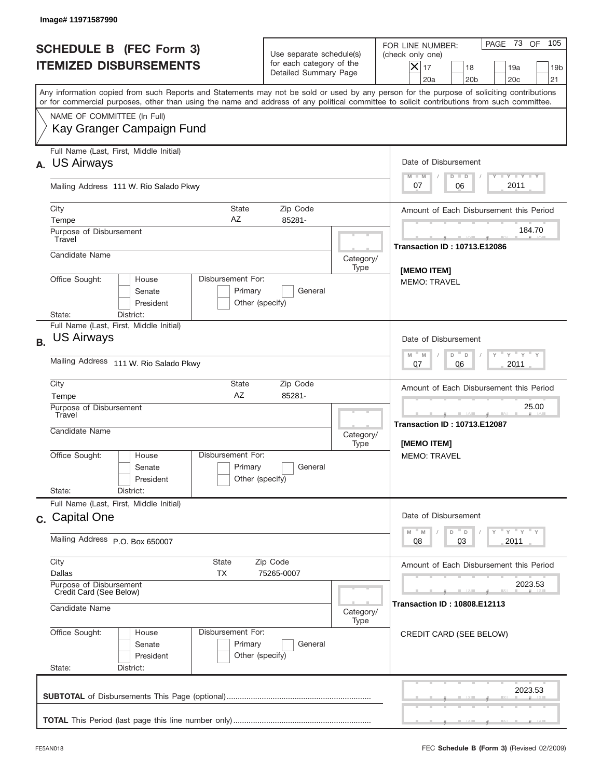| Image# 11971587990                                                                                                                                                                                                                                                                      |                                                                               |                   |                                                                                                                                                           |
|-----------------------------------------------------------------------------------------------------------------------------------------------------------------------------------------------------------------------------------------------------------------------------------------|-------------------------------------------------------------------------------|-------------------|-----------------------------------------------------------------------------------------------------------------------------------------------------------|
| <b>SCHEDULE B (FEC Form 3)</b><br><b>ITEMIZED DISBURSEMENTS</b>                                                                                                                                                                                                                         | Use separate schedule(s)<br>for each category of the<br>Detailed Summary Page |                   | 105<br>PAGE 73 OF<br>FOR LINE NUMBER:<br>(check only one)<br>$X _{17}$<br>18<br>19a<br>19 <sub>b</sub><br>20a<br>20 <sub>b</sub><br>20 <sub>c</sub><br>21 |
| Any information copied from such Reports and Statements may not be sold or used by any person for the purpose of soliciting contributions<br>or for commercial purposes, other than using the name and address of any political committee to solicit contributions from such committee. |                                                                               |                   |                                                                                                                                                           |
| NAME OF COMMITTEE (In Full)<br>Kay Granger Campaign Fund                                                                                                                                                                                                                                |                                                                               |                   |                                                                                                                                                           |
| Full Name (Last, First, Middle Initial)<br><b>US Airways</b><br>А.                                                                                                                                                                                                                      |                                                                               |                   | Date of Disbursement                                                                                                                                      |
| Mailing Address 111 W. Rio Salado Pkwy                                                                                                                                                                                                                                                  |                                                                               |                   | Y LY LY LY<br>$M - M$<br>$D$ $D$<br>2011<br>07<br>06                                                                                                      |
| City<br><b>State</b><br>AΖ<br>Tempe<br>Purpose of Disbursement                                                                                                                                                                                                                          | Amount of Each Disbursement this Period<br>184.70                             |                   |                                                                                                                                                           |
| Travel<br>Candidate Name                                                                                                                                                                                                                                                                |                                                                               | Category/         | <b>Transaction ID: 10713.E12086</b>                                                                                                                       |
| Office Sought:<br>Disbursement For:<br>House<br>Senate<br>President                                                                                                                                                                                                                     | Primary<br>General<br>Other (specify)                                         | Type              | [MEMO ITEM]<br><b>MEMO: TRAVEL</b>                                                                                                                        |
| State:<br>District:<br>Full Name (Last, First, Middle Initial)                                                                                                                                                                                                                          |                                                                               |                   |                                                                                                                                                           |
| <b>US Airways</b>                                                                                                                                                                                                                                                                       |                                                                               |                   | Date of Disbursement<br>$\cdots$ $\vee$ $\cdots$ $\vee$ $\cdots$ $\vee$<br>$M - M$<br>D<br>$\mathsf D$                                                    |
| Mailing Address 111 W. Rio Salado Pkwy                                                                                                                                                                                                                                                  |                                                                               |                   | 2011<br>07<br>06                                                                                                                                          |
| City<br>State<br>AZ<br>Tempe                                                                                                                                                                                                                                                            | Amount of Each Disbursement this Period                                       |                   |                                                                                                                                                           |
| Purpose of Disbursement<br>Travel<br>Candidate Name                                                                                                                                                                                                                                     |                                                                               | Category/<br>Type | 25.00<br><b>Transaction ID: 10713.E12087</b><br><b>IMEMO ITEMI</b>                                                                                        |
| Disbursement For:<br>Office Sought:<br>House<br>Senate<br>President                                                                                                                                                                                                                     | Primary<br>General<br>Other (specify)                                         |                   | MEMO: TRAVEL                                                                                                                                              |
| State:<br>District:<br>Full Name (Last, First, Middle Initial)                                                                                                                                                                                                                          |                                                                               |                   |                                                                                                                                                           |
| c. Capital One                                                                                                                                                                                                                                                                          |                                                                               |                   | Date of Disbursement<br>$\cdots$ $\gamma$ $\cdots$ $\gamma$ $\cdots$ $\gamma$<br>M<br>$\mathbb M$<br>D<br>$\mathsf D$                                     |
| Mailing Address P.O. Box 650007                                                                                                                                                                                                                                                         |                                                                               |                   | 2011<br>08<br>03                                                                                                                                          |
| City<br>State<br>Zip Code<br>Dallas<br>ТX<br>75265-0007                                                                                                                                                                                                                                 |                                                                               |                   | Amount of Each Disbursement this Period                                                                                                                   |
| Purpose of Disbursement<br>Credit Card (See Below)<br>Candidate Name<br>Category/                                                                                                                                                                                                       |                                                                               |                   | 2023.53<br><b>Transaction ID: 10808.E12113</b>                                                                                                            |
| Office Sought:<br>Disbursement For:<br>House<br>Senate<br>President<br>State:<br>District:                                                                                                                                                                                              | Primary<br>General<br>Other (specify)                                         | Type              | CREDIT CARD (SEE BELOW)                                                                                                                                   |
|                                                                                                                                                                                                                                                                                         |                                                                               |                   | 2023.53                                                                                                                                                   |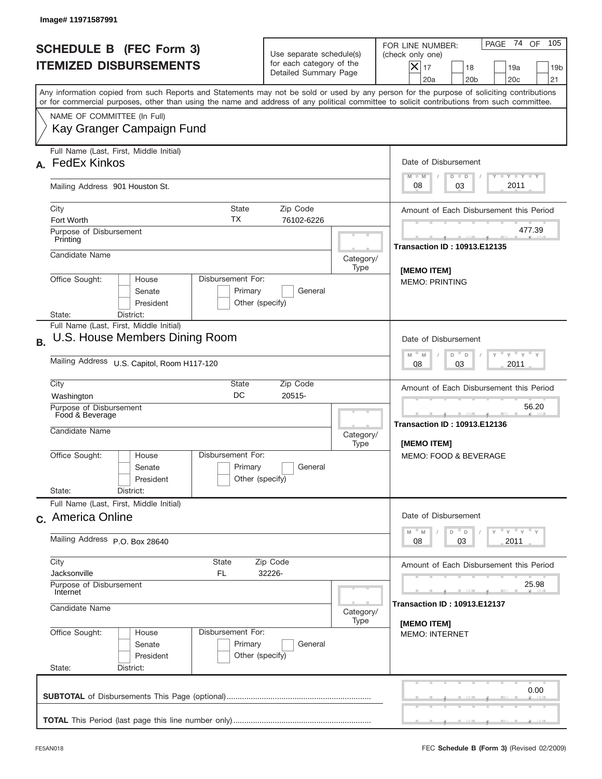|           | Image#11971587991                                                                                                                                                                                                                                                                       |                                                                               |                                      |                                                                                                                                                              |
|-----------|-----------------------------------------------------------------------------------------------------------------------------------------------------------------------------------------------------------------------------------------------------------------------------------------|-------------------------------------------------------------------------------|--------------------------------------|--------------------------------------------------------------------------------------------------------------------------------------------------------------|
|           | <b>SCHEDULE B (FEC Form 3)</b><br><b>ITEMIZED DISBURSEMENTS</b>                                                                                                                                                                                                                         | Use separate schedule(s)<br>for each category of the<br>Detailed Summary Page |                                      | PAGE 74<br>105<br>OF<br>FOR LINE NUMBER:<br>(check only one)<br>$X _{17}$<br>18<br>19a<br>19 <sub>b</sub><br>20 <sub>c</sub><br>20a<br>20 <sub>b</sub><br>21 |
|           | Any information copied from such Reports and Statements may not be sold or used by any person for the purpose of soliciting contributions<br>or for commercial purposes, other than using the name and address of any political committee to solicit contributions from such committee. |                                                                               |                                      |                                                                                                                                                              |
|           | NAME OF COMMITTEE (In Full)<br>Kay Granger Campaign Fund                                                                                                                                                                                                                                |                                                                               |                                      |                                                                                                                                                              |
|           | Full Name (Last, First, Middle Initial)<br><b>FedEx Kinkos</b>                                                                                                                                                                                                                          |                                                                               |                                      | Date of Disbursement<br>$I - Y - I - Y - I - Y$<br>$M - M$<br>$D$ $D$                                                                                        |
|           | Mailing Address 901 Houston St.                                                                                                                                                                                                                                                         |                                                                               |                                      | 2011<br>03<br>08                                                                                                                                             |
|           | City<br>State<br>ТX<br>Fort Worth<br>Purpose of Disbursement                                                                                                                                                                                                                            | Amount of Each Disbursement this Period<br>477.39                             |                                      |                                                                                                                                                              |
|           | Printing<br>Candidate Name                                                                                                                                                                                                                                                              |                                                                               | Category/<br>Type                    | <b>Transaction ID: 10913.E12135</b>                                                                                                                          |
|           | Office Sought:<br>Disbursement For:<br>House<br>Senate<br>Primary<br>President<br>Other (specify)<br>State:<br>District:                                                                                                                                                                |                                                                               | [MEMO ITEM]<br><b>MEMO: PRINTING</b> |                                                                                                                                                              |
| <b>B.</b> | Full Name (Last, First, Middle Initial)<br>U.S. House Members Dining Room                                                                                                                                                                                                               |                                                                               |                                      | Date of Disbursement                                                                                                                                         |
|           | Mailing Address U.S. Capitol, Room H117-120                                                                                                                                                                                                                                             |                                                                               |                                      | $\cdots$ $\gamma$ $\cdots$ $\gamma$ $\cdots$<br>$M$ M<br>D<br>D<br>2011<br>08<br>03                                                                          |
|           | City<br>State<br>Zip Code<br>DC<br>20515-<br>Washington                                                                                                                                                                                                                                 |                                                                               |                                      | Amount of Each Disbursement this Period<br>56.20<br><u>.</u><br><b>Transaction ID: 10913.E12136</b><br><b>IMEMO ITEMI</b>                                    |
|           | Purpose of Disbursement<br>Food & Beverage<br>Candidate Name                                                                                                                                                                                                                            |                                                                               |                                      |                                                                                                                                                              |
|           | Disbursement For:<br>Office Sought:<br>House<br>Primary<br>Senate<br>President                                                                                                                                                                                                          | General<br>Other (specify)                                                    |                                      | MEMO: FOOD & BEVERAGE                                                                                                                                        |
|           | State:<br>District:<br>Full Name (Last, First, Middle Initial)                                                                                                                                                                                                                          |                                                                               |                                      |                                                                                                                                                              |
|           | c. America Online                                                                                                                                                                                                                                                                       |                                                                               |                                      | Date of Disbursement<br>γ <sup>=</sup> γ <sup>=</sup> γ <sup>=</sup> γ<br>$-M$<br>$\mathbb M$<br>D<br>$\mathsf D$                                            |
|           | Mailing Address P.O. Box 28640                                                                                                                                                                                                                                                          |                                                                               |                                      | 03<br>2011<br>08                                                                                                                                             |
|           | City<br>State<br>Zip Code<br>Jacksonville<br>FL.<br>32226-                                                                                                                                                                                                                              |                                                                               |                                      | Amount of Each Disbursement this Period                                                                                                                      |
|           | Purpose of Disbursement<br>Internet<br>Candidate Name<br>Category/                                                                                                                                                                                                                      |                                                                               |                                      | 25.98<br><b>Transaction ID : 10913.E12137</b>                                                                                                                |
|           | Office Sought:<br>Disbursement For:<br>House<br>Primary<br>Senate<br>President<br>State:<br>District:                                                                                                                                                                                   | General<br>Other (specify)                                                    | Type                                 | [MEMO ITEM]<br><b>MEMO: INTERNET</b>                                                                                                                         |
|           |                                                                                                                                                                                                                                                                                         |                                                                               |                                      | 0.00                                                                                                                                                         |
|           |                                                                                                                                                                                                                                                                                         |                                                                               |                                      |                                                                                                                                                              |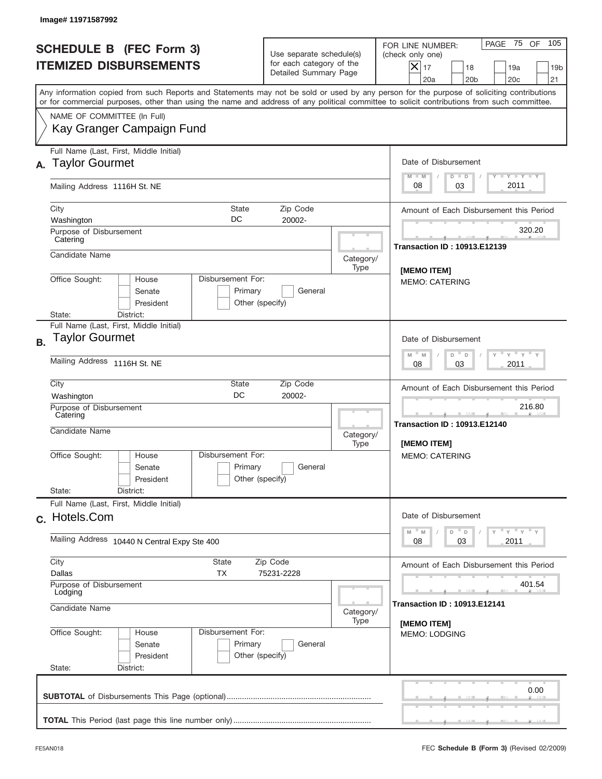| Image# 11971587992                                                                                                                                                                                                                                                                      |                                                                               |                   |                                                                                                                                                           |
|-----------------------------------------------------------------------------------------------------------------------------------------------------------------------------------------------------------------------------------------------------------------------------------------|-------------------------------------------------------------------------------|-------------------|-----------------------------------------------------------------------------------------------------------------------------------------------------------|
| <b>SCHEDULE B (FEC Form 3)</b><br><b>ITEMIZED DISBURSEMENTS</b>                                                                                                                                                                                                                         | Use separate schedule(s)<br>for each category of the<br>Detailed Summary Page |                   | 105<br>PAGE 75 OF<br>FOR LINE NUMBER:<br>(check only one)<br>$X _{17}$<br>18<br>19a<br>19 <sub>b</sub><br>20a<br>20 <sub>b</sub><br>20 <sub>c</sub><br>21 |
| Any information copied from such Reports and Statements may not be sold or used by any person for the purpose of soliciting contributions<br>or for commercial purposes, other than using the name and address of any political committee to solicit contributions from such committee. |                                                                               |                   |                                                                                                                                                           |
| NAME OF COMMITTEE (In Full)<br>Kay Granger Campaign Fund                                                                                                                                                                                                                                |                                                                               |                   |                                                                                                                                                           |
| Full Name (Last, First, Middle Initial)<br><b>Taylor Gourmet</b><br>А.                                                                                                                                                                                                                  |                                                                               |                   | Date of Disbursement<br>Y LY LY LY<br>$M - M$<br>$D$ $D$                                                                                                  |
| Mailing Address 1116H St. NE                                                                                                                                                                                                                                                            |                                                                               |                   | 2011<br>08<br>03                                                                                                                                          |
| City<br><b>State</b><br>DC<br>Washington<br>Purpose of Disbursement                                                                                                                                                                                                                     | Amount of Each Disbursement this Period<br>320.20                             |                   |                                                                                                                                                           |
| Catering<br>Candidate Name                                                                                                                                                                                                                                                              |                                                                               | Category/         | <b>Transaction ID: 10913.E12139</b>                                                                                                                       |
| Disbursement For:<br>Office Sought:<br>House<br>Senate<br>Primary<br>President                                                                                                                                                                                                          | General<br>Other (specify)                                                    | Type              | [MEMO ITEM]<br><b>MEMO: CATERING</b>                                                                                                                      |
| State:<br>District:<br>Full Name (Last, First, Middle Initial)                                                                                                                                                                                                                          |                                                                               |                   |                                                                                                                                                           |
| Taylor Gourmet<br>Mailing Address 1116H St. NE                                                                                                                                                                                                                                          |                                                                               |                   | Date of Disbursement<br>$\cdots$ $\gamma$ $\cdots$ $\gamma$ $\cdots$ $\gamma$<br>$M - M$<br>D<br>D<br>03<br>2011<br>08                                    |
|                                                                                                                                                                                                                                                                                         |                                                                               |                   |                                                                                                                                                           |
| City<br>State<br>Zip Code<br>DC<br>20002-<br>Washington                                                                                                                                                                                                                                 |                                                                               |                   | Amount of Each Disbursement this Period                                                                                                                   |
| Purpose of Disbursement<br>Catering<br>Candidate Name                                                                                                                                                                                                                                   |                                                                               | Category/<br>Type | 216.80<br><b>Transaction ID: 10913.E12140</b><br><b>IMEMO ITEMI</b>                                                                                       |
| Disbursement For:<br>Office Sought:<br>House<br>Primary<br>Senate<br>President                                                                                                                                                                                                          | General<br>Other (specify)                                                    |                   | <b>MEMO: CATERING</b>                                                                                                                                     |
| State:<br>District:<br>Full Name (Last, First, Middle Initial)                                                                                                                                                                                                                          |                                                                               |                   |                                                                                                                                                           |
| c. Hotels.Com                                                                                                                                                                                                                                                                           |                                                                               |                   | Date of Disbursement<br>ү "ү "ү "ү<br>$-M$<br>$D$ $D$<br>M                                                                                                |
| Mailing Address 10440 N Central Expy Ste 400                                                                                                                                                                                                                                            |                                                                               |                   | 08<br>03<br>2011                                                                                                                                          |
| City<br>State<br>Zip Code<br>Dallas<br><b>TX</b><br>75231-2228                                                                                                                                                                                                                          |                                                                               |                   | Amount of Each Disbursement this Period                                                                                                                   |
| Purpose of Disbursement<br>Lodging<br>Candidate Name<br>Category/                                                                                                                                                                                                                       |                                                                               |                   | 401.54<br><b>Transaction ID: 10913.E12141</b>                                                                                                             |
| Office Sought:<br>Disbursement For:<br>House<br>Primary<br>Senate<br>President<br>State:<br>District:                                                                                                                                                                                   | General<br>Other (specify)                                                    | Type              | [MEMO ITEM]<br><b>MEMO: LODGING</b>                                                                                                                       |
|                                                                                                                                                                                                                                                                                         |                                                                               |                   | 0.00                                                                                                                                                      |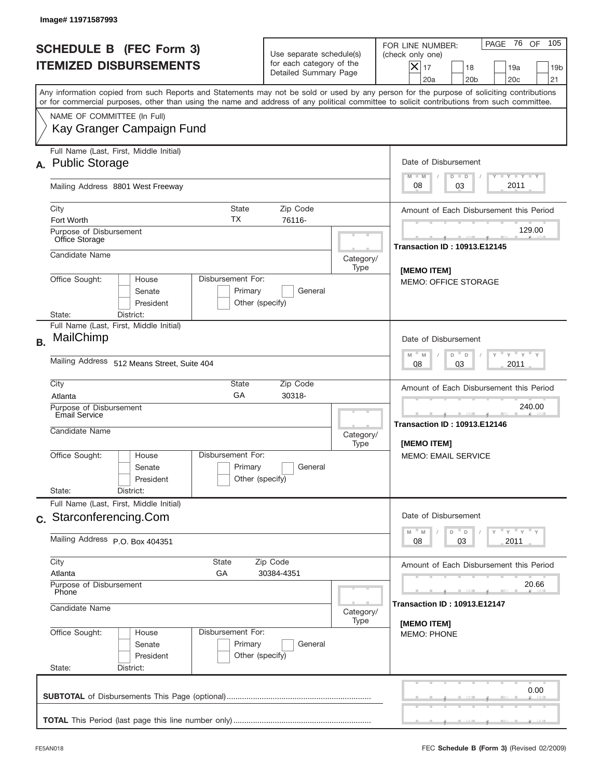|           | Image# 11971587993                                                    |                                                            |                                                                               |                                                                                                |                                                                                                                                                                                                                                                                                         |
|-----------|-----------------------------------------------------------------------|------------------------------------------------------------|-------------------------------------------------------------------------------|------------------------------------------------------------------------------------------------|-----------------------------------------------------------------------------------------------------------------------------------------------------------------------------------------------------------------------------------------------------------------------------------------|
|           | <b>SCHEDULE B (FEC Form 3)</b><br><b>ITEMIZED DISBURSEMENTS</b>       |                                                            | Use separate schedule(s)<br>for each category of the<br>Detailed Summary Page |                                                                                                | 105<br>PAGE 76 OF<br>FOR LINE NUMBER:<br>(check only one)<br>$X _{17}$<br>18<br>19a<br>19 <sub>b</sub><br>20a<br>20 <sub>b</sub><br>20 <sub>c</sub><br>21                                                                                                                               |
|           |                                                                       |                                                            |                                                                               |                                                                                                | Any information copied from such Reports and Statements may not be sold or used by any person for the purpose of soliciting contributions<br>or for commercial purposes, other than using the name and address of any political committee to solicit contributions from such committee. |
|           | NAME OF COMMITTEE (In Full)<br>Kay Granger Campaign Fund              |                                                            |                                                                               |                                                                                                |                                                                                                                                                                                                                                                                                         |
|           | Full Name (Last, First, Middle Initial)<br>A. Public Storage          |                                                            |                                                                               |                                                                                                | Date of Disbursement<br>$T - Y$ $T - Y$<br>$M - M$<br>$D$ $D$                                                                                                                                                                                                                           |
|           | Mailing Address 8801 West Freeway                                     |                                                            |                                                                               |                                                                                                | 2011<br>08<br>03                                                                                                                                                                                                                                                                        |
|           | City<br>Fort Worth                                                    | Amount of Each Disbursement this Period                    |                                                                               |                                                                                                |                                                                                                                                                                                                                                                                                         |
|           | Purpose of Disbursement<br>Office Storage                             |                                                            |                                                                               |                                                                                                | 129.00<br><b>Transaction ID: 10913.E12145</b>                                                                                                                                                                                                                                           |
|           | Candidate Name                                                        |                                                            |                                                                               | Category/<br>Type                                                                              | [MEMO ITEM]                                                                                                                                                                                                                                                                             |
|           | Office Sought:<br>House<br>Senate<br>President<br>State:<br>District: | Disbursement For:<br>Primary<br>General<br>Other (specify) |                                                                               |                                                                                                |                                                                                                                                                                                                                                                                                         |
| <b>B.</b> | Full Name (Last, First, Middle Initial)<br>MailChimp                  |                                                            |                                                                               | Date of Disbursement                                                                           |                                                                                                                                                                                                                                                                                         |
|           | Mailing Address 512 Means Street, Suite 404                           |                                                            |                                                                               | $\cdots$ $\gamma$ $\cdots$ $\gamma$ $\cdots$ $\gamma$<br>$M - M$<br>D<br>D<br>2011<br>08<br>03 |                                                                                                                                                                                                                                                                                         |
|           | City<br>State<br>Zip Code<br>GA<br>30318-<br>Atlanta                  |                                                            |                                                                               |                                                                                                | Amount of Each Disbursement this Period                                                                                                                                                                                                                                                 |
|           | Purpose of Disbursement<br>Email Service<br>Candidate Name            |                                                            | Category/<br>Type                                                             | 240.00<br><b>Transaction ID: 10913.E12146</b><br>[MEMO ITEM]                                   |                                                                                                                                                                                                                                                                                         |
|           | Office Sought:<br>House<br>Senate<br>President<br>State:<br>District: | Disbursement For:<br>Primary<br>Other (specify)            | General                                                                       |                                                                                                | <b>MEMO: EMAIL SERVICE</b>                                                                                                                                                                                                                                                              |
|           | Full Name (Last, First, Middle Initial)                               |                                                            |                                                                               |                                                                                                | Date of Disbursement                                                                                                                                                                                                                                                                    |
|           | c. Starconferencing.Com<br>Mailing Address P.O. Box 404351            |                                                            |                                                                               | $\gamma$ $\gamma$ $\gamma$ $\gamma$ $\gamma$<br>$-M$<br>D<br>M<br>D<br>2011<br>08<br>03        |                                                                                                                                                                                                                                                                                         |
|           | City<br>State<br>Zip Code<br>Atlanta<br>GA<br>30384-4351              |                                                            |                                                                               | Amount of Each Disbursement this Period                                                        |                                                                                                                                                                                                                                                                                         |
|           | Purpose of Disbursement<br>Phone                                      |                                                            |                                                                               | 20.66<br><b>Transaction ID: 10913.E12147</b>                                                   |                                                                                                                                                                                                                                                                                         |
|           | Candidate Name<br>Category/<br>Type                                   |                                                            |                                                                               | [MEMO ITEM]                                                                                    |                                                                                                                                                                                                                                                                                         |
|           | Office Sought:<br>House<br>Senate<br>President<br>State:<br>District: | Disbursement For:<br>Primary<br>Other (specify)            | General                                                                       |                                                                                                | <b>MEMO: PHONE</b>                                                                                                                                                                                                                                                                      |
|           |                                                                       |                                                            |                                                                               |                                                                                                | 0.00                                                                                                                                                                                                                                                                                    |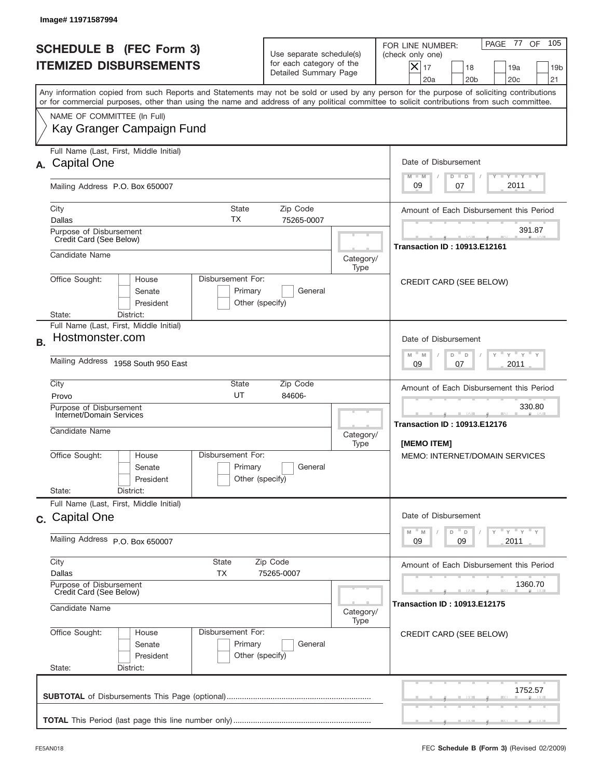| <b>SCHEDULE B (FEC Form 3)</b><br><b>ITEMIZED DISBURSEMENTS</b>                                                                                                                                                                                                                         | Use separate schedule(s)<br>for each category of the<br>Detailed Summary Page                               | 105<br>PAGE 77 OF<br>FOR LINE NUMBER:<br>(check only one)<br>$X _{17}$<br>18<br>19a<br>19 <sub>b</sub><br>20a<br>20 <sub>b</sub><br>20 <sub>c</sub><br>21 |
|-----------------------------------------------------------------------------------------------------------------------------------------------------------------------------------------------------------------------------------------------------------------------------------------|-------------------------------------------------------------------------------------------------------------|-----------------------------------------------------------------------------------------------------------------------------------------------------------|
| Any information copied from such Reports and Statements may not be sold or used by any person for the purpose of soliciting contributions<br>or for commercial purposes, other than using the name and address of any political committee to solicit contributions from such committee. |                                                                                                             |                                                                                                                                                           |
| NAME OF COMMITTEE (In Full)<br>Kay Granger Campaign Fund                                                                                                                                                                                                                                |                                                                                                             |                                                                                                                                                           |
| Full Name (Last, First, Middle Initial)<br><b>Capital One</b><br>А.                                                                                                                                                                                                                     |                                                                                                             | Date of Disbursement<br>Y LY LY LY                                                                                                                        |
| Mailing Address P.O. Box 650007                                                                                                                                                                                                                                                         |                                                                                                             | $M - M$<br>$D$ $D$<br>2011<br>09<br>07                                                                                                                    |
| City<br><b>State</b><br>ТX<br>Dallas                                                                                                                                                                                                                                                    | Amount of Each Disbursement this Period                                                                     |                                                                                                                                                           |
| Purpose of Disbursement<br>Credit Card (See Below)                                                                                                                                                                                                                                      |                                                                                                             | 391.87<br><b>Transaction ID: 10913.E12161</b>                                                                                                             |
| Candidate Name                                                                                                                                                                                                                                                                          | Category/<br>Type                                                                                           |                                                                                                                                                           |
| Disbursement For:<br>Office Sought:<br>House<br>Senate<br>Primary<br>President                                                                                                                                                                                                          | General<br>Other (specify)                                                                                  | CREDIT CARD (SEE BELOW)                                                                                                                                   |
| State:<br>District:<br>Full Name (Last, First, Middle Initial)                                                                                                                                                                                                                          |                                                                                                             |                                                                                                                                                           |
| Hostmonster.com<br><b>B.</b>                                                                                                                                                                                                                                                            | Date of Disbursement<br>$-\gamma + \gamma +$<br>$M$ M<br>D<br>D                                             |                                                                                                                                                           |
| Mailing Address 1958 South 950 East                                                                                                                                                                                                                                                     | 2011<br>09<br>07                                                                                            |                                                                                                                                                           |
| City<br>State<br>UT<br>Provo                                                                                                                                                                                                                                                            | Amount of Each Disbursement this Period                                                                     |                                                                                                                                                           |
| Purpose of Disbursement<br>Internet/Domain Services<br>Candidate Name                                                                                                                                                                                                                   | Category/<br>Type                                                                                           | 330.80<br><b>Transaction ID: 10913.E12176</b><br>[MEMO ITEM]                                                                                              |
| Disbursement For:<br>Office Sought:<br>House<br>Primary<br>Senate<br>President<br>State:                                                                                                                                                                                                | General<br>Other (specify)                                                                                  | <b>MEMO: INTERNET/DOMAIN SERVICES</b>                                                                                                                     |
| District:<br>Full Name (Last, First, Middle Initial)                                                                                                                                                                                                                                    |                                                                                                             |                                                                                                                                                           |
| c. Capital One                                                                                                                                                                                                                                                                          | Date of Disbursement<br>$\cdots$ $\gamma$ $\cdots$ $\gamma$ $\cdots$ $\gamma$<br>M<br>$\mathbb M$<br>D<br>D |                                                                                                                                                           |
| Mailing Address P.O. Box 650007                                                                                                                                                                                                                                                         | 2011<br>09<br>09                                                                                            |                                                                                                                                                           |
| City<br>State<br>Dallas<br>ТX                                                                                                                                                                                                                                                           | Amount of Each Disbursement this Period                                                                     |                                                                                                                                                           |
| Purpose of Disbursement<br>Credit Card (See Below)<br>Candidate Name                                                                                                                                                                                                                    | 1360.70<br><b>Transaction ID: 10913.E12175</b>                                                              |                                                                                                                                                           |
|                                                                                                                                                                                                                                                                                         | Category/<br>Type                                                                                           |                                                                                                                                                           |
| Office Sought:<br>Disbursement For:<br>House<br>Primary<br>Senate<br>President                                                                                                                                                                                                          | General<br>Other (specify)                                                                                  | CREDIT CARD (SEE BELOW)                                                                                                                                   |
| State:<br>District:                                                                                                                                                                                                                                                                     |                                                                                                             |                                                                                                                                                           |
|                                                                                                                                                                                                                                                                                         |                                                                                                             | 1752.57                                                                                                                                                   |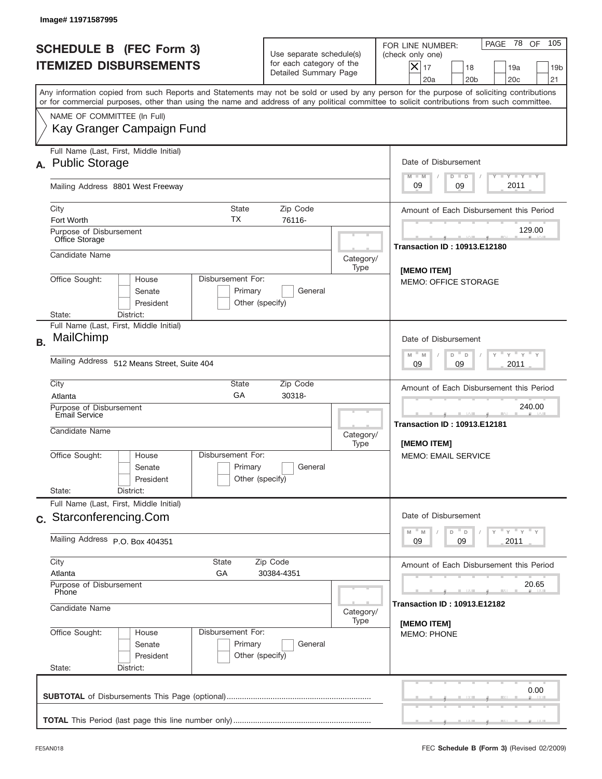| Image# 11971587995                                                                                                                                                                                                                                                                      |                                                                                                |                             |                                                                                                                                                           |
|-----------------------------------------------------------------------------------------------------------------------------------------------------------------------------------------------------------------------------------------------------------------------------------------|------------------------------------------------------------------------------------------------|-----------------------------|-----------------------------------------------------------------------------------------------------------------------------------------------------------|
| <b>SCHEDULE B (FEC Form 3)</b><br><b>ITEMIZED DISBURSEMENTS</b>                                                                                                                                                                                                                         | Use separate schedule(s)<br>for each category of the<br>Detailed Summary Page                  |                             | 105<br>PAGE 78 OF<br>FOR LINE NUMBER:<br>(check only one)<br>$X _{17}$<br>18<br>19a<br>19 <sub>b</sub><br>20a<br>20 <sub>b</sub><br>20 <sub>c</sub><br>21 |
| Any information copied from such Reports and Statements may not be sold or used by any person for the purpose of soliciting contributions<br>or for commercial purposes, other than using the name and address of any political committee to solicit contributions from such committee. |                                                                                                |                             |                                                                                                                                                           |
| NAME OF COMMITTEE (In Full)<br>Kay Granger Campaign Fund                                                                                                                                                                                                                                |                                                                                                |                             |                                                                                                                                                           |
| Full Name (Last, First, Middle Initial)<br>A. Public Storage                                                                                                                                                                                                                            |                                                                                                |                             | Date of Disbursement<br>$T - Y$ $T - Y$<br>$M - M$<br>$D$ $D$                                                                                             |
| Mailing Address 8801 West Freeway                                                                                                                                                                                                                                                       |                                                                                                |                             | 2011<br>09<br>09                                                                                                                                          |
| City<br><b>State</b><br>ТX<br>Fort Worth                                                                                                                                                                                                                                                | Amount of Each Disbursement this Period                                                        |                             |                                                                                                                                                           |
| Purpose of Disbursement<br>Office Storage                                                                                                                                                                                                                                               |                                                                                                |                             | 129.00<br><b>Transaction ID: 10913.E12180</b>                                                                                                             |
| Candidate Name<br>Office Sought:<br>Disbursement For:<br>House                                                                                                                                                                                                                          |                                                                                                | Category/<br>Type           | [MEMO ITEM]                                                                                                                                               |
| Senate<br>President<br>State:<br>District:                                                                                                                                                                                                                                              | Primary<br>General<br>Other (specify)                                                          | <b>MEMO: OFFICE STORAGE</b> |                                                                                                                                                           |
| Full Name (Last, First, Middle Initial)<br>MailChimp                                                                                                                                                                                                                                    |                                                                                                |                             | Date of Disbursement                                                                                                                                      |
| Mailing Address 512 Means Street, Suite 404                                                                                                                                                                                                                                             | $\cdots$ $\gamma$ $\cdots$ $\gamma$ $\cdots$ $\gamma$<br>$M - M$<br>D<br>D<br>2011<br>09<br>09 |                             |                                                                                                                                                           |
| City<br>State<br>GA<br>Atlanta                                                                                                                                                                                                                                                          | Amount of Each Disbursement this Period                                                        |                             |                                                                                                                                                           |
| Purpose of Disbursement<br>Email Service<br>Candidate Name                                                                                                                                                                                                                              |                                                                                                | Category/<br>Type           | 240.00<br><b>Transaction ID: 10913.E12181</b><br>[MEMO ITEM]                                                                                              |
| Disbursement For:<br>Office Sought:<br>House<br>Senate<br>President                                                                                                                                                                                                                     | Primary<br>General<br>Other (specify)                                                          |                             | <b>MEMO: EMAIL SERVICE</b>                                                                                                                                |
| State:<br>District:<br>Full Name (Last, First, Middle Initial)                                                                                                                                                                                                                          |                                                                                                |                             |                                                                                                                                                           |
| c. Starconferencing.Com                                                                                                                                                                                                                                                                 |                                                                                                |                             | Date of Disbursement<br>$\gamma$ $\gamma$ $\gamma$ $\gamma$ $\gamma$<br>$-M$<br>M<br>D<br>$\mathsf D$                                                     |
| Mailing Address P.O. Box 404351                                                                                                                                                                                                                                                         | 2011<br>09<br>09                                                                               |                             |                                                                                                                                                           |
| City<br>State<br>Zip Code<br>Atlanta<br>GA<br>30384-4351                                                                                                                                                                                                                                |                                                                                                |                             | Amount of Each Disbursement this Period                                                                                                                   |
| Purpose of Disbursement<br>Phone<br>Candidate Name<br>Category/                                                                                                                                                                                                                         |                                                                                                |                             | 20.65<br><b>Transaction ID: 10913.E12182</b>                                                                                                              |
| Office Sought:<br>Disbursement For:<br>House<br>Senate<br>President<br>State:<br>District:                                                                                                                                                                                              | Primary<br>General<br>Other (specify)                                                          | Type                        | [MEMO ITEM]<br><b>MEMO: PHONE</b>                                                                                                                         |
|                                                                                                                                                                                                                                                                                         |                                                                                                |                             | 0.00                                                                                                                                                      |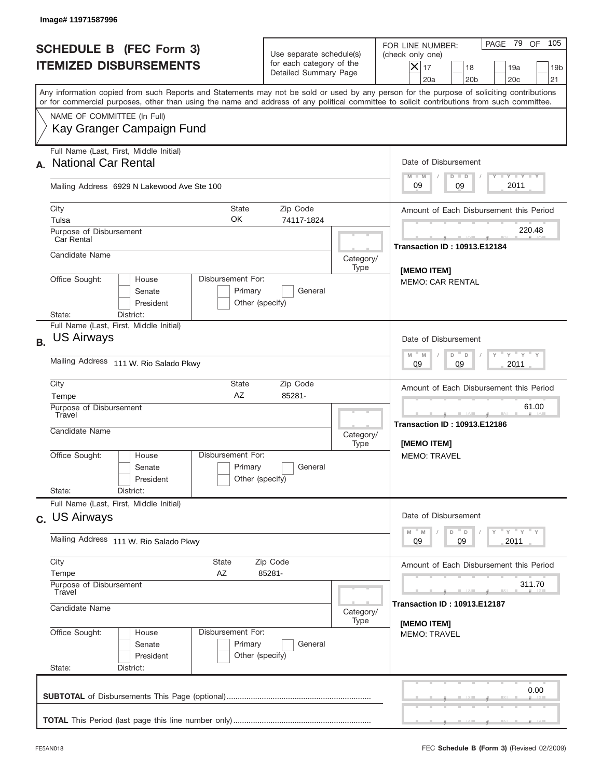| Image# 11971587996                                                                                                                                                                                                                                                                      |                                                                               |                                        |                                                                                                                                                           |  |
|-----------------------------------------------------------------------------------------------------------------------------------------------------------------------------------------------------------------------------------------------------------------------------------------|-------------------------------------------------------------------------------|----------------------------------------|-----------------------------------------------------------------------------------------------------------------------------------------------------------|--|
| <b>SCHEDULE B (FEC Form 3)</b><br><b>ITEMIZED DISBURSEMENTS</b>                                                                                                                                                                                                                         | Use separate schedule(s)<br>for each category of the<br>Detailed Summary Page |                                        | 105<br>PAGE 79 OF<br>FOR LINE NUMBER:<br>(check only one)<br>$X _{17}$<br>18<br>19a<br>19 <sub>b</sub><br>20a<br>20 <sub>b</sub><br>20 <sub>c</sub><br>21 |  |
| Any information copied from such Reports and Statements may not be sold or used by any person for the purpose of soliciting contributions<br>or for commercial purposes, other than using the name and address of any political committee to solicit contributions from such committee. |                                                                               |                                        |                                                                                                                                                           |  |
| NAME OF COMMITTEE (In Full)<br>Kay Granger Campaign Fund                                                                                                                                                                                                                                |                                                                               |                                        |                                                                                                                                                           |  |
| Full Name (Last, First, Middle Initial)<br><b>National Car Rental</b><br>А.                                                                                                                                                                                                             |                                                                               |                                        | Date of Disbursement<br>Y LY LY LY<br>$M - M$<br>$D$ $D$                                                                                                  |  |
| Mailing Address 6929 N Lakewood Ave Ste 100                                                                                                                                                                                                                                             |                                                                               |                                        | 2011<br>09<br>09                                                                                                                                          |  |
| City<br><b>State</b><br>ОK<br>Tulsa<br>Purpose of Disbursement                                                                                                                                                                                                                          | Amount of Each Disbursement this Period<br>220.48                             |                                        |                                                                                                                                                           |  |
| <b>Car Rental</b><br>Candidate Name                                                                                                                                                                                                                                                     |                                                                               | Category/<br>Type                      | <b>Transaction ID: 10913.E12184</b>                                                                                                                       |  |
| Disbursement For:<br>Office Sought:<br>House<br>Senate<br>Primary<br>President<br>Other (specify)<br>State:                                                                                                                                                                             |                                                                               | [MEMO ITEM]<br><b>MEMO: CAR RENTAL</b> |                                                                                                                                                           |  |
| Full Name (Last, First, Middle Initial)<br><b>US Airways</b><br><b>B.</b>                                                                                                                                                                                                               | District:                                                                     |                                        |                                                                                                                                                           |  |
| Mailing Address 111 W. Rio Salado Pkwy                                                                                                                                                                                                                                                  |                                                                               |                                        | $\overline{Y}$ $\overline{Y}$ $\overline{Y}$ $\overline{Y}$ $\overline{Y}$<br>$M - M$<br>D<br>D<br>2011<br>09<br>09                                       |  |
| City<br>State<br>AZ<br>Tempe                                                                                                                                                                                                                                                            | Amount of Each Disbursement this Period                                       |                                        |                                                                                                                                                           |  |
| Purpose of Disbursement<br>Travel<br>Candidate Name                                                                                                                                                                                                                                     |                                                                               | Category/<br>Type                      | 61.00<br>_____<br><b>Transaction ID: 10913.E12186</b><br><b>IMEMO ITEMI</b>                                                                               |  |
| Disbursement For:<br>Office Sought:<br>House<br>Senate<br>President                                                                                                                                                                                                                     | Primary<br>General<br>Other (specify)                                         |                                        | <b>MEMO: TRAVEL</b>                                                                                                                                       |  |
| Full Name (Last, First, Middle Initial)                                                                                                                                                                                                                                                 | State:<br>District:                                                           |                                        |                                                                                                                                                           |  |
| c. US Airways                                                                                                                                                                                                                                                                           |                                                                               |                                        | Date of Disbursement<br>$\gamma$ $\gamma$ $\gamma$ $\gamma$ $\gamma$<br>$-M$<br>$D$ $D$<br>M                                                              |  |
| Mailing Address 111 W. Rio Salado Pkwy                                                                                                                                                                                                                                                  |                                                                               |                                        | 2011<br>09<br>09                                                                                                                                          |  |
| City<br>State<br>Zip Code<br>Tempe<br>AΖ<br>85281-                                                                                                                                                                                                                                      |                                                                               |                                        | Amount of Each Disbursement this Period                                                                                                                   |  |
| Purpose of Disbursement<br>Travel<br>Candidate Name<br>Category/                                                                                                                                                                                                                        |                                                                               |                                        | 311.70<br><b>Transaction ID: 10913.E12187</b>                                                                                                             |  |
| Office Sought:<br>Disbursement For:<br>House<br>Senate<br>President<br>State:<br>District:                                                                                                                                                                                              | Primary<br>General<br>Other (specify)                                         | Type                                   | [MEMO ITEM]<br><b>MEMO: TRAVEL</b>                                                                                                                        |  |
|                                                                                                                                                                                                                                                                                         |                                                                               |                                        | 0.00                                                                                                                                                      |  |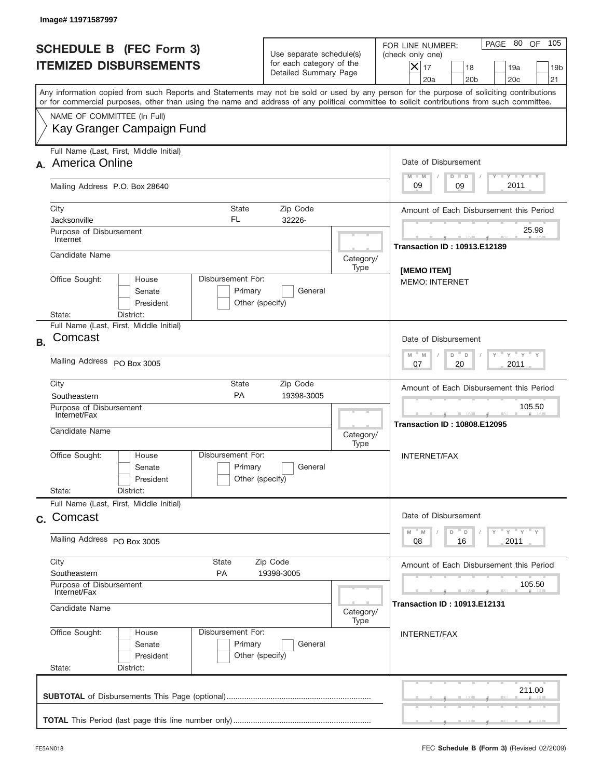| Image# 11971587997                                                                                                                                                                                                                                                                      |                                                                                       |                                               |                                                                                                                                                                             |
|-----------------------------------------------------------------------------------------------------------------------------------------------------------------------------------------------------------------------------------------------------------------------------------------|---------------------------------------------------------------------------------------|-----------------------------------------------|-----------------------------------------------------------------------------------------------------------------------------------------------------------------------------|
| <b>SCHEDULE B (FEC Form 3)</b><br><b>ITEMIZED DISBURSEMENTS</b>                                                                                                                                                                                                                         | Use separate schedule(s)<br>for each category of the<br>Detailed Summary Page         |                                               | 105<br>PAGE 80 OF<br>FOR LINE NUMBER:<br>(check only one)<br>$\boldsymbol{\times}$<br>17<br>18<br>19a<br>19 <sub>b</sub><br>20a<br>20 <sub>b</sub><br>20 <sub>c</sub><br>21 |
| Any information copied from such Reports and Statements may not be sold or used by any person for the purpose of soliciting contributions<br>or for commercial purposes, other than using the name and address of any political committee to solicit contributions from such committee. |                                                                                       |                                               |                                                                                                                                                                             |
| NAME OF COMMITTEE (In Full)<br>Kay Granger Campaign Fund                                                                                                                                                                                                                                |                                                                                       |                                               |                                                                                                                                                                             |
| Full Name (Last, First, Middle Initial)<br>A. America Online                                                                                                                                                                                                                            |                                                                                       |                                               | Date of Disbursement                                                                                                                                                        |
| Mailing Address P.O. Box 28640                                                                                                                                                                                                                                                          |                                                                                       |                                               | Y TY TY TY<br>$M - M$<br>$D$ $D$<br>2011<br>09<br>09                                                                                                                        |
| City<br>State<br>FL<br>Jacksonville                                                                                                                                                                                                                                                     | Amount of Each Disbursement this Period                                               |                                               |                                                                                                                                                                             |
| Purpose of Disbursement<br>Internet                                                                                                                                                                                                                                                     |                                                                                       |                                               | 25.98<br><b>Transaction ID: 10913.E12189</b>                                                                                                                                |
| Candidate Name                                                                                                                                                                                                                                                                          |                                                                                       | Category/<br>Type                             | <b>IMEMO ITEMI</b><br><b>MEMO: INTERNET</b>                                                                                                                                 |
| Senate<br>President<br>State:<br>District:                                                                                                                                                                                                                                              | Disbursement For:<br>Office Sought:<br>House<br>Primary<br>General<br>Other (specify) |                                               |                                                                                                                                                                             |
| Full Name (Last, First, Middle Initial)<br>Comcast                                                                                                                                                                                                                                      |                                                                                       |                                               |                                                                                                                                                                             |
| <b>B.</b><br>Mailing Address PO Box 3005                                                                                                                                                                                                                                                |                                                                                       |                                               | Date of Disbursement<br>ү " ү " ү "<br>$M - M$<br>D "<br>$\Box$<br>2011<br>07<br>20                                                                                         |
| City<br>PA<br>Southeastern                                                                                                                                                                                                                                                              | State<br>Zip Code<br>19398-3005                                                       |                                               | Amount of Each Disbursement this Period                                                                                                                                     |
| Purpose of Disbursement<br>Internet/Fax<br>Candidate Name                                                                                                                                                                                                                               | Category/<br>Type                                                                     | 105.50<br><b>Transaction ID: 10808.E12095</b> |                                                                                                                                                                             |
| Disbursement For:<br>Office Sought:<br>House<br>Senate<br>President                                                                                                                                                                                                                     | Primary<br>General<br>Other (specify)                                                 |                                               | INTERNET/FAX                                                                                                                                                                |
| State:<br>District:<br>Full Name (Last, First, Middle Initial)                                                                                                                                                                                                                          |                                                                                       |                                               |                                                                                                                                                                             |
| c. Comcast                                                                                                                                                                                                                                                                              |                                                                                       |                                               | Date of Disbursement<br>$Y$ $Y$ $Y$ $Y$ $Y$<br>$-M$<br>D<br>M<br>D                                                                                                          |
| Mailing Address PO Box 3005                                                                                                                                                                                                                                                             |                                                                                       |                                               | 08<br>2011<br>16                                                                                                                                                            |
| City<br>State<br>Zip Code<br>Southeastern<br>PA<br>19398-3005                                                                                                                                                                                                                           |                                                                                       |                                               | Amount of Each Disbursement this Period                                                                                                                                     |
| Purpose of Disbursement<br>Internet/Fax<br>Candidate Name<br>Category/                                                                                                                                                                                                                  |                                                                                       |                                               | 105.50<br><b>Transaction ID: 10913.E12131</b>                                                                                                                               |
| Office Sought:<br>Disbursement For:<br>House<br>Senate<br>President<br>State:<br>District:                                                                                                                                                                                              | Primary<br>General<br>Other (specify)                                                 | Type                                          | <b>INTERNET/FAX</b>                                                                                                                                                         |
|                                                                                                                                                                                                                                                                                         |                                                                                       |                                               | 211.00                                                                                                                                                                      |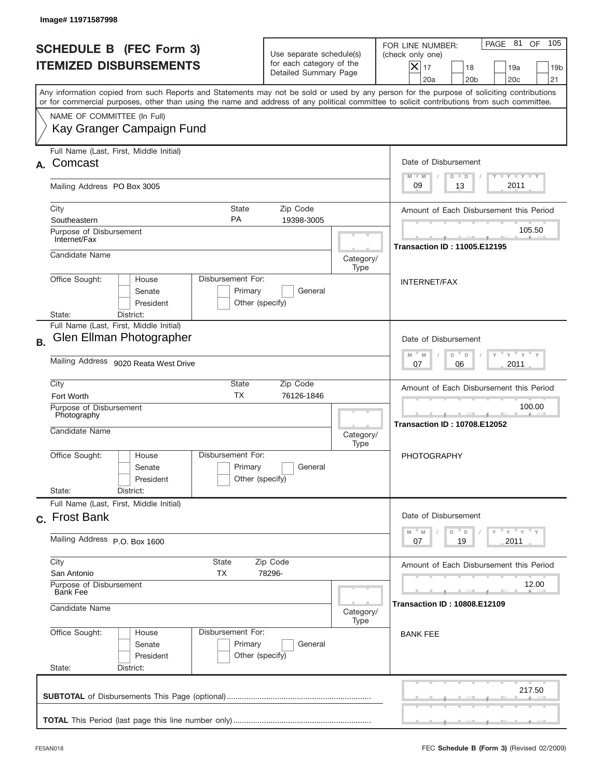|           | Image#11971587998                                                                                                                                                                                                                                                                       |                                                                               |                                                               |                                                                                                                                                              |
|-----------|-----------------------------------------------------------------------------------------------------------------------------------------------------------------------------------------------------------------------------------------------------------------------------------------|-------------------------------------------------------------------------------|---------------------------------------------------------------|--------------------------------------------------------------------------------------------------------------------------------------------------------------|
|           | <b>SCHEDULE B (FEC Form 3)</b><br><b>ITEMIZED DISBURSEMENTS</b>                                                                                                                                                                                                                         | Use separate schedule(s)<br>for each category of the<br>Detailed Summary Page |                                                               | 105<br>PAGE 81<br>OF<br>FOR LINE NUMBER:<br>(check only one)<br>$X _{17}$<br>18<br>19a<br>19 <sub>b</sub><br>20a<br>20 <sub>b</sub><br>20 <sub>c</sub><br>21 |
|           | Any information copied from such Reports and Statements may not be sold or used by any person for the purpose of soliciting contributions<br>or for commercial purposes, other than using the name and address of any political committee to solicit contributions from such committee. |                                                                               |                                                               |                                                                                                                                                              |
|           | NAME OF COMMITTEE (In Full)<br>Kay Granger Campaign Fund                                                                                                                                                                                                                                |                                                                               |                                                               |                                                                                                                                                              |
| А.        | Full Name (Last, First, Middle Initial)<br>Comcast                                                                                                                                                                                                                                      |                                                                               | Date of Disbursement<br>$T - Y$ $T - Y$<br>$M - M$<br>$D$ $D$ |                                                                                                                                                              |
|           | Mailing Address PO Box 3005                                                                                                                                                                                                                                                             |                                                                               |                                                               | 2011<br>09<br>13                                                                                                                                             |
|           | City<br><b>State</b><br><b>PA</b><br>Southeastern<br>Purpose of Disbursement                                                                                                                                                                                                            | Amount of Each Disbursement this Period<br>105.50                             |                                                               |                                                                                                                                                              |
|           | Internet/Fax<br>Candidate Name                                                                                                                                                                                                                                                          |                                                                               | Category/<br>Type                                             | <b>Transaction ID: 11005.E12195</b>                                                                                                                          |
|           | Disbursement For:<br>Office Sought:<br>House<br>Primary<br>Senate<br>President<br>State:<br>District:                                                                                                                                                                                   | General<br>Other (specify)                                                    |                                                               | <b>INTERNET/FAX</b>                                                                                                                                          |
| <b>B.</b> | Full Name (Last, First, Middle Initial)<br>Glen Ellman Photographer                                                                                                                                                                                                                     |                                                                               |                                                               | Date of Disbursement<br>$\cdots$ $\sqrt{1-\gamma}$<br>$M - M$<br>D<br>D                                                                                      |
|           | Mailing Address 9020 Reata West Drive                                                                                                                                                                                                                                                   | 2011<br>07<br>06                                                              |                                                               |                                                                                                                                                              |
|           | City<br>State<br>Zip Code<br><b>TX</b><br>76126-1846<br>Fort Worth<br>Purpose of Disbursement<br>Photography<br>Candidate Name<br>Category/<br>Type                                                                                                                                     |                                                                               |                                                               | Amount of Each Disbursement this Period<br>100.00<br>___                                                                                                     |
|           |                                                                                                                                                                                                                                                                                         |                                                                               |                                                               | <b>Transaction ID: 10708.E12052</b>                                                                                                                          |
|           | Disbursement For:<br>Office Sought:<br>House<br>Primary<br>Senate<br>President<br>State:<br>District:                                                                                                                                                                                   | General<br>Other (specify)                                                    |                                                               | <b>PHOTOGRAPHY</b>                                                                                                                                           |
|           | Full Name (Last, First, Middle Initial)<br>c. Frost Bank                                                                                                                                                                                                                                |                                                                               |                                                               | Date of Disbursement                                                                                                                                         |
|           | Mailing Address P.O. Box 1600                                                                                                                                                                                                                                                           |                                                                               |                                                               | $Y$ $Y$ $Y$ $Y$ $Y$<br>$M - M$<br>D<br>D<br>19<br>2011<br>07                                                                                                 |
|           | City<br>State<br>Zip Code<br>San Antonio<br>TX<br>78296-                                                                                                                                                                                                                                |                                                                               |                                                               | Amount of Each Disbursement this Period                                                                                                                      |
|           | Purpose of Disbursement<br><b>Bank Fee</b><br>Candidate Name<br>Category/                                                                                                                                                                                                               |                                                                               |                                                               | 12.00<br><b>Transaction ID: 10808.E12109</b>                                                                                                                 |
|           | Office Sought:<br>House<br>Senate<br>President<br>State:<br>District:                                                                                                                                                                                                                   | Type<br>Disbursement For:<br>Primary<br>General<br>Other (specify)            |                                                               |                                                                                                                                                              |
|           |                                                                                                                                                                                                                                                                                         |                                                                               |                                                               | 217.50                                                                                                                                                       |
|           |                                                                                                                                                                                                                                                                                         |                                                                               |                                                               |                                                                                                                                                              |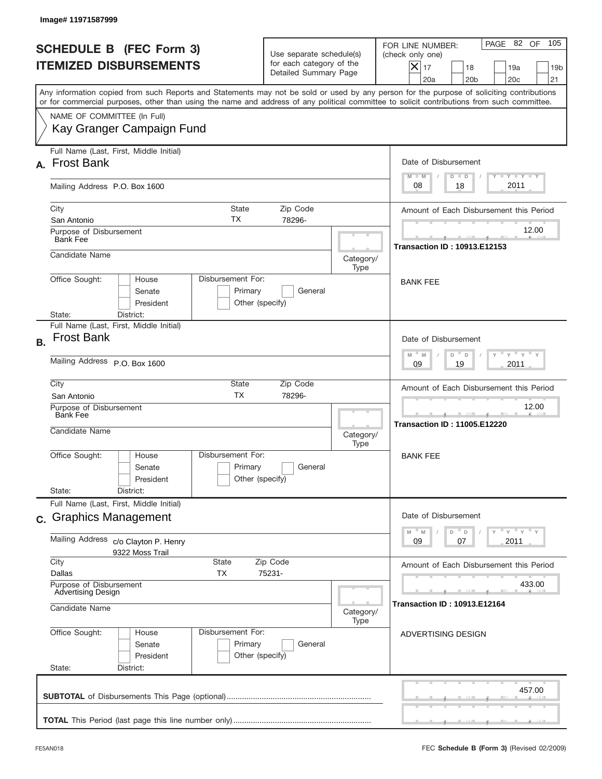|           | Image# 11971587999                                                                                                                                                                                                                                                                      |                                                                               |                   |                                                                                                                                                                               |  |
|-----------|-----------------------------------------------------------------------------------------------------------------------------------------------------------------------------------------------------------------------------------------------------------------------------------------|-------------------------------------------------------------------------------|-------------------|-------------------------------------------------------------------------------------------------------------------------------------------------------------------------------|--|
|           | <b>SCHEDULE B (FEC Form 3)</b><br><b>ITEMIZED DISBURSEMENTS</b>                                                                                                                                                                                                                         | Use separate schedule(s)<br>for each category of the<br>Detailed Summary Page |                   | 105<br>PAGE 82 OF<br>FOR LINE NUMBER:<br>(check only one)<br>$ \boldsymbol{\times} $<br>17<br>18<br>19a<br>19 <sub>b</sub><br>20a<br>20 <sub>b</sub><br>20 <sub>c</sub><br>21 |  |
|           | Any information copied from such Reports and Statements may not be sold or used by any person for the purpose of soliciting contributions<br>or for commercial purposes, other than using the name and address of any political committee to solicit contributions from such committee. |                                                                               |                   |                                                                                                                                                                               |  |
|           | NAME OF COMMITTEE (In Full)<br>Kay Granger Campaign Fund                                                                                                                                                                                                                                |                                                                               |                   |                                                                                                                                                                               |  |
|           | Full Name (Last, First, Middle Initial)<br>A. Frost Bank                                                                                                                                                                                                                                |                                                                               |                   | Date of Disbursement<br>Y FY FY FY<br>$M - M$<br>$D$ $D$                                                                                                                      |  |
|           | Mailing Address P.O. Box 1600                                                                                                                                                                                                                                                           |                                                                               |                   | 2011<br>08<br>18                                                                                                                                                              |  |
|           | City<br>State<br>ТX<br>San Antonio                                                                                                                                                                                                                                                      | Zip Code<br>78296-                                                            |                   | Amount of Each Disbursement this Period                                                                                                                                       |  |
|           | Purpose of Disbursement<br><b>Bank Fee</b>                                                                                                                                                                                                                                              |                                                                               | 12.00             |                                                                                                                                                                               |  |
|           | Candidate Name                                                                                                                                                                                                                                                                          |                                                                               | Category/<br>Type | <b>Transaction ID: 10913.E12153</b>                                                                                                                                           |  |
|           | Disbursement For:<br>Office Sought:<br>House<br>Senate<br>Primary<br>President<br>State:<br>District:                                                                                                                                                                                   | General<br>Other (specify)                                                    |                   | <b>BANK FEE</b>                                                                                                                                                               |  |
| <b>B.</b> | Full Name (Last, First, Middle Initial)<br><b>Frost Bank</b>                                                                                                                                                                                                                            |                                                                               |                   | Date of Disbursement<br>ү " ү " ү " ү<br>$M - M$<br>D<br>$\Box$                                                                                                               |  |
|           | Mailing Address P.O. Box 1600                                                                                                                                                                                                                                                           | 2011<br>09<br>19                                                              |                   |                                                                                                                                                                               |  |
|           | City<br>State<br><b>TX</b><br>San Antonio                                                                                                                                                                                                                                               | Zip Code<br>78296-                                                            |                   |                                                                                                                                                                               |  |
|           | Purpose of Disbursement<br><b>Bank Fee</b><br>Candidate Name                                                                                                                                                                                                                            |                                                                               | Category/         | 12.00<br><b>Transaction ID: 11005.E12220</b>                                                                                                                                  |  |
|           | Disbursement For:<br>Office Sought:<br>House<br>Primary<br>Senate<br>President                                                                                                                                                                                                          | General<br>Other (specify)                                                    | Type              | <b>BANK FEE</b>                                                                                                                                                               |  |
|           | State:<br>District:<br>Full Name (Last, First, Middle Initial)                                                                                                                                                                                                                          |                                                                               |                   |                                                                                                                                                                               |  |
|           | c. Graphics Management                                                                                                                                                                                                                                                                  |                                                                               |                   | Date of Disbursement<br>$\gamma$ $\gamma$ $\gamma$ $\gamma$ $\gamma$<br>$-M$                                                                                                  |  |
|           | Mailing Address<br>c/o Clayton P. Henry<br>9322 Moss Trail                                                                                                                                                                                                                              | $\mathbb M$<br>D<br>D<br>09<br>2011<br>07                                     |                   |                                                                                                                                                                               |  |
|           | City<br>State<br>Zip Code<br>Dallas<br>ТX<br>75231-<br>Purpose of Disbursement                                                                                                                                                                                                          | Amount of Each Disbursement this Period<br>433.00                             |                   |                                                                                                                                                                               |  |
|           | <b>Advertising Design</b><br>Candidate Name                                                                                                                                                                                                                                             | <b>Transaction ID: 10913.E12164</b><br>Category/                              |                   |                                                                                                                                                                               |  |
|           | Office Sought:<br>Disbursement For:<br>House<br>Primary<br>Senate<br>President<br>State:<br>District:                                                                                                                                                                                   | General<br>Other (specify)                                                    |                   | ADVERTISING DESIGN                                                                                                                                                            |  |
|           |                                                                                                                                                                                                                                                                                         |                                                                               |                   | 457.00                                                                                                                                                                        |  |
|           |                                                                                                                                                                                                                                                                                         |                                                                               |                   |                                                                                                                                                                               |  |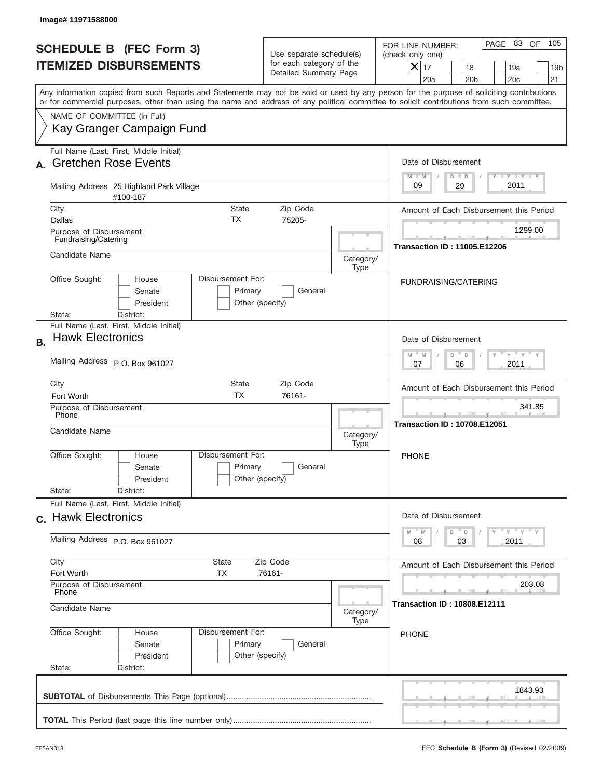|                                                                 |                                                                                                                                                                 | 105<br>PAGE 83 OF<br>FOR LINE NUMBER:<br>(check only one)<br>$ \boldsymbol{\times} $<br>17<br>18<br>19 <sub>b</sub><br>19a<br>20a<br>20 <sub>b</sub><br>20c<br>21                                                                                                                       |  |  |
|-----------------------------------------------------------------|-----------------------------------------------------------------------------------------------------------------------------------------------------------------|-----------------------------------------------------------------------------------------------------------------------------------------------------------------------------------------------------------------------------------------------------------------------------------------|--|--|
|                                                                 |                                                                                                                                                                 | Any information copied from such Reports and Statements may not be sold or used by any person for the purpose of soliciting contributions<br>or for commercial purposes, other than using the name and address of any political committee to solicit contributions from such committee. |  |  |
|                                                                 |                                                                                                                                                                 |                                                                                                                                                                                                                                                                                         |  |  |
|                                                                 |                                                                                                                                                                 | Date of Disbursement<br>Y FY FY FY<br>$M - M$<br>$D$ $D$                                                                                                                                                                                                                                |  |  |
|                                                                 |                                                                                                                                                                 | 2011<br>09<br>29                                                                                                                                                                                                                                                                        |  |  |
| #100-187<br>City<br><b>State</b><br>Zip Code<br>ТX<br>Dallas    |                                                                                                                                                                 |                                                                                                                                                                                                                                                                                         |  |  |
|                                                                 |                                                                                                                                                                 | 1299.00<br><b>Transaction ID: 11005.E12206</b>                                                                                                                                                                                                                                          |  |  |
|                                                                 | Category/<br>Type                                                                                                                                               |                                                                                                                                                                                                                                                                                         |  |  |
| General                                                         |                                                                                                                                                                 | FUNDRAISING/CATERING                                                                                                                                                                                                                                                                    |  |  |
|                                                                 |                                                                                                                                                                 | Date of Disbursement<br>$\overline{Y}$ $\overline{Y}$ $\overline{Y}$ $\overline{Y}$ $\overline{Y}$<br>D<br>M<br>$\mathsf D$<br>M                                                                                                                                                        |  |  |
| Mailing Address P.O. Box 961027                                 |                                                                                                                                                                 |                                                                                                                                                                                                                                                                                         |  |  |
| City<br>State<br>Zip Code<br><b>TX</b><br>76161-<br>Fort Worth  |                                                                                                                                                                 |                                                                                                                                                                                                                                                                                         |  |  |
| Purpose of Disbursement<br>Phone<br>Candidate Name              |                                                                                                                                                                 |                                                                                                                                                                                                                                                                                         |  |  |
| General                                                         |                                                                                                                                                                 | <b>PHONE</b>                                                                                                                                                                                                                                                                            |  |  |
|                                                                 |                                                                                                                                                                 |                                                                                                                                                                                                                                                                                         |  |  |
| Full Name (Last, First, Middle Initial)<br>c. Hawk Electronics  |                                                                                                                                                                 |                                                                                                                                                                                                                                                                                         |  |  |
| Mailing Address P.O. Box 961027                                 |                                                                                                                                                                 |                                                                                                                                                                                                                                                                                         |  |  |
| City<br>State<br>Zip Code<br><b>TX</b><br>Fort Worth<br>76161-  |                                                                                                                                                                 |                                                                                                                                                                                                                                                                                         |  |  |
| Purpose of Disbursement<br>Phone<br>Candidate Name<br>Category/ |                                                                                                                                                                 |                                                                                                                                                                                                                                                                                         |  |  |
| General                                                         |                                                                                                                                                                 | <b>PHONE</b>                                                                                                                                                                                                                                                                            |  |  |
|                                                                 |                                                                                                                                                                 |                                                                                                                                                                                                                                                                                         |  |  |
|                                                                 | 75205-<br>Disbursement For:<br>Primary<br>Other (specify)<br>Disbursement For:<br>Primary<br>Other (specify)<br>Disbursement For:<br>Primary<br>Other (specify) | Use separate schedule(s)<br>for each category of the<br>Detailed Summary Page<br>Category/<br>Type<br>Type                                                                                                                                                                              |  |  |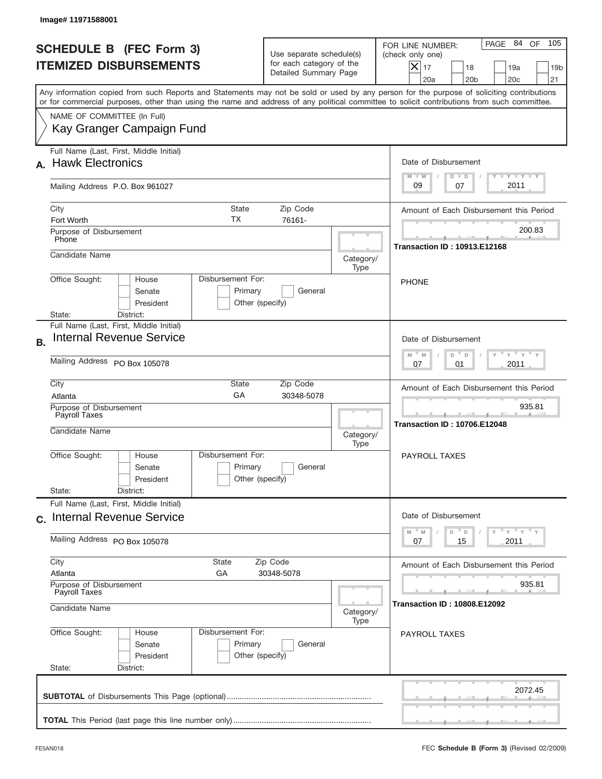|           | Image#11971588001                                                                         |                                                 |                                                                               |                                                                                        |                                                                                                                                                                                                                                                                                         |  |
|-----------|-------------------------------------------------------------------------------------------|-------------------------------------------------|-------------------------------------------------------------------------------|----------------------------------------------------------------------------------------|-----------------------------------------------------------------------------------------------------------------------------------------------------------------------------------------------------------------------------------------------------------------------------------------|--|
|           | <b>SCHEDULE B</b> (FEC Form 3)<br><b>ITEMIZED DISBURSEMENTS</b>                           |                                                 | Use separate schedule(s)<br>for each category of the<br>Detailed Summary Page |                                                                                        | 105<br>PAGE 84<br>OF<br>FOR LINE NUMBER:<br>(check only one)<br>$X _{17}$<br>18<br>19a<br>19 <sub>b</sub><br>20a<br>20 <sub>b</sub><br>20 <sub>c</sub><br>21                                                                                                                            |  |
|           |                                                                                           |                                                 |                                                                               |                                                                                        | Any information copied from such Reports and Statements may not be sold or used by any person for the purpose of soliciting contributions<br>or for commercial purposes, other than using the name and address of any political committee to solicit contributions from such committee. |  |
|           | NAME OF COMMITTEE (In Full)<br>Kay Granger Campaign Fund                                  |                                                 |                                                                               |                                                                                        |                                                                                                                                                                                                                                                                                         |  |
|           | Full Name (Last, First, Middle Initial)<br><b>Hawk Electronics</b>                        |                                                 |                                                                               |                                                                                        | Date of Disbursement<br>$T - Y$ $T - Y$<br>$M - M$<br>$D$ $D$                                                                                                                                                                                                                           |  |
|           | Mailing Address P.O. Box 961027                                                           |                                                 |                                                                               |                                                                                        | 2011<br>09<br>07                                                                                                                                                                                                                                                                        |  |
|           | City<br><b>State</b><br>Zip Code<br>TX<br>76161-<br>Fort Worth<br>Purpose of Disbursement |                                                 |                                                                               |                                                                                        | Amount of Each Disbursement this Period<br>200.83                                                                                                                                                                                                                                       |  |
|           | Phone<br>Candidate Name                                                                   |                                                 |                                                                               | Category/<br>Type                                                                      | <b>Transaction ID: 10913.E12168</b>                                                                                                                                                                                                                                                     |  |
|           | Office Sought:<br>House<br>Senate<br>President<br>District:<br>State:                     | Disbursement For:<br>Primary<br>Other (specify) |                                                                               |                                                                                        | <b>PHONE</b>                                                                                                                                                                                                                                                                            |  |
| <b>B.</b> | Full Name (Last, First, Middle Initial)<br><b>Internal Revenue Service</b>                |                                                 |                                                                               |                                                                                        | Date of Disbursement                                                                                                                                                                                                                                                                    |  |
|           | Mailing Address PO Box 105078                                                             |                                                 |                                                                               | ≡ γ ≡ γ ≡<br>$M - M$<br>D<br>D<br>2011<br>07<br>01                                     |                                                                                                                                                                                                                                                                                         |  |
|           | City<br>Atlanta<br>Purpose of Disbursement<br>Payroll Taxes                               | State<br>GA                                     | Zip Code<br>30348-5078                                                        |                                                                                        | Amount of Each Disbursement this Period<br>935.81<br><b>Transaction ID: 10706.E12048</b>                                                                                                                                                                                                |  |
|           | Candidate Name<br>Disbursement For:                                                       |                                                 |                                                                               | Category/<br>Type                                                                      |                                                                                                                                                                                                                                                                                         |  |
|           | Office Sought:<br>House<br>Senate<br>President<br>State:<br>District:                     | Primary<br>Other (specify)                      | General                                                                       |                                                                                        | PAYROLL TAXES                                                                                                                                                                                                                                                                           |  |
|           | Full Name (Last, First, Middle Initial)<br>c. Internal Revenue Service                    |                                                 |                                                                               | Date of Disbursement                                                                   |                                                                                                                                                                                                                                                                                         |  |
|           | Mailing Address PO Box 105078                                                             |                                                 |                                                                               | γ <sup>=</sup> γ <sup>=</sup> γ <sup>=</sup> γ<br>M<br>M<br>D<br>D<br>15<br>2011<br>07 |                                                                                                                                                                                                                                                                                         |  |
|           | City<br>State<br>Zip Code<br>Atlanta<br>GA<br>30348-5078<br>Purpose of Disbursement       |                                                 |                                                                               | Amount of Each Disbursement this Period<br>935.81                                      |                                                                                                                                                                                                                                                                                         |  |
|           | Payroll Taxes<br>Candidate Name<br>Category/<br>Type                                      |                                                 |                                                                               | <b>Transaction ID: 10808.E12092</b>                                                    |                                                                                                                                                                                                                                                                                         |  |
|           | Office Sought:<br>House<br>Senate<br>President<br>State:<br>District:                     | Disbursement For:<br>Primary<br>Other (specify) | General                                                                       |                                                                                        | <b>PAYROLL TAXES</b>                                                                                                                                                                                                                                                                    |  |
|           |                                                                                           |                                                 |                                                                               |                                                                                        | 2072.45                                                                                                                                                                                                                                                                                 |  |
|           |                                                                                           |                                                 |                                                                               |                                                                                        |                                                                                                                                                                                                                                                                                         |  |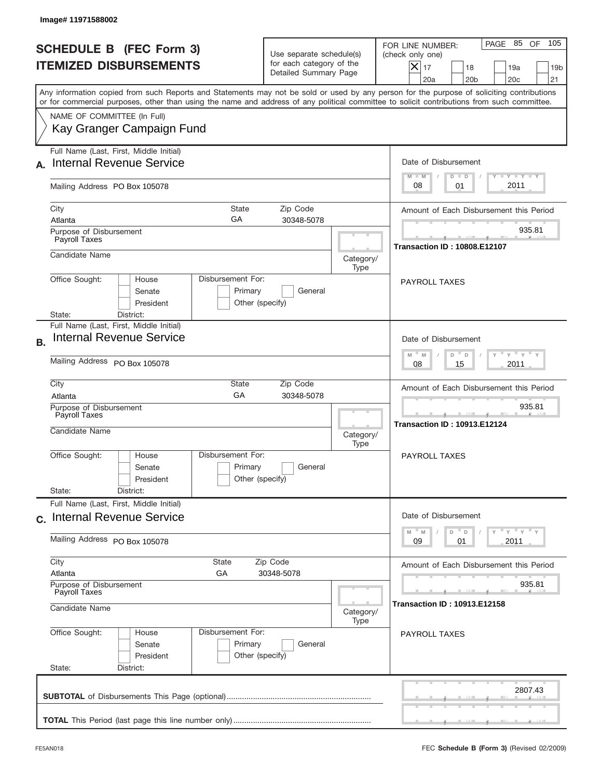| Image# 11971588002                                                                      |                                                                                              |                                                                               |                                                                                                                                                                                                                                                                                         |
|-----------------------------------------------------------------------------------------|----------------------------------------------------------------------------------------------|-------------------------------------------------------------------------------|-----------------------------------------------------------------------------------------------------------------------------------------------------------------------------------------------------------------------------------------------------------------------------------------|
| <b>SCHEDULE B (FEC Form 3)</b><br><b>ITEMIZED DISBURSEMENTS</b>                         |                                                                                              | Use separate schedule(s)<br>for each category of the<br>Detailed Summary Page | 105<br>PAGE 85 OF<br>FOR LINE NUMBER:<br>(check only one)<br>$X _{17}$<br>18<br>19a<br>19 <sub>b</sub><br>20a<br>20 <sub>b</sub><br>20 <sub>c</sub><br>21                                                                                                                               |
|                                                                                         |                                                                                              |                                                                               | Any information copied from such Reports and Statements may not be sold or used by any person for the purpose of soliciting contributions<br>or for commercial purposes, other than using the name and address of any political committee to solicit contributions from such committee. |
| NAME OF COMMITTEE (In Full)<br>Kay Granger Campaign Fund                                |                                                                                              |                                                                               |                                                                                                                                                                                                                                                                                         |
| Full Name (Last, First, Middle Initial)<br><b>Internal Revenue Service</b>              |                                                                                              |                                                                               | Date of Disbursement<br>$T - Y$ $T - Y$                                                                                                                                                                                                                                                 |
| Mailing Address PO Box 105078                                                           |                                                                                              |                                                                               | $M - M$<br>$D$ $D$<br>2011<br>08<br>01                                                                                                                                                                                                                                                  |
| City<br>Atlanta                                                                         | <b>State</b><br>GA                                                                           | Zip Code<br>30348-5078                                                        | Amount of Each Disbursement this Period                                                                                                                                                                                                                                                 |
| Purpose of Disbursement<br>Payroll Taxes                                                |                                                                                              |                                                                               | 935.81<br><b>Transaction ID: 10808.E12107</b>                                                                                                                                                                                                                                           |
| Candidate Name                                                                          |                                                                                              | Category/<br>Type                                                             |                                                                                                                                                                                                                                                                                         |
| Office Sought:<br>House<br>Senate<br>President<br>State:<br>District:                   | Disbursement For:<br>Primary                                                                 | General<br>Other (specify)                                                    | <b>PAYROLL TAXES</b>                                                                                                                                                                                                                                                                    |
| Full Name (Last, First, Middle Initial)<br><b>Internal Revenue Service</b><br><b>B.</b> |                                                                                              |                                                                               | Date of Disbursement                                                                                                                                                                                                                                                                    |
| Mailing Address PO Box 105078                                                           | $\cdots$ $\gamma$ $\cdots$ $\gamma$ $\cdots$ $\gamma$<br>$M$ M<br>D<br>D<br>2011<br>08<br>15 |                                                                               |                                                                                                                                                                                                                                                                                         |
| City<br>Atlanta                                                                         | State<br>GA                                                                                  | Zip Code<br>30348-5078                                                        | Amount of Each Disbursement this Period                                                                                                                                                                                                                                                 |
| Purpose of Disbursement<br>Payroll Taxes<br>Candidate Name                              |                                                                                              | Category/<br>Type                                                             | 935.81<br><b>Transaction ID: 10913.E12124</b>                                                                                                                                                                                                                                           |
| Office Sought:<br>House<br>Senate<br>President                                          | Disbursement For:<br>Primary                                                                 | General<br>Other (specify)                                                    | PAYROLL TAXES                                                                                                                                                                                                                                                                           |
| State:<br>District:<br>Full Name (Last, First, Middle Initial)                          |                                                                                              |                                                                               |                                                                                                                                                                                                                                                                                         |
| c. Internal Revenue Service                                                             |                                                                                              |                                                                               | Date of Disbursement<br>ү" ү" ү" ү<br>$-M$<br>M<br>D<br>$\mathsf D$                                                                                                                                                                                                                     |
| Mailing Address PO Box 105078                                                           |                                                                                              |                                                                               | 09<br>2011<br>01                                                                                                                                                                                                                                                                        |
| City<br>Atlanta                                                                         | State<br>GA                                                                                  | Zip Code<br>30348-5078                                                        | Amount of Each Disbursement this Period                                                                                                                                                                                                                                                 |
| Purpose of Disbursement<br>Payroll Taxes<br>Candidate Name                              |                                                                                              | Category/                                                                     | 935.81<br><b>Transaction ID: 10913.E12158</b>                                                                                                                                                                                                                                           |
| Office Sought:<br>House<br>Senate<br>President<br>State:<br>District:                   | Disbursement For:<br>Primary                                                                 | Type<br>General<br>Other (specify)                                            | PAYROLL TAXES                                                                                                                                                                                                                                                                           |
|                                                                                         |                                                                                              |                                                                               |                                                                                                                                                                                                                                                                                         |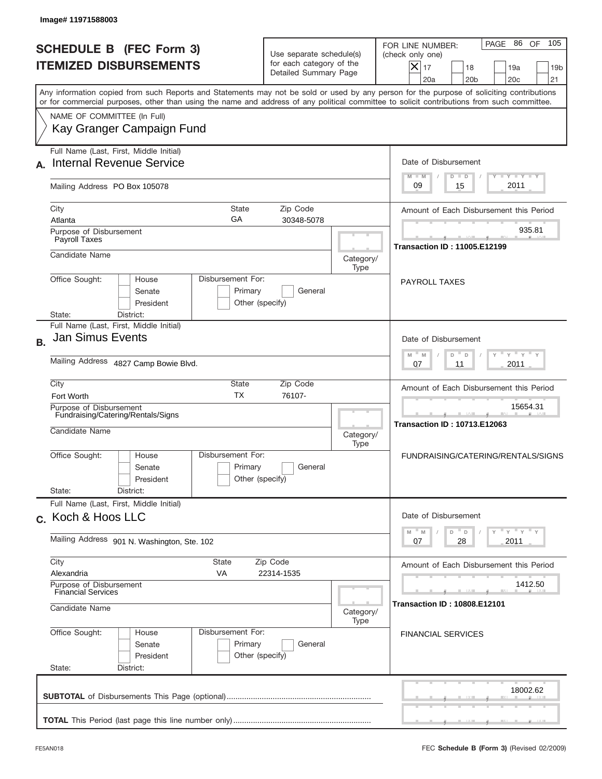|           | Image# 11971588003                                                                                                                                                                                                                                                                      |                                                                               |                   |                                                                                                                                                           |
|-----------|-----------------------------------------------------------------------------------------------------------------------------------------------------------------------------------------------------------------------------------------------------------------------------------------|-------------------------------------------------------------------------------|-------------------|-----------------------------------------------------------------------------------------------------------------------------------------------------------|
|           | <b>SCHEDULE B (FEC Form 3)</b><br><b>ITEMIZED DISBURSEMENTS</b>                                                                                                                                                                                                                         | Use separate schedule(s)<br>for each category of the<br>Detailed Summary Page |                   | 105<br>PAGE 86 OF<br>FOR LINE NUMBER:<br>(check only one)<br>$X _{17}$<br>18<br>19a<br>19 <sub>b</sub><br>20a<br>20 <sub>b</sub><br>20 <sub>c</sub><br>21 |
|           | Any information copied from such Reports and Statements may not be sold or used by any person for the purpose of soliciting contributions<br>or for commercial purposes, other than using the name and address of any political committee to solicit contributions from such committee. |                                                                               |                   |                                                                                                                                                           |
|           | NAME OF COMMITTEE (In Full)<br>Kay Granger Campaign Fund                                                                                                                                                                                                                                |                                                                               |                   |                                                                                                                                                           |
|           | Full Name (Last, First, Middle Initial)<br><b>Internal Revenue Service</b>                                                                                                                                                                                                              |                                                                               |                   | Date of Disbursement<br>$T - Y$ $T - Y$<br>$M - M$<br>$D$ $D$                                                                                             |
|           | Mailing Address PO Box 105078                                                                                                                                                                                                                                                           |                                                                               |                   | 2011<br>09<br>15                                                                                                                                          |
|           | <b>State</b><br>City<br>GA<br>Atlanta                                                                                                                                                                                                                                                   | Zip Code<br>30348-5078                                                        |                   | Amount of Each Disbursement this Period                                                                                                                   |
|           | Purpose of Disbursement<br>Payroll Taxes                                                                                                                                                                                                                                                |                                                                               |                   | 935.81<br><b>Transaction ID: 11005.E12199</b>                                                                                                             |
|           | Candidate Name                                                                                                                                                                                                                                                                          |                                                                               | Category/<br>Type |                                                                                                                                                           |
|           | Disbursement For:<br>Office Sought:<br>House<br>Senate<br>Primary<br>President<br>District:<br>State:                                                                                                                                                                                   | General<br>Other (specify)                                                    |                   | <b>PAYROLL TAXES</b>                                                                                                                                      |
| <b>B.</b> | Full Name (Last, First, Middle Initial)<br><b>Jan Simus Events</b>                                                                                                                                                                                                                      |                                                                               |                   | Date of Disbursement<br>$\cdots$ $\gamma$ $\cdots$ $\gamma$ $\cdots$<br>M<br>D<br>$\mathsf D$<br>M                                                        |
|           | Mailing Address 4827 Camp Bowie Blvd.                                                                                                                                                                                                                                                   |                                                                               |                   | 2011<br>07<br>11                                                                                                                                          |
|           | City<br>State<br><b>TX</b><br>Fort Worth                                                                                                                                                                                                                                                | Zip Code<br>76107-                                                            |                   | Amount of Each Disbursement this Period                                                                                                                   |
|           | Purpose of Disbursement<br>Fundraising/Catering/Rentals/Signs<br>Candidate Name                                                                                                                                                                                                         |                                                                               | Category/<br>Type | 15654.31<br><b>Transaction ID: 10713.E12063</b>                                                                                                           |
|           | Disbursement For:<br>Office Sought:<br>House<br>Primary<br>Senate<br>President<br>State:<br>District:                                                                                                                                                                                   | General<br>Other (specify)                                                    |                   | FUNDRAISING/CATERING/RENTALS/SIGNS                                                                                                                        |
|           | Full Name (Last, First, Middle Initial)<br>c. Koch & Hoos LLC                                                                                                                                                                                                                           |                                                                               |                   | Date of Disbursement                                                                                                                                      |
|           | Mailing Address 901 N. Washington, Ste. 102                                                                                                                                                                                                                                             |                                                                               |                   | $\cdots$ $\gamma$ $\cdots$ $\gamma$ $\cdots$ $\gamma$<br>$\mathbb M$<br>$\mathbb M$<br>D<br>D<br>28<br>2011<br>07                                         |
|           | City<br>State<br>Alexandria<br>VA                                                                                                                                                                                                                                                       | Zip Code<br>22314-1535                                                        |                   | Amount of Each Disbursement this Period                                                                                                                   |
|           | Purpose of Disbursement<br><b>Financial Services</b><br>Candidate Name                                                                                                                                                                                                                  |                                                                               | Category/         | 1412.50<br><b>Transaction ID: 10808.E12101</b>                                                                                                            |
|           | Office Sought:<br>Disbursement For:<br>House<br>Primary<br>Senate<br>President<br>State:<br>District:                                                                                                                                                                                   | General<br>Other (specify)                                                    | Type              | <b>FINANCIAL SERVICES</b>                                                                                                                                 |
|           |                                                                                                                                                                                                                                                                                         |                                                                               |                   | 18002.62                                                                                                                                                  |
|           |                                                                                                                                                                                                                                                                                         |                                                                               |                   |                                                                                                                                                           |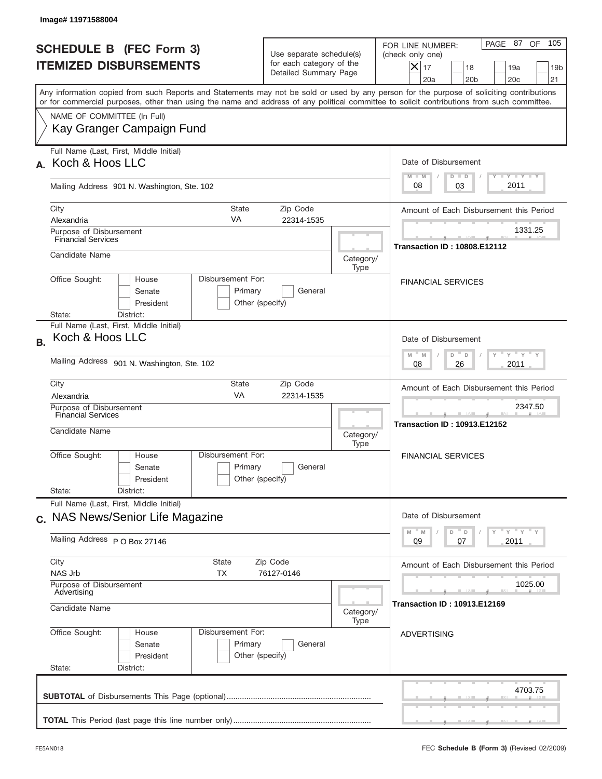| <b>SCHEDULE B (FEC Form 3)</b><br><b>ITEMIZED DISBURSEMENTS</b>                                                                                                                                                                                                                         | Use separate schedule(s)<br>for each category of the<br>Detailed Summary Page |                   | 105<br>PAGE 87 OF<br>FOR LINE NUMBER:<br>(check only one)<br>$ \mathsf{X} _{17}$<br>18<br>19a<br>19 <sub>b</sub><br>20a<br>20 <sub>b</sub><br>20c<br>21 |
|-----------------------------------------------------------------------------------------------------------------------------------------------------------------------------------------------------------------------------------------------------------------------------------------|-------------------------------------------------------------------------------|-------------------|---------------------------------------------------------------------------------------------------------------------------------------------------------|
| Any information copied from such Reports and Statements may not be sold or used by any person for the purpose of soliciting contributions<br>or for commercial purposes, other than using the name and address of any political committee to solicit contributions from such committee. |                                                                               |                   |                                                                                                                                                         |
| NAME OF COMMITTEE (In Full)<br>Kay Granger Campaign Fund                                                                                                                                                                                                                                |                                                                               |                   |                                                                                                                                                         |
| Full Name (Last, First, Middle Initial)<br>A. Koch & Hoos LLC                                                                                                                                                                                                                           |                                                                               |                   | Date of Disbursement<br>$T$ $Y$ $Y$ $Y$ $Y$<br>$M - M$<br>$D$ $D$                                                                                       |
| Mailing Address 901 N. Washington, Ste. 102                                                                                                                                                                                                                                             |                                                                               |                   | 2011<br>08<br>03                                                                                                                                        |
| City<br>Alexandria                                                                                                                                                                                                                                                                      | <b>State</b><br>Zip Code<br>VA<br>22314-1535                                  |                   | Amount of Each Disbursement this Period                                                                                                                 |
| Purpose of Disbursement<br><b>Financial Services</b><br>Candidate Name                                                                                                                                                                                                                  |                                                                               |                   | 1331.25<br><b>Transaction ID: 10808.E12112</b>                                                                                                          |
| Office Sought:<br>House<br>Senate<br>President<br>State:<br>District:                                                                                                                                                                                                                   | Disbursement For:<br>Primary<br>General<br>Other (specify)                    | Category/<br>Type | <b>FINANCIAL SERVICES</b>                                                                                                                               |
| Full Name (Last, First, Middle Initial)<br>Koch & Hoos LLC<br><b>B.</b><br>Mailing Address 901 N. Washington, Ste. 102                                                                                                                                                                  |                                                                               |                   | Date of Disbursement<br>$\cdots$ $\gamma$ $\cdots$ $\gamma$ $\cdots$<br>D<br>M<br>M<br>D<br>2011<br>08<br>26                                            |
| City<br>Alexandria<br>Purpose of Disbursement<br>Financial Services<br>Candidate Name                                                                                                                                                                                                   | <b>State</b><br>Zip Code<br>VA<br>22314-1535                                  | Category/<br>Type | Amount of Each Disbursement this Period<br>2347.50<br><b>Transaction ID: 10913.E12152</b>                                                               |
| Office Sought:<br>House<br>Senate<br>President<br>State:<br>District:                                                                                                                                                                                                                   | Disbursement For:<br>Primary<br>General<br>Other (specify)                    |                   | <b>FINANCIAL SERVICES</b>                                                                                                                               |
| Full Name (Last, First, Middle Initial)<br>c. NAS News/Senior Life Magazine                                                                                                                                                                                                             |                                                                               |                   | Date of Disbursement<br>ү "ү "ү "ү<br>$M - M$<br>D<br>D                                                                                                 |
| Mailing Address P O Box 27146                                                                                                                                                                                                                                                           |                                                                               |                   | 2011<br>09<br>07                                                                                                                                        |
| City<br>NAS Jrb<br>Purpose of Disbursement<br>Advertising                                                                                                                                                                                                                               | <b>State</b><br>Zip Code<br>ТX<br>76127-0146                                  |                   | Amount of Each Disbursement this Period<br>1025.00                                                                                                      |
| Candidate Name                                                                                                                                                                                                                                                                          |                                                                               | Category/<br>Type | <b>Transaction ID: 10913.E12169</b>                                                                                                                     |
| Office Sought:<br>House<br>Senate<br>President<br>State:<br>District:                                                                                                                                                                                                                   | Disbursement For:<br>Primary<br>General<br>Other (specify)                    |                   | <b>ADVERTISING</b>                                                                                                                                      |
|                                                                                                                                                                                                                                                                                         |                                                                               |                   |                                                                                                                                                         |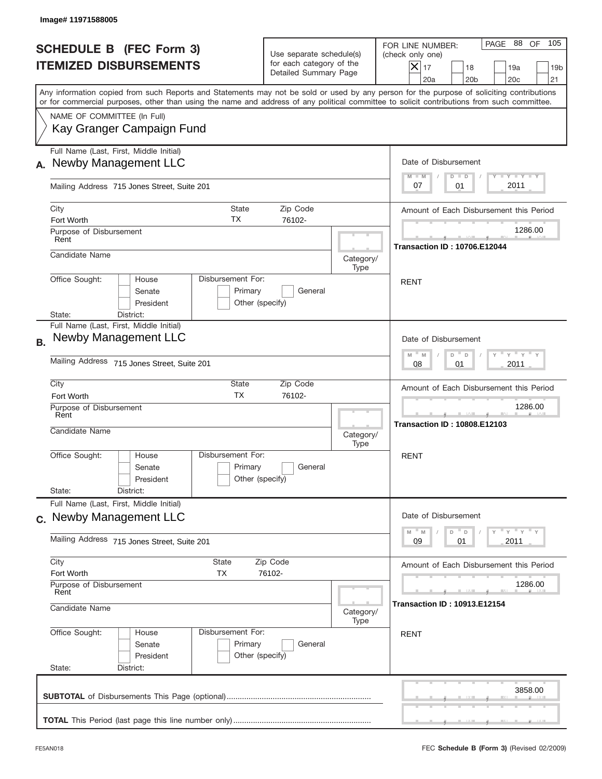| Image# 11971588005                                                                                                                                                                                                                                                                      |                                                                               |                   |                                                                                                                                                                        |
|-----------------------------------------------------------------------------------------------------------------------------------------------------------------------------------------------------------------------------------------------------------------------------------------|-------------------------------------------------------------------------------|-------------------|------------------------------------------------------------------------------------------------------------------------------------------------------------------------|
| <b>SCHEDULE B</b> (FEC Form 3)<br><b>ITEMIZED DISBURSEMENTS</b>                                                                                                                                                                                                                         | Use separate schedule(s)<br>for each category of the<br>Detailed Summary Page |                   | PAGE 88<br>OF<br>105<br>FOR LINE NUMBER:<br>(check only one)<br>$ \mathsf{X} _{17}$<br>18<br>19a<br>19 <sub>b</sub><br>20a<br>20 <sub>b</sub><br>20 <sub>c</sub><br>21 |
| Any information copied from such Reports and Statements may not be sold or used by any person for the purpose of soliciting contributions<br>or for commercial purposes, other than using the name and address of any political committee to solicit contributions from such committee. |                                                                               |                   |                                                                                                                                                                        |
| NAME OF COMMITTEE (In Full)<br>Kay Granger Campaign Fund                                                                                                                                                                                                                                |                                                                               |                   |                                                                                                                                                                        |
| Full Name (Last, First, Middle Initial)<br>Newby Management LLC                                                                                                                                                                                                                         |                                                                               |                   | Date of Disbursement<br><b>TAYLY LY</b><br>$M - M$<br>$D$ $D$                                                                                                          |
| Mailing Address 715 Jones Street, Suite 201                                                                                                                                                                                                                                             |                                                                               |                   | 2011<br>07<br>01                                                                                                                                                       |
| City<br>TX<br>Fort Worth<br>Purpose of Disbursement                                                                                                                                                                                                                                     | <b>State</b><br>Zip Code<br>76102-                                            |                   | Amount of Each Disbursement this Period<br>1286.00                                                                                                                     |
| Rent<br>Candidate Name                                                                                                                                                                                                                                                                  |                                                                               | Category/         | <b>Transaction ID: 10706.E12044</b>                                                                                                                                    |
| Disbursement For:<br>Office Sought:<br>House<br>Senate<br>President                                                                                                                                                                                                                     | Primary<br>General<br>Other (specify)                                         | Type              | <b>RENT</b>                                                                                                                                                            |
| District:<br>State:<br>Full Name (Last, First, Middle Initial)<br>Newby Management LLC<br><b>B.</b><br>Mailing Address 715 Jones Street, Suite 201                                                                                                                                      |                                                                               |                   | Date of Disbursement<br>$-\gamma + \gamma$<br>$M$ M<br>D<br>D<br>2011<br>08<br>01                                                                                      |
| City<br>Fort Worth<br>Purpose of Disbursement<br>Rent                                                                                                                                                                                                                                   | State<br>Zip Code<br><b>TX</b><br>76102-                                      |                   | Amount of Each Disbursement this Period<br>1286.00                                                                                                                     |
| Candidate Name                                                                                                                                                                                                                                                                          |                                                                               | Category/<br>Type | <b>Transaction ID: 10808.E12103</b>                                                                                                                                    |
| Disbursement For:<br>Office Sought:<br>House<br>Senate<br>President<br>State:<br>District:                                                                                                                                                                                              | Primary<br>General<br>Other (specify)                                         |                   | RENT                                                                                                                                                                   |
| Full Name (Last, First, Middle Initial)<br>c. Newby Management LLC                                                                                                                                                                                                                      |                                                                               |                   | Date of Disbursement                                                                                                                                                   |
| Mailing Address 715 Jones Street, Suite 201                                                                                                                                                                                                                                             |                                                                               |                   | $Y$ $Y$ $Y$ $Y$ $Y$<br>$-M$<br>M<br>D<br>D<br>09<br>2011<br>01                                                                                                         |
| City<br>State<br>Fort Worth<br>ТX                                                                                                                                                                                                                                                       | Zip Code<br>76102-                                                            |                   | Amount of Each Disbursement this Period                                                                                                                                |
| Purpose of Disbursement<br>Rent<br>Candidate Name                                                                                                                                                                                                                                       |                                                                               | Category/<br>Type | 1286.00<br><b>Transaction ID : 10913.E12154</b>                                                                                                                        |
| Office Sought:<br>Disbursement For:<br>House<br>Senate<br>President<br>State:<br>District:                                                                                                                                                                                              | Primary<br>General<br>Other (specify)                                         |                   | <b>RENT</b>                                                                                                                                                            |
|                                                                                                                                                                                                                                                                                         |                                                                               |                   | 3858.00                                                                                                                                                                |
|                                                                                                                                                                                                                                                                                         |                                                                               |                   |                                                                                                                                                                        |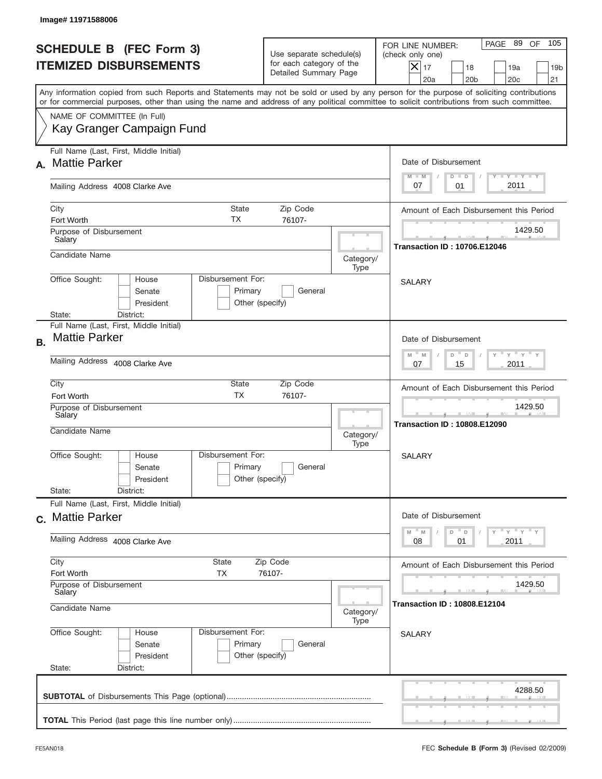|           | Image#11971588006                                                                                                                                                                                                                                                                       |                            |                                                                               |                   |                                                                                                                                                              |
|-----------|-----------------------------------------------------------------------------------------------------------------------------------------------------------------------------------------------------------------------------------------------------------------------------------------|----------------------------|-------------------------------------------------------------------------------|-------------------|--------------------------------------------------------------------------------------------------------------------------------------------------------------|
|           | <b>SCHEDULE B (FEC Form 3)</b><br><b>ITEMIZED DISBURSEMENTS</b>                                                                                                                                                                                                                         |                            | Use separate schedule(s)<br>for each category of the<br>Detailed Summary Page |                   | 105<br>PAGE 89<br>OF<br>FOR LINE NUMBER:<br>(check only one)<br>$X _{17}$<br>18<br>19a<br>19 <sub>b</sub><br>20a<br>20 <sub>b</sub><br>20 <sub>c</sub><br>21 |
|           | Any information copied from such Reports and Statements may not be sold or used by any person for the purpose of soliciting contributions<br>or for commercial purposes, other than using the name and address of any political committee to solicit contributions from such committee. |                            |                                                                               |                   |                                                                                                                                                              |
|           | NAME OF COMMITTEE (In Full)<br>Kay Granger Campaign Fund                                                                                                                                                                                                                                |                            |                                                                               |                   |                                                                                                                                                              |
| А.        | Full Name (Last, First, Middle Initial)<br><b>Mattie Parker</b>                                                                                                                                                                                                                         |                            |                                                                               |                   | Date of Disbursement<br>$T - Y$ $T - Y$<br>$M - M$<br>$D$ $D$                                                                                                |
|           | Mailing Address 4008 Clarke Ave                                                                                                                                                                                                                                                         |                            |                                                                               |                   | 2011<br>07<br>01                                                                                                                                             |
|           | City<br>Fort Worth                                                                                                                                                                                                                                                                      | <b>State</b><br><b>TX</b>  | Zip Code<br>76107-                                                            |                   | Amount of Each Disbursement this Period                                                                                                                      |
|           | Purpose of Disbursement<br>Salary                                                                                                                                                                                                                                                       |                            |                                                                               |                   | 1429.50<br><b>Transaction ID: 10706.E12046</b>                                                                                                               |
|           | Candidate Name                                                                                                                                                                                                                                                                          |                            |                                                                               | Category/<br>Type |                                                                                                                                                              |
|           | Disbursement For:<br>Office Sought:<br>House<br>Senate<br>President<br>State:<br>District:                                                                                                                                                                                              | Primary<br>Other (specify) | General                                                                       |                   | <b>SALARY</b>                                                                                                                                                |
| <b>B.</b> | Full Name (Last, First, Middle Initial)<br><b>Mattie Parker</b>                                                                                                                                                                                                                         |                            |                                                                               |                   | Date of Disbursement<br>$\cdots$ $\gamma$ $\cdots$ $\gamma$ $\cdots$ $\gamma$<br>$M - M$<br>D<br>D                                                           |
|           | Mailing Address 4008 Clarke Ave                                                                                                                                                                                                                                                         |                            |                                                                               |                   | 15<br>2011<br>07                                                                                                                                             |
|           | City<br>Fort Worth<br>Purpose of Disbursement                                                                                                                                                                                                                                           | State<br><b>TX</b>         | Zip Code<br>76107-                                                            |                   | Amount of Each Disbursement this Period<br>1429.50                                                                                                           |
|           | Salary<br>Candidate Name                                                                                                                                                                                                                                                                |                            |                                                                               | Category/<br>Type | ___<br><b>Transaction ID: 10808.E12090</b>                                                                                                                   |
|           | Disbursement For:<br>Office Sought:<br>House<br>Senate<br>President<br>State:<br>District:                                                                                                                                                                                              | Primary<br>Other (specify) | General                                                                       |                   | SALARY                                                                                                                                                       |
|           | Full Name (Last, First, Middle Initial)                                                                                                                                                                                                                                                 |                            |                                                                               |                   |                                                                                                                                                              |
|           | c. Mattie Parker                                                                                                                                                                                                                                                                        |                            |                                                                               |                   | Date of Disbursement<br>$Y$ $Y$ $Y$ $Y$ $Y$<br>$M$ $M$<br>D<br>D                                                                                             |
|           | Mailing Address 4008 Clarke Ave                                                                                                                                                                                                                                                         |                            |                                                                               |                   | 2011<br>08<br>01                                                                                                                                             |
|           | City<br>State<br>Fort Worth<br><b>TX</b>                                                                                                                                                                                                                                                |                            | Zip Code<br>76107-                                                            |                   | Amount of Each Disbursement this Period                                                                                                                      |
|           | Purpose of Disbursement<br>Salary<br>Candidate Name                                                                                                                                                                                                                                     |                            |                                                                               | Category/         | 1429.50<br><b>Transaction ID: 10808.E12104</b>                                                                                                               |
|           | Office Sought:<br>Disbursement For:<br>House<br>Senate<br>President<br>State:<br>District:                                                                                                                                                                                              | Primary<br>Other (specify) | General                                                                       | Type              | <b>SALARY</b>                                                                                                                                                |
|           |                                                                                                                                                                                                                                                                                         |                            |                                                                               |                   | 4288.50                                                                                                                                                      |
|           |                                                                                                                                                                                                                                                                                         |                            |                                                                               |                   |                                                                                                                                                              |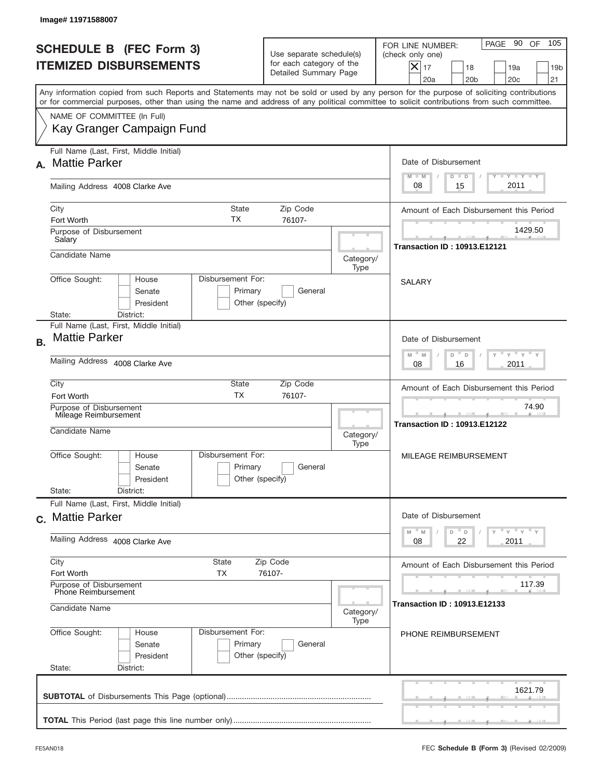|           | Image# 11971588007                                                                                                                                                                                                                                                                      |                                                                               |                   |                                                                                                                                                              |
|-----------|-----------------------------------------------------------------------------------------------------------------------------------------------------------------------------------------------------------------------------------------------------------------------------------------|-------------------------------------------------------------------------------|-------------------|--------------------------------------------------------------------------------------------------------------------------------------------------------------|
|           | <b>SCHEDULE B (FEC Form 3)</b><br><b>ITEMIZED DISBURSEMENTS</b>                                                                                                                                                                                                                         | Use separate schedule(s)<br>for each category of the<br>Detailed Summary Page |                   | 105<br>PAGE 90<br>OF<br>FOR LINE NUMBER:<br>(check only one)<br>$X _{17}$<br>18<br>19a<br>19 <sub>b</sub><br>20 <sub>c</sub><br>20a<br>20 <sub>b</sub><br>21 |
|           | Any information copied from such Reports and Statements may not be sold or used by any person for the purpose of soliciting contributions<br>or for commercial purposes, other than using the name and address of any political committee to solicit contributions from such committee. |                                                                               |                   |                                                                                                                                                              |
|           | NAME OF COMMITTEE (In Full)<br>Kay Granger Campaign Fund                                                                                                                                                                                                                                |                                                                               |                   |                                                                                                                                                              |
| А.        | Full Name (Last, First, Middle Initial)<br><b>Mattie Parker</b>                                                                                                                                                                                                                         |                                                                               |                   | Date of Disbursement<br>$T - Y$ $T - Y$<br>$M - M$<br>$D$ $D$                                                                                                |
|           | Mailing Address 4008 Clarke Ave                                                                                                                                                                                                                                                         |                                                                               |                   | 2011<br>08<br>15                                                                                                                                             |
|           | City<br>State<br>ТX<br>Fort Worth<br>Purpose of Disbursement                                                                                                                                                                                                                            | Zip Code<br>76107-                                                            |                   | Amount of Each Disbursement this Period<br>1429.50                                                                                                           |
|           | Salary<br>Candidate Name                                                                                                                                                                                                                                                                |                                                                               | Category/<br>Type | <b>Transaction ID: 10913.E12121</b>                                                                                                                          |
|           | Disbursement For:<br>Office Sought:<br>House<br>Senate<br>President<br>State:<br>District:                                                                                                                                                                                              | Primary<br>General<br>Other (specify)                                         |                   | <b>SALARY</b>                                                                                                                                                |
| <b>B.</b> | Full Name (Last, First, Middle Initial)<br><b>Mattie Parker</b>                                                                                                                                                                                                                         |                                                                               |                   | Date of Disbursement<br>$\cdots$ $\gamma$ $\cdots$ $\gamma$ $\cdots$<br>$M$ M<br>D<br>$\Box$                                                                 |
|           | Mailing Address 4008 Clarke Ave                                                                                                                                                                                                                                                         |                                                                               |                   | 2011<br>08<br>16                                                                                                                                             |
|           | City<br>State<br><b>TX</b><br>Fort Worth                                                                                                                                                                                                                                                | Zip Code<br>76107-                                                            |                   | Amount of Each Disbursement this Period                                                                                                                      |
|           | Purpose of Disbursement<br>Mileage Reimbursement<br>Candidate Name                                                                                                                                                                                                                      |                                                                               | Category/<br>Type | 74.90<br>--<br><b>Transaction ID: 10913.E12122</b>                                                                                                           |
|           | Office Sought:<br>Disbursement For:<br>House<br>Senate<br>President                                                                                                                                                                                                                     | Primary<br>General<br>Other (specify)                                         |                   | MILEAGE REIMBURSEMENT                                                                                                                                        |
|           | State:<br>District:<br>Full Name (Last, First, Middle Initial)                                                                                                                                                                                                                          |                                                                               |                   |                                                                                                                                                              |
|           | c. Mattie Parker<br>Mailing Address 4008 Clarke Ave                                                                                                                                                                                                                                     |                                                                               |                   | Date of Disbursement<br>≡ү ≡ү ≡ү<br>$-M$<br>$\mathbb M$<br>D<br>D<br>22<br>2011<br>08                                                                        |
|           | City<br><b>State</b>                                                                                                                                                                                                                                                                    | Zip Code                                                                      |                   | Amount of Each Disbursement this Period                                                                                                                      |
|           | Fort Worth<br>ТX<br>Purpose of Disbursement                                                                                                                                                                                                                                             | 76107-                                                                        |                   | 117.39                                                                                                                                                       |
|           | Phone Reimbursement<br>Candidate Name                                                                                                                                                                                                                                                   |                                                                               | Category/<br>Type | Transaction ID : 10913.E12133                                                                                                                                |
|           | Office Sought:<br>Disbursement For:<br>House<br>Senate<br>President<br>State:<br>District:                                                                                                                                                                                              | Primary<br>General<br>Other (specify)                                         |                   | PHONE REIMBURSEMENT                                                                                                                                          |
|           |                                                                                                                                                                                                                                                                                         |                                                                               |                   | 1621.79                                                                                                                                                      |
|           |                                                                                                                                                                                                                                                                                         |                                                                               |                   |                                                                                                                                                              |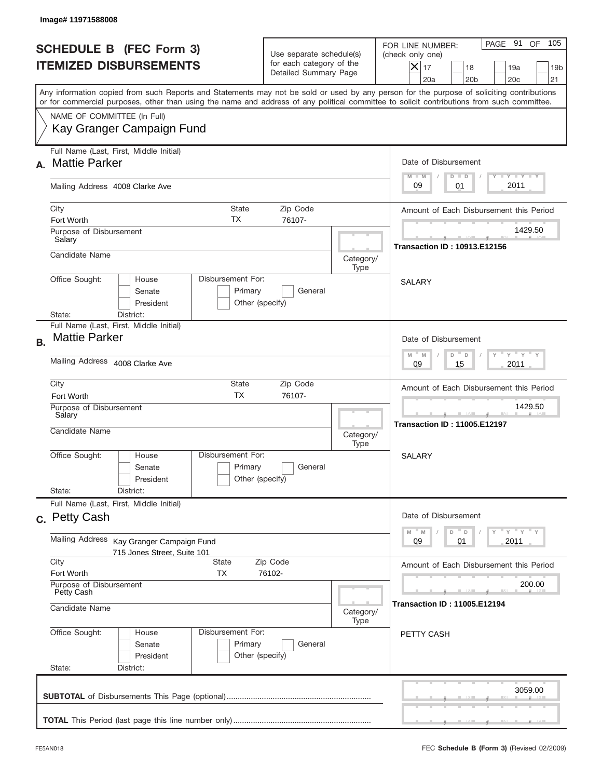| Image# 11971588008                                                                                                                                                                                                                                                                      |                                                                               |                                               |                                                                                                                                                           |
|-----------------------------------------------------------------------------------------------------------------------------------------------------------------------------------------------------------------------------------------------------------------------------------------|-------------------------------------------------------------------------------|-----------------------------------------------|-----------------------------------------------------------------------------------------------------------------------------------------------------------|
| <b>SCHEDULE B (FEC Form 3)</b><br><b>ITEMIZED DISBURSEMENTS</b>                                                                                                                                                                                                                         | Use separate schedule(s)<br>for each category of the<br>Detailed Summary Page |                                               | 105<br>PAGE 91 OF<br>FOR LINE NUMBER:<br>(check only one)<br>$X _{17}$<br>18<br>19a<br>19 <sub>b</sub><br>20a<br>20 <sub>b</sub><br>20 <sub>c</sub><br>21 |
| Any information copied from such Reports and Statements may not be sold or used by any person for the purpose of soliciting contributions<br>or for commercial purposes, other than using the name and address of any political committee to solicit contributions from such committee. |                                                                               |                                               |                                                                                                                                                           |
| NAME OF COMMITTEE (In Full)<br>Kay Granger Campaign Fund                                                                                                                                                                                                                                |                                                                               |                                               |                                                                                                                                                           |
| Full Name (Last, First, Middle Initial)<br><b>Mattie Parker</b><br>А.                                                                                                                                                                                                                   |                                                                               |                                               | Date of Disbursement<br>Y TY TY TY<br>$M - M$<br>$D$ $D$                                                                                                  |
| Mailing Address 4008 Clarke Ave                                                                                                                                                                                                                                                         |                                                                               |                                               | 2011<br>09<br>01                                                                                                                                          |
| City<br>State<br>ТX<br>Fort Worth                                                                                                                                                                                                                                                       | Zip Code<br>76107-                                                            |                                               | Amount of Each Disbursement this Period                                                                                                                   |
| Purpose of Disbursement<br>Salary                                                                                                                                                                                                                                                       |                                                                               |                                               | 1429.50<br><b>Transaction ID: 10913.E12156</b>                                                                                                            |
| Candidate Name                                                                                                                                                                                                                                                                          |                                                                               | Category/<br>Type                             |                                                                                                                                                           |
| Office Sought:<br>Disbursement For:<br>House<br>Senate<br>Primary<br>President<br>District:<br>State:                                                                                                                                                                                   | General<br>Other (specify)                                                    |                                               | <b>SALARY</b>                                                                                                                                             |
| Full Name (Last, First, Middle Initial)<br><b>Mattie Parker</b><br><b>B.</b>                                                                                                                                                                                                            |                                                                               |                                               | Date of Disbursement                                                                                                                                      |
| Mailing Address 4008 Clarke Ave                                                                                                                                                                                                                                                         | $Y$ $Y$ $Y$ $Y$ $Y$<br>$M - M$<br>D<br>D<br>2011<br>09<br>15                  |                                               |                                                                                                                                                           |
| City<br>State<br><b>TX</b><br>Fort Worth                                                                                                                                                                                                                                                | Amount of Each Disbursement this Period                                       |                                               |                                                                                                                                                           |
| Purpose of Disbursement<br>Salary<br>Candidate Name                                                                                                                                                                                                                                     |                                                                               | Category/<br>Type                             | 1429.50<br><b>Transaction ID: 11005.E12197</b>                                                                                                            |
| Disbursement For:<br>Office Sought:<br>House<br>Primary<br>Senate<br>President<br>State:<br>District:                                                                                                                                                                                   | General<br>Other (specify)                                                    |                                               | SALARY                                                                                                                                                    |
| Full Name (Last, First, Middle Initial)<br>c. Petty Cash                                                                                                                                                                                                                                |                                                                               |                                               | Date of Disbursement                                                                                                                                      |
| Mailing Address<br>Kay Granger Campaign Fund<br>715 Jones Street, Suite 101                                                                                                                                                                                                             |                                                                               |                                               | $\gamma$ $\gamma$ $\gamma$ $\gamma$ $\gamma$<br>$-M$<br>M<br>D<br>$\mathsf D$<br>09<br>2011<br>01                                                         |
| City<br>State<br>Fort Worth<br>ТX                                                                                                                                                                                                                                                       | Zip Code<br>76102-                                                            |                                               | Amount of Each Disbursement this Period                                                                                                                   |
| Purpose of Disbursement<br>Petty Cash<br>Candidate Name                                                                                                                                                                                                                                 | Category/                                                                     | 200.00<br><b>Transaction ID: 11005.E12194</b> |                                                                                                                                                           |
| Office Sought:<br>Disbursement For:<br>House<br>Primary<br>Senate<br>President<br>State:<br>District:                                                                                                                                                                                   | General<br>Other (specify)                                                    | Type                                          | PETTY CASH                                                                                                                                                |
|                                                                                                                                                                                                                                                                                         |                                                                               |                                               | 3059.00                                                                                                                                                   |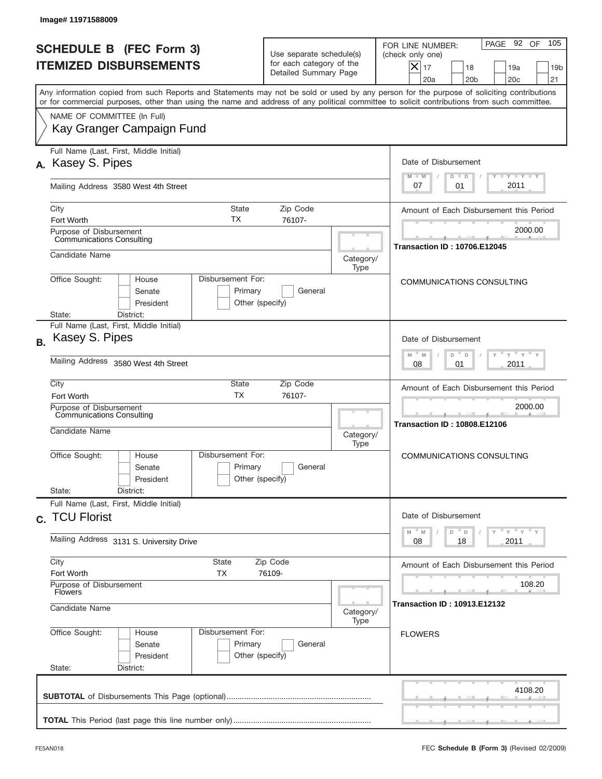|           | Image# 11971588009                                                     |                                                                                                         |                                                                               |                                                                                                                                                                                                                                                                                         |
|-----------|------------------------------------------------------------------------|---------------------------------------------------------------------------------------------------------|-------------------------------------------------------------------------------|-----------------------------------------------------------------------------------------------------------------------------------------------------------------------------------------------------------------------------------------------------------------------------------------|
|           | <b>SCHEDULE B (FEC Form 3)</b><br><b>ITEMIZED DISBURSEMENTS</b>        |                                                                                                         | Use separate schedule(s)<br>for each category of the<br>Detailed Summary Page | 105<br>PAGE 92 OF<br>FOR LINE NUMBER:<br>(check only one)<br>$ \mathsf{X} _{17}$<br>18<br>19a<br>19 <sub>b</sub><br>20a<br>20 <sub>b</sub><br>20c<br>21                                                                                                                                 |
|           |                                                                        |                                                                                                         |                                                                               | Any information copied from such Reports and Statements may not be sold or used by any person for the purpose of soliciting contributions<br>or for commercial purposes, other than using the name and address of any political committee to solicit contributions from such committee. |
|           | NAME OF COMMITTEE (In Full)<br>Kay Granger Campaign Fund               |                                                                                                         |                                                                               |                                                                                                                                                                                                                                                                                         |
|           | Full Name (Last, First, Middle Initial)<br>A. Kasey S. Pipes           |                                                                                                         |                                                                               | Date of Disbursement<br>$T$ $Y$ $Y$ $Y$ $Y$                                                                                                                                                                                                                                             |
|           | Mailing Address 3580 West 4th Street                                   |                                                                                                         |                                                                               | $M - M$<br>$D$ $D$<br>2011<br>07<br>01                                                                                                                                                                                                                                                  |
|           | City<br>Fort Worth                                                     | <b>State</b><br>Zip Code<br>ТX<br>76107-                                                                |                                                                               | Amount of Each Disbursement this Period                                                                                                                                                                                                                                                 |
|           | Purpose of Disbursement<br><b>Communications Consulting</b>            |                                                                                                         |                                                                               | 2000.00<br><b>Transaction ID: 10706.E12045</b>                                                                                                                                                                                                                                          |
|           | Candidate Name                                                         |                                                                                                         | Category/<br>Type                                                             |                                                                                                                                                                                                                                                                                         |
|           | Office Sought:<br>House<br>Senate<br>President<br>State:<br>District:  | Disbursement For:<br>Primary<br>Other (specify)                                                         | General                                                                       | COMMUNICATIONS CONSULTING                                                                                                                                                                                                                                                               |
| <b>B.</b> | Full Name (Last, First, Middle Initial)<br>Kasey S. Pipes              |                                                                                                         |                                                                               | Date of Disbursement                                                                                                                                                                                                                                                                    |
|           | Mailing Address 3580 West 4th Street                                   | $\cdots$ $\gamma$ $\cdots$ $\gamma$ $\cdots$ $\gamma$<br>D<br>M<br>$\mathsf D$<br>M<br>2011<br>08<br>01 |                                                                               |                                                                                                                                                                                                                                                                                         |
|           | City<br>Fort Worth                                                     | <b>State</b><br>Zip Code<br><b>TX</b><br>76107-                                                         |                                                                               | Amount of Each Disbursement this Period                                                                                                                                                                                                                                                 |
|           | Purpose of Disbursement<br>Communications Consulting<br>Candidate Name |                                                                                                         | Category/<br>Type                                                             | 2000.00<br><b>Transaction ID: 10808.E12106</b>                                                                                                                                                                                                                                          |
|           | Office Sought:<br>House<br>Senate<br>President<br>State:<br>District:  | Disbursement For:<br>Primary<br>Other (specify)                                                         | General                                                                       | COMMUNICATIONS CONSULTING                                                                                                                                                                                                                                                               |
|           | Full Name (Last, First, Middle Initial)                                |                                                                                                         |                                                                               |                                                                                                                                                                                                                                                                                         |
|           | c. TCU Florist                                                         |                                                                                                         |                                                                               | Date of Disbursement<br>γ " γ " γ " γ<br>$\overline{\phantom{a}}$ D<br>$M$ $M$<br>D                                                                                                                                                                                                     |
|           | Mailing Address 3131 S. University Drive                               | 2011<br>08<br>18                                                                                        |                                                                               |                                                                                                                                                                                                                                                                                         |
|           | City<br>Fort Worth                                                     | State<br>Zip Code<br>ТX<br>76109-                                                                       |                                                                               | Amount of Each Disbursement this Period                                                                                                                                                                                                                                                 |
|           | Purpose of Disbursement<br><b>Flowers</b><br>Candidate Name            |                                                                                                         | Category/<br>Type                                                             | 108.20<br><b>Transaction ID: 10913.E12132</b>                                                                                                                                                                                                                                           |
|           | Office Sought:<br>House<br>Senate<br>President<br>State:<br>District:  | Disbursement For:<br>Primary<br>Other (specify)                                                         | General                                                                       | <b>FLOWERS</b>                                                                                                                                                                                                                                                                          |
|           |                                                                        |                                                                                                         |                                                                               | 4108.20                                                                                                                                                                                                                                                                                 |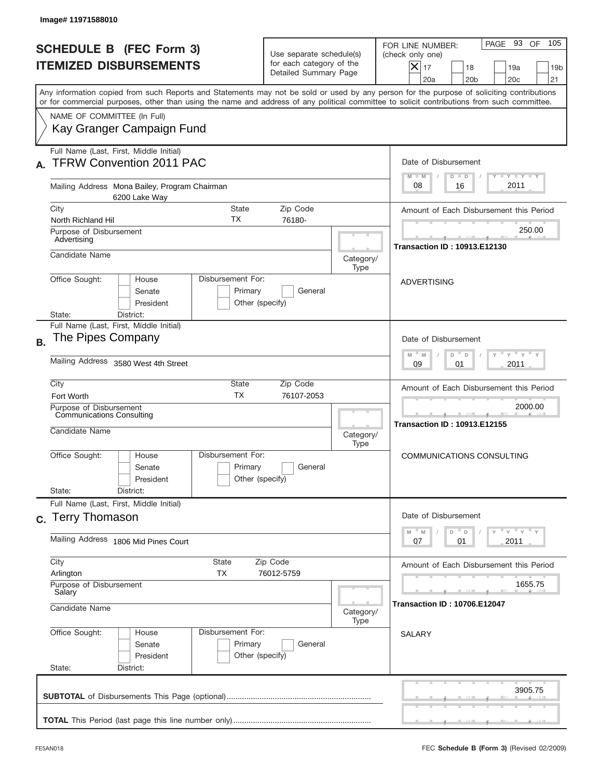|           | Image#11971588010                                                                                                                                                                                                                                                                       |                                                                               |                   |                                                                                                                                                           |
|-----------|-----------------------------------------------------------------------------------------------------------------------------------------------------------------------------------------------------------------------------------------------------------------------------------------|-------------------------------------------------------------------------------|-------------------|-----------------------------------------------------------------------------------------------------------------------------------------------------------|
|           | <b>SCHEDULE B (FEC Form 3)</b><br><b>ITEMIZED DISBURSEMENTS</b>                                                                                                                                                                                                                         | Use separate schedule(s)<br>for each category of the<br>Detailed Summary Page |                   | 105<br>PAGE 93 OF<br>FOR LINE NUMBER:<br>(check only one)<br>$X _{17}$<br>18<br>19a<br>19 <sub>b</sub><br>20a<br>20 <sub>b</sub><br>20 <sub>c</sub><br>21 |
|           | Any information copied from such Reports and Statements may not be sold or used by any person for the purpose of soliciting contributions<br>or for commercial purposes, other than using the name and address of any political committee to solicit contributions from such committee. |                                                                               |                   |                                                                                                                                                           |
|           | NAME OF COMMITTEE (In Full)<br>Kay Granger Campaign Fund                                                                                                                                                                                                                                |                                                                               |                   |                                                                                                                                                           |
|           | Full Name (Last, First, Middle Initial)<br><b>TFRW Convention 2011 PAC</b>                                                                                                                                                                                                              |                                                                               |                   | Date of Disbursement<br>Y TY TY TY<br>$M - M$<br>$D$ $D$                                                                                                  |
|           | Mailing Address Mona Bailey, Program Chairman<br>6200 Lake Way                                                                                                                                                                                                                          |                                                                               |                   | 2011<br>08<br>16                                                                                                                                          |
|           | City<br>State<br>ТX<br>North Richland Hil                                                                                                                                                                                                                                               | Zip Code<br>76180-                                                            |                   | Amount of Each Disbursement this Period                                                                                                                   |
|           | Purpose of Disbursement<br>Advertising                                                                                                                                                                                                                                                  |                                                                               | 250.00            |                                                                                                                                                           |
|           | Candidate Name                                                                                                                                                                                                                                                                          |                                                                               | Category/<br>Type | <b>Transaction ID: 10913.E12130</b>                                                                                                                       |
|           | Office Sought:<br>Disbursement For:<br>House<br>Senate<br>President<br>District:<br>State:                                                                                                                                                                                              | Primary<br>General<br>Other (specify)                                         |                   | <b>ADVERTISING</b>                                                                                                                                        |
| <b>B.</b> | Full Name (Last, First, Middle Initial)<br>The Pipes Company                                                                                                                                                                                                                            |                                                                               |                   | Date of Disbursement<br>$\cdots$ $\gamma$ $\cdots$ $\gamma$ $\cdots$<br>$M - M$<br>D<br>D                                                                 |
|           | Mailing Address 3580 West 4th Street                                                                                                                                                                                                                                                    | 2011<br>09<br>01                                                              |                   |                                                                                                                                                           |
|           | City<br>State<br><b>TX</b><br>Fort Worth                                                                                                                                                                                                                                                | Zip Code<br>76107-2053                                                        |                   | Amount of Each Disbursement this Period                                                                                                                   |
|           | Purpose of Disbursement<br>Communications Consulting<br>Candidate Name                                                                                                                                                                                                                  |                                                                               | Category/<br>Type | 2000.00<br><b>Transaction ID: 10913.E12155</b>                                                                                                            |
|           | Disbursement For:<br>Office Sought:<br>House<br>Senate<br>President                                                                                                                                                                                                                     | Primary<br>General<br>Other (specify)                                         |                   | COMMUNICATIONS CONSULTING                                                                                                                                 |
|           | State:<br>District:<br>Full Name (Last, First, Middle Initial)                                                                                                                                                                                                                          |                                                                               |                   |                                                                                                                                                           |
|           | c. Terry Thomason                                                                                                                                                                                                                                                                       |                                                                               |                   | Date of Disbursement<br>$\gamma$ = $\gamma$ = $\gamma$ = $\gamma$<br>$-M$<br>M<br>D<br>$\mathsf D$                                                        |
|           | Mailing Address 1806 Mid Pines Court                                                                                                                                                                                                                                                    |                                                                               |                   | 2011<br>07<br>01                                                                                                                                          |
|           | City<br>State<br>Arlington<br>ТX                                                                                                                                                                                                                                                        | Zip Code<br>76012-5759                                                        |                   | Amount of Each Disbursement this Period                                                                                                                   |
|           | Purpose of Disbursement<br>Salary<br>Candidate Name                                                                                                                                                                                                                                     |                                                                               | Category/         | 1655.75<br><b>Transaction ID: 10706.E12047</b>                                                                                                            |
|           | Office Sought:<br>Disbursement For:<br>House<br>Senate<br>President<br>State:<br>District:                                                                                                                                                                                              | Primary<br>General<br>Other (specify)                                         | Type              | <b>SALARY</b>                                                                                                                                             |
|           |                                                                                                                                                                                                                                                                                         |                                                                               |                   | 3905.75                                                                                                                                                   |
|           |                                                                                                                                                                                                                                                                                         |                                                                               |                   |                                                                                                                                                           |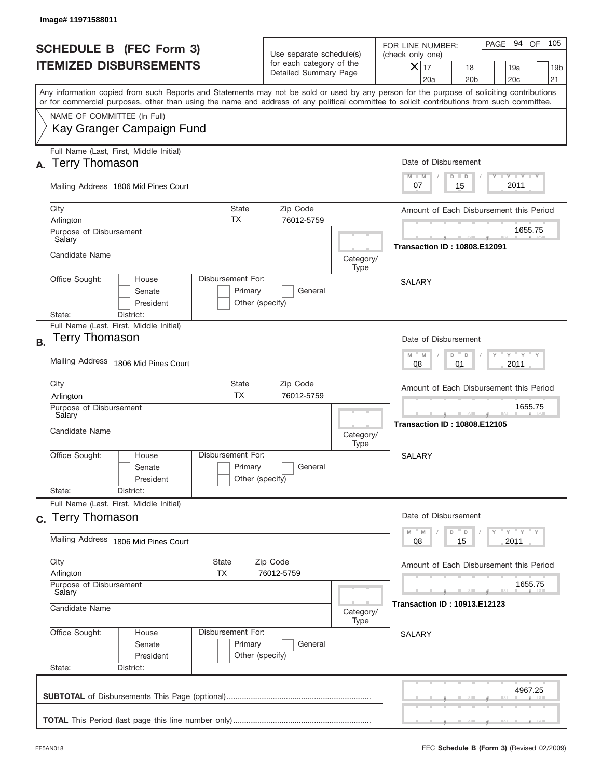|           | Image# 11971588011                                                                                                                                                                                                                                                                      |                                                 |                                                                               |                   |                                                                                                                                                              |
|-----------|-----------------------------------------------------------------------------------------------------------------------------------------------------------------------------------------------------------------------------------------------------------------------------------------|-------------------------------------------------|-------------------------------------------------------------------------------|-------------------|--------------------------------------------------------------------------------------------------------------------------------------------------------------|
|           | <b>SCHEDULE B (FEC Form 3)</b><br><b>ITEMIZED DISBURSEMENTS</b>                                                                                                                                                                                                                         |                                                 | Use separate schedule(s)<br>for each category of the<br>Detailed Summary Page |                   | 105<br>PAGE 94<br>OF<br>FOR LINE NUMBER:<br>(check only one)<br>$X _{17}$<br>18<br>19a<br>19 <sub>b</sub><br>20 <sub>c</sub><br>20a<br>20 <sub>b</sub><br>21 |
|           | Any information copied from such Reports and Statements may not be sold or used by any person for the purpose of soliciting contributions<br>or for commercial purposes, other than using the name and address of any political committee to solicit contributions from such committee. |                                                 |                                                                               |                   |                                                                                                                                                              |
|           | NAME OF COMMITTEE (In Full)<br>Kay Granger Campaign Fund                                                                                                                                                                                                                                |                                                 |                                                                               |                   |                                                                                                                                                              |
| А.        | Full Name (Last, First, Middle Initial)<br><b>Terry Thomason</b>                                                                                                                                                                                                                        |                                                 |                                                                               |                   | Date of Disbursement<br>$T - Y$ $T - Y$ $T - Y$<br>$M - M$<br>$D$ $D$                                                                                        |
|           | Mailing Address 1806 Mid Pines Court                                                                                                                                                                                                                                                    |                                                 |                                                                               |                   | 2011<br>07<br>15                                                                                                                                             |
|           | City<br>Arlington<br>Purpose of Disbursement<br>Salary                                                                                                                                                                                                                                  | State<br>ТX                                     | Zip Code<br>76012-5759                                                        |                   | Amount of Each Disbursement this Period<br>1655.75                                                                                                           |
|           | Candidate Name                                                                                                                                                                                                                                                                          |                                                 |                                                                               | Category/<br>Type | <b>Transaction ID: 10808.E12091</b>                                                                                                                          |
|           | Office Sought:<br>House<br>Senate<br>President<br>District:<br>State:                                                                                                                                                                                                                   | Disbursement For:<br>Primary<br>Other (specify) | General                                                                       |                   | <b>SALARY</b>                                                                                                                                                |
| <b>B.</b> | Full Name (Last, First, Middle Initial)<br>Terry Thomason                                                                                                                                                                                                                               |                                                 |                                                                               |                   | Date of Disbursement<br>$\cdots$ $\gamma$ $\cdots$ $\gamma$ $\cdots$<br>$M$ M<br>D<br>$\Box$                                                                 |
|           | Mailing Address 1806 Mid Pines Court                                                                                                                                                                                                                                                    | 2011<br>08<br>01                                |                                                                               |                   |                                                                                                                                                              |
|           | City<br>Arlington<br>Purpose of Disbursement<br>Salary<br>Candidate Name                                                                                                                                                                                                                | State<br><b>TX</b>                              | Zip Code<br>76012-5759                                                        | Category/         | Amount of Each Disbursement this Period<br>1655.75<br>___<br><b>Transaction ID: 10808.E12105</b>                                                             |
|           | Office Sought:<br>House<br>Senate<br>President<br>State:<br>District:                                                                                                                                                                                                                   | Disbursement For:<br>Primary<br>Other (specify) | General                                                                       | Type              | SALARY                                                                                                                                                       |
|           | Full Name (Last, First, Middle Initial)<br>c. Terry Thomason                                                                                                                                                                                                                            |                                                 |                                                                               |                   | Date of Disbursement                                                                                                                                         |
|           | Mailing Address 1806 Mid Pines Court                                                                                                                                                                                                                                                    |                                                 |                                                                               |                   | ү"ү"ү"ү<br>$-M$<br>M<br>D<br>D<br>08<br>15<br>2011                                                                                                           |
|           | City<br>State<br><b>TX</b><br>Arlington<br>Purpose of Disbursement<br>Salary                                                                                                                                                                                                            |                                                 | Zip Code<br>76012-5759                                                        |                   | Amount of Each Disbursement this Period<br>1655.75                                                                                                           |
|           | Candidate Name<br>Category/<br>Type                                                                                                                                                                                                                                                     |                                                 |                                                                               |                   | Transaction ID : 10913.E12123                                                                                                                                |
|           | Office Sought:<br>House<br>Senate<br>President<br>State:<br>District:                                                                                                                                                                                                                   | Disbursement For:<br>Primary<br>Other (specify) | General                                                                       |                   | <b>SALARY</b>                                                                                                                                                |
|           |                                                                                                                                                                                                                                                                                         |                                                 |                                                                               |                   | 4967.25                                                                                                                                                      |
|           |                                                                                                                                                                                                                                                                                         |                                                 |                                                                               |                   |                                                                                                                                                              |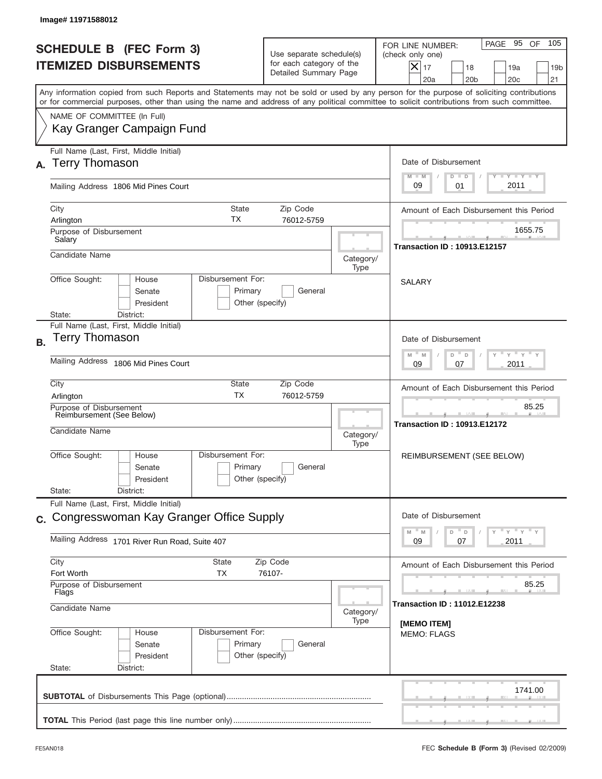| Image# 11971588012                                                                                                                                                                                                                                                                      |                                                                               |                   |                                                                                                                                                           |
|-----------------------------------------------------------------------------------------------------------------------------------------------------------------------------------------------------------------------------------------------------------------------------------------|-------------------------------------------------------------------------------|-------------------|-----------------------------------------------------------------------------------------------------------------------------------------------------------|
| <b>SCHEDULE B (FEC Form 3)</b><br><b>ITEMIZED DISBURSEMENTS</b>                                                                                                                                                                                                                         | Use separate schedule(s)<br>for each category of the<br>Detailed Summary Page |                   | 105<br>PAGE 95 OF<br>FOR LINE NUMBER:<br>(check only one)<br>$X _{17}$<br>18<br>19a<br>19 <sub>b</sub><br>20a<br>20 <sub>b</sub><br>20 <sub>c</sub><br>21 |
| Any information copied from such Reports and Statements may not be sold or used by any person for the purpose of soliciting contributions<br>or for commercial purposes, other than using the name and address of any political committee to solicit contributions from such committee. |                                                                               |                   |                                                                                                                                                           |
| NAME OF COMMITTEE (In Full)<br>Kay Granger Campaign Fund                                                                                                                                                                                                                                |                                                                               |                   |                                                                                                                                                           |
| Full Name (Last, First, Middle Initial)<br><b>Terry Thomason</b>                                                                                                                                                                                                                        |                                                                               |                   | Date of Disbursement                                                                                                                                      |
| Mailing Address 1806 Mid Pines Court                                                                                                                                                                                                                                                    |                                                                               |                   | $T - Y$ $T - Y$<br>$M - M$<br>$D$ $D$<br>2011<br>09<br>01                                                                                                 |
| City<br><b>State</b><br>ТX<br>Arlington<br>Purpose of Disbursement                                                                                                                                                                                                                      | Zip Code<br>76012-5759                                                        |                   | Amount of Each Disbursement this Period<br>1655.75                                                                                                        |
| Salary<br>Candidate Name                                                                                                                                                                                                                                                                |                                                                               | Category/<br>Type | <b>Transaction ID: 10913.E12157</b>                                                                                                                       |
| Disbursement For:<br>Office Sought:<br>House<br>Senate<br>President<br>District:<br>State:                                                                                                                                                                                              | Primary<br>General<br>Other (specify)                                         |                   | <b>SALARY</b>                                                                                                                                             |
| Full Name (Last, First, Middle Initial)<br>Terry Thomason<br><b>B.</b>                                                                                                                                                                                                                  |                                                                               |                   | Date of Disbursement                                                                                                                                      |
| Mailing Address 1806 Mid Pines Court                                                                                                                                                                                                                                                    | $-\gamma + \gamma +$<br>$M$ M<br>D<br>D<br>2011<br>09<br>07                   |                   |                                                                                                                                                           |
| City<br>State<br><b>TX</b><br>Arlington                                                                                                                                                                                                                                                 | Zip Code<br>76012-5759                                                        |                   | Amount of Each Disbursement this Period                                                                                                                   |
| Purpose of Disbursement<br>Reimbursement (See Below)<br>Candidate Name                                                                                                                                                                                                                  |                                                                               | Category/<br>Type | 85.25<br><b>Transaction ID: 10913.E12172</b>                                                                                                              |
| Disbursement For:<br>Office Sought:<br>House<br>Senate<br>President<br>State:<br>District:                                                                                                                                                                                              | Primary<br>General<br>Other (specify)                                         |                   | REIMBURSEMENT (SEE BELOW)                                                                                                                                 |
| Full Name (Last, First, Middle Initial)<br>c. Congresswoman Kay Granger Office Supply                                                                                                                                                                                                   |                                                                               |                   | Date of Disbursement                                                                                                                                      |
| Mailing Address 1701 River Run Road, Suite 407                                                                                                                                                                                                                                          |                                                                               |                   | $\overline{Y}$ $\overline{Y}$ $\overline{Y}$ $\overline{Y}$ $\overline{Y}$<br>$-M$<br>M<br>D<br>D<br>2011<br>09<br>07                                     |
| City<br><b>State</b><br><b>TX</b><br>Fort Worth                                                                                                                                                                                                                                         | Zip Code<br>76107-                                                            |                   | Amount of Each Disbursement this Period                                                                                                                   |
| Purpose of Disbursement<br>Flags<br>Candidate Name                                                                                                                                                                                                                                      |                                                                               | Category/         | 85.25<br><b>Transaction ID: 11012.E12238</b>                                                                                                              |
| Office Sought:<br>Disbursement For:<br>House<br>Primary<br>Senate<br>President<br>State:<br>District:                                                                                                                                                                                   | General<br>Other (specify)                                                    | Type              | [MEMO ITEM]<br><b>MEMO: FLAGS</b>                                                                                                                         |
|                                                                                                                                                                                                                                                                                         |                                                                               |                   | 1741.00                                                                                                                                                   |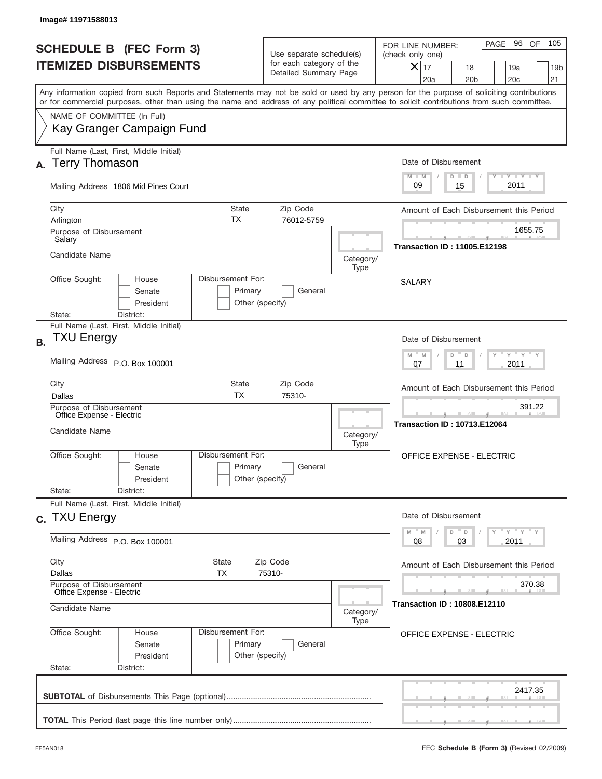| Image# 11971588013                                                        |                                                      |                                                                               |                                  |                                                                                                                                                                                                                                                                                         |
|---------------------------------------------------------------------------|------------------------------------------------------|-------------------------------------------------------------------------------|----------------------------------|-----------------------------------------------------------------------------------------------------------------------------------------------------------------------------------------------------------------------------------------------------------------------------------------|
| <b>SCHEDULE B (FEC Form 3)</b><br><b>ITEMIZED DISBURSEMENTS</b>           |                                                      | Use separate schedule(s)<br>for each category of the<br>Detailed Summary Page |                                  | 105<br>PAGE 96 OF<br>FOR LINE NUMBER:<br>(check only one)<br>$X _{17}$<br>18<br>19a<br>19 <sub>b</sub><br>20a<br>20 <sub>b</sub><br>20 <sub>c</sub><br>21                                                                                                                               |
|                                                                           |                                                      |                                                                               |                                  | Any information copied from such Reports and Statements may not be sold or used by any person for the purpose of soliciting contributions<br>or for commercial purposes, other than using the name and address of any political committee to solicit contributions from such committee. |
| NAME OF COMMITTEE (In Full)<br>Kay Granger Campaign Fund                  |                                                      |                                                                               |                                  |                                                                                                                                                                                                                                                                                         |
| Full Name (Last, First, Middle Initial)<br><b>Terry Thomason</b><br>А.    |                                                      |                                                                               |                                  | Date of Disbursement                                                                                                                                                                                                                                                                    |
| Mailing Address 1806 Mid Pines Court                                      |                                                      |                                                                               |                                  | Y TY TY TY<br>$M - M$<br>$D$ $D$<br>2011<br>09<br>15                                                                                                                                                                                                                                    |
| City<br>Arlington                                                         | State<br>ТX                                          | Zip Code<br>76012-5759                                                        |                                  | Amount of Each Disbursement this Period                                                                                                                                                                                                                                                 |
| Purpose of Disbursement<br>Salary                                         |                                                      |                                                                               |                                  | 1655.75<br><b>Transaction ID: 11005.E12198</b>                                                                                                                                                                                                                                          |
| Candidate Name                                                            |                                                      |                                                                               | Category/<br>Type                |                                                                                                                                                                                                                                                                                         |
| Office Sought:<br>District:<br>State:                                     | Disbursement For:<br>House<br>Senate<br>President    | Primary<br>General<br>Other (specify)                                         |                                  | <b>SALARY</b>                                                                                                                                                                                                                                                                           |
| Full Name (Last, First, Middle Initial)<br><b>TXU Energy</b><br><b>B.</b> |                                                      |                                                                               |                                  | Date of Disbursement                                                                                                                                                                                                                                                                    |
| Mailing Address P.O. Box 100001                                           |                                                      | ү " ү " ү " ү<br>$M - M$<br>D<br>$\mathsf D$<br>2011<br>07<br>11              |                                  |                                                                                                                                                                                                                                                                                         |
| City<br>Dallas                                                            | State<br><b>TX</b>                                   | Zip Code<br>75310-                                                            |                                  | Amount of Each Disbursement this Period                                                                                                                                                                                                                                                 |
| Purpose of Disbursement<br>Office Expense - Electric<br>Candidate Name    |                                                      |                                                                               | Category/<br>Type                | 391.22<br><b>Transaction ID: 10713.E12064</b>                                                                                                                                                                                                                                           |
| Office Sought:<br>State:<br>District:                                     | Disbursement For:<br>House<br>Senate<br>President    | Primary<br>General<br>Other (specify)                                         |                                  | <b>OFFICE EXPENSE - ELECTRIC</b>                                                                                                                                                                                                                                                        |
| Full Name (Last, First, Middle Initial)<br>c. TXU Energy                  |                                                      |                                                                               |                                  | Date of Disbursement                                                                                                                                                                                                                                                                    |
| Mailing Address P.O. Box 100001                                           |                                                      |                                                                               |                                  | ү "ү "ү "ү<br>$-M$<br>D<br>M<br>$\mathsf D$<br>03<br>2011<br>08                                                                                                                                                                                                                         |
| City<br>Dallas                                                            | State<br>TX                                          | Zip Code<br>75310-                                                            |                                  | Amount of Each Disbursement this Period                                                                                                                                                                                                                                                 |
| Candidate Name                                                            | Purpose of Disbursement<br>Office Expense - Electric |                                                                               |                                  | 370.38<br><b>Transaction ID: 10808.E12110</b>                                                                                                                                                                                                                                           |
| Office Sought:                                                            | Disbursement For:<br>House                           | Category/<br>Type                                                             | <b>OFFICE EXPENSE - ELECTRIC</b> |                                                                                                                                                                                                                                                                                         |
| State:<br>District:                                                       | Senate<br>President                                  | Primary<br>General<br>Other (specify)                                         |                                  |                                                                                                                                                                                                                                                                                         |
|                                                                           |                                                      |                                                                               |                                  |                                                                                                                                                                                                                                                                                         |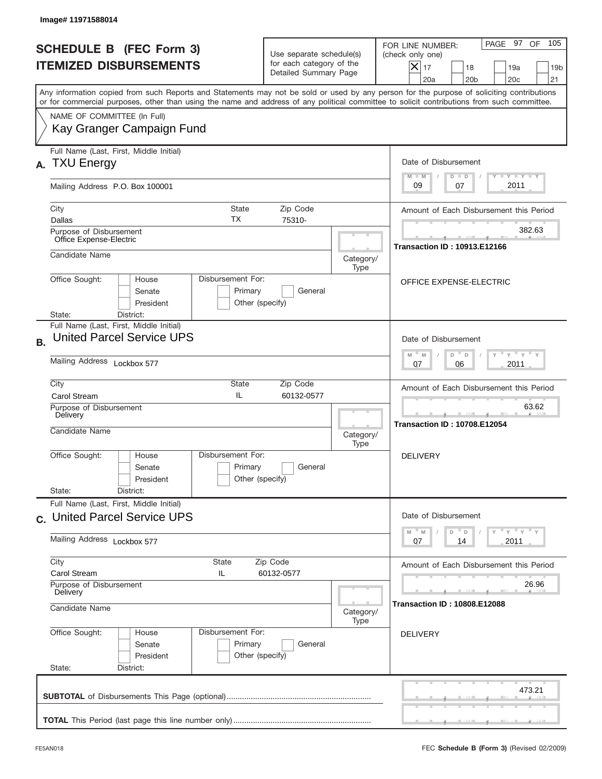|                                                                    | Image# 11971588014                                                                                                                                                                                                                                                                      |                                                                                                     |                                                                               |                   |                                                                                                                                                                  |  |  |  |
|--------------------------------------------------------------------|-----------------------------------------------------------------------------------------------------------------------------------------------------------------------------------------------------------------------------------------------------------------------------------------|-----------------------------------------------------------------------------------------------------|-------------------------------------------------------------------------------|-------------------|------------------------------------------------------------------------------------------------------------------------------------------------------------------|--|--|--|
|                                                                    | <b>SCHEDULE B (FEC Form 3)</b><br><b>ITEMIZED DISBURSEMENTS</b>                                                                                                                                                                                                                         |                                                                                                     | Use separate schedule(s)<br>for each category of the<br>Detailed Summary Page |                   | 105<br>PAGE 97 OF<br>FOR LINE NUMBER:<br>(check only one)<br>$X _{17}$<br>18<br>19a<br>19 <sub>b</sub><br>20a<br>20 <sub>b</sub><br>20 <sub>c</sub><br>21        |  |  |  |
|                                                                    | Any information copied from such Reports and Statements may not be sold or used by any person for the purpose of soliciting contributions<br>or for commercial purposes, other than using the name and address of any political committee to solicit contributions from such committee. |                                                                                                     |                                                                               |                   |                                                                                                                                                                  |  |  |  |
|                                                                    | NAME OF COMMITTEE (In Full)<br>Kay Granger Campaign Fund                                                                                                                                                                                                                                |                                                                                                     |                                                                               |                   |                                                                                                                                                                  |  |  |  |
| Full Name (Last, First, Middle Initial)<br><b>TXU Energy</b><br>А. |                                                                                                                                                                                                                                                                                         |                                                                                                     |                                                                               |                   | Date of Disbursement<br>Y TY TY TY                                                                                                                               |  |  |  |
|                                                                    | Mailing Address P.O. Box 100001                                                                                                                                                                                                                                                         |                                                                                                     |                                                                               |                   | $M - M$<br>$D$ $D$<br>2011<br>09<br>07                                                                                                                           |  |  |  |
|                                                                    | City<br>ТX<br>Dallas                                                                                                                                                                                                                                                                    | State                                                                                               | Zip Code<br>75310-                                                            |                   | Amount of Each Disbursement this Period                                                                                                                          |  |  |  |
|                                                                    | Purpose of Disbursement<br>Office Expense-Electric                                                                                                                                                                                                                                      |                                                                                                     |                                                                               |                   | 382.63<br><b>Transaction ID: 10913.E12166</b>                                                                                                                    |  |  |  |
|                                                                    | Candidate Name                                                                                                                                                                                                                                                                          |                                                                                                     |                                                                               | Category/<br>Type |                                                                                                                                                                  |  |  |  |
|                                                                    | Office Sought:<br>Disbursement For:<br>House<br>Senate<br>President                                                                                                                                                                                                                     | Primary<br>Other (specify)                                                                          | General                                                                       |                   | OFFICE EXPENSE-ELECTRIC                                                                                                                                          |  |  |  |
| <b>B.</b>                                                          | District:<br>State:<br>Full Name (Last, First, Middle Initial)<br><b>United Parcel Service UPS</b>                                                                                                                                                                                      |                                                                                                     |                                                                               |                   | Date of Disbursement                                                                                                                                             |  |  |  |
|                                                                    | Mailing Address Lockbox 577                                                                                                                                                                                                                                                             | $\cdots$ $\gamma$ $\cdots$ $\gamma$ $\cdots$ $\gamma$<br>$M - M$<br>D<br>$\Box$<br>2011<br>07<br>06 |                                                                               |                   |                                                                                                                                                                  |  |  |  |
|                                                                    | City<br>State<br>Zip Code<br>IL<br>Carol Stream<br>60132-0577                                                                                                                                                                                                                           |                                                                                                     |                                                                               |                   | Amount of Each Disbursement this Period                                                                                                                          |  |  |  |
|                                                                    | Purpose of Disbursement<br>Delivery<br>Candidate Name                                                                                                                                                                                                                                   |                                                                                                     |                                                                               |                   | 63.62<br><b>Transaction ID: 10708.E12054</b>                                                                                                                     |  |  |  |
|                                                                    | Office Sought:<br>House<br>Senate<br>President                                                                                                                                                                                                                                          | Disbursement For:<br>Primary<br>General<br>Other (specify)                                          |                                                                               | Type              | <b>DELIVERY</b>                                                                                                                                                  |  |  |  |
|                                                                    | State:<br>District:<br>Full Name (Last, First, Middle Initial)                                                                                                                                                                                                                          |                                                                                                     |                                                                               |                   |                                                                                                                                                                  |  |  |  |
|                                                                    | c. United Parcel Service UPS                                                                                                                                                                                                                                                            |                                                                                                     |                                                                               |                   | Date of Disbursement<br>$\frac{1}{\gamma} \frac{1}{\gamma} \frac{1}{\gamma} \frac{1}{\gamma} \frac{1}{\gamma} \frac{1}{\gamma}$<br>$-M$<br>M<br>D<br>$\mathsf D$ |  |  |  |
|                                                                    | Mailing Address Lockbox 577<br>City<br>State                                                                                                                                                                                                                                            | 2011<br>07<br>14                                                                                    |                                                                               |                   |                                                                                                                                                                  |  |  |  |
|                                                                    | Carol Stream<br>IL                                                                                                                                                                                                                                                                      |                                                                                                     | Zip Code<br>60132-0577                                                        |                   | Amount of Each Disbursement this Period                                                                                                                          |  |  |  |
|                                                                    | Purpose of Disbursement<br>Delivery<br>Candidate Name<br>Category/                                                                                                                                                                                                                      |                                                                                                     |                                                                               |                   | 26.96<br><b>Transaction ID: 10808.E12088</b>                                                                                                                     |  |  |  |
|                                                                    | Office Sought:<br>Disbursement For:<br>House<br>Senate<br>President<br>State:<br>District:                                                                                                                                                                                              | Primary<br>Other (specify)                                                                          | General                                                                       | Type              | <b>DELIVERY</b>                                                                                                                                                  |  |  |  |
|                                                                    |                                                                                                                                                                                                                                                                                         |                                                                                                     |                                                                               |                   | 473.21                                                                                                                                                           |  |  |  |
|                                                                    |                                                                                                                                                                                                                                                                                         |                                                                                                     |                                                                               |                   |                                                                                                                                                                  |  |  |  |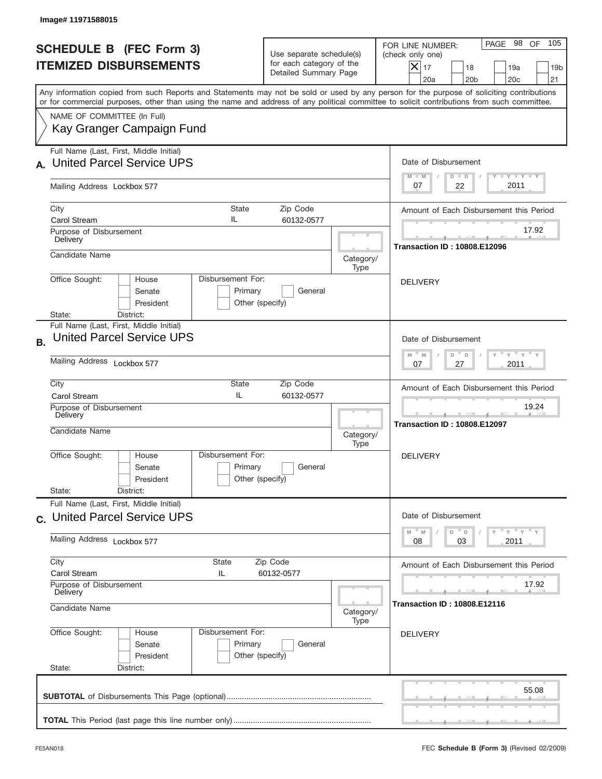|                                                                 | Image#11971588015                                                                                                                                                                                                                                                                       |                                                 |                                                                               |                                                          |                                                                                                                                                           |  |  |  |
|-----------------------------------------------------------------|-----------------------------------------------------------------------------------------------------------------------------------------------------------------------------------------------------------------------------------------------------------------------------------------|-------------------------------------------------|-------------------------------------------------------------------------------|----------------------------------------------------------|-----------------------------------------------------------------------------------------------------------------------------------------------------------|--|--|--|
| <b>SCHEDULE B (FEC Form 3)</b><br><b>ITEMIZED DISBURSEMENTS</b> |                                                                                                                                                                                                                                                                                         |                                                 | Use separate schedule(s)<br>for each category of the<br>Detailed Summary Page |                                                          | 105<br>PAGE 98 OF<br>FOR LINE NUMBER:<br>(check only one)<br>$X _{17}$<br>18<br>19a<br>19 <sub>b</sub><br>20a<br>20 <sub>b</sub><br>20 <sub>c</sub><br>21 |  |  |  |
|                                                                 | Any information copied from such Reports and Statements may not be sold or used by any person for the purpose of soliciting contributions<br>or for commercial purposes, other than using the name and address of any political committee to solicit contributions from such committee. |                                                 |                                                                               |                                                          |                                                                                                                                                           |  |  |  |
|                                                                 | NAME OF COMMITTEE (In Full)<br>Kay Granger Campaign Fund                                                                                                                                                                                                                                |                                                 |                                                                               |                                                          |                                                                                                                                                           |  |  |  |
|                                                                 | Full Name (Last, First, Middle Initial)<br><b>United Parcel Service UPS</b>                                                                                                                                                                                                             |                                                 |                                                                               | Date of Disbursement<br>Y TY TY TY<br>$M - M$<br>$D$ $D$ |                                                                                                                                                           |  |  |  |
|                                                                 | Mailing Address Lockbox 577                                                                                                                                                                                                                                                             |                                                 |                                                                               |                                                          | 2011<br>22<br>07                                                                                                                                          |  |  |  |
|                                                                 | City<br><b>Carol Stream</b>                                                                                                                                                                                                                                                             | Amount of Each Disbursement this Period         |                                                                               |                                                          |                                                                                                                                                           |  |  |  |
|                                                                 | Purpose of Disbursement<br>Delivery                                                                                                                                                                                                                                                     |                                                 |                                                                               |                                                          | 17.92<br><b>Transaction ID: 10808.E12096</b>                                                                                                              |  |  |  |
|                                                                 | Candidate Name                                                                                                                                                                                                                                                                          |                                                 |                                                                               | Category/<br>Type                                        |                                                                                                                                                           |  |  |  |
|                                                                 | Office Sought:<br>House<br>Senate<br>President<br>District:<br>State:                                                                                                                                                                                                                   | Disbursement For:<br>Primary<br>Other (specify) | General                                                                       |                                                          | <b>DELIVERY</b>                                                                                                                                           |  |  |  |
| <b>B.</b>                                                       | Full Name (Last, First, Middle Initial)<br><b>United Parcel Service UPS</b>                                                                                                                                                                                                             |                                                 |                                                                               |                                                          | Date of Disbursement<br>$\cdots$ $\gamma$ $\cdots$ $\gamma$ $\cdots$<br>$-M$<br>M<br>D<br>D                                                               |  |  |  |
|                                                                 | Mailing Address Lockbox 577                                                                                                                                                                                                                                                             | 2011<br>07<br>27                                |                                                                               |                                                          |                                                                                                                                                           |  |  |  |
|                                                                 | City<br>State<br>Zip Code<br>IL<br>Carol Stream<br>60132-0577                                                                                                                                                                                                                           |                                                 |                                                                               |                                                          | Amount of Each Disbursement this Period                                                                                                                   |  |  |  |
|                                                                 | Purpose of Disbursement<br>Delivery<br>Candidate Name                                                                                                                                                                                                                                   |                                                 |                                                                               |                                                          | 19.24<br><b>Transaction ID: 10808.E12097</b>                                                                                                              |  |  |  |
|                                                                 | Office Sought:<br>House<br>Senate<br>President<br>State:<br>District:                                                                                                                                                                                                                   | Disbursement For:<br>Primary<br>Other (specify) | General                                                                       | Type                                                     | <b>DELIVERY</b>                                                                                                                                           |  |  |  |
|                                                                 | Full Name (Last, First, Middle Initial)                                                                                                                                                                                                                                                 |                                                 |                                                                               |                                                          |                                                                                                                                                           |  |  |  |
|                                                                 | c. United Parcel Service UPS<br>Mailing Address Lockbox 577                                                                                                                                                                                                                             |                                                 |                                                                               |                                                          | Date of Disbursement<br>ү "ү "ү "ү<br>M<br>M<br>D<br>$\mathsf D$<br>2011<br>08<br>03                                                                      |  |  |  |
|                                                                 | City<br>State                                                                                                                                                                                                                                                                           | Amount of Each Disbursement this Period         |                                                                               |                                                          |                                                                                                                                                           |  |  |  |
|                                                                 | Carol Stream<br>IL<br>Purpose of Disbursement                                                                                                                                                                                                                                           | 17.92                                           |                                                                               |                                                          |                                                                                                                                                           |  |  |  |
|                                                                 | Delivery<br>Candidate Name                                                                                                                                                                                                                                                              | Category/                                       |                                                                               | Type                                                     | <b>Transaction ID: 10808.E12116</b>                                                                                                                       |  |  |  |
|                                                                 | Office Sought:<br>House<br>Senate<br>President<br>State:<br>District:                                                                                                                                                                                                                   | Disbursement For:<br>Primary<br>Other (specify) | General                                                                       |                                                          | <b>DELIVERY</b>                                                                                                                                           |  |  |  |
|                                                                 |                                                                                                                                                                                                                                                                                         |                                                 |                                                                               |                                                          | 55.08                                                                                                                                                     |  |  |  |
|                                                                 |                                                                                                                                                                                                                                                                                         |                                                 |                                                                               |                                                          |                                                                                                                                                           |  |  |  |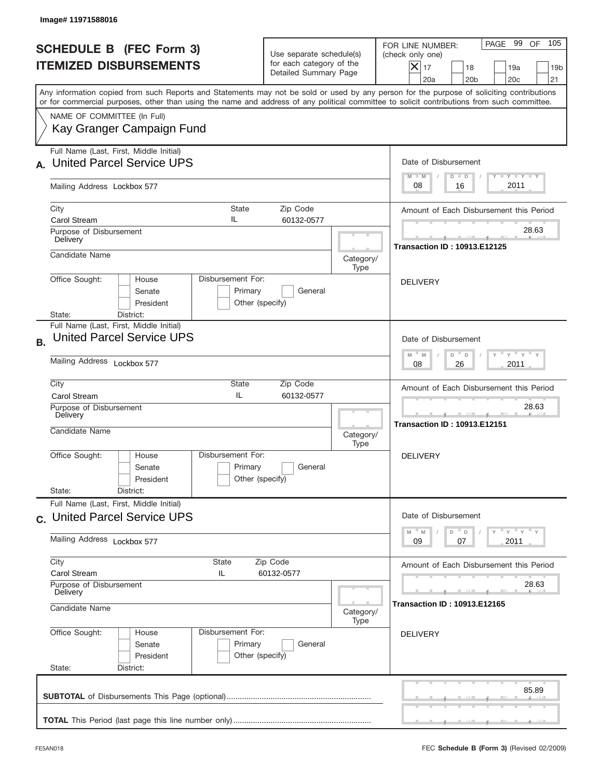|                                                                 | Image# 11971588016                                                                                                                                                                                                                                                                      |                                                                               |                                     |                                                                                                                                                         |  |  |  |
|-----------------------------------------------------------------|-----------------------------------------------------------------------------------------------------------------------------------------------------------------------------------------------------------------------------------------------------------------------------------------|-------------------------------------------------------------------------------|-------------------------------------|---------------------------------------------------------------------------------------------------------------------------------------------------------|--|--|--|
| <b>SCHEDULE B (FEC Form 3)</b><br><b>ITEMIZED DISBURSEMENTS</b> |                                                                                                                                                                                                                                                                                         | Use separate schedule(s)<br>for each category of the<br>Detailed Summary Page |                                     | 105<br>PAGE 99 OF<br>FOR LINE NUMBER:<br>(check only one)<br>$ \mathsf{X} _{17}$<br>18<br>19a<br>19 <sub>b</sub><br>20a<br>20 <sub>b</sub><br>20c<br>21 |  |  |  |
|                                                                 | Any information copied from such Reports and Statements may not be sold or used by any person for the purpose of soliciting contributions<br>or for commercial purposes, other than using the name and address of any political committee to solicit contributions from such committee. |                                                                               |                                     |                                                                                                                                                         |  |  |  |
|                                                                 | NAME OF COMMITTEE (In Full)<br>Kay Granger Campaign Fund                                                                                                                                                                                                                                |                                                                               |                                     |                                                                                                                                                         |  |  |  |
|                                                                 | Full Name (Last, First, Middle Initial)<br><b>United Parcel Service UPS</b>                                                                                                                                                                                                             |                                                                               |                                     | Date of Disbursement<br>Y TY TY TY<br>$M - M$<br>$D$ $D$                                                                                                |  |  |  |
|                                                                 | Mailing Address Lockbox 577                                                                                                                                                                                                                                                             |                                                                               |                                     | 2011<br>08<br>16                                                                                                                                        |  |  |  |
|                                                                 | City<br><b>State</b><br>IL<br><b>Carol Stream</b>                                                                                                                                                                                                                                       | Zip Code<br>60132-0577                                                        |                                     |                                                                                                                                                         |  |  |  |
|                                                                 | Purpose of Disbursement<br>Delivery                                                                                                                                                                                                                                                     |                                                                               | 28.63                               |                                                                                                                                                         |  |  |  |
|                                                                 | Candidate Name                                                                                                                                                                                                                                                                          | Category/<br>Type                                                             | <b>Transaction ID: 10913.E12125</b> |                                                                                                                                                         |  |  |  |
|                                                                 | Disbursement For:<br>Office Sought:<br>House<br>Senate<br>Primary<br>President<br>Other (specify)<br>District:<br>State:                                                                                                                                                                | General                                                                       |                                     | <b>DELIVERY</b>                                                                                                                                         |  |  |  |
| <b>B.</b>                                                       | Full Name (Last, First, Middle Initial)<br><b>United Parcel Service UPS</b>                                                                                                                                                                                                             |                                                                               |                                     | Date of Disbursement<br>ү " ү " ү "<br>$M - M$<br>D<br>D                                                                                                |  |  |  |
|                                                                 | Mailing Address Lockbox 577                                                                                                                                                                                                                                                             | 2011<br>08<br>26                                                              |                                     |                                                                                                                                                         |  |  |  |
|                                                                 | City<br>State<br>IL<br><b>Carol Stream</b>                                                                                                                                                                                                                                              | Zip Code<br>60132-0577                                                        |                                     |                                                                                                                                                         |  |  |  |
|                                                                 | Purpose of Disbursement<br>Delivery<br>Candidate Name                                                                                                                                                                                                                                   |                                                                               | Category/                           | 28.63<br><b>Transaction ID: 10913.E12151</b>                                                                                                            |  |  |  |
|                                                                 | Disbursement For:<br>Office Sought:<br>House<br>Primary<br>Senate<br>Other (specify)<br>President                                                                                                                                                                                       | General                                                                       | Type                                | <b>DELIVERY</b>                                                                                                                                         |  |  |  |
|                                                                 | State:<br>District:<br>Full Name (Last, First, Middle Initial)                                                                                                                                                                                                                          |                                                                               |                                     |                                                                                                                                                         |  |  |  |
|                                                                 | c. United Parcel Service UPS                                                                                                                                                                                                                                                            |                                                                               |                                     | Date of Disbursement<br>ү "ү "ү "ү<br>$-M$<br>M<br>D<br>D                                                                                               |  |  |  |
|                                                                 | Mailing Address Lockbox 577                                                                                                                                                                                                                                                             | 2011<br>09<br>07                                                              |                                     |                                                                                                                                                         |  |  |  |
|                                                                 | City<br>State<br>Carol Stream<br>IL<br>Purpose of Disbursement<br>Delivery                                                                                                                                                                                                              | Zip Code<br>60132-0577                                                        |                                     | Amount of Each Disbursement this Period<br>28.63                                                                                                        |  |  |  |
|                                                                 | Candidate Name                                                                                                                                                                                                                                                                          | <b>Transaction ID: 10913.E12165</b>                                           |                                     |                                                                                                                                                         |  |  |  |
|                                                                 | Office Sought:<br>Disbursement For:<br>House<br>Primary<br>Senate<br>President<br>Other (specify)<br>State:<br>District:                                                                                                                                                                | General                                                                       |                                     | <b>DELIVERY</b>                                                                                                                                         |  |  |  |
|                                                                 |                                                                                                                                                                                                                                                                                         |                                                                               |                                     | 85.89                                                                                                                                                   |  |  |  |
|                                                                 |                                                                                                                                                                                                                                                                                         |                                                                               |                                     |                                                                                                                                                         |  |  |  |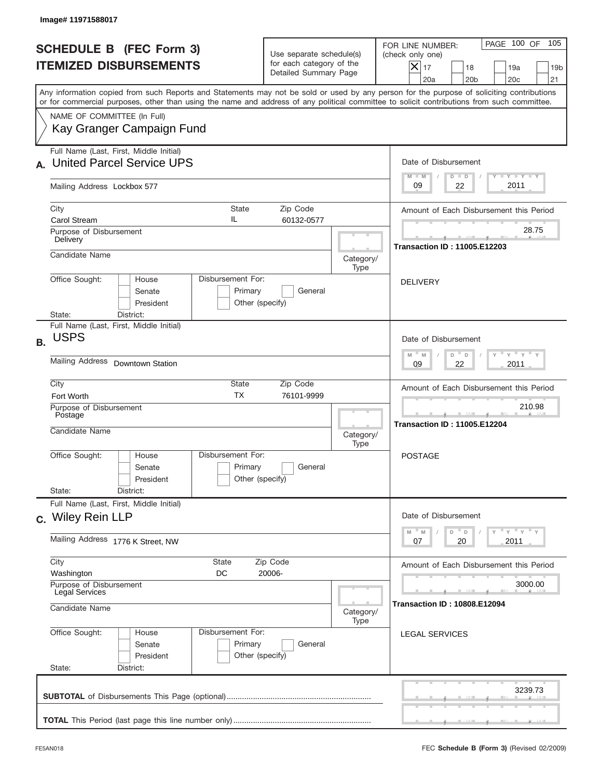|                                                                             | Image# 11971588017                                                                                                                                                                                                                                                                      |                                                                    |                                                                               |                   |                                                                                                                                                                 |  |  |
|-----------------------------------------------------------------------------|-----------------------------------------------------------------------------------------------------------------------------------------------------------------------------------------------------------------------------------------------------------------------------------------|--------------------------------------------------------------------|-------------------------------------------------------------------------------|-------------------|-----------------------------------------------------------------------------------------------------------------------------------------------------------------|--|--|
|                                                                             | <b>SCHEDULE B (FEC Form 3)</b><br><b>ITEMIZED DISBURSEMENTS</b>                                                                                                                                                                                                                         |                                                                    | Use separate schedule(s)<br>for each category of the<br>Detailed Summary Page |                   | 105<br>PAGE 100 OF<br>FOR LINE NUMBER:<br>(check only one)<br>$\times$<br>17<br>18<br>19a<br>19 <sub>b</sub><br>20a<br>20 <sub>b</sub><br>20 <sub>c</sub><br>21 |  |  |
|                                                                             | Any information copied from such Reports and Statements may not be sold or used by any person for the purpose of soliciting contributions<br>or for commercial purposes, other than using the name and address of any political committee to solicit contributions from such committee. |                                                                    |                                                                               |                   |                                                                                                                                                                 |  |  |
|                                                                             | NAME OF COMMITTEE (In Full)<br>Kay Granger Campaign Fund                                                                                                                                                                                                                                |                                                                    |                                                                               |                   |                                                                                                                                                                 |  |  |
| Full Name (Last, First, Middle Initial)<br><b>United Parcel Service UPS</b> |                                                                                                                                                                                                                                                                                         |                                                                    |                                                                               |                   | Date of Disbursement<br>$T - Y$ $T - Y$<br>$M - M$<br>$D$ $D$                                                                                                   |  |  |
|                                                                             | Mailing Address Lockbox 577                                                                                                                                                                                                                                                             |                                                                    |                                                                               |                   | 2011<br>09<br>22                                                                                                                                                |  |  |
|                                                                             | City<br>State<br>IL<br><b>Carol Stream</b><br>Purpose of Disbursement                                                                                                                                                                                                                   | Amount of Each Disbursement this Period<br>28.75                   |                                                                               |                   |                                                                                                                                                                 |  |  |
|                                                                             | Delivery<br>Candidate Name                                                                                                                                                                                                                                                              |                                                                    |                                                                               | Category/<br>Type | <b>Transaction ID: 11005.E12203</b><br><b>DELIVERY</b>                                                                                                          |  |  |
|                                                                             | Disbursement For:<br>Office Sought:<br>House<br>Senate<br>President<br>State:<br>District:                                                                                                                                                                                              | Primary<br>Other (specify)                                         | General                                                                       |                   |                                                                                                                                                                 |  |  |
| <b>B.</b>                                                                   | Full Name (Last, First, Middle Initial)<br><b>USPS</b>                                                                                                                                                                                                                                  |                                                                    |                                                                               |                   | Date of Disbursement<br>$\cdots$ $\gamma$ $\cdots$ $\gamma$ $\cdots$<br>$M - M$<br>D<br>D                                                                       |  |  |
|                                                                             | Mailing Address<br><b>Downtown Station</b>                                                                                                                                                                                                                                              | 22<br>2011<br>09                                                   |                                                                               |                   |                                                                                                                                                                 |  |  |
|                                                                             | City<br>State<br>Zip Code<br><b>TX</b><br>76101-9999<br>Fort Worth                                                                                                                                                                                                                      |                                                                    |                                                                               |                   | Amount of Each Disbursement this Period                                                                                                                         |  |  |
|                                                                             | Purpose of Disbursement<br>Postage<br>Candidate Name                                                                                                                                                                                                                                    | Category/<br>Type                                                  | 210.98<br><b>Transaction ID: 11005.E12204</b>                                 |                   |                                                                                                                                                                 |  |  |
|                                                                             | Disbursement For:<br>Office Sought:<br>House<br>Senate<br>President<br>State:<br>District:                                                                                                                                                                                              | Primary<br>Other (specify)                                         | General                                                                       |                   | <b>POSTAGE</b>                                                                                                                                                  |  |  |
|                                                                             | Full Name (Last, First, Middle Initial)<br>c. Wiley Rein LLP                                                                                                                                                                                                                            | Date of Disbursement                                               |                                                                               |                   |                                                                                                                                                                 |  |  |
|                                                                             | Mailing Address 1776 K Street, NW                                                                                                                                                                                                                                                       | ≡ү ≡ү ≡ү<br>M<br>D<br>M<br>D<br>20<br>2011<br>07                   |                                                                               |                   |                                                                                                                                                                 |  |  |
|                                                                             | City<br>State<br>Washington<br>DC                                                                                                                                                                                                                                                       | Amount of Each Disbursement this Period                            |                                                                               |                   |                                                                                                                                                                 |  |  |
|                                                                             | Purpose of Disbursement<br><b>Legal Services</b><br>Candidate Name                                                                                                                                                                                                                      | Category/                                                          | 3000.00<br><b>Transaction ID: 10808.E12094</b>                                |                   |                                                                                                                                                                 |  |  |
|                                                                             | Office Sought:<br>House<br>Senate<br>President<br>State:<br>District:                                                                                                                                                                                                                   | Type<br>Disbursement For:<br>Primary<br>General<br>Other (specify) |                                                                               |                   |                                                                                                                                                                 |  |  |
|                                                                             |                                                                                                                                                                                                                                                                                         |                                                                    |                                                                               |                   | 3239.73                                                                                                                                                         |  |  |
|                                                                             |                                                                                                                                                                                                                                                                                         |                                                                    |                                                                               |                   |                                                                                                                                                                 |  |  |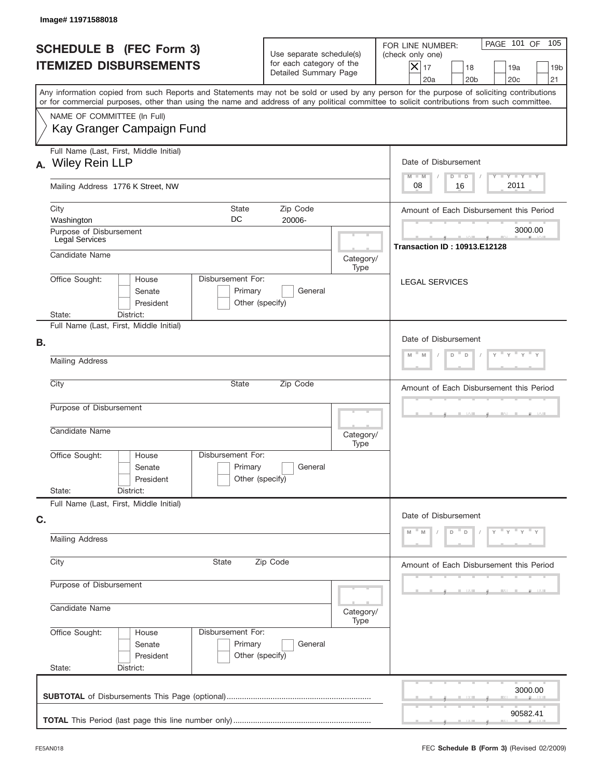| Image# 11971588018                                                                                                                                                                                                                                                                      |                                                                               |                   |                                                                                                                                                |  |  |  |
|-----------------------------------------------------------------------------------------------------------------------------------------------------------------------------------------------------------------------------------------------------------------------------------------|-------------------------------------------------------------------------------|-------------------|------------------------------------------------------------------------------------------------------------------------------------------------|--|--|--|
| <b>SCHEDULE B (FEC Form 3)</b><br><b>ITEMIZED DISBURSEMENTS</b>                                                                                                                                                                                                                         | Use separate schedule(s)<br>for each category of the<br>Detailed Summary Page |                   | PAGE 101 OF<br>105<br>FOR LINE NUMBER:<br>(check only one)<br>$X _{17}$<br>18<br>19a<br>19 <sub>b</sub><br>20a<br>20 <sub>b</sub><br>20c<br>21 |  |  |  |
| Any information copied from such Reports and Statements may not be sold or used by any person for the purpose of soliciting contributions<br>or for commercial purposes, other than using the name and address of any political committee to solicit contributions from such committee. |                                                                               |                   |                                                                                                                                                |  |  |  |
| NAME OF COMMITTEE (In Full)<br>Kay Granger Campaign Fund                                                                                                                                                                                                                                |                                                                               |                   |                                                                                                                                                |  |  |  |
| Full Name (Last, First, Middle Initial)<br><b>Wiley Rein LLP</b><br>А.                                                                                                                                                                                                                  |                                                                               |                   | Date of Disbursement<br>Y TY TY TY<br>$M - M$<br>$D$ $D$                                                                                       |  |  |  |
| Mailing Address 1776 K Street, NW                                                                                                                                                                                                                                                       |                                                                               |                   | 2011<br>08<br>16                                                                                                                               |  |  |  |
| City<br><b>State</b><br>DC<br>Washington                                                                                                                                                                                                                                                | Zip Code<br>20006-                                                            |                   | Amount of Each Disbursement this Period                                                                                                        |  |  |  |
| Purpose of Disbursement<br>Legal Services                                                                                                                                                                                                                                               | 3000.00<br><b>Transaction ID: 10913.E12128</b>                                |                   |                                                                                                                                                |  |  |  |
| Candidate Name                                                                                                                                                                                                                                                                          |                                                                               | Category/<br>Type |                                                                                                                                                |  |  |  |
| Disbursement For:<br>Office Sought:<br>House<br>Senate<br>President<br>State:<br>District:                                                                                                                                                                                              | Primary<br>General<br>Other (specify)                                         |                   | <b>LEGAL SERVICES</b>                                                                                                                          |  |  |  |
| Full Name (Last, First, Middle Initial)                                                                                                                                                                                                                                                 |                                                                               |                   |                                                                                                                                                |  |  |  |
| В.                                                                                                                                                                                                                                                                                      | Date of Disbursement<br>M<br>D<br>$\mathsf D$<br>M                            |                   |                                                                                                                                                |  |  |  |
| <b>Mailing Address</b>                                                                                                                                                                                                                                                                  |                                                                               |                   |                                                                                                                                                |  |  |  |
| City<br>State                                                                                                                                                                                                                                                                           | Amount of Each Disbursement this Period                                       |                   |                                                                                                                                                |  |  |  |
| Purpose of Disbursement<br>Candidate Name                                                                                                                                                                                                                                               | Category/<br>Type                                                             |                   |                                                                                                                                                |  |  |  |
| Disbursement For:<br>Office Sought:<br>House<br>Senate<br>President                                                                                                                                                                                                                     | Primary<br>General<br>Other (specify)                                         |                   |                                                                                                                                                |  |  |  |
| State:<br>District:<br>Full Name (Last, First, Middle Initial)                                                                                                                                                                                                                          |                                                                               |                   |                                                                                                                                                |  |  |  |
| C.                                                                                                                                                                                                                                                                                      | Date of Disbursement                                                          |                   |                                                                                                                                                |  |  |  |
| <b>Mailing Address</b>                                                                                                                                                                                                                                                                  | γ <sup>=</sup> γ <sup>=</sup> γ <sup>=</sup> γ<br>D<br>$\mathsf D$            |                   |                                                                                                                                                |  |  |  |
| City<br>State                                                                                                                                                                                                                                                                           | Amount of Each Disbursement this Period                                       |                   |                                                                                                                                                |  |  |  |
| Purpose of Disbursement                                                                                                                                                                                                                                                                 |                                                                               |                   |                                                                                                                                                |  |  |  |
| Candidate Name                                                                                                                                                                                                                                                                          | Category/                                                                     |                   |                                                                                                                                                |  |  |  |
| Office Sought:<br>Disbursement For:<br>House<br>Senate<br>President<br>State:<br>District:                                                                                                                                                                                              | Primary<br>General<br>Other (specify)                                         | Type              |                                                                                                                                                |  |  |  |
|                                                                                                                                                                                                                                                                                         |                                                                               |                   | 3000.00                                                                                                                                        |  |  |  |
|                                                                                                                                                                                                                                                                                         |                                                                               |                   |                                                                                                                                                |  |  |  |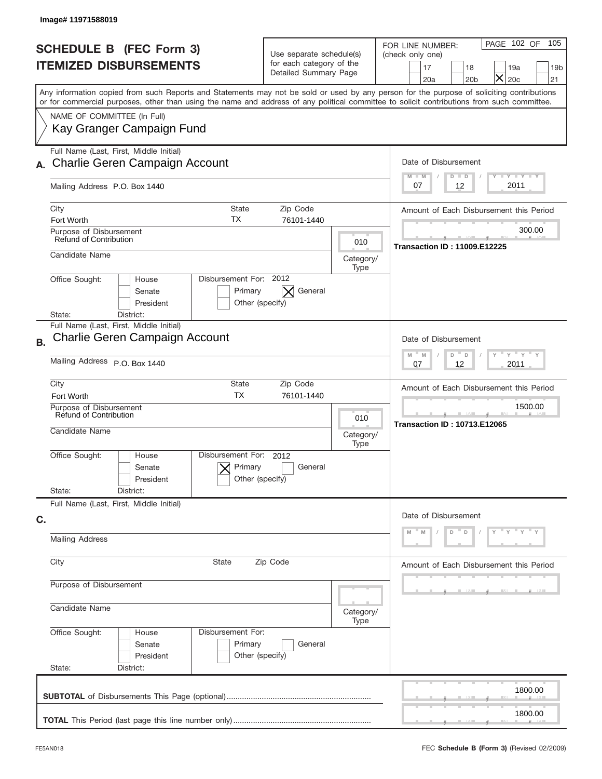| Image# 11971588019                                                                                                                                                                                                                                                                      |                                                                                           |                                                |                                                                                                                                                                                |  |  |  |
|-----------------------------------------------------------------------------------------------------------------------------------------------------------------------------------------------------------------------------------------------------------------------------------------|-------------------------------------------------------------------------------------------|------------------------------------------------|--------------------------------------------------------------------------------------------------------------------------------------------------------------------------------|--|--|--|
| <b>SCHEDULE B (FEC Form 3)</b><br><b>ITEMIZED DISBURSEMENTS</b>                                                                                                                                                                                                                         | Use separate schedule(s)<br>for each category of the<br>Detailed Summary Page             |                                                | PAGE 102 OF<br>105<br>FOR LINE NUMBER:<br>(check only one)<br>17<br>19a<br>18<br>19 <sub>b</sub><br>$\overline{\textsf{x}}$<br>20 <sub>c</sub><br>20a<br>20 <sub>b</sub><br>21 |  |  |  |
| Any information copied from such Reports and Statements may not be sold or used by any person for the purpose of soliciting contributions<br>or for commercial purposes, other than using the name and address of any political committee to solicit contributions from such committee. |                                                                                           |                                                |                                                                                                                                                                                |  |  |  |
| NAME OF COMMITTEE (In Full)<br>Kay Granger Campaign Fund                                                                                                                                                                                                                                |                                                                                           |                                                |                                                                                                                                                                                |  |  |  |
| Full Name (Last, First, Middle Initial)<br><b>Charlie Geren Campaign Account</b>                                                                                                                                                                                                        |                                                                                           |                                                | Date of Disbursement<br>Y TY TY TY<br>$M - M$<br>$D$ $D$                                                                                                                       |  |  |  |
| Mailing Address P.O. Box 1440                                                                                                                                                                                                                                                           |                                                                                           |                                                | 2011<br>12<br>07                                                                                                                                                               |  |  |  |
| City<br><b>State</b><br>ТX<br>Fort Worth                                                                                                                                                                                                                                                | Zip Code<br>76101-1440<br>Purpose of Disbursement<br><b>Refund of Contribution</b><br>010 |                                                |                                                                                                                                                                                |  |  |  |
|                                                                                                                                                                                                                                                                                         |                                                                                           |                                                |                                                                                                                                                                                |  |  |  |
| Candidate Name<br>Disbursement For: 2012                                                                                                                                                                                                                                                |                                                                                           | Category/<br>Type                              |                                                                                                                                                                                |  |  |  |
| Office Sought:<br>House<br>Primary<br>Senate<br>President<br>Other (specify)<br>District:<br>State:                                                                                                                                                                                     | General<br>$\times$                                                                       |                                                |                                                                                                                                                                                |  |  |  |
| Full Name (Last, First, Middle Initial)<br>Charlie Geren Campaign Account<br><b>B.</b>                                                                                                                                                                                                  |                                                                                           |                                                | Date of Disbursement                                                                                                                                                           |  |  |  |
| Mailing Address P.O. Box 1440                                                                                                                                                                                                                                                           | $-\gamma + \gamma +$<br>$M - M$<br>D<br>D<br>2011<br>07<br>12                             |                                                |                                                                                                                                                                                |  |  |  |
| City<br>State<br><b>TX</b><br>Fort Worth                                                                                                                                                                                                                                                | Zip Code<br>76101-1440                                                                    |                                                | Amount of Each Disbursement this Period                                                                                                                                        |  |  |  |
| Purpose of Disbursement<br>Refund of Contribution<br>Candidate Name                                                                                                                                                                                                                     | 010<br>Category/<br>Type                                                                  | 1500.00<br><b>Transaction ID: 10713.E12065</b> |                                                                                                                                                                                |  |  |  |
| Disbursement For:<br>Office Sought:<br>House<br>Primary<br>Senate<br>Other (specify)<br>President                                                                                                                                                                                       | 2012<br>General                                                                           |                                                |                                                                                                                                                                                |  |  |  |
| State:<br>District:<br>Full Name (Last, First, Middle Initial)                                                                                                                                                                                                                          |                                                                                           |                                                |                                                                                                                                                                                |  |  |  |
| C.<br><b>Mailing Address</b>                                                                                                                                                                                                                                                            |                                                                                           |                                                | Date of Disbursement<br>$\mathbf{y}$<br>D<br>D                                                                                                                                 |  |  |  |
| City<br>State                                                                                                                                                                                                                                                                           | Zip Code                                                                                  |                                                |                                                                                                                                                                                |  |  |  |
| Purpose of Disbursement                                                                                                                                                                                                                                                                 | Amount of Each Disbursement this Period                                                   |                                                |                                                                                                                                                                                |  |  |  |
| Candidate Name                                                                                                                                                                                                                                                                          |                                                                                           | Category/<br>Type                              |                                                                                                                                                                                |  |  |  |
| Office Sought:<br>Disbursement For:<br>House<br>Primary<br>Senate<br>Other (specify)<br>President<br>State:<br>District:                                                                                                                                                                | General                                                                                   |                                                |                                                                                                                                                                                |  |  |  |
|                                                                                                                                                                                                                                                                                         |                                                                                           |                                                | 1800.00                                                                                                                                                                        |  |  |  |
|                                                                                                                                                                                                                                                                                         |                                                                                           |                                                | 1800.00                                                                                                                                                                        |  |  |  |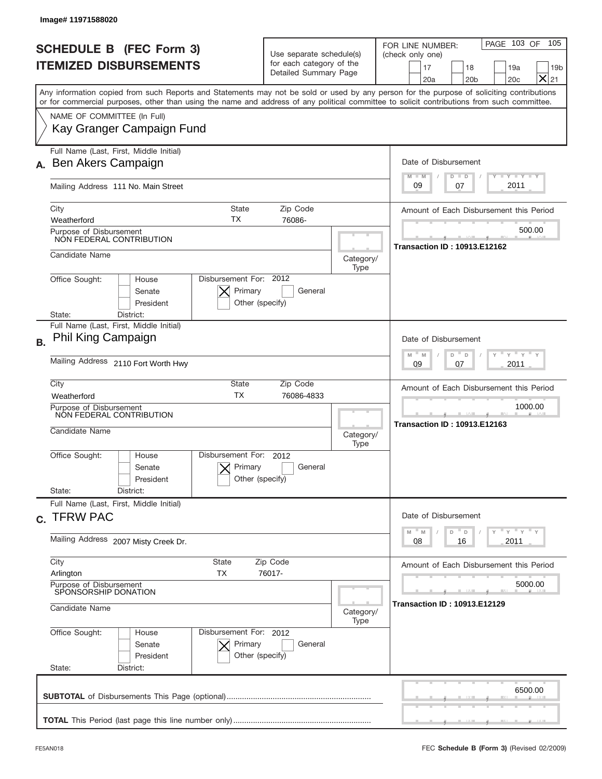|           | Image#11971588020                                                                                                                                                                                                                                                                       |                                                                               |                                                                                                                    |                                                                                                                                                     |  |  |  |
|-----------|-----------------------------------------------------------------------------------------------------------------------------------------------------------------------------------------------------------------------------------------------------------------------------------------|-------------------------------------------------------------------------------|--------------------------------------------------------------------------------------------------------------------|-----------------------------------------------------------------------------------------------------------------------------------------------------|--|--|--|
|           | <b>SCHEDULE B (FEC Form 3)</b><br><b>ITEMIZED DISBURSEMENTS</b>                                                                                                                                                                                                                         | Use separate schedule(s)<br>for each category of the<br>Detailed Summary Page |                                                                                                                    | PAGE 103 OF<br>105<br>FOR LINE NUMBER:<br>(check only one)<br>18<br>19a<br>17<br>19 <sub>b</sub><br>$\times$<br>20a<br>20 <sub>b</sub><br>20c<br>21 |  |  |  |
|           | Any information copied from such Reports and Statements may not be sold or used by any person for the purpose of soliciting contributions<br>or for commercial purposes, other than using the name and address of any political committee to solicit contributions from such committee. |                                                                               |                                                                                                                    |                                                                                                                                                     |  |  |  |
|           | NAME OF COMMITTEE (In Full)<br>Kay Granger Campaign Fund                                                                                                                                                                                                                                |                                                                               |                                                                                                                    |                                                                                                                                                     |  |  |  |
|           | Full Name (Last, First, Middle Initial)                                                                                                                                                                                                                                                 |                                                                               |                                                                                                                    |                                                                                                                                                     |  |  |  |
|           | Ben Akers Campaign                                                                                                                                                                                                                                                                      | Date of Disbursement<br>$T - Y$ $T - Y$<br>$M - M$<br>$D$ $D$                 |                                                                                                                    |                                                                                                                                                     |  |  |  |
|           | Mailing Address 111 No. Main Street                                                                                                                                                                                                                                                     |                                                                               |                                                                                                                    | 2011<br>09<br>07                                                                                                                                    |  |  |  |
|           | City<br>State<br>ТX                                                                                                                                                                                                                                                                     | Zip Code                                                                      |                                                                                                                    | Amount of Each Disbursement this Period                                                                                                             |  |  |  |
|           | Weatherford<br>Purpose of Disbursement                                                                                                                                                                                                                                                  | 76086-                                                                        |                                                                                                                    | 500.00                                                                                                                                              |  |  |  |
|           | NON FEDERAL CONTRIBUTION<br>Candidate Name                                                                                                                                                                                                                                              |                                                                               | <b>Transaction ID: 10913.E12162</b>                                                                                |                                                                                                                                                     |  |  |  |
|           |                                                                                                                                                                                                                                                                                         | Category/<br>Type                                                             |                                                                                                                    |                                                                                                                                                     |  |  |  |
|           | Disbursement For: 2012<br>Office Sought:<br>House<br>Primary<br>Senate<br>President<br>Other (specify)<br>District:<br>State:                                                                                                                                                           | General                                                                       |                                                                                                                    |                                                                                                                                                     |  |  |  |
| <b>B.</b> | Full Name (Last, First, Middle Initial)<br>Phil King Campaign                                                                                                                                                                                                                           |                                                                               |                                                                                                                    | Date of Disbursement                                                                                                                                |  |  |  |
|           | Mailing Address 2110 Fort Worth Hwy                                                                                                                                                                                                                                                     |                                                                               | $\cdots$ $\gamma$ $\cdots$ $\gamma$ $\cdots$<br>$-M$<br>M<br>D<br>D<br>2011<br>09<br>07                            |                                                                                                                                                     |  |  |  |
|           | City<br>State<br><b>TX</b><br>Weatherford                                                                                                                                                                                                                                               | Zip Code<br>76086-4833                                                        |                                                                                                                    | Amount of Each Disbursement this Period                                                                                                             |  |  |  |
|           | Purpose of Disbursement<br>NON FEDERAL CONTRIBUTION                                                                                                                                                                                                                                     |                                                                               | 1000.00                                                                                                            |                                                                                                                                                     |  |  |  |
|           | Candidate Name                                                                                                                                                                                                                                                                          | Category/<br>Type                                                             | <b>Transaction ID: 10913.E12163</b>                                                                                |                                                                                                                                                     |  |  |  |
|           | Disbursement For:<br>Office Sought:<br>House<br>Primary<br>Senate<br>Other (specify)<br>President<br>State:<br>District:                                                                                                                                                                | 2012<br>General                                                               |                                                                                                                    |                                                                                                                                                     |  |  |  |
|           | Full Name (Last, First, Middle Initial)<br>c. TFRW PAC                                                                                                                                                                                                                                  |                                                                               | Date of Disbursement                                                                                               |                                                                                                                                                     |  |  |  |
|           | Mailing Address 2007 Misty Creek Dr.                                                                                                                                                                                                                                                    |                                                                               | $\overline{Y}$ $\overline{Y}$ $\overline{Y}$ $\overline{Y}$ $\overline{Y}$<br>M<br>D<br>M<br>D<br>2011<br>08<br>16 |                                                                                                                                                     |  |  |  |
|           | City<br>State<br>Zip Code<br>Arlington<br>TX<br>76017-                                                                                                                                                                                                                                  | Amount of Each Disbursement this Period                                       |                                                                                                                    |                                                                                                                                                     |  |  |  |
|           | Purpose of Disbursement<br>SPONSORSHIP DONATION                                                                                                                                                                                                                                         |                                                                               | 5000.00                                                                                                            |                                                                                                                                                     |  |  |  |
|           | Candidate Name                                                                                                                                                                                                                                                                          | Category/<br>Type                                                             | <b>Transaction ID: 10913.E12129</b>                                                                                |                                                                                                                                                     |  |  |  |
|           | Office Sought:<br>Disbursement For: 2012<br>House<br>Senate<br>Primary<br>President<br>Other (specify)<br>State:<br>District:                                                                                                                                                           | General                                                                       |                                                                                                                    |                                                                                                                                                     |  |  |  |
|           |                                                                                                                                                                                                                                                                                         |                                                                               |                                                                                                                    | 6500.00                                                                                                                                             |  |  |  |
|           |                                                                                                                                                                                                                                                                                         |                                                                               |                                                                                                                    |                                                                                                                                                     |  |  |  |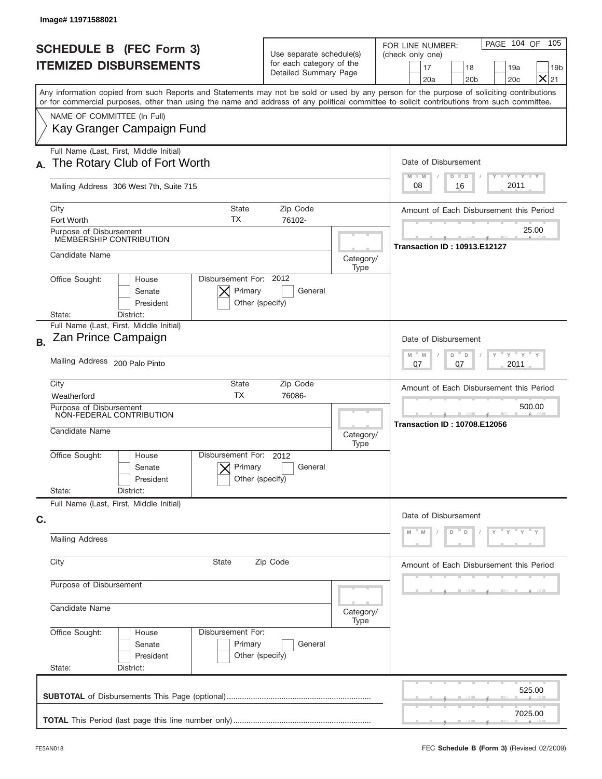| Image# 11971588021                                                                                                                                                                                                                                                                      |                                                                               |                                               |                                                                                                                                                     |  |  |  |
|-----------------------------------------------------------------------------------------------------------------------------------------------------------------------------------------------------------------------------------------------------------------------------------------|-------------------------------------------------------------------------------|-----------------------------------------------|-----------------------------------------------------------------------------------------------------------------------------------------------------|--|--|--|
| <b>SCHEDULE B (FEC Form 3)</b><br><b>ITEMIZED DISBURSEMENTS</b>                                                                                                                                                                                                                         | Use separate schedule(s)<br>for each category of the<br>Detailed Summary Page |                                               | PAGE 104 OF<br>105<br>FOR LINE NUMBER:<br>(check only one)<br>17<br>18<br>19a<br>19 <sub>b</sub><br>$\times$<br>20a<br>20 <sub>b</sub><br>20c<br>21 |  |  |  |
| Any information copied from such Reports and Statements may not be sold or used by any person for the purpose of soliciting contributions<br>or for commercial purposes, other than using the name and address of any political committee to solicit contributions from such committee. |                                                                               |                                               |                                                                                                                                                     |  |  |  |
| NAME OF COMMITTEE (In Full)<br>Kay Granger Campaign Fund                                                                                                                                                                                                                                |                                                                               |                                               |                                                                                                                                                     |  |  |  |
| Full Name (Last, First, Middle Initial)<br>The Rotary Club of Fort Worth<br>А.                                                                                                                                                                                                          |                                                                               |                                               | Date of Disbursement                                                                                                                                |  |  |  |
| Mailing Address 306 West 7th, Suite 715                                                                                                                                                                                                                                                 |                                                                               |                                               | Y TY TY TY<br>$M - M$<br>$D$ $D$<br>2011<br>08<br>16                                                                                                |  |  |  |
| City<br>ТX<br>Fort Worth                                                                                                                                                                                                                                                                | <b>State</b><br>Zip Code<br>76102-                                            |                                               |                                                                                                                                                     |  |  |  |
| Purpose of Disbursement<br>MEMBERSHIP CONTRIBUTION                                                                                                                                                                                                                                      |                                                                               |                                               | 25.00<br><b>Transaction ID: 10913.E12127</b>                                                                                                        |  |  |  |
| Candidate Name                                                                                                                                                                                                                                                                          | Category/<br>Type                                                             |                                               |                                                                                                                                                     |  |  |  |
| Disbursement For: 2012<br>Office Sought:<br>House<br>Primary<br>Senate<br>President<br>Other (specify)<br>District:<br>State:                                                                                                                                                           |                                                                               |                                               |                                                                                                                                                     |  |  |  |
| Full Name (Last, First, Middle Initial)<br>Zan Prince Campaign<br><b>B.</b>                                                                                                                                                                                                             |                                                                               |                                               | Date of Disbursement                                                                                                                                |  |  |  |
| Mailing Address 200 Palo Pinto                                                                                                                                                                                                                                                          | $-\gamma + \gamma$<br>$-$ M<br>M<br>D<br>D<br>2011<br>07<br>07                |                                               |                                                                                                                                                     |  |  |  |
| City<br>State<br><b>TX</b><br>Weatherford                                                                                                                                                                                                                                               | Zip Code<br>76086-                                                            |                                               | Amount of Each Disbursement this Period                                                                                                             |  |  |  |
| Purpose of Disbursement<br>NON-FEDERAL CONTRIBUTION<br>Candidate Name                                                                                                                                                                                                                   | Category/<br>Type                                                             | 500.00<br><b>Transaction ID: 10708.E12056</b> |                                                                                                                                                     |  |  |  |
| Disbursement For:<br>Office Sought:<br>House<br>Primary<br>Senate<br>President                                                                                                                                                                                                          | 2012<br>General<br>Other (specify)                                            |                                               |                                                                                                                                                     |  |  |  |
| State:<br>District:<br>Full Name (Last, First, Middle Initial)                                                                                                                                                                                                                          |                                                                               |                                               |                                                                                                                                                     |  |  |  |
| C.                                                                                                                                                                                                                                                                                      | Date of Disbursement                                                          |                                               |                                                                                                                                                     |  |  |  |
| <b>Mailing Address</b>                                                                                                                                                                                                                                                                  | $\mathbf{y}$<br>D<br>D                                                        |                                               |                                                                                                                                                     |  |  |  |
| City<br>State                                                                                                                                                                                                                                                                           | Zip Code                                                                      |                                               |                                                                                                                                                     |  |  |  |
| Purpose of Disbursement                                                                                                                                                                                                                                                                 |                                                                               |                                               |                                                                                                                                                     |  |  |  |
| Candidate Name                                                                                                                                                                                                                                                                          | Category/<br>Type                                                             |                                               |                                                                                                                                                     |  |  |  |
| Office Sought:<br>Disbursement For:<br>House<br>Primary<br>Senate<br>President<br>State:<br>District:                                                                                                                                                                                   | General<br>Other (specify)                                                    |                                               |                                                                                                                                                     |  |  |  |
|                                                                                                                                                                                                                                                                                         |                                                                               |                                               | 525.00                                                                                                                                              |  |  |  |
|                                                                                                                                                                                                                                                                                         |                                                                               |                                               | 7025.00                                                                                                                                             |  |  |  |